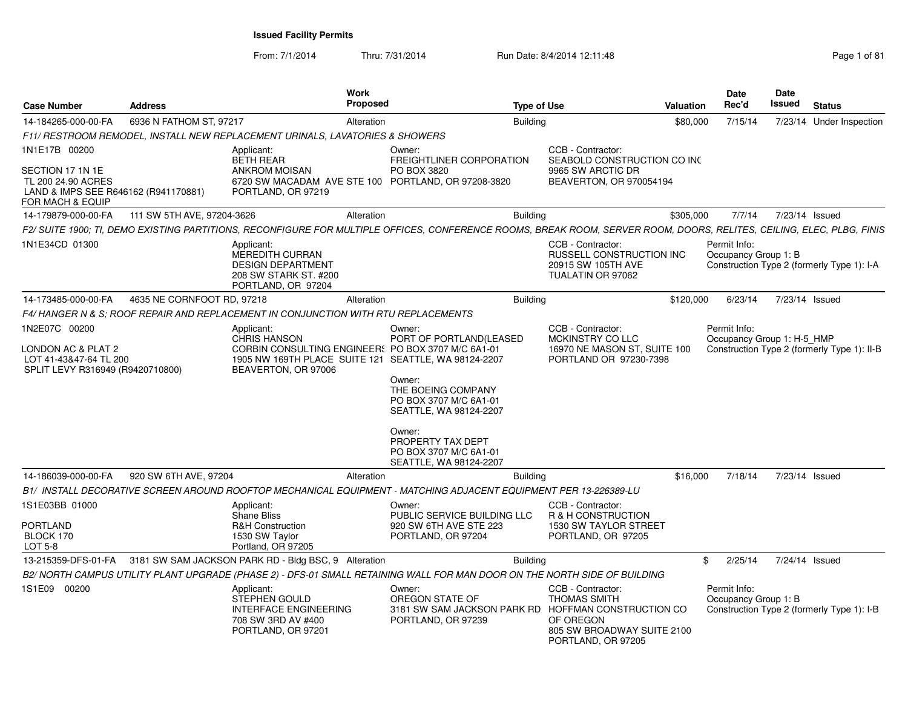From: 7/1/2014

Thru: 7/31/2014 Run Date: 8/4/2014 12:11:48 Research 2014 12:11:48

| <b>Case Number</b>                                                                                                  | <b>Address</b>             |                                                                                                                | <b>Work</b><br><b>Proposed</b> |                                                                                                                                                                                                                                                                  | <b>Type of Use</b> |                                                                                                                                      | Valuation | <b>Date</b><br>Rec'd                       | <b>Date</b><br><b>Issued</b> | <b>Status</b>                               |
|---------------------------------------------------------------------------------------------------------------------|----------------------------|----------------------------------------------------------------------------------------------------------------|--------------------------------|------------------------------------------------------------------------------------------------------------------------------------------------------------------------------------------------------------------------------------------------------------------|--------------------|--------------------------------------------------------------------------------------------------------------------------------------|-----------|--------------------------------------------|------------------------------|---------------------------------------------|
| 14-184265-000-00-FA                                                                                                 | 6936 N FATHOM ST, 97217    |                                                                                                                | Alteration                     |                                                                                                                                                                                                                                                                  | <b>Building</b>    |                                                                                                                                      | \$80,000  | 7/15/14                                    |                              | 7/23/14 Under Inspection                    |
|                                                                                                                     |                            | F11/ RESTROOM REMODEL, INSTALL NEW REPLACEMENT URINALS, LAVATORIES & SHOWERS                                   |                                |                                                                                                                                                                                                                                                                  |                    |                                                                                                                                      |           |                                            |                              |                                             |
| 1N1E17B 00200<br>SECTION 17 1N 1E<br>TL 200 24.90 ACRES<br>LAND & IMPS SEE R646162 (R941170881)<br>FOR MACH & EQUIP |                            | Applicant:<br><b>BETH REAR</b><br><b>ANKROM MOISAN</b><br>PORTLAND, OR 97219                                   |                                | Owner:<br>FREIGHTLINER CORPORATION<br>PO BOX 3820<br>6720 SW MACADAM AVE STE 100 PORTLAND, OR 97208-3820                                                                                                                                                         |                    | CCB - Contractor:<br>SEABOLD CONSTRUCTION CO INC<br>9965 SW ARCTIC DR<br>BEAVERTON, OR 970054194                                     |           |                                            |                              |                                             |
| 14-179879-000-00-FA                                                                                                 | 111 SW 5TH AVE, 97204-3626 |                                                                                                                | Alteration                     |                                                                                                                                                                                                                                                                  | <b>Building</b>    |                                                                                                                                      | \$305,000 | 7/7/14                                     | 7/23/14 Issued               |                                             |
|                                                                                                                     |                            |                                                                                                                |                                | F2/ SUITE 1900; TI, DEMO EXISTING PARTITIONS, RECONFIGURE FOR MULTIPLE OFFICES, CONFERENCE ROOMS, BREAK ROOM, SERVER ROOM, DOORS, RELITES, CEILING, ELEC, PLBG, FINIS                                                                                            |                    |                                                                                                                                      |           |                                            |                              |                                             |
| 1N1E34CD 01300                                                                                                      |                            | Applicant:<br>MEREDITH CURRAN<br><b>DESIGN DEPARTMENT</b><br>208 SW STARK ST. #200<br>PORTLAND, OR 97204       |                                |                                                                                                                                                                                                                                                                  |                    | CCB - Contractor:<br>RUSSELL CONSTRUCTION INC<br>20915 SW 105TH AVE<br>TUALATIN OR 97062                                             |           | Permit Info:<br>Occupancy Group 1: B       |                              | Construction Type 2 (formerly Type 1): I-A  |
| 14-173485-000-00-FA                                                                                                 | 4635 NE CORNFOOT RD, 97218 |                                                                                                                | Alteration                     |                                                                                                                                                                                                                                                                  | <b>Building</b>    |                                                                                                                                      | \$120,000 | 6/23/14                                    | 7/23/14 Issued               |                                             |
|                                                                                                                     |                            | F4/HANGER N & S; ROOF REPAIR AND REPLACEMENT IN CONJUNCTION WITH RTU REPLACEMENTS                              |                                |                                                                                                                                                                                                                                                                  |                    |                                                                                                                                      |           |                                            |                              |                                             |
| 1N2E07C 00200<br>LONDON AC & PLAT 2<br>LOT 41-43&47-64 TL 200<br>SPLIT LEVY R316949 (R9420710800)                   |                            | Applicant:<br><b>CHRIS HANSON</b><br>CORBIN CONSULTING ENGINEERS PO BOX 3707 M/C 6A1-01<br>BEAVERTON, OR 97006 |                                | Owner:<br>PORT OF PORTLAND(LEASED<br>1905 NW 169TH PLACE SUITE 121 SEATTLE, WA 98124-2207<br>Owner:<br>THE BOEING COMPANY<br>PO BOX 3707 M/C 6A1-01<br>SEATTLE, WA 98124-2207<br>Owner:<br>PROPERTY TAX DEPT<br>PO BOX 3707 M/C 6A1-01<br>SEATTLE, WA 98124-2207 |                    | CCB - Contractor:<br>MCKINSTRY CO LLC<br>16970 NE MASON ST, SUITE 100<br>PORTLAND OR 97230-7398                                      |           | Permit Info:<br>Occupancy Group 1: H-5 HMP |                              | Construction Type 2 (formerly Type 1): II-B |
| 14-186039-000-00-FA                                                                                                 | 920 SW 6TH AVE, 97204      |                                                                                                                | Alteration                     |                                                                                                                                                                                                                                                                  | <b>Building</b>    |                                                                                                                                      | \$16,000  | 7/18/14                                    | 7/23/14 Issued               |                                             |
|                                                                                                                     |                            |                                                                                                                |                                | B1/ INSTALL DECORATIVE SCREEN AROUND ROOFTOP MECHANICAL EQUIPMENT - MATCHING ADJACENT EQUIPMENT PER 13-226389-LU                                                                                                                                                 |                    |                                                                                                                                      |           |                                            |                              |                                             |
| 1S1E03BB 01000<br>PORTLAND<br>BLOCK 170<br>LOT 5-8                                                                  |                            | Applicant:<br><b>Shane Bliss</b><br><b>R&amp;H Construction</b><br>1530 SW Taylor<br>Portland, OR 97205        |                                | Owner:<br>PUBLIC SERVICE BUILDING LLC<br>920 SW 6TH AVE STE 223<br>PORTLAND, OR 97204                                                                                                                                                                            |                    | CCB - Contractor:<br>R & H CONSTRUCTION<br>1530 SW TAYLOR STREET<br>PORTLAND, OR 97205                                               |           |                                            |                              |                                             |
| 13-215359-DFS-01-FA                                                                                                 |                            | 3181 SW SAM JACKSON PARK RD - Bldg BSC, 9 Alteration                                                           |                                |                                                                                                                                                                                                                                                                  | <b>Building</b>    |                                                                                                                                      | \$        | 2/25/14                                    | 7/24/14 Issued               |                                             |
|                                                                                                                     |                            |                                                                                                                |                                | B2/NORTH CAMPUS UTILITY PLANT UPGRADE (PHASE 2) - DFS-01 SMALL RETAINING WALL FOR MAN DOOR ON THE NORTH SIDE OF BUILDING                                                                                                                                         |                    |                                                                                                                                      |           |                                            |                              |                                             |
| 1S1E09 00200                                                                                                        |                            | Applicant:<br><b>STEPHEN GOULD</b><br><b>INTERFACE ENGINEERING</b><br>708 SW 3RD AV #400<br>PORTLAND, OR 97201 |                                | Owner:<br>OREGON STATE OF<br>3181 SW SAM JACKSON PARK RD<br>PORTLAND, OR 97239                                                                                                                                                                                   |                    | CCB - Contractor:<br><b>THOMAS SMITH</b><br>HOFFMAN CONSTRUCTION CO<br>OF OREGON<br>805 SW BROADWAY SUITE 2100<br>PORTLAND, OR 97205 |           | Permit Info:<br>Occupancy Group 1: B       |                              | Construction Type 2 (formerly Type 1): I-B  |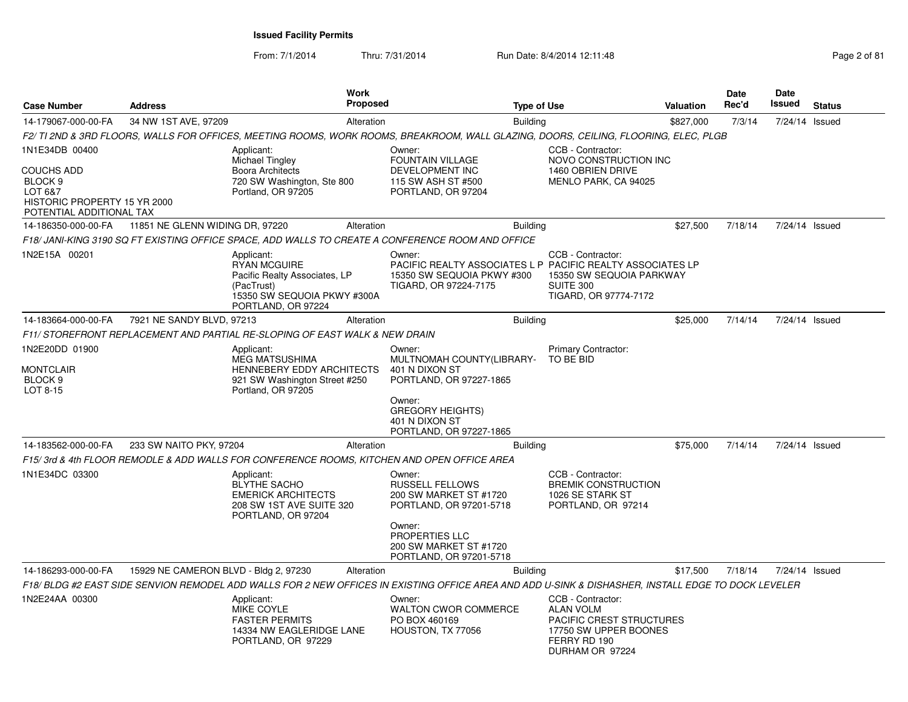| Case Number                                                                                                                      | <b>Address</b>                        | Work<br><b>Proposed</b>                                                                                                                             |                  | <b>Type of Use</b>                                                                                                |                                                                                                                                      | Valuation | Date<br>Rec'd | <b>Date</b><br>Issued | <b>Status</b> |
|----------------------------------------------------------------------------------------------------------------------------------|---------------------------------------|-----------------------------------------------------------------------------------------------------------------------------------------------------|------------------|-------------------------------------------------------------------------------------------------------------------|--------------------------------------------------------------------------------------------------------------------------------------|-----------|---------------|-----------------------|---------------|
| 14-179067-000-00-FA                                                                                                              | 34 NW 1ST AVE, 97209                  | Alteration                                                                                                                                          |                  | <b>Building</b>                                                                                                   |                                                                                                                                      | \$827,000 | 7/3/14        | 7/24/14 Issued        |               |
|                                                                                                                                  |                                       | F2/ TI 2ND & 3RD FLOORS, WALLS FOR OFFICES, MEETING ROOMS, WORK ROOMS, BREAKROOM, WALL GLAZING, DOORS, CEILING, FLOORING, ELEC, PLGB                |                  |                                                                                                                   |                                                                                                                                      |           |               |                       |               |
| 1N1E34DB 00400<br><b>COUCHS ADD</b><br>BLOCK <sub>9</sub><br>LOT 6&7<br>HISTORIC PROPERTY 15 YR 2000<br>POTENTIAL ADDITIONAL TAX |                                       | Applicant:<br>Michael Tingley<br><b>Boora Architects</b><br>720 SW Washington, Ste 800<br>Portland, OR 97205                                        | Owner:           | FOUNTAIN VILLAGE<br>DEVELOPMENT INC<br>115 SW ASH ST #500<br>PORTLAND, OR 97204                                   | CCB - Contractor:<br>NOVO CONSTRUCTION INC<br>1460 OBRIEN DRIVE<br>MENLO PARK, CA 94025                                              |           |               |                       |               |
| 14-186350-000-00-FA                                                                                                              | 11851 NE GLENN WIDING DR, 97220       | Alteration                                                                                                                                          |                  | <b>Building</b>                                                                                                   |                                                                                                                                      | \$27,500  | 7/18/14       | 7/24/14 Issued        |               |
|                                                                                                                                  |                                       | F18/ JANI-KING 3190 SQ FT EXISTING OFFICE SPACE, ADD WALLS TO CREATE A CONFERENCE ROOM AND OFFICE                                                   |                  |                                                                                                                   |                                                                                                                                      |           |               |                       |               |
| 1N2E15A 00201                                                                                                                    |                                       | Applicant:<br><b>RYAN MCGUIRE</b><br>Pacific Realty Associates, LP<br>(PacTrust)<br>15350 SW SEQUOIA PKWY #300A<br>PORTLAND, OR 97224               | Owner:           | PACIFIC REALTY ASSOCIATES L P PACIFIC REALTY ASSOCIATES LP<br>15350 SW SEQUOIA PKWY #300<br>TIGARD, OR 97224-7175 | CCB - Contractor:<br>15350 SW SEQUOIA PARKWAY<br>SUITE 300<br>TIGARD, OR 97774-7172                                                  |           |               |                       |               |
| 14-183664-000-00-FA                                                                                                              | 7921 NE SANDY BLVD, 97213             | Alteration                                                                                                                                          |                  | <b>Building</b>                                                                                                   |                                                                                                                                      | \$25,000  | 7/14/14       | 7/24/14 Issued        |               |
|                                                                                                                                  |                                       | F11/ STOREFRONT REPLACEMENT AND PARTIAL RE-SLOPING OF EAST WALK & NEW DRAIN                                                                         |                  |                                                                                                                   |                                                                                                                                      |           |               |                       |               |
| 1N2E20DD 01900<br>MONTCLAIR<br>BLOCK <sub>9</sub><br>LOT 8-15                                                                    |                                       | Applicant:<br><b>MEG MATSUSHIMA</b><br>HENNEBERY EDDY ARCHITECTS<br>921 SW Washington Street #250<br>Portland, OR 97205                             | Owner:<br>Owner: | MULTNOMAH COUNTY(LIBRARY-<br>401 N DIXON ST<br>PORTLAND, OR 97227-1865<br><b>GREGORY HEIGHTS)</b>                 | Primary Contractor:<br>TO BE BID                                                                                                     |           |               |                       |               |
|                                                                                                                                  |                                       |                                                                                                                                                     |                  | 401 N DIXON ST                                                                                                    |                                                                                                                                      |           |               |                       |               |
| 14-183562-000-00-FA                                                                                                              | 233 SW NAITO PKY, 97204               | Alteration                                                                                                                                          |                  | PORTLAND, OR 97227-1865<br>Building                                                                               |                                                                                                                                      | \$75,000  | 7/14/14       | 7/24/14 Issued        |               |
|                                                                                                                                  |                                       | F15/ 3rd & 4th FLOOR REMODLE & ADD WALLS FOR CONFERENCE ROOMS, KITCHEN AND OPEN OFFICE AREA                                                         |                  |                                                                                                                   |                                                                                                                                      |           |               |                       |               |
| 1N1E34DC 03300                                                                                                                   |                                       | Applicant:<br><b>BLYTHE SACHO</b><br><b>EMERICK ARCHITECTS</b><br>208 SW 1ST AVE SUITE 320<br>PORTLAND, OR 97204                                    | Owner:<br>Owner: | <b>RUSSELL FELLOWS</b><br>200 SW MARKET ST #1720<br>PORTLAND, OR 97201-5718<br>PROPERTIES LLC                     | CCB - Contractor:<br><b>BREMIK CONSTRUCTION</b><br>1026 SE STARK ST<br>PORTLAND, OR 97214                                            |           |               |                       |               |
|                                                                                                                                  |                                       |                                                                                                                                                     |                  | 200 SW MARKET ST #1720<br>PORTLAND, OR 97201-5718                                                                 |                                                                                                                                      |           |               |                       |               |
| 14-186293-000-00-FA                                                                                                              | 15929 NE CAMERON BLVD - Bldg 2, 97230 | Alteration                                                                                                                                          |                  | Building                                                                                                          |                                                                                                                                      | \$17,500  | 7/18/14       | 7/24/14 Issued        |               |
|                                                                                                                                  |                                       | F18/ BLDG #2 EAST SIDE SENVION REMODEL ADD WALLS FOR 2 NEW OFFICES IN EXISTING OFFICE AREA AND ADD U-SINK & DISHASHER, INSTALL EDGE TO DOCK LEVELER |                  |                                                                                                                   |                                                                                                                                      |           |               |                       |               |
| 1N2E24AA 00300                                                                                                                   |                                       | Applicant:<br><b>MIKE COYLE</b><br><b>FASTER PERMITS</b><br>14334 NW EAGLERIDGE LANE<br>PORTLAND, OR 97229                                          | Owner:           | <b>WALTON CWOR COMMERCE</b><br>PO BOX 460169<br>HOUSTON, TX 77056                                                 | CCB - Contractor:<br><b>ALAN VOLM</b><br><b>PACIFIC CREST STRUCTURES</b><br>17750 SW UPPER BOONES<br>FERRY RD 190<br>DURHAM OR 97224 |           |               |                       |               |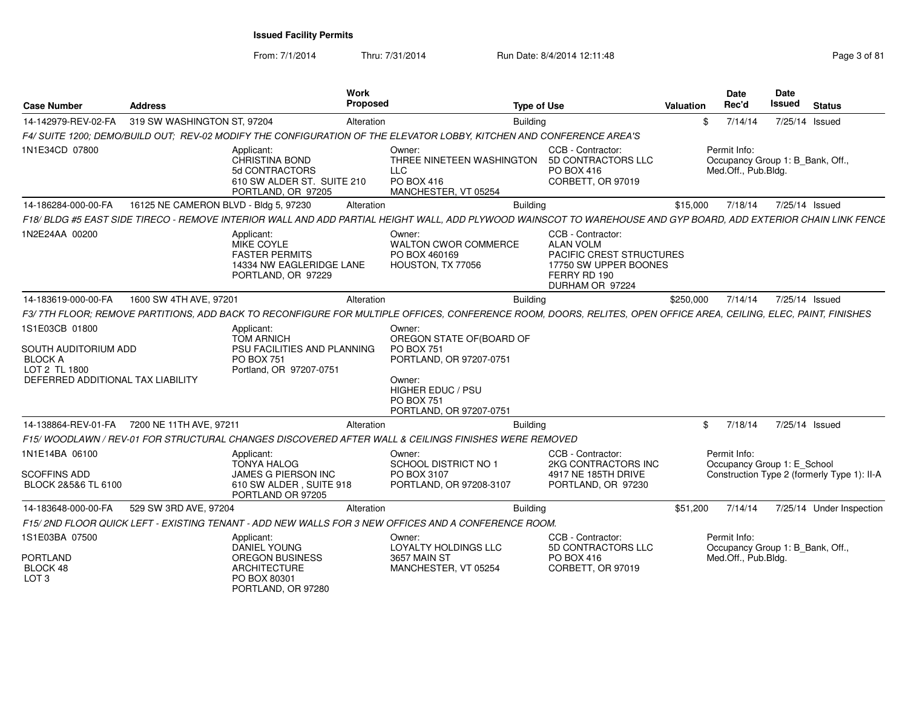From: 7/1/2014Thru: 7/31/2014 Run Date: 8/4/2014 12:11:48 Research 2010 12:11:48

| <b>Case Number</b>                                                                                             | <b>Address</b>                        | Work<br>Proposed                                                                                                                                                 |                                                                                                                                                                          | <b>Type of Use</b>                                                                                                            | Valuation | Date<br>Rec'd                                                           | Date<br>Issued | <b>Status</b>                               |
|----------------------------------------------------------------------------------------------------------------|---------------------------------------|------------------------------------------------------------------------------------------------------------------------------------------------------------------|--------------------------------------------------------------------------------------------------------------------------------------------------------------------------|-------------------------------------------------------------------------------------------------------------------------------|-----------|-------------------------------------------------------------------------|----------------|---------------------------------------------|
| 14-142979-REV-02-FA                                                                                            | 319 SW WASHINGTON ST, 97204           | Alteration                                                                                                                                                       |                                                                                                                                                                          | <b>Building</b>                                                                                                               | \$.       | 7/14/14                                                                 |                | 7/25/14 Issued                              |
|                                                                                                                |                                       | F4/ SUITE 1200; DEMO/BUILD OUT; REV-02 MODIFY THE CONFIGURATION OF THE ELEVATOR LOBBY, KITCHEN AND CONFERENCE AREA'S                                             |                                                                                                                                                                          |                                                                                                                               |           |                                                                         |                |                                             |
| 1N1E34CD 07800                                                                                                 |                                       | Applicant:<br>CHRISTINA BOND<br>5d CONTRACTORS<br>610 SW ALDER ST. SUITE 210<br>PORTLAND, OR 97205                                                               | Owner:<br>THREE NINETEEN WASHINGTON<br><b>LLC</b><br>PO BOX 416<br>MANCHESTER, VT 05254                                                                                  | CCB - Contractor:<br>5D CONTRACTORS LLC<br>PO BOX 416<br>CORBETT, OR 97019                                                    |           | Permit Info:<br>Occupancy Group 1: B_Bank, Off.,<br>Med.Off., Pub.Bldg. |                |                                             |
| 14-186284-000-00-FA                                                                                            | 16125 NE CAMERON BLVD - Bldg 5, 97230 | Alteration                                                                                                                                                       |                                                                                                                                                                          | Building                                                                                                                      | \$15,000  | 7/18/14                                                                 |                | 7/25/14 Issued                              |
|                                                                                                                |                                       | F18/BLDG #5 EAST SIDE TIRECO - REMOVE INTERIOR WALL AND ADD PARTIAL HEIGHT WALL, ADD PLYWOOD WAINSCOT TO WAREHOUSE AND GYP BOARD, ADD EXTERIOR CHAIN LINK FENCE  |                                                                                                                                                                          |                                                                                                                               |           |                                                                         |                |                                             |
| 1N2E24AA 00200                                                                                                 |                                       | Applicant:<br><b>MIKE COYLE</b><br><b>FASTER PERMITS</b><br>14334 NW EAGLERIDGE LANE<br>PORTLAND, OR 97229                                                       | Owner:<br><b>WALTON CWOR COMMERCE</b><br>PO BOX 460169<br>HOUSTON, TX 77056                                                                                              | CCB - Contractor:<br><b>ALAN VOLM</b><br>PACIFIC CREST STRUCTURES<br>17750 SW UPPER BOONES<br>FERRY RD 190<br>DURHAM OR 97224 |           |                                                                         |                |                                             |
| 14-183619-000-00-FA                                                                                            | 1600 SW 4TH AVE, 97201                | Alteration                                                                                                                                                       |                                                                                                                                                                          | Building                                                                                                                      | \$250,000 | 7/14/14                                                                 |                | 7/25/14 Issued                              |
|                                                                                                                |                                       | F3/7TH FLOOR; REMOVE PARTITIONS, ADD BACK TO RECONFIGURE FOR MULTIPLE OFFICES, CONFERENCE ROOM, DOORS, RELITES, OPEN OFFICE AREA, CEILING, ELEC, PAINT, FINISHES |                                                                                                                                                                          |                                                                                                                               |           |                                                                         |                |                                             |
| 1S1E03CB 01800<br>SOUTH AUDITORIUM ADD<br><b>BLOCK A</b><br>LOT 2 TL 1800<br>DEFERRED ADDITIONAL TAX LIABILITY |                                       | Applicant:<br><b>TOM ARNICH</b><br>PSU FACILITIES AND PLANNING<br><b>PO BOX 751</b><br>Portland, OR 97207-0751                                                   | Owner:<br>OREGON STATE OF(BOARD OF<br><b>PO BOX 751</b><br>PORTLAND, OR 97207-0751<br>Owner:<br><b>HIGHER EDUC / PSU</b><br><b>PO BOX 751</b><br>PORTLAND, OR 97207-0751 |                                                                                                                               |           |                                                                         |                |                                             |
| 14-138864-REV-01-FA                                                                                            | 7200 NE 11TH AVE, 97211               | Alteration                                                                                                                                                       |                                                                                                                                                                          | Building                                                                                                                      | \$        | 7/18/14                                                                 | 7/25/14 Issued |                                             |
|                                                                                                                |                                       | F15/WOODLAWN / REV-01 FOR STRUCTURAL CHANGES DISCOVERED AFTER WALL & CEILINGS FINISHES WERE REMOVED                                                              |                                                                                                                                                                          |                                                                                                                               |           |                                                                         |                |                                             |
| 1N1E14BA 06100<br><b>SCOFFINS ADD</b><br>BLOCK 2&5&6 TL 6100                                                   |                                       | Applicant:<br><b>TONYA HALOG</b><br>JAMES G PIERSON INC<br>610 SW ALDER, SUITE 918<br>PORTLAND OR 97205                                                          | Owner:<br><b>SCHOOL DISTRICT NO 1</b><br>PO BOX 3107<br>PORTLAND, OR 97208-3107                                                                                          | CCB - Contractor:<br>2KG CONTRACTORS INC<br>4917 NE 185TH DRIVE<br>PORTLAND, OR 97230                                         |           | Permit Info:<br>Occupancy Group 1: E School                             |                | Construction Type 2 (formerly Type 1): II-A |
| 14-183648-000-00-FA                                                                                            | 529 SW 3RD AVE, 97204                 | Alteration                                                                                                                                                       |                                                                                                                                                                          | <b>Building</b>                                                                                                               | \$51,200  | 7/14/14                                                                 |                | 7/25/14 Under Inspection                    |
|                                                                                                                |                                       | F15/2ND FLOOR QUICK LEFT - EXISTING TENANT - ADD NEW WALLS FOR 3 NEW OFFICES AND A CONFERENCE ROOM.                                                              |                                                                                                                                                                          |                                                                                                                               |           |                                                                         |                |                                             |
| 1S1E03BA 07500<br><b>PORTLAND</b><br>BLOCK 48                                                                  |                                       | Applicant:<br><b>DANIEL YOUNG</b><br><b>OREGON BUSINESS</b><br><b>ARCHITECTURE</b>                                                                               | Owner:<br>LOYALTY HOLDINGS LLC<br>3657 MAIN ST<br>MANCHESTER, VT 05254                                                                                                   | CCB - Contractor:<br>5D CONTRACTORS LLC<br>PO BOX 416<br>CORBETT, OR 97019                                                    |           | Permit Info:<br>Occupancy Group 1: B_Bank, Off.,<br>Med.Off., Pub.Bldg. |                |                                             |
| LOT <sub>3</sub>                                                                                               |                                       | PO BOX 80301<br>PORTLAND, OR 97280                                                                                                                               |                                                                                                                                                                          |                                                                                                                               |           |                                                                         |                |                                             |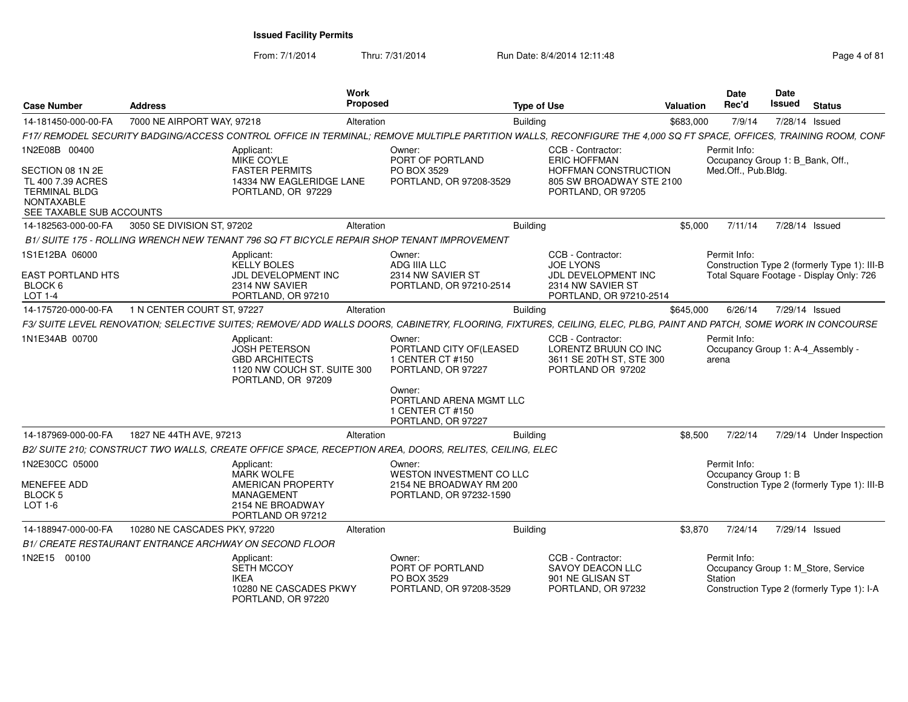From: 7/1/2014

Thru: 7/31/2014 Run Date: 8/4/2014 12:11:48 Research 2014 13:11:48

| <b>Case Number</b>                                                                         | <b>Address</b>               | Work<br><b>Proposed</b>                                                                                                                                            |                                                                              | <b>Type of Use</b>                                                      | <b>Valuation</b> | Date<br>Rec'd                                                           | <b>Date</b><br><b>Issued</b> | <b>Status</b>                                                                     |
|--------------------------------------------------------------------------------------------|------------------------------|--------------------------------------------------------------------------------------------------------------------------------------------------------------------|------------------------------------------------------------------------------|-------------------------------------------------------------------------|------------------|-------------------------------------------------------------------------|------------------------------|-----------------------------------------------------------------------------------|
| 14-181450-000-00-FA                                                                        | 7000 NE AIRPORT WAY, 97218   | Alteration                                                                                                                                                         |                                                                              | <b>Building</b>                                                         | \$683,000        | 7/9/14                                                                  |                              | 7/28/14 Issued                                                                    |
|                                                                                            |                              | F17/ REMODEL SECURITY BADGING/ACCESS CONTROL OFFICE IN TERMINAL; REMOVE MULTIPLE PARTITION WALLS, RECONFIGURE THE 4,000 SQ FT SPACE, OFFICES, TRAINING ROOM, CONF  |                                                                              |                                                                         |                  |                                                                         |                              |                                                                                   |
| 1N2E08B 00400<br>SECTION 08 1N 2E                                                          |                              | Applicant:<br>MIKE COYLE<br><b>FASTER PERMITS</b>                                                                                                                  | Owner:<br>PORT OF PORTLAND<br>PO BOX 3529                                    | CCB - Contractor:<br><b>ERIC HOFFMAN</b><br><b>HOFFMAN CONSTRUCTION</b> |                  | Permit Info:<br>Occupancy Group 1: B_Bank, Off.,<br>Med.Off., Pub.Bldg. |                              |                                                                                   |
| TL 400 7.39 ACRES<br><b>TERMINAL BLDG</b><br><b>NONTAXABLE</b><br>SEE TAXABLE SUB ACCOUNTS |                              | 14334 NW EAGLERIDGE LANE<br>PORTLAND, OR 97229                                                                                                                     | PORTLAND, OR 97208-3529                                                      | 805 SW BROADWAY STE 2100<br>PORTLAND, OR 97205                          |                  |                                                                         |                              |                                                                                   |
| 14-182563-000-00-FA                                                                        | 3050 SE DIVISION ST, 97202   | Alteration                                                                                                                                                         |                                                                              | Building                                                                | \$5.000          | 7/11/14                                                                 |                              | 7/28/14 Issued                                                                    |
|                                                                                            |                              | B1/ SUITE 175 - ROLLING WRENCH NEW TENANT 796 SQ FT BICYCLE REPAIR SHOP TENANT IMPROVEMENT                                                                         |                                                                              |                                                                         |                  |                                                                         |                              |                                                                                   |
| 1S1E12BA 06000                                                                             |                              | Applicant:<br><b>KELLY BOLES</b>                                                                                                                                   | Owner:<br>ADG IIIA LLC                                                       | CCB - Contractor:<br><b>JOE LYONS</b>                                   |                  | Permit Info:                                                            |                              | Construction Type 2 (formerly Type 1): III-B                                      |
| <b>EAST PORTLAND HTS</b><br>BLOCK 6                                                        |                              | <b>JDL DEVELOPMENT INC</b><br>2314 NW SAVIER                                                                                                                       | 2314 NW SAVIER ST<br>PORTLAND, OR 97210-2514                                 | <b>JDL DEVELOPMENT INC</b><br>2314 NW SAVIER ST                         |                  |                                                                         |                              | Total Square Footage - Display Only: 726                                          |
| <b>LOT 1-4</b>                                                                             |                              | PORTLAND, OR 97210                                                                                                                                                 |                                                                              | PORTLAND, OR 97210-2514                                                 |                  |                                                                         |                              |                                                                                   |
| 14-175720-000-00-FA                                                                        | 1 N CENTER COURT ST, 97227   | Alteration                                                                                                                                                         |                                                                              | <b>Building</b>                                                         | \$645,000        | 6/26/14                                                                 |                              | 7/29/14 Issued                                                                    |
| 1N1E34AB 00700                                                                             |                              | F3/ SUITE LEVEL RENOVATION: SELECTIVE SUITES: REMOVE/ ADD WALLS DOORS, CABINETRY, FLOORING, FIXTURES, CEILING, ELEC, PLBG, PAINT AND PATCH, SOME WORK IN CONCOURSE |                                                                              | CCB - Contractor:                                                       |                  | Permit Info:                                                            |                              |                                                                                   |
|                                                                                            |                              | Applicant:<br><b>JOSH PETERSON</b><br><b>GBD ARCHITECTS</b><br>1120 NW COUCH ST. SUITE 300<br>PORTLAND, OR 97209                                                   | Owner:<br>PORTLAND CITY OF (LEASED<br>1 CENTER CT #150<br>PORTLAND, OR 97227 | LORENTZ BRUUN CO INC<br>3611 SE 20TH ST, STE 300<br>PORTLAND OR 97202   |                  | arena                                                                   |                              | Occupancy Group 1: A-4 Assembly -                                                 |
|                                                                                            |                              |                                                                                                                                                                    | Owner:<br>PORTLAND ARENA MGMT LLC<br>1 CENTER CT #150<br>PORTLAND, OR 97227  |                                                                         |                  |                                                                         |                              |                                                                                   |
| 14-187969-000-00-FA                                                                        | 1827 NE 44TH AVE, 97213      | Alteration                                                                                                                                                         |                                                                              | Building                                                                | \$8,500          | 7/22/14                                                                 |                              | 7/29/14 Under Inspection                                                          |
|                                                                                            |                              | B2/ SUITE 210; CONSTRUCT TWO WALLS, CREATE OFFICE SPACE, RECEPTION AREA, DOORS, RELITES, CEILING, ELEC                                                             |                                                                              |                                                                         |                  |                                                                         |                              |                                                                                   |
| 1N2E30CC 05000                                                                             |                              | Applicant:<br><b>MARK WOLFE</b>                                                                                                                                    | Owner:<br>WESTON INVESTMENT CO LLC                                           |                                                                         |                  | Permit Info:<br>Occupancy Group 1: B                                    |                              |                                                                                   |
| MENEFEE ADD<br>BLOCK 5<br>$LOT 1-6$                                                        |                              | <b>AMERICAN PROPERTY</b><br>MANAGEMENT<br>2154 NE BROADWAY<br>PORTLAND OR 97212                                                                                    | 2154 NE BROADWAY RM 200<br>PORTLAND, OR 97232-1590                           |                                                                         |                  |                                                                         |                              | Construction Type 2 (formerly Type 1): III-B                                      |
| 14-188947-000-00-FA                                                                        | 10280 NE CASCADES PKY, 97220 | Alteration                                                                                                                                                         |                                                                              | Building                                                                | \$3,870          | 7/24/14                                                                 |                              | 7/29/14 Issued                                                                    |
|                                                                                            |                              | <b>B1/ CREATE RESTAURANT ENTRANCE ARCHWAY ON SECOND FLOOR</b>                                                                                                      |                                                                              |                                                                         |                  |                                                                         |                              |                                                                                   |
| 1N2E15 00100                                                                               |                              | Applicant:                                                                                                                                                         | Owner:                                                                       | CCB - Contractor:                                                       |                  | Permit Info:                                                            |                              |                                                                                   |
|                                                                                            |                              | SETH MCCOY<br><b>IKEA</b><br>10280 NE CASCADES PKWY<br>PORTLAND, OR 97220                                                                                          | PORT OF PORTLAND<br>PO BOX 3529<br>PORTLAND, OR 97208-3529                   | SAVOY DEACON LLC<br>901 NE GLISAN ST<br>PORTLAND, OR 97232              |                  | Station                                                                 |                              | Occupancy Group 1: M_Store, Service<br>Construction Type 2 (formerly Type 1): I-A |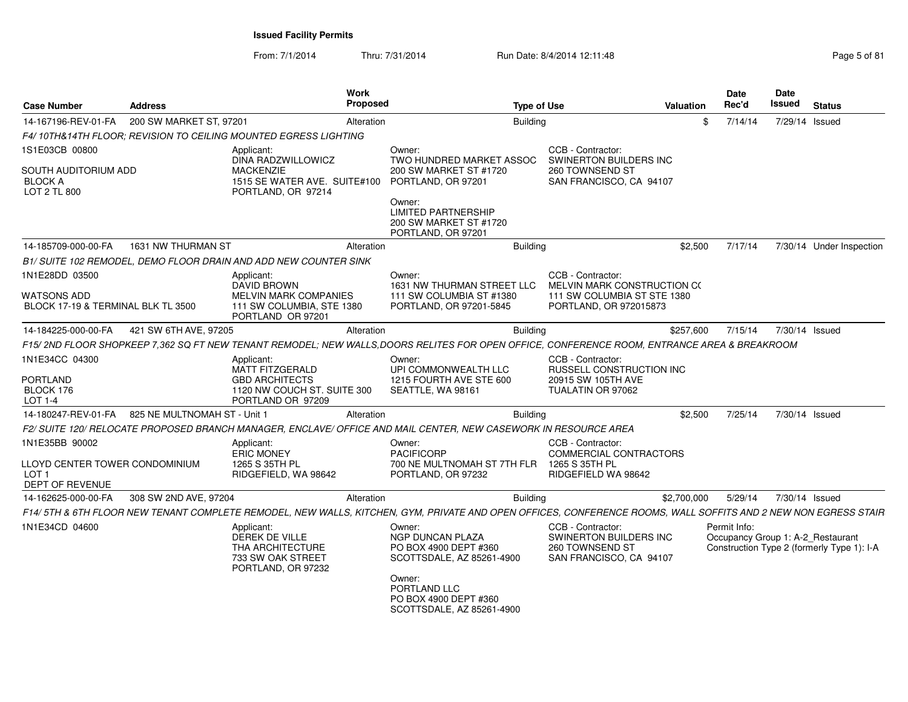From: 7/1/2014Thru: 7/31/2014 Run Date: 8/4/2014 12:11:48 Research 2014 12:11:48

| <b>Case Number</b>                                                    | <b>Address</b>               | <b>Work</b><br>Proposed                                                                                                                                        |                                                                                                            | <b>Type of Use</b>                                                                        | Valuation   | Date<br>Rec'd                                     | <b>Date</b><br>Issued | <b>Status</b>                              |
|-----------------------------------------------------------------------|------------------------------|----------------------------------------------------------------------------------------------------------------------------------------------------------------|------------------------------------------------------------------------------------------------------------|-------------------------------------------------------------------------------------------|-------------|---------------------------------------------------|-----------------------|--------------------------------------------|
| 14-167196-REV-01-FA                                                   | 200 SW MARKET ST, 97201      | Alteration                                                                                                                                                     | <b>Building</b>                                                                                            |                                                                                           | \$.         | 7/14/14                                           | 7/29/14 Issued        |                                            |
|                                                                       |                              | F4/ 10TH&14TH FLOOR: REVISION TO CEILING MOUNTED EGRESS LIGHTING                                                                                               |                                                                                                            |                                                                                           |             |                                                   |                       |                                            |
| 1S1E03CB 00800                                                        |                              | Applicant:<br>DINA RADZWILLOWICZ                                                                                                                               | Owner:<br>TWO HUNDRED MARKET ASSOC                                                                         | CCB - Contractor:<br>SWINERTON BUILDERS INC                                               |             |                                                   |                       |                                            |
| SOUTH AUDITORIUM ADD<br><b>BLOCK A</b><br>LOT 2 TL 800                |                              | <b>MACKENZIE</b><br>1515 SE WATER AVE. SUITE#100<br>PORTLAND, OR 97214                                                                                         | 200 SW MARKET ST #1720<br>PORTLAND, OR 97201<br>Owner:                                                     | 260 TOWNSEND ST<br>SAN FRANCISCO, CA 94107                                                |             |                                                   |                       |                                            |
|                                                                       |                              |                                                                                                                                                                | <b>LIMITED PARTNERSHIP</b><br>200 SW MARKET ST #1720<br>PORTLAND, OR 97201                                 |                                                                                           |             |                                                   |                       |                                            |
| 14-185709-000-00-FA                                                   | 1631 NW THURMAN ST           | Alteration                                                                                                                                                     | Building                                                                                                   |                                                                                           | \$2,500     | 7/17/14                                           |                       | 7/30/14 Under Inspection                   |
|                                                                       |                              | B1/ SUITE 102 REMODEL, DEMO FLOOR DRAIN AND ADD NEW COUNTER SINK                                                                                               |                                                                                                            |                                                                                           |             |                                                   |                       |                                            |
| 1N1E28DD 03500                                                        |                              | Applicant:<br><b>DAVID BROWN</b>                                                                                                                               | Owner:<br>1631 NW THURMAN STREET LLC                                                                       | CCB - Contractor:<br>MELVIN MARK CONSTRUCTION CO                                          |             |                                                   |                       |                                            |
| WATSONS ADD<br>BLOCK 17-19 & TERMINAL BLK TL 3500                     |                              | <b>MELVIN MARK COMPANIES</b><br>111 SW COLUMBIA, STE 1380<br>PORTLAND OR 97201                                                                                 | 111 SW COLUMBIA ST #1380<br>PORTLAND, OR 97201-5845                                                        | 111 SW COLUMBIA ST STE 1380<br>PORTLAND, OR 972015873                                     |             |                                                   |                       |                                            |
| 14-184225-000-00-FA                                                   | 421 SW 6TH AVE, 97205        | Alteration                                                                                                                                                     | <b>Building</b>                                                                                            |                                                                                           | \$257,600   | 7/15/14                                           | 7/30/14 Issued        |                                            |
|                                                                       |                              | F15/2ND FLOOR SHOPKEEP 7,362 SQ FT NEW TENANT REMODEL; NEW WALLS,DOORS RELITES FOR OPEN OFFICE, CONFERENCE ROOM, ENTRANCE AREA & BREAKROOM                     |                                                                                                            |                                                                                           |             |                                                   |                       |                                            |
| 1N1E34CC 04300<br><b>PORTLAND</b>                                     |                              | Applicant:<br><b>MATT FITZGERALD</b><br><b>GBD ARCHITECTS</b>                                                                                                  | Owner:<br>UPI COMMONWEALTH LLC<br>1215 FOURTH AVE STE 600                                                  | CCB - Contractor:<br>RUSSELL CONSTRUCTION INC<br>20915 SW 105TH AVE                       |             |                                                   |                       |                                            |
| BLOCK 176<br>LOT 1-4                                                  |                              | 1120 NW COUCH ST. SUITE 300<br>PORTLAND OR 97209                                                                                                               | SEATTLE, WA 98161                                                                                          | TUALATIN OR 97062                                                                         |             |                                                   |                       |                                            |
| 14-180247-REV-01-FA                                                   | 825 NE MULTNOMAH ST - Unit 1 | Alteration                                                                                                                                                     | <b>Building</b>                                                                                            |                                                                                           | \$2,500     | 7/25/14                                           | 7/30/14 Issued        |                                            |
|                                                                       |                              | F2/ SUITE 120/ RELOCATE PROPOSED BRANCH MANAGER, ENCLAVE/ OFFICE AND MAIL CENTER, NEW CASEWORK IN RESOURCE AREA                                                |                                                                                                            |                                                                                           |             |                                                   |                       |                                            |
| 1N1E35BB 90002                                                        |                              | Applicant:                                                                                                                                                     | Owner:                                                                                                     | CCB - Contractor:                                                                         |             |                                                   |                       |                                            |
| LLOYD CENTER TOWER CONDOMINIUM<br>LOT <sub>1</sub><br>DEPT OF REVENUE |                              | <b>ERIC MONEY</b><br>1265 S 35TH PL<br>RIDGEFIELD, WA 98642                                                                                                    | <b>PACIFICORP</b><br>700 NE MULTNOMAH ST 7TH FLR<br>PORTLAND, OR 97232                                     | COMMERCIAL CONTRACTORS<br>1265 S 35TH PL<br>RIDGEFIELD WA 98642                           |             |                                                   |                       |                                            |
| 14-162625-000-00-FA                                                   | 308 SW 2ND AVE, 97204        | Alteration                                                                                                                                                     | <b>Building</b>                                                                                            |                                                                                           | \$2,700,000 | 5/29/14                                           | 7/30/14 Issued        |                                            |
|                                                                       |                              | F14/ 5TH & 6TH FLOOR NEW TENANT COMPLETE REMODEL, NEW WALLS, KITCHEN, GYM, PRIVATE AND OPEN OFFICES, CONFERENCE ROOMS, WALL SOFFITS AND 2 NEW NON EGRESS STAIR |                                                                                                            |                                                                                           |             |                                                   |                       |                                            |
| 1N1E34CD 04600                                                        |                              | Applicant:<br>DEREK DE VILLE<br>THA ARCHITECTURE<br>733 SW OAK STREET<br>PORTLAND, OR 97232                                                                    | Owner:<br>NGP DUNCAN PLAZA<br>PO BOX 4900 DEPT #360<br>SCOTTSDALE, AZ 85261-4900<br>Owner:<br>PORTLAND LLC | CCB - Contractor:<br>SWINERTON BUILDERS INC<br>260 TOWNSEND ST<br>SAN FRANCISCO, CA 94107 |             | Permit Info:<br>Occupancy Group 1: A-2_Restaurant |                       | Construction Type 2 (formerly Type 1): I-A |
|                                                                       |                              |                                                                                                                                                                | PO BOX 4900 DEPT #360<br>SCOTTSDALE, AZ 85261-4900                                                         |                                                                                           |             |                                                   |                       |                                            |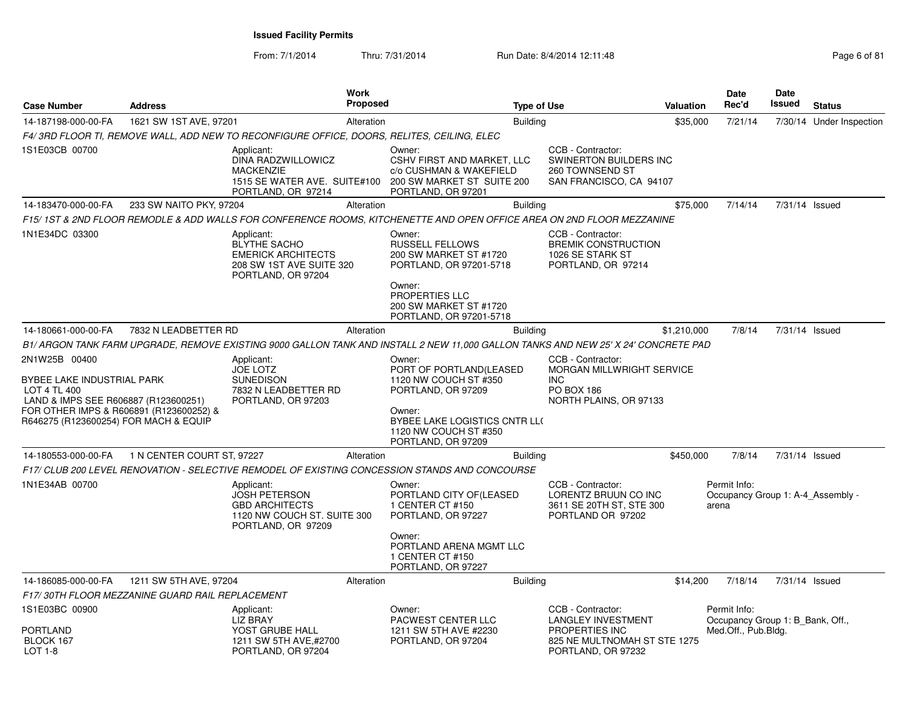From: 7/1/2014

Thru: 7/31/2014 Run Date: 8/4/2014 12:11:48 Research 2010 12:00 Rage 6 of 81

| <b>Case Number</b>                                                                                  | <b>Address</b>                                  | <b>Work</b><br><b>Proposed</b>                                                                                                     |                                                                                                                     | <b>Type of Use</b>                                                                                          | Valuation   | <b>Date</b><br>Rec'd                             | <b>Date</b><br><b>Issued</b> | <b>Status</b>                     |
|-----------------------------------------------------------------------------------------------------|-------------------------------------------------|------------------------------------------------------------------------------------------------------------------------------------|---------------------------------------------------------------------------------------------------------------------|-------------------------------------------------------------------------------------------------------------|-------------|--------------------------------------------------|------------------------------|-----------------------------------|
| 14-187198-000-00-FA                                                                                 | 1621 SW 1ST AVE, 97201                          | Alteration                                                                                                                         |                                                                                                                     | <b>Building</b>                                                                                             | \$35,000    | 7/21/14                                          |                              | 7/30/14 Under Inspection          |
|                                                                                                     |                                                 | F4/3RD FLOOR TI, REMOVE WALL, ADD NEW TO RECONFIGURE OFFICE, DOORS, RELITES, CEILING, ELEC                                         |                                                                                                                     |                                                                                                             |             |                                                  |                              |                                   |
| 1S1E03CB 00700                                                                                      |                                                 | Applicant:<br>DINA RADZWILLOWICZ<br><b>MACKENZIE</b><br>1515 SE WATER AVE. SUITE#100<br>PORTLAND, OR 97214                         | Owner:<br>CSHV FIRST AND MARKET, LLC<br>c/o CUSHMAN & WAKEFIELD<br>200 SW MARKET ST SUITE 200<br>PORTLAND, OR 97201 | CCB - Contractor:<br>SWINERTON BUILDERS INC<br>260 TOWNSEND ST<br>SAN FRANCISCO, CA 94107                   |             |                                                  |                              |                                   |
| 14-183470-000-00-FA                                                                                 | 233 SW NAITO PKY, 97204                         | Alteration                                                                                                                         |                                                                                                                     | <b>Building</b>                                                                                             | \$75,000    | 7/14/14                                          | 7/31/14 Issued               |                                   |
|                                                                                                     |                                                 | F15/ 1ST & 2ND FLOOR REMODLE & ADD WALLS FOR CONFERENCE ROOMS. KITCHENETTE AND OPEN OFFICE AREA ON 2ND FLOOR MEZZANINE             |                                                                                                                     |                                                                                                             |             |                                                  |                              |                                   |
| 1N1E34DC 03300                                                                                      |                                                 | Applicant:<br><b>BLYTHE SACHO</b><br><b>EMERICK ARCHITECTS</b><br>208 SW 1ST AVE SUITE 320<br>PORTLAND, OR 97204                   | Owner:<br><b>RUSSELL FELLOWS</b><br>200 SW MARKET ST #1720<br>PORTLAND, OR 97201-5718                               | CCB - Contractor:<br><b>BREMIK CONSTRUCTION</b><br>1026 SE STARK ST<br>PORTLAND, OR 97214                   |             |                                                  |                              |                                   |
|                                                                                                     |                                                 |                                                                                                                                    | Owner:<br>PROPERTIES LLC<br>200 SW MARKET ST #1720<br>PORTLAND, OR 97201-5718                                       |                                                                                                             |             |                                                  |                              |                                   |
| 14-180661-000-00-FA                                                                                 | 7832 N LEADBETTER RD                            | Alteration                                                                                                                         |                                                                                                                     | <b>Building</b>                                                                                             | \$1,210,000 | 7/8/14                                           | 7/31/14 Issued               |                                   |
|                                                                                                     |                                                 | B1/ ARGON TANK FARM UPGRADE, REMOVE EXISTING 9000 GALLON TANK AND INSTALL 2 NEW 11,000 GALLON TANKS AND NEW 25' X 24' CONCRETE PAD |                                                                                                                     |                                                                                                             |             |                                                  |                              |                                   |
| 2N1W25B 00400<br>BYBEE LAKE INDUSTRIAL PARK<br>LOT 4 TL 400<br>LAND & IMPS SEE R606887 (R123600251) |                                                 | Applicant:<br><b>JOE LOTZ</b><br><b>SUNEDISON</b><br>7832 N LEADBETTER RD<br>PORTLAND, OR 97203                                    | Owner:<br>PORT OF PORTLAND(LEASED<br>1120 NW COUCH ST #350<br>PORTLAND, OR 97209                                    | CCB - Contractor:<br>MORGAN MILLWRIGHT SERVICE<br><b>INC</b><br><b>PO BOX 186</b><br>NORTH PLAINS, OR 97133 |             |                                                  |                              |                                   |
| FOR OTHER IMPS & R606891 (R123600252) &<br>R646275 (R123600254) FOR MACH & EQUIP                    |                                                 |                                                                                                                                    | Owner:<br>BYBEE LAKE LOGISTICS CNTR LL(<br>1120 NW COUCH ST #350<br>PORTLAND, OR 97209                              |                                                                                                             |             |                                                  |                              |                                   |
| 14-180553-000-00-FA                                                                                 | 1 N CENTER COURT ST, 97227                      | Alteration                                                                                                                         |                                                                                                                     | <b>Building</b>                                                                                             | \$450,000   | 7/8/14                                           | 7/31/14 Issued               |                                   |
|                                                                                                     |                                                 | F17/ CLUB 200 LEVEL RENOVATION - SELECTIVE REMODEL OF EXISTING CONCESSION STANDS AND CONCOURSE                                     |                                                                                                                     |                                                                                                             |             |                                                  |                              |                                   |
| 1N1E34AB 00700                                                                                      |                                                 | Applicant:<br><b>JOSH PETERSON</b><br><b>GBD ARCHITECTS</b><br>1120 NW COUCH ST. SUITE 300<br>PORTLAND, OR 97209                   | Owner:<br>PORTLAND CITY OF (LEASED<br>1 CENTER CT #150<br>PORTLAND, OR 97227                                        | CCB - Contractor:<br>LORENTZ BRUUN CO INC<br>3611 SE 20TH ST, STE 300<br>PORTLAND OR 97202                  |             | Permit Info:<br>arena                            |                              | Occupancy Group 1: A-4 Assembly - |
|                                                                                                     |                                                 |                                                                                                                                    | Owner:<br>PORTLAND ARENA MGMT LLC<br>1 CENTER CT #150<br>PORTLAND, OR 97227                                         |                                                                                                             |             |                                                  |                              |                                   |
| 14-186085-000-00-FA                                                                                 | 1211 SW 5TH AVE, 97204                          | Alteration                                                                                                                         |                                                                                                                     | <b>Building</b>                                                                                             | \$14,200    | 7/18/14                                          | 7/31/14 Issued               |                                   |
|                                                                                                     | F17/30TH FLOOR MEZZANINE GUARD RAIL REPLACEMENT |                                                                                                                                    |                                                                                                                     |                                                                                                             |             |                                                  |                              |                                   |
| 1S1E03BC 00900                                                                                      |                                                 | Applicant:<br><b>LIZ BRAY</b>                                                                                                      | Owner:<br>PACWEST CENTER LLC                                                                                        | CCB - Contractor:<br><b>LANGLEY INVESTMENT</b>                                                              |             | Permit Info:<br>Occupancy Group 1: B Bank, Off., |                              |                                   |
| PORTLAND<br>BLOCK 167<br>LOT 1-8                                                                    |                                                 | YOST GRUBE HALL<br>1211 SW 5TH AVE.#2700<br>PORTLAND, OR 97204                                                                     | 1211 SW 5TH AVE #2230<br>PORTLAND, OR 97204                                                                         | PROPERTIES INC<br>825 NE MULTNOMAH ST STE 1275<br>PORTLAND, OR 97232                                        |             | Med.Off., Pub.Bldg.                              |                              |                                   |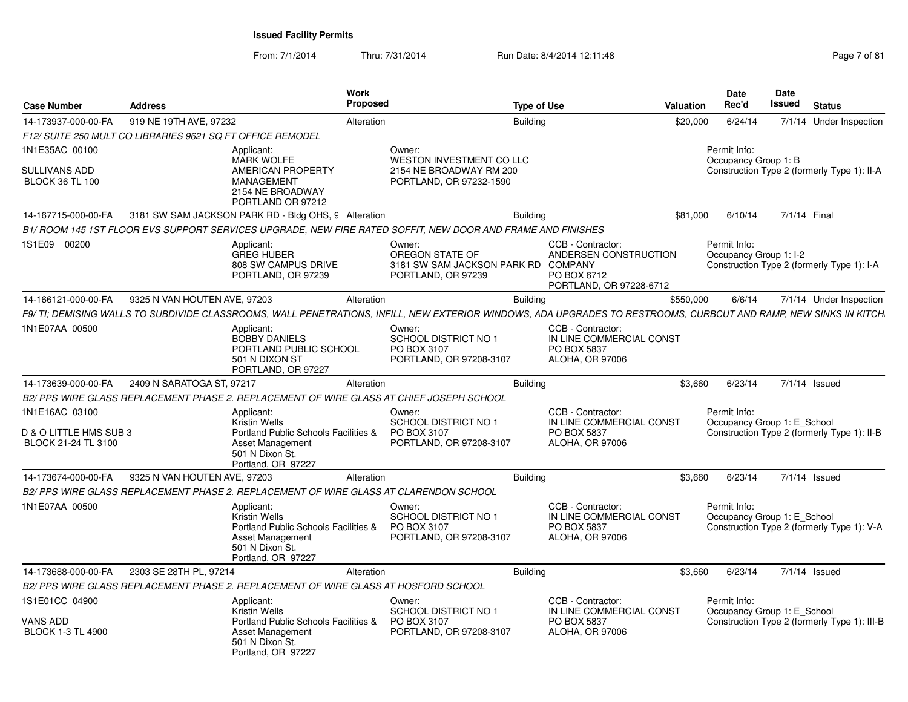From: 7/1/2014Thru: 7/31/2014 Run Date: 8/4/2014 12:11:48 Research 2010 12:11:48

| <b>Case Number</b>                                               | <b>Address</b>                                             | Work<br><b>Proposed</b>                                                                                                                                           |                                                                                          | <b>Type of Use</b>                                                            | Valuation                |           | <b>Date</b><br>Rec'd                        | Date<br><b>Issued</b> | <b>Status</b>                                |
|------------------------------------------------------------------|------------------------------------------------------------|-------------------------------------------------------------------------------------------------------------------------------------------------------------------|------------------------------------------------------------------------------------------|-------------------------------------------------------------------------------|--------------------------|-----------|---------------------------------------------|-----------------------|----------------------------------------------|
| 14-173937-000-00-FA                                              | 919 NE 19TH AVE, 97232                                     | Alteration                                                                                                                                                        |                                                                                          | Building                                                                      |                          | \$20,000  | 6/24/14                                     |                       | 7/1/14 Under Inspection                      |
|                                                                  | F12/ SUITE 250 MULT CO LIBRARIES 9621 SQ FT OFFICE REMODEL |                                                                                                                                                                   |                                                                                          |                                                                               |                          |           |                                             |                       |                                              |
| 1N1E35AC 00100<br><b>SULLIVANS ADD</b><br><b>BLOCK 36 TL 100</b> |                                                            | Applicant:<br><b>MARK WOLFE</b><br>AMERICAN PROPERTY<br>MANAGEMENT<br>2154 NE BROADWAY<br>PORTLAND OR 97212                                                       | Owner:<br>WESTON INVESTMENT CO LLC<br>2154 NE BROADWAY RM 200<br>PORTLAND, OR 97232-1590 |                                                                               |                          |           | Permit Info:<br>Occupancy Group 1: B        |                       | Construction Type 2 (formerly Type 1): II-A  |
| 14-167715-000-00-FA                                              |                                                            | 3181 SW SAM JACKSON PARK RD - Bldg OHS, 9 Alteration                                                                                                              |                                                                                          | <b>Building</b>                                                               |                          | \$81,000  | 6/10/14                                     | 7/1/14 Final          |                                              |
|                                                                  |                                                            | B1/ ROOM 145 1ST FLOOR EVS SUPPORT SERVICES UPGRADE, NEW FIRE RATED SOFFIT, NEW DOOR AND FRAME AND FINISHES                                                       |                                                                                          |                                                                               |                          |           |                                             |                       |                                              |
| 1S1E09 00200                                                     |                                                            | Applicant:<br><b>GREG HUBER</b><br>808 SW CAMPUS DRIVE<br>PORTLAND, OR 97239                                                                                      | Owner:<br>OREGON STATE OF<br>3181 SW SAM JACKSON PARK RD<br>PORTLAND, OR 97239           | CCB - Contractor:<br><b>COMPANY</b><br>PO BOX 6712<br>PORTLAND, OR 97228-6712 | ANDERSEN CONSTRUCTION    |           | Permit Info:<br>Occupancy Group 1: I-2      |                       | Construction Type 2 (formerly Type 1): I-A   |
| 14-166121-000-00-FA                                              | 9325 N VAN HOUTEN AVE, 97203                               | Alteration                                                                                                                                                        |                                                                                          | Building                                                                      |                          | \$550,000 | 6/6/14                                      |                       | 7/1/14 Under Inspection                      |
|                                                                  |                                                            | F9/ TI; DEMISING WALLS TO SUBDIVIDE CLASSROOMS, WALL PENETRATIONS, INFILL, NEW EXTERIOR WINDOWS, ADA UPGRADES TO RESTROOMS, CURBCUT AND RAMP, NEW SINKS IN KITCH. |                                                                                          |                                                                               |                          |           |                                             |                       |                                              |
| 1N1E07AA 00500                                                   |                                                            | Applicant:<br><b>BOBBY DANIELS</b><br>PORTLAND PUBLIC SCHOOL<br>501 N DIXON ST<br>PORTLAND, OR 97227                                                              | Owner:<br><b>SCHOOL DISTRICT NO 1</b><br>PO BOX 3107<br>PORTLAND, OR 97208-3107          | CCB - Contractor:<br>PO BOX 5837<br><b>ALOHA, OR 97006</b>                    | IN LINE COMMERCIAL CONST |           |                                             |                       |                                              |
| 14-173639-000-00-FA                                              | 2409 N SARATOGA ST. 97217                                  | Alteration                                                                                                                                                        |                                                                                          | <b>Building</b>                                                               |                          | \$3.660   | 6/23/14                                     |                       | $7/1/14$ Issued                              |
|                                                                  |                                                            | B2/ PPS WIRE GLASS REPLACEMENT PHASE 2. REPLACEMENT OF WIRE GLASS AT CHIEF JOSEPH SCHOOL                                                                          |                                                                                          |                                                                               |                          |           |                                             |                       |                                              |
| 1N1E16AC 03100<br>D & O LITTLE HMS SUB 3<br>BLOCK 21-24 TL 3100  |                                                            | Applicant:<br>Kristin Wells<br>Portland Public Schools Facilities &<br>Asset Management<br>501 N Dixon St.<br>Portland, OR 97227                                  | Owner:<br><b>SCHOOL DISTRICT NO 1</b><br>PO BOX 3107<br>PORTLAND, OR 97208-3107          | CCB - Contractor:<br>PO BOX 5837<br><b>ALOHA, OR 97006</b>                    | IN LINE COMMERCIAL CONST |           | Permit Info:<br>Occupancy Group 1: E School |                       | Construction Type 2 (formerly Type 1): II-B  |
| 14-173674-000-00-FA                                              | 9325 N VAN HOUTEN AVE, 97203                               | Alteration                                                                                                                                                        |                                                                                          | Building                                                                      |                          | \$3,660   | 6/23/14                                     |                       | $7/1/14$ Issued                              |
|                                                                  |                                                            | B2/ PPS WIRE GLASS REPLACEMENT PHASE 2. REPLACEMENT OF WIRE GLASS AT CLARENDON SCHOOL                                                                             |                                                                                          |                                                                               |                          |           |                                             |                       |                                              |
| 1N1E07AA 00500                                                   |                                                            | Applicant:<br><b>Kristin Wells</b><br>Portland Public Schools Facilities &<br><b>Asset Management</b><br>501 N Dixon St.<br>Portland, OR 97227                    | Owner:<br><b>SCHOOL DISTRICT NO 1</b><br>PO BOX 3107<br>PORTLAND, OR 97208-3107          | CCB - Contractor:<br>PO BOX 5837<br>ALOHA, OR 97006                           | IN LINE COMMERCIAL CONST |           | Permit Info:<br>Occupancy Group 1: E_School |                       | Construction Type 2 (formerly Type 1): V-A   |
| 14-173688-000-00-FA                                              | 2303 SE 28TH PL, 97214                                     | Alteration                                                                                                                                                        |                                                                                          | Building                                                                      |                          | \$3.660   | 6/23/14                                     |                       | $7/1/14$ Issued                              |
|                                                                  |                                                            | B2/ PPS WIRE GLASS REPLACEMENT PHASE 2. REPLACEMENT OF WIRE GLASS AT HOSFORD SCHOOL                                                                               |                                                                                          |                                                                               |                          |           |                                             |                       |                                              |
| 1S1E01CC 04900<br>VANS ADD<br><b>BLOCK 1-3 TL 4900</b>           |                                                            | Applicant:<br>Kristin Wells<br>Portland Public Schools Facilities &<br><b>Asset Management</b><br>501 N Dixon St.                                                 | Owner:<br><b>SCHOOL DISTRICT NO 1</b><br>PO BOX 3107<br>PORTLAND, OR 97208-3107          | CCB - Contractor:<br>PO BOX 5837<br><b>ALOHA, OR 97006</b>                    | IN LINE COMMERCIAL CONST |           | Permit Info:<br>Occupancy Group 1: E School |                       | Construction Type 2 (formerly Type 1): III-B |
|                                                                  |                                                            | Portland, OR 97227                                                                                                                                                |                                                                                          |                                                                               |                          |           |                                             |                       |                                              |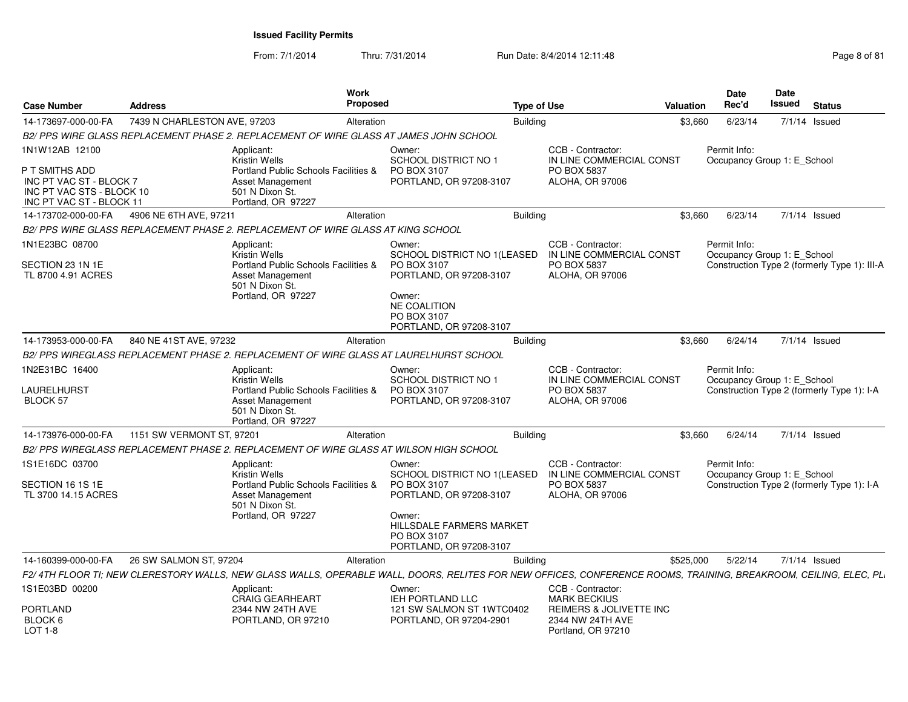From: 7/1/2014

Thru: 7/31/2014 Run Date: 8/4/2014 12:11:48 Research 2010 12:00 Rage 8 of 81

| <b>Case Number</b>                                                                                                   | <b>Address</b>               | Work<br><b>Proposed</b>                                                                                                                                         |                                                                                                                                                                 | <b>Type of Use</b>                                                                     | <b>Valuation</b> | Date<br>Rec'd                               | Date<br>Issued | <b>Status</b>                                |
|----------------------------------------------------------------------------------------------------------------------|------------------------------|-----------------------------------------------------------------------------------------------------------------------------------------------------------------|-----------------------------------------------------------------------------------------------------------------------------------------------------------------|----------------------------------------------------------------------------------------|------------------|---------------------------------------------|----------------|----------------------------------------------|
| 14-173697-000-00-FA                                                                                                  | 7439 N CHARLESTON AVE, 97203 | Alteration                                                                                                                                                      | <b>Building</b>                                                                                                                                                 |                                                                                        | \$3,660          | 6/23/14                                     |                | $7/1/14$ Issued                              |
|                                                                                                                      |                              | B2/ PPS WIRE GLASS REPLACEMENT PHASE 2. REPLACEMENT OF WIRE GLASS AT JAMES JOHN SCHOOL                                                                          |                                                                                                                                                                 |                                                                                        |                  |                                             |                |                                              |
| 1N1W12AB 12100<br>P T SMITHS ADD<br>INC PT VAC ST - BLOCK 7<br>INC PT VAC STS - BLOCK 10<br>INC PT VAC ST - BLOCK 11 |                              | Applicant:<br><b>Kristin Wells</b><br>Portland Public Schools Facilities &<br>Asset Management<br>501 N Dixon St.<br>Portland, OR 97227                         | Owner:<br><b>SCHOOL DISTRICT NO 1</b><br>PO BOX 3107<br>PORTLAND, OR 97208-3107                                                                                 | CCB - Contractor:<br>IN LINE COMMERCIAL CONST<br>PO BOX 5837<br><b>ALOHA, OR 97006</b> |                  | Permit Info:<br>Occupancy Group 1: E School |                |                                              |
| 14-173702-000-00-FA                                                                                                  | 4906 NE 6TH AVE, 97211       | Alteration                                                                                                                                                      | <b>Building</b>                                                                                                                                                 |                                                                                        | \$3.660          | 6/23/14                                     |                | $7/1/14$ Issued                              |
|                                                                                                                      |                              | B2/PPS WIRE GLASS REPLACEMENT PHASE 2. REPLACEMENT OF WIRE GLASS AT KING SCHOOL                                                                                 |                                                                                                                                                                 |                                                                                        |                  |                                             |                |                                              |
| 1N1E23BC 08700<br>SECTION 23 1N 1E<br>TL 8700 4.91 ACRES                                                             |                              | Applicant:<br><b>Kristin Wells</b><br>Portland Public Schools Facilities &<br><b>Asset Management</b><br>501 N Dixon St.<br>Portland, OR 97227                  | Owner:<br>SCHOOL DISTRICT NO 1(LEASED<br>PO BOX 3107<br>PORTLAND, OR 97208-3107<br>Owner:<br><b>NE COALITION</b><br>PO BOX 3107<br>PORTLAND, OR 97208-3107      | CCB - Contractor:<br>IN LINE COMMERCIAL CONST<br>PO BOX 5837<br><b>ALOHA, OR 97006</b> |                  | Permit Info:<br>Occupancy Group 1: E School |                | Construction Type 2 (formerly Type 1): III-A |
| 14-173953-000-00-FA                                                                                                  | 840 NE 41ST AVE, 97232       | Alteration                                                                                                                                                      | <b>Building</b>                                                                                                                                                 |                                                                                        | \$3,660          | 6/24/14                                     |                | $7/1/14$ Issued                              |
|                                                                                                                      |                              | B2/ PPS WIREGLASS REPLACEMENT PHASE 2. REPLACEMENT OF WIRE GLASS AT LAURELHURST SCHOOL                                                                          |                                                                                                                                                                 |                                                                                        |                  |                                             |                |                                              |
| 1N2E31BC 16400<br>LAURELHURST<br>BLOCK 57                                                                            |                              | Applicant:<br><b>Kristin Wells</b><br>Portland Public Schools Facilities &<br>Asset Management<br>501 N Dixon St.<br>Portland, OR 97227                         | Owner:<br>SCHOOL DISTRICT NO 1<br>PO BOX 3107<br>PORTLAND, OR 97208-3107                                                                                        | CCB - Contractor:<br>IN LINE COMMERCIAL CONST<br>PO BOX 5837<br><b>ALOHA, OR 97006</b> |                  | Permit Info:<br>Occupancy Group 1: E_School |                | Construction Type 2 (formerly Type 1): I-A   |
| 14-173976-000-00-FA                                                                                                  | 1151 SW VERMONT ST, 97201    | Alteration                                                                                                                                                      | <b>Building</b>                                                                                                                                                 |                                                                                        | \$3.660          | 6/24/14                                     |                | $7/1/14$ Issued                              |
|                                                                                                                      |                              | B2/PPS WIREGLASS REPLACEMENT PHASE 2. REPLACEMENT OF WIRE GLASS AT WILSON HIGH SCHOOL                                                                           |                                                                                                                                                                 |                                                                                        |                  |                                             |                |                                              |
| 1S1E16DC 03700<br>SECTION 16 1S 1E<br>TL 3700 14.15 ACRES                                                            |                              | Applicant:<br><b>Kristin Wells</b><br>Portland Public Schools Facilities &<br><b>Asset Management</b><br>501 N Dixon St.<br>Portland, OR 97227                  | Owner:<br>SCHOOL DISTRICT NO 1(LEASED<br>PO BOX 3107<br>PORTLAND, OR 97208-3107<br>Owner:<br>HILLSDALE FARMERS MARKET<br>PO BOX 3107<br>PORTLAND, OR 97208-3107 | CCB - Contractor:<br>IN LINE COMMERCIAL CONST<br>PO BOX 5837<br>ALOHA, OR 97006        |                  | Permit Info:<br>Occupancy Group 1: E_School |                | Construction Type 2 (formerly Type 1): I-A   |
| 14-160399-000-00-FA                                                                                                  | 26 SW SALMON ST, 97204       | Alteration                                                                                                                                                      | <b>Building</b>                                                                                                                                                 |                                                                                        | \$525,000        | 5/22/14                                     |                | $7/1/14$ Issued                              |
|                                                                                                                      |                              | F2/4TH FLOOR TI; NEW CLERESTORY WALLS, NEW GLASS WALLS, OPERABLE WALL, DOORS, RELITES FOR NEW OFFICES, CONFERENCE ROOMS, TRAINING, BREAKROOM, CEILING, ELEC, PL |                                                                                                                                                                 |                                                                                        |                  |                                             |                |                                              |
| 1S1E03BD 00200                                                                                                       |                              | Applicant:<br><b>CRAIG GEARHEART</b>                                                                                                                            | Owner:<br><b>IEH PORTLAND LLC</b>                                                                                                                               | CCB - Contractor:<br><b>MARK BECKIUS</b>                                               |                  |                                             |                |                                              |
| PORTLAND<br>BLOCK 6<br>LOT 1-8                                                                                       |                              | 2344 NW 24TH AVE<br>PORTLAND, OR 97210                                                                                                                          | 121 SW SALMON ST 1WTC0402<br>PORTLAND, OR 97204-2901                                                                                                            | <b>REIMERS &amp; JOLIVETTE INC</b><br>2344 NW 24TH AVE<br>Portland, OR 97210           |                  |                                             |                |                                              |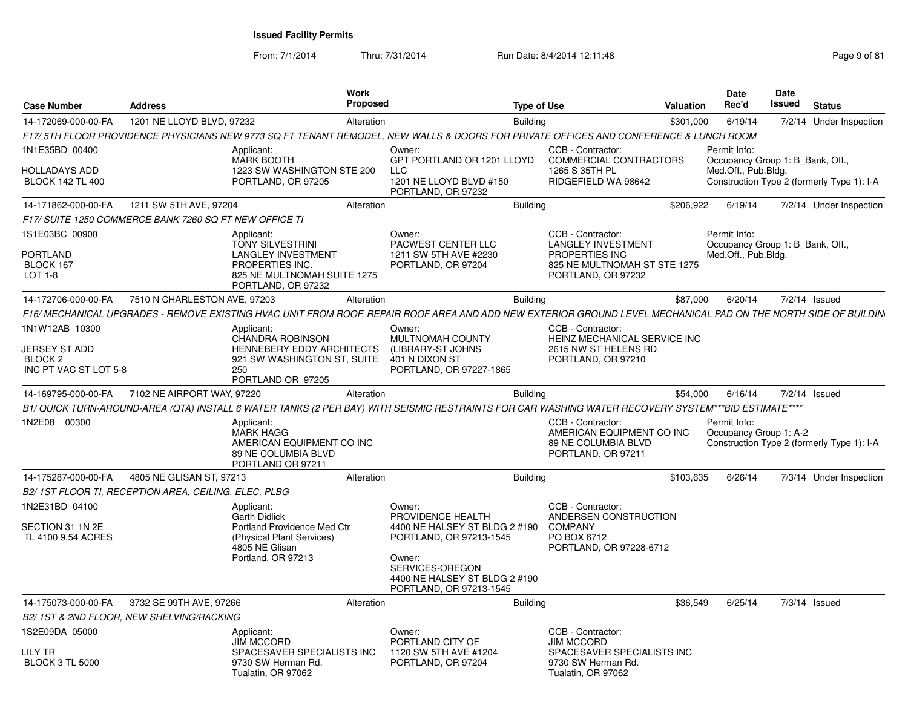From: 7/1/2014

Thru: 7/31/2014 Run Date: 8/4/2014 12:11:48 Research 2010 12:11:48

| <b>Case Number</b>                                                                | <b>Address</b>                                         |                                                                                                                                            | <b>Work</b><br>Proposed |                                                                                                                                                                                  | <b>Type of Use</b> |                                                                                                                        | Valuation | <b>Date</b><br>Rec'd                                                    | <b>Date</b><br>Issued | <b>Status</b>                              |
|-----------------------------------------------------------------------------------|--------------------------------------------------------|--------------------------------------------------------------------------------------------------------------------------------------------|-------------------------|----------------------------------------------------------------------------------------------------------------------------------------------------------------------------------|--------------------|------------------------------------------------------------------------------------------------------------------------|-----------|-------------------------------------------------------------------------|-----------------------|--------------------------------------------|
| 14-172069-000-00-FA                                                               | 1201 NE LLOYD BLVD, 97232                              |                                                                                                                                            | Alteration              |                                                                                                                                                                                  | <b>Building</b>    |                                                                                                                        | \$301,000 | 6/19/14                                                                 |                       | 7/2/14 Under Inspection                    |
|                                                                                   |                                                        |                                                                                                                                            |                         | F17/5TH FLOOR PROVIDENCE PHYSICIANS NEW 9773 SQ FT TENANT REMODEL, NEW WALLS & DOORS FOR PRIVATE OFFICES AND CONFERENCE & LUNCH ROOM                                             |                    |                                                                                                                        |           |                                                                         |                       |                                            |
| 1N1E35BD 00400<br>HOLLADAYS ADD<br><b>BLOCK 142 TL 400</b>                        |                                                        | Applicant:<br><b>MARK BOOTH</b><br>1223 SW WASHINGTON STE 200<br>PORTLAND, OR 97205                                                        |                         | Owner:<br>GPT PORTLAND OR 1201 LLOYD<br><b>LLC</b><br>1201 NE LLOYD BLVD #150<br>PORTLAND, OR 97232                                                                              |                    | CCB - Contractor:<br>COMMERCIAL CONTRACTORS<br>1265 S 35TH PL<br>RIDGEFIELD WA 98642                                   |           | Permit Info:<br>Occupancy Group 1: B Bank, Off.,<br>Med.Off., Pub.Bldg. |                       | Construction Type 2 (formerly Type 1): I-A |
| 14-171862-000-00-FA                                                               | 1211 SW 5TH AVE, 97204                                 |                                                                                                                                            | Alteration              |                                                                                                                                                                                  | <b>Building</b>    |                                                                                                                        | \$206.922 | 6/19/14                                                                 |                       | 7/2/14 Under Inspection                    |
|                                                                                   | F17/ SUITE 1250 COMMERCE BANK 7260 SQ FT NEW OFFICE TI |                                                                                                                                            |                         |                                                                                                                                                                                  |                    |                                                                                                                        |           |                                                                         |                       |                                            |
| 1S1E03BC 00900<br><b>PORTLAND</b><br>BLOCK 167<br>LOT 1-8                         |                                                        | Applicant:<br><b>TONY SILVESTRINI</b><br><b>LANGLEY INVESTMENT</b><br>PROPERTIES INC.<br>825 NE MULTNOMAH SUITE 1275<br>PORTLAND, OR 97232 |                         | Owner:<br>PACWEST CENTER LLC<br>1211 SW 5TH AVE #2230<br>PORTLAND, OR 97204                                                                                                      |                    | CCB - Contractor:<br><b>LANGLEY INVESTMENT</b><br>PROPERTIES INC<br>825 NE MULTNOMAH ST STE 1275<br>PORTLAND, OR 97232 |           | Permit Info:<br>Occupancy Group 1: B_Bank, Off.,<br>Med.Off., Pub.Bldg. |                       |                                            |
| 14-172706-000-00-FA                                                               | 7510 N CHARLESTON AVE, 97203                           |                                                                                                                                            | Alteration              |                                                                                                                                                                                  | <b>Building</b>    |                                                                                                                        | \$87,000  | 6/20/14                                                                 |                       | $7/2/14$ Issued                            |
|                                                                                   |                                                        |                                                                                                                                            |                         | F16/ MECHANICAL UPGRADES - REMOVE EXISTING HVAC UNIT FROM ROOF, REPAIR ROOF AREA AND ADD NEW EXTERIOR GROUND LEVEL MECHANICAL PAD ON THE NORTH SIDE OF BUILDIN                   |                    |                                                                                                                        |           |                                                                         |                       |                                            |
| 1N1W12AB 10300<br><b>JERSEY ST ADD</b><br><b>BLOCK 2</b><br>INC PT VAC ST LOT 5-8 |                                                        | Applicant:<br><b>CHANDRA ROBINSON</b><br>HENNEBERY EDDY ARCHITECTS<br>921 SW WASHINGTON ST, SUITE<br>250<br>PORTLAND OR 97205              |                         | Owner:<br>MULTNOMAH COUNTY<br>(LIBRARY-ST JOHNS<br>401 N DIXON ST<br>PORTLAND, OR 97227-1865                                                                                     |                    | CCB - Contractor:<br><b>HEINZ MECHANICAL SERVICE INC</b><br>2615 NW ST HELENS RD<br>PORTLAND, OR 97210                 |           |                                                                         |                       |                                            |
| 14-169795-000-00-FA                                                               | 7102 NE AIRPORT WAY, 97220                             |                                                                                                                                            | Alteration              |                                                                                                                                                                                  | <b>Building</b>    |                                                                                                                        | \$54,000  | 6/16/14                                                                 |                       | $7/2/14$ Issued                            |
|                                                                                   |                                                        |                                                                                                                                            |                         | B1/ QUICK TURN-AROUND-AREA (QTA) INSTALL 6 WATER TANKS (2 PER BAY) WITH SEISMIC RESTRAINTS FOR CAR WASHING WATER RECOVERY SYSTEM***BID ESTIMATE****                              |                    |                                                                                                                        |           |                                                                         |                       |                                            |
| 1N2E08 00300                                                                      |                                                        | Applicant:<br><b>MARK HAGG</b><br>AMERICAN EQUIPMENT CO INC<br>89 NE COLUMBIA BLVD<br>PORTLAND OR 97211                                    |                         |                                                                                                                                                                                  |                    | CCB - Contractor:<br>AMERICAN EQUIPMENT CO INC<br>89 NE COLUMBIA BLVD<br>PORTLAND, OR 97211                            |           | Permit Info:<br>Occupancy Group 1: A-2                                  |                       | Construction Type 2 (formerly Type 1): I-A |
| 14-175287-000-00-FA                                                               | 4805 NE GLISAN ST, 97213                               |                                                                                                                                            | Alteration              |                                                                                                                                                                                  | <b>Building</b>    |                                                                                                                        | \$103,635 | 6/26/14                                                                 |                       | 7/3/14 Under Inspection                    |
|                                                                                   | B2/1ST FLOOR TI, RECEPTION AREA, CEILING, ELEC, PLBG   |                                                                                                                                            |                         |                                                                                                                                                                                  |                    |                                                                                                                        |           |                                                                         |                       |                                            |
| 1N2E31BD 04100<br>SECTION 31 1N 2E<br>TL 4100 9.54 ACRES                          |                                                        | Applicant:<br><b>Garth Didlick</b><br>Portland Providence Med Ctr<br>(Physical Plant Services)<br>4805 NE Glisan<br>Portland, OR 97213     |                         | Owner:<br>PROVIDENCE HEALTH<br>4400 NE HALSEY ST BLDG 2 #190<br>PORTLAND, OR 97213-1545<br>Owner:<br>SERVICES-OREGON<br>4400 NE HALSEY ST BLDG 2 #190<br>PORTLAND, OR 97213-1545 |                    | CCB - Contractor:<br>ANDERSEN CONSTRUCTION<br><b>COMPANY</b><br>PO BOX 6712<br>PORTLAND, OR 97228-6712                 |           |                                                                         |                       |                                            |
| 14-175073-000-00-FA                                                               | 3732 SE 99TH AVE, 97266                                |                                                                                                                                            | Alteration              |                                                                                                                                                                                  | <b>Building</b>    |                                                                                                                        | \$36.549  | 6/25/14                                                                 |                       | $7/3/14$ Issued                            |
|                                                                                   | B2/1ST & 2ND FLOOR, NEW SHELVING/RACKING               |                                                                                                                                            |                         |                                                                                                                                                                                  |                    |                                                                                                                        |           |                                                                         |                       |                                            |
| 1S2E09DA 05000<br>LILY TR<br><b>BLOCK 3 TL 5000</b>                               |                                                        | Applicant:<br><b>JIM MCCORD</b><br>SPACESAVER SPECIALISTS INC<br>9730 SW Herman Rd.<br>Tualatin, OR 97062                                  |                         | Owner:<br>PORTLAND CITY OF<br>1120 SW 5TH AVE #1204<br>PORTLAND, OR 97204                                                                                                        |                    | CCB - Contractor:<br><b>JIM MCCORD</b><br>SPACESAVER SPECIALISTS INC<br>9730 SW Herman Rd.<br>Tualatin, OR 97062       |           |                                                                         |                       |                                            |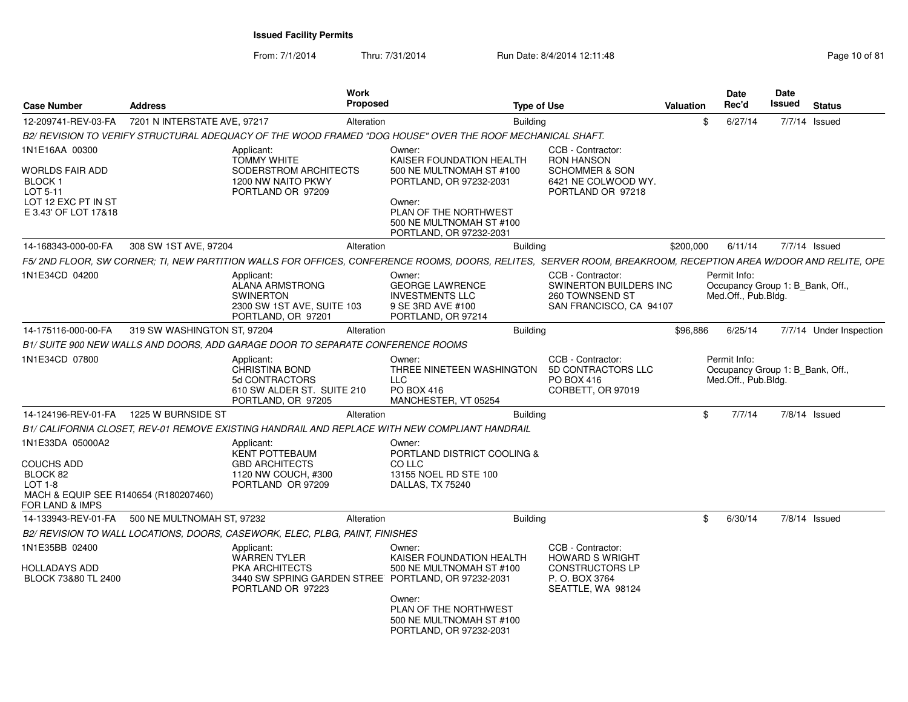From: 7/1/2014

Thru: 7/31/2014 Run Date: 8/4/2014 12:11:48 Research 2010 12:11:49

| Case Number                                                                                                              | <b>Address</b>               |                                                                                                              | <b>Work</b><br><b>Proposed</b> |                                                                                                                                                                                                                 | Type of Use     |                                                                                                                 | <b>Valuation</b> | <b>Date</b><br>Rec'd                                                    | <b>Date</b><br>Issued | <b>Status</b>           |
|--------------------------------------------------------------------------------------------------------------------------|------------------------------|--------------------------------------------------------------------------------------------------------------|--------------------------------|-----------------------------------------------------------------------------------------------------------------------------------------------------------------------------------------------------------------|-----------------|-----------------------------------------------------------------------------------------------------------------|------------------|-------------------------------------------------------------------------|-----------------------|-------------------------|
| 12-209741-REV-03-FA                                                                                                      | 7201 N INTERSTATE AVE, 97217 |                                                                                                              | Alteration                     |                                                                                                                                                                                                                 | <b>Building</b> |                                                                                                                 |                  | \$<br>6/27/14                                                           |                       | 7/7/14 Issued           |
|                                                                                                                          |                              |                                                                                                              |                                | B2/ REVISION TO VERIFY STRUCTURAL ADEQUACY OF THE WOOD FRAMED "DOG HOUSE" OVER THE ROOF MECHANICAL SHAFT.                                                                                                       |                 |                                                                                                                 |                  |                                                                         |                       |                         |
| 1N1E16AA 00300<br>WORLDS FAIR ADD<br>BLOCK 1<br>LOT 5-11<br>LOT 12 EXC PT IN ST<br>E 3.43' OF LOT 17&18                  |                              | Applicant:<br><b>TOMMY WHITE</b><br>SODERSTROM ARCHITECTS<br>1200 NW NAITO PKWY<br>PORTLAND OR 97209         |                                | Owner:<br>KAISER FOUNDATION HEALTH<br>500 NE MULTNOMAH ST #100<br>PORTLAND, OR 97232-2031<br>Owner:<br>PLAN OF THE NORTHWEST<br>500 NE MULTNOMAH ST #100<br>PORTLAND, OR 97232-2031                             |                 | CCB - Contractor:<br><b>RON HANSON</b><br><b>SCHOMMER &amp; SON</b><br>6421 NE COLWOOD WY.<br>PORTLAND OR 97218 |                  |                                                                         |                       |                         |
| 14-168343-000-00-FA                                                                                                      | 308 SW 1ST AVE, 97204        |                                                                                                              | Alteration                     |                                                                                                                                                                                                                 | <b>Building</b> |                                                                                                                 | \$200.000        | 6/11/14                                                                 |                       | 7/7/14 Issued           |
|                                                                                                                          |                              |                                                                                                              |                                | F5/ 2ND FLOOR, SW CORNER; TI, NEW PARTITION WALLS FOR OFFICES, CONFERENCE ROOMS, DOORS, RELITES, SERVER ROOM, BREAKROOM, RECEPTION AREA W/DOOR AND RELITE, OPE                                                  |                 |                                                                                                                 |                  |                                                                         |                       |                         |
| 1N1E34CD 04200                                                                                                           |                              | Applicant:<br><b>ALANA ARMSTRONG</b><br><b>SWINERTON</b><br>2300 SW 1ST AVE, SUITE 103<br>PORTLAND, OR 97201 |                                | Owner:<br><b>GEORGE LAWRENCE</b><br><b>INVESTMENTS LLC</b><br>9 SE 3RD AVE #100<br>PORTLAND, OR 97214                                                                                                           |                 | CCB - Contractor:<br>SWINERTON BUILDERS INC<br>260 TOWNSEND ST<br>SAN FRANCISCO, CA 94107                       |                  | Permit Info:<br>Occupancy Group 1: B_Bank, Off.,<br>Med.Off., Pub.Bldg. |                       |                         |
| 14-175116-000-00-FA                                                                                                      | 319 SW WASHINGTON ST, 97204  |                                                                                                              | Alteration                     |                                                                                                                                                                                                                 | Building        |                                                                                                                 | \$96,886         | 6/25/14                                                                 |                       | 7/7/14 Under Inspection |
|                                                                                                                          |                              | B1/ SUITE 900 NEW WALLS AND DOORS, ADD GARAGE DOOR TO SEPARATE CONFERENCE ROOMS                              |                                |                                                                                                                                                                                                                 |                 |                                                                                                                 |                  |                                                                         |                       |                         |
| 1N1E34CD 07800                                                                                                           |                              | Applicant:<br><b>CHRISTINA BOND</b><br>5d CONTRACTORS<br>610 SW ALDER ST. SUITE 210<br>PORTLAND, OR 97205    |                                | Owner:<br>THREE NINETEEN WASHINGTON<br>LLC<br>PO BOX 416<br>MANCHESTER, VT 05254                                                                                                                                |                 | CCB - Contractor:<br>5D CONTRACTORS LLC<br>PO BOX 416<br>CORBETT, OR 97019                                      |                  | Permit Info:<br>Occupancy Group 1: B Bank, Off.,<br>Med.Off., Pub.Bldg. |                       |                         |
| 14-124196-REV-01-FA                                                                                                      | 1225 W BURNSIDE ST           |                                                                                                              | Alteration                     |                                                                                                                                                                                                                 | <b>Building</b> |                                                                                                                 |                  | \$<br>7/7/14                                                            |                       | $7/8/14$ Issued         |
|                                                                                                                          |                              |                                                                                                              |                                | B1/ CALIFORNIA CLOSET, REV-01 REMOVE EXISTING HANDRAIL AND REPLACE WITH NEW COMPLIANT HANDRAIL                                                                                                                  |                 |                                                                                                                 |                  |                                                                         |                       |                         |
| 1N1E33DA 05000A2<br><b>COUCHS ADD</b><br>BLOCK 82<br>LOT 1-8<br>MACH & EQUIP SEE R140654 (R180207460)<br>FOR LAND & IMPS |                              | Applicant:<br>KENT POTTEBAUM<br><b>GBD ARCHITECTS</b><br>1120 NW COUCH, #300<br>PORTLAND OR 97209            |                                | Owner:<br>PORTLAND DISTRICT COOLING &<br>CO LLC<br>13155 NOEL RD STE 100<br>DALLAS, TX 75240                                                                                                                    |                 |                                                                                                                 |                  |                                                                         |                       |                         |
| 14-133943-REV-01-FA                                                                                                      | 500 NE MULTNOMAH ST, 97232   |                                                                                                              | Alteration                     |                                                                                                                                                                                                                 | <b>Building</b> |                                                                                                                 |                  | \$<br>6/30/14                                                           |                       | 7/8/14 Issued           |
|                                                                                                                          |                              | B2/ REVISION TO WALL LOCATIONS, DOORS, CASEWORK, ELEC, PLBG, PAINT, FINISHES                                 |                                |                                                                                                                                                                                                                 |                 |                                                                                                                 |                  |                                                                         |                       |                         |
| 1N1E35BB 02400<br>HOLLADAYS ADD<br>BLOCK 73&80 TL 2400                                                                   |                              | Applicant:<br><b>WARREN TYLER</b><br>PKA ARCHITECTS<br>PORTLAND OR 97223                                     |                                | Owner:<br>KAISER FOUNDATION HEALTH<br>500 NE MULTNOMAH ST #100<br>3440 SW SPRING GARDEN STREE PORTLAND, OR 97232-2031<br>Owner:<br>PLAN OF THE NORTHWEST<br>500 NE MULTNOMAH ST #100<br>PORTLAND, OR 97232-2031 |                 | CCB - Contractor:<br><b>HOWARD S WRIGHT</b><br><b>CONSTRUCTORS LP</b><br>P. O. BOX 3764<br>SEATTLE, WA 98124    |                  |                                                                         |                       |                         |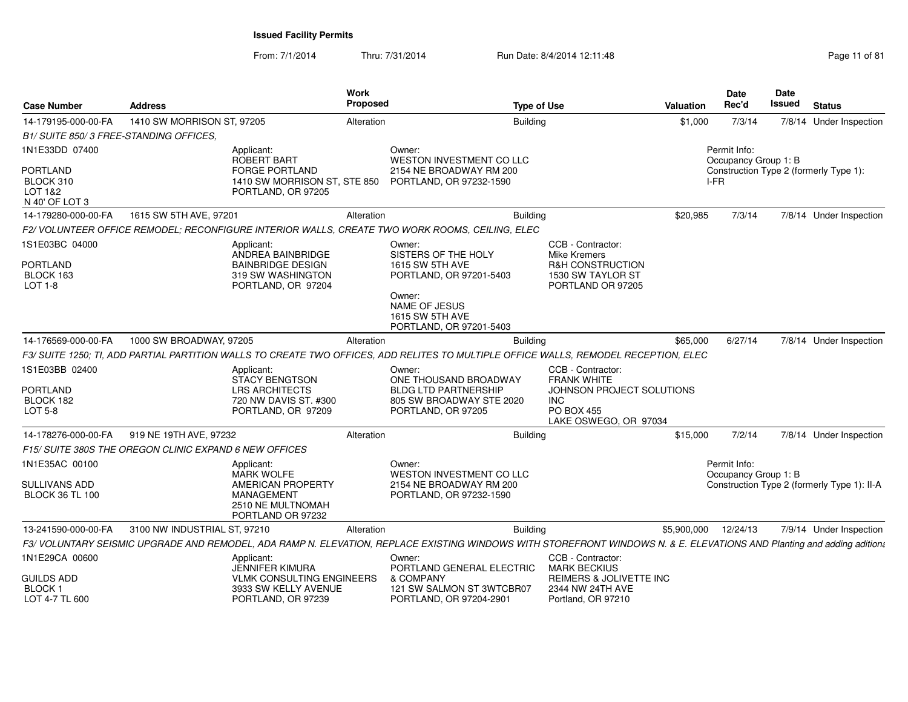From: 7/1/2014Thru: 7/31/2014 Run Date: 8/4/2014 12:11:48 Research 2010 12:00 Rage 11 of 81

| <b>Case Number</b>                                              | <b>Address</b>                                                                                                                                                          | <b>Work</b>                                                                                       | Proposed                                                                                                                                                                  | <b>Type of Use</b> |                                                                                                                                  | Valuation   | Date<br>Rec'd                        | Date<br>Issued | <b>Status</b>                               |
|-----------------------------------------------------------------|-------------------------------------------------------------------------------------------------------------------------------------------------------------------------|---------------------------------------------------------------------------------------------------|---------------------------------------------------------------------------------------------------------------------------------------------------------------------------|--------------------|----------------------------------------------------------------------------------------------------------------------------------|-------------|--------------------------------------|----------------|---------------------------------------------|
| 14-179195-000-00-FA                                             | 1410 SW MORRISON ST, 97205                                                                                                                                              |                                                                                                   | Alteration                                                                                                                                                                | Building           |                                                                                                                                  | \$1,000     | 7/3/14                               |                | 7/8/14 Under Inspection                     |
| B1/ SUITE 850/3 FREE-STANDING OFFICES.                          |                                                                                                                                                                         |                                                                                                   |                                                                                                                                                                           |                    |                                                                                                                                  |             |                                      |                |                                             |
| 1N1E33DD 07400                                                  | Applicant:                                                                                                                                                              | <b>ROBERT BART</b>                                                                                | Owner:<br>WESTON INVESTMENT CO LLC                                                                                                                                        |                    |                                                                                                                                  |             | Permit Info:<br>Occupancy Group 1: B |                |                                             |
| PORTLAND<br>BLOCK 310<br>LOT 1&2<br>N 40' OF LOT 3              |                                                                                                                                                                         | <b>FORGE PORTLAND</b><br>1410 SW MORRISON ST, STE 850<br>PORTLAND, OR 97205                       | 2154 NE BROADWAY RM 200<br>PORTLAND, OR 97232-1590                                                                                                                        |                    |                                                                                                                                  | I-FR        |                                      |                | Construction Type 2 (formerly Type 1):      |
| 14-179280-000-00-FA                                             | 1615 SW 5TH AVE, 97201                                                                                                                                                  |                                                                                                   | Alteration                                                                                                                                                                | <b>Building</b>    |                                                                                                                                  | \$20,985    | 7/3/14                               |                | 7/8/14 Under Inspection                     |
|                                                                 | F2/ VOLUNTEER OFFICE REMODEL: RECONFIGURE INTERIOR WALLS. CREATE TWO WORK ROOMS. CEILING. ELEC                                                                          |                                                                                                   |                                                                                                                                                                           |                    |                                                                                                                                  |             |                                      |                |                                             |
| 1S1E03BC 04000<br>PORTLAND<br>BLOCK 163<br>LOT 1-8              | Applicant:                                                                                                                                                              | ANDREA BAINBRIDGE<br><b>BAINBRIDGE DESIGN</b><br>319 SW WASHINGTON<br>PORTLAND, OR 97204          | Owner:<br>SISTERS OF THE HOLY<br><b>1615 SW 5TH AVE</b><br>PORTLAND, OR 97201-5403<br>Owner:<br><b>NAME OF JESUS</b><br><b>1615 SW 5TH AVE</b><br>PORTLAND, OR 97201-5403 |                    | CCB - Contractor:<br>Mike Kremers<br><b>R&amp;H CONSTRUCTION</b><br>1530 SW TAYLOR ST<br>PORTLAND OR 97205                       |             |                                      |                |                                             |
| 14-176569-000-00-FA                                             | 1000 SW BROADWAY, 97205                                                                                                                                                 |                                                                                                   | Alteration                                                                                                                                                                | <b>Building</b>    |                                                                                                                                  | \$65,000    | 6/27/14                              |                | 7/8/14 Under Inspection                     |
|                                                                 | F3/ SUITE 1250; TI, ADD PARTIAL PARTITION WALLS TO CREATE TWO OFFICES, ADD RELITES TO MULTIPLE OFFICE WALLS, REMODEL RECEPTION, ELEC                                    |                                                                                                   |                                                                                                                                                                           |                    |                                                                                                                                  |             |                                      |                |                                             |
| 1S1E03BB 02400<br>PORTLAND<br>BLOCK 182<br><b>LOT 5-8</b>       | Applicant:                                                                                                                                                              | STACY BENGTSON<br><b>LRS ARCHITECTS</b><br>720 NW DAVIS ST. #300<br>PORTLAND, OR 97209            | Owner:<br>ONE THOUSAND BROADWAY<br><b>BLDG LTD PARTNERSHIP</b><br>805 SW BROADWAY STE 2020<br>PORTLAND, OR 97205                                                          |                    | CCB - Contractor:<br><b>FRANK WHITE</b><br>JOHNSON PROJECT SOLUTIONS<br><b>INC</b><br><b>PO BOX 455</b><br>LAKE OSWEGO, OR 97034 |             |                                      |                |                                             |
| 14-178276-000-00-FA                                             | 919 NE 19TH AVE, 97232                                                                                                                                                  |                                                                                                   | Alteration                                                                                                                                                                | <b>Building</b>    |                                                                                                                                  | \$15,000    | 7/2/14                               |                | 7/8/14 Under Inspection                     |
|                                                                 | F15/ SUITE 380S THE OREGON CLINIC EXPAND 6 NEW OFFICES                                                                                                                  |                                                                                                   |                                                                                                                                                                           |                    |                                                                                                                                  |             |                                      |                |                                             |
| 1N1E35AC 00100<br>SULLIVANS ADD<br><b>BLOCK 36 TL 100</b>       | Applicant:                                                                                                                                                              | <b>MARK WOLFE</b><br>AMERICAN PROPERTY<br>MANAGEMENT<br>2510 NE MULTNOMAH                         | Owner:<br>WESTON INVESTMENT CO LLC<br>2154 NE BROADWAY RM 200<br>PORTLAND, OR 97232-1590                                                                                  |                    |                                                                                                                                  |             | Permit Info:<br>Occupancy Group 1: B |                | Construction Type 2 (formerly Type 1): II-A |
|                                                                 |                                                                                                                                                                         | PORTLAND OR 97232                                                                                 |                                                                                                                                                                           |                    |                                                                                                                                  |             |                                      |                |                                             |
| 13-241590-000-00-FA                                             | 3100 NW INDUSTRIAL ST, 97210                                                                                                                                            |                                                                                                   | Alteration                                                                                                                                                                | <b>Building</b>    |                                                                                                                                  | \$5,900,000 | 12/24/13                             |                | 7/9/14 Under Inspection                     |
|                                                                 | F3/ VOLUNTARY SEISMIC UPGRADE AND REMODEL, ADA RAMP N. ELEVATION, REPLACE EXISTING WINDOWS WITH STOREFRONT WINDOWS N. & E. ELEVATIONS AND Planting and adding aditional |                                                                                                   |                                                                                                                                                                           |                    |                                                                                                                                  |             |                                      |                |                                             |
| 1N1E29CA 00600<br>GUILDS ADD<br><b>BLOCK1</b><br>LOT 4-7 TL 600 | Applicant:                                                                                                                                                              | JENNIFER KIMURA<br><b>VLMK CONSULTING ENGINEERS</b><br>3933 SW KELLY AVENUE<br>PORTLAND, OR 97239 | Owner:<br>PORTLAND GENERAL ELECTRIC<br>& COMPANY<br>121 SW SALMON ST 3WTCBR07<br>PORTLAND, OR 97204-2901                                                                  |                    | CCB - Contractor:<br><b>MARK BECKIUS</b><br>REIMERS & JOLIVETTE INC<br>2344 NW 24TH AVE<br>Portland, OR 97210                    |             |                                      |                |                                             |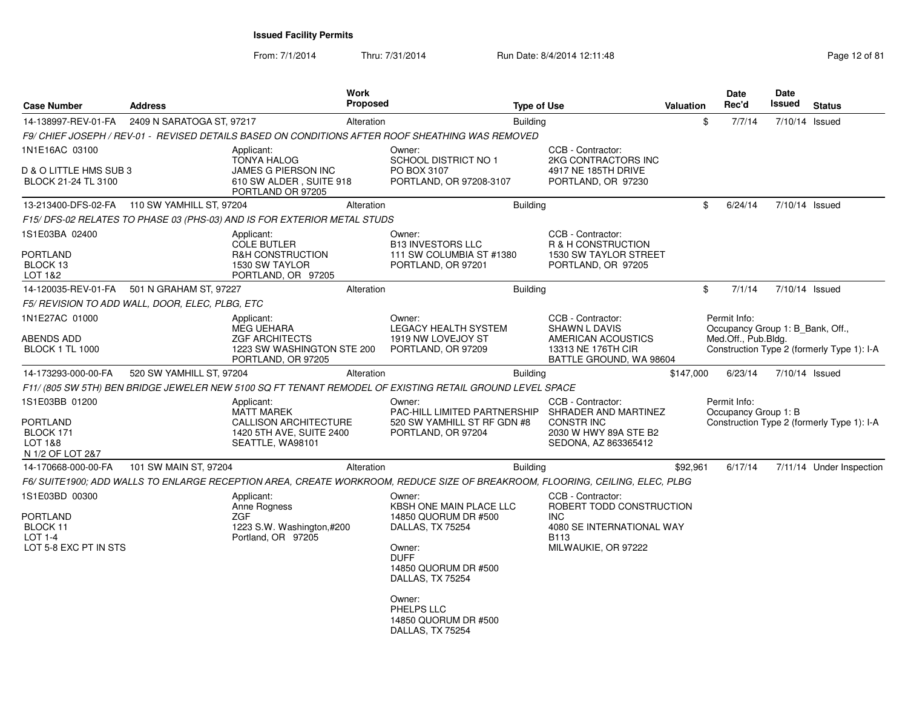From: 7/1/2014Thru: 7/31/2014 Run Date: 8/4/2014 12:11:48 Research 2014 13:48

| <b>Case Number</b>                                                           | <b>Address</b>            |                                                                                                                 | <b>Work</b><br><b>Proposed</b> |                                                                                                                                                                                                                        | <b>Type of Use</b> |                                                                                                                                | Valuation | Date<br>Rec'd                        | <b>Date</b><br><b>Issued</b>     | <b>Status</b>                              |
|------------------------------------------------------------------------------|---------------------------|-----------------------------------------------------------------------------------------------------------------|--------------------------------|------------------------------------------------------------------------------------------------------------------------------------------------------------------------------------------------------------------------|--------------------|--------------------------------------------------------------------------------------------------------------------------------|-----------|--------------------------------------|----------------------------------|--------------------------------------------|
| 14-138997-REV-01-FA                                                          | 2409 N SARATOGA ST, 97217 |                                                                                                                 | Alteration                     |                                                                                                                                                                                                                        | <b>Building</b>    |                                                                                                                                |           | \$<br>7/7/14                         | 7/10/14 Issued                   |                                            |
|                                                                              |                           |                                                                                                                 |                                | F9/ CHIEF JOSEPH / REV-01 - REVISED DETAILS BASED ON CONDITIONS AFTER ROOF SHEATHING WAS REMOVED                                                                                                                       |                    |                                                                                                                                |           |                                      |                                  |                                            |
| 1N1E16AC 03100                                                               |                           | Applicant:                                                                                                      |                                | Owner:                                                                                                                                                                                                                 |                    | CCB - Contractor:                                                                                                              |           |                                      |                                  |                                            |
| D & O LITTLE HMS SUB 3<br>BLOCK 21-24 TL 3100                                |                           | <b>TONYA HALOG</b><br>JAMES G PIERSON INC<br>610 SW ALDER, SUITE 918<br>PORTLAND OR 97205                       |                                | <b>SCHOOL DISTRICT NO 1</b><br>PO BOX 3107<br>PORTLAND, OR 97208-3107                                                                                                                                                  |                    | 2KG CONTRACTORS INC<br>4917 NE 185TH DRIVE<br>PORTLAND, OR 97230                                                               |           |                                      |                                  |                                            |
| 13-213400-DFS-02-FA                                                          | 110 SW YAMHILL ST, 97204  |                                                                                                                 | Alteration                     |                                                                                                                                                                                                                        | <b>Building</b>    |                                                                                                                                |           | \$<br>6/24/14                        | 7/10/14 Issued                   |                                            |
|                                                                              |                           | F15/ DFS-02 RELATES TO PHASE 03 (PHS-03) AND IS FOR EXTERIOR METAL STUDS                                        |                                |                                                                                                                                                                                                                        |                    |                                                                                                                                |           |                                      |                                  |                                            |
| 1S1E03BA 02400                                                               |                           | Applicant:<br>COLE BUTLER                                                                                       |                                | Owner:<br><b>B13 INVESTORS LLC</b>                                                                                                                                                                                     |                    | CCB - Contractor:<br>R & H CONSTRUCTION                                                                                        |           |                                      |                                  |                                            |
| PORTLAND<br>BLOCK 13<br>LOT 1&2                                              |                           | <b>R&amp;H CONSTRUCTION</b><br>1530 SW TAYLOR<br>PORTLAND, OR 97205                                             |                                | 111 SW COLUMBIA ST #1380<br>PORTLAND, OR 97201                                                                                                                                                                         |                    | 1530 SW TAYLOR STREET<br>PORTLAND, OR 97205                                                                                    |           |                                      |                                  |                                            |
| 14-120035-REV-01-FA                                                          | 501 N GRAHAM ST, 97227    |                                                                                                                 | Alteration                     |                                                                                                                                                                                                                        | <b>Building</b>    |                                                                                                                                |           | \$<br>7/1/14                         | 7/10/14 Issued                   |                                            |
| F5/ REVISION TO ADD WALL, DOOR, ELEC, PLBG, ETC                              |                           |                                                                                                                 |                                |                                                                                                                                                                                                                        |                    |                                                                                                                                |           |                                      |                                  |                                            |
| 1N1E27AC 01000                                                               |                           | Applicant:<br><b>MEG UEHARA</b>                                                                                 |                                | Owner:<br><b>LEGACY HEALTH SYSTEM</b>                                                                                                                                                                                  |                    | CCB - Contractor:<br>SHAWN L DAVIS                                                                                             |           | Permit Info:                         | Occupancy Group 1: B_Bank, Off., |                                            |
| ABENDS ADD<br><b>BLOCK 1 TL 1000</b>                                         |                           | <b>ZGF ARCHITECTS</b><br>1223 SW WASHINGTON STE 200<br>PORTLAND, OR 97205                                       |                                | 1919 NW LOVEJOY ST<br>PORTLAND, OR 97209                                                                                                                                                                               |                    | AMERICAN ACOUSTICS<br>13313 NE 176TH CIR<br>BATTLE GROUND, WA 98604                                                            |           | Med.Off., Pub.Bldg.                  |                                  | Construction Type 2 (formerly Type 1): I-A |
| 14-173293-000-00-FA                                                          | 520 SW YAMHILL ST, 97204  |                                                                                                                 | Alteration                     |                                                                                                                                                                                                                        | <b>Building</b>    |                                                                                                                                | \$147,000 | 6/23/14                              | 7/10/14 Issued                   |                                            |
|                                                                              |                           |                                                                                                                 |                                | F11/ (805 SW 5TH) BEN BRIDGE JEWELER NEW 5100 SQ FT TENANT REMODEL OF EXISTING RETAIL GROUND LEVEL SPACE                                                                                                               |                    |                                                                                                                                |           |                                      |                                  |                                            |
| 1S1E03BB 01200<br>PORTLAND<br>BLOCK 171<br>LOT 1&8<br>N 1/2 OF LOT 2&7       |                           | Applicant:<br><b>MATT MAREK</b><br><b>CALLISON ARCHITECTURE</b><br>1420 5TH AVE, SUITE 2400<br>SEATTLE, WA98101 |                                | Owner:<br>PAC-HILL LIMITED PARTNERSHIP<br>520 SW YAMHILL ST RF GDN #8<br>PORTLAND, OR 97204                                                                                                                            |                    | CCB - Contractor:<br>SHRADER AND MARTINEZ<br>CONSTR INC<br>2030 W HWY 89A STE B2<br>SEDONA, AZ 863365412                       |           | Permit Info:<br>Occupancy Group 1: B |                                  | Construction Type 2 (formerly Type 1): I-A |
| 14-170668-000-00-FA                                                          | 101 SW MAIN ST, 97204     |                                                                                                                 | Alteration                     |                                                                                                                                                                                                                        | <b>Building</b>    |                                                                                                                                | \$92.961  | 6/17/14                              |                                  | 7/11/14 Under Inspection                   |
|                                                                              |                           |                                                                                                                 |                                | F6/ SUITE1900; ADD WALLS TO ENLARGE RECEPTION AREA, CREATE WORKROOM, REDUCE SIZE OF BREAKROOM, FLOORING, CEILING, ELEC, PLBG                                                                                           |                    |                                                                                                                                |           |                                      |                                  |                                            |
| 1S1E03BD 00300<br>PORTLAND<br>BLOCK 11<br>$LOT 1-4$<br>LOT 5-8 EXC PT IN STS |                           | Applicant:<br>Anne Rogness<br><b>ZGF</b><br>1223 S.W. Washington,#200<br>Portland, OR 97205                     |                                | Owner:<br>KBSH ONE MAIN PLACE LLC<br>14850 QUORUM DR #500<br>DALLAS, TX 75254<br>Owner:<br><b>DUFF</b><br>14850 QUORUM DR #500<br>DALLAS, TX 75254<br>Owner:<br>PHELPS LLC<br>14850 QUORUM DR #500<br>DALLAS, TX 75254 |                    | CCB - Contractor:<br>ROBERT TODD CONSTRUCTION<br><b>INC</b><br>4080 SE INTERNATIONAL WAY<br><b>B113</b><br>MILWAUKIE, OR 97222 |           |                                      |                                  |                                            |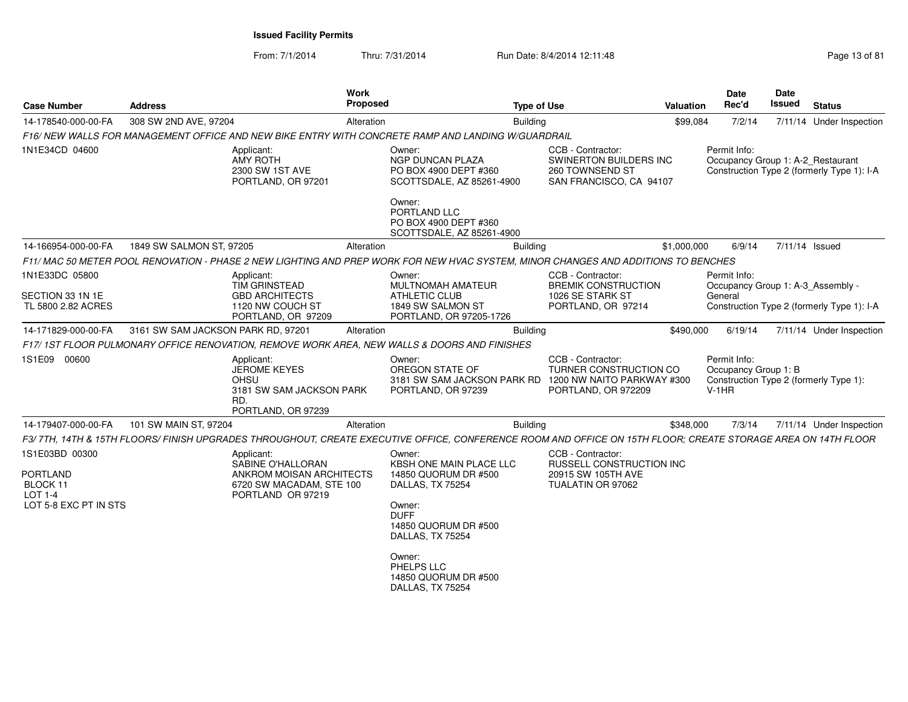From: 7/1/2014Thru: 7/31/2014 Run Date: 8/4/2014 12:11:48 Research 2010 13 of 81

| <b>Case Number</b>                     | <b>Address</b>                                                                                                                                              | <b>Work</b><br>Proposed | <b>Type of Use</b>                                                                                        |                                                                                           | Valuation   | <b>Date</b><br>Rec'd                              | Date<br><b>Issued</b> | <b>Status</b>                              |
|----------------------------------------|-------------------------------------------------------------------------------------------------------------------------------------------------------------|-------------------------|-----------------------------------------------------------------------------------------------------------|-------------------------------------------------------------------------------------------|-------------|---------------------------------------------------|-----------------------|--------------------------------------------|
| 14-178540-000-00-FA                    | 308 SW 2ND AVE, 97204                                                                                                                                       | Alteration              | <b>Building</b>                                                                                           |                                                                                           | \$99,084    | 7/2/14                                            |                       | 7/11/14 Under Inspection                   |
|                                        | F16/NEW WALLS FOR MANAGEMENT OFFICE AND NEW BIKE ENTRY WITH CONCRETE RAMP AND LANDING W/GUARDRAIL                                                           |                         |                                                                                                           |                                                                                           |             |                                                   |                       |                                            |
| 1N1E34CD 04600                         | Applicant:<br><b>AMY ROTH</b><br>2300 SW 1ST AVE<br>PORTLAND, OR 97201                                                                                      |                         | Owner:<br><b>NGP DUNCAN PLAZA</b><br>PO BOX 4900 DEPT #360<br>SCOTTSDALE, AZ 85261-4900                   | CCB - Contractor:<br>SWINERTON BUILDERS INC<br>260 TOWNSEND ST<br>SAN FRANCISCO, CA 94107 |             | Permit Info:<br>Occupancy Group 1: A-2_Restaurant |                       | Construction Type 2 (formerly Type 1): I-A |
|                                        |                                                                                                                                                             |                         | Owner:<br>PORTLAND LLC<br>PO BOX 4900 DEPT #360<br>SCOTTSDALE, AZ 85261-4900                              |                                                                                           |             |                                                   |                       |                                            |
| 14-166954-000-00-FA                    | 1849 SW SALMON ST, 97205                                                                                                                                    | Alteration              | Building                                                                                                  |                                                                                           | \$1,000,000 | 6/9/14                                            | 7/11/14 Issued        |                                            |
|                                        | F11/MAC 50 METER POOL RENOVATION - PHASE 2 NEW LIGHTING AND PREP WORK FOR NEW HVAC SYSTEM, MINOR CHANGES AND ADDITIONS TO BENCHES                           |                         |                                                                                                           |                                                                                           |             |                                                   |                       |                                            |
| 1N1E33DC 05800                         | Applicant:<br><b>TIM GRINSTEAD</b>                                                                                                                          |                         | Owner:<br>MULTNOMAH AMATEUR                                                                               | CCB - Contractor:<br><b>BREMIK CONSTRUCTION</b>                                           |             | Permit Info:<br>Occupancy Group 1: A-3_Assembly - |                       |                                            |
| SECTION 33 1N 1E<br>TL 5800 2.82 ACRES | <b>GBD ARCHITECTS</b><br>1120 NW COUCH ST<br>PORTLAND, OR 97209                                                                                             |                         | ATHLETIC CLUB<br>1849 SW SALMON ST<br>PORTLAND, OR 97205-1726                                             | 1026 SE STARK ST<br>PORTLAND, OR 97214                                                    |             | General                                           |                       | Construction Type 2 (formerly Type 1): I-A |
| 14-171829-000-00-FA                    | 3161 SW SAM JACKSON PARK RD, 97201                                                                                                                          | Alteration              | <b>Building</b>                                                                                           |                                                                                           | \$490,000   | 6/19/14                                           |                       | 7/11/14 Under Inspection                   |
|                                        | F17/1ST FLOOR PULMONARY OFFICE RENOVATION, REMOVE WORK AREA, NEW WALLS & DOORS AND FINISHES                                                                 |                         |                                                                                                           |                                                                                           |             |                                                   |                       |                                            |
| 1S1E09 00600                           | Applicant:<br><b>JEROME KEYES</b><br>OHSU<br>3181 SW SAM JACKSON PARK<br>RD.<br>PORTLAND, OR 97239                                                          |                         | Owner:<br>OREGON STATE OF<br>3181 SW SAM JACKSON PARK RD 1200 NW NAITO PARKWAY #300<br>PORTLAND, OR 97239 | CCB - Contractor:<br>TURNER CONSTRUCTION CO<br>PORTLAND, OR 972209                        |             | Permit Info:<br>Occupancy Group 1: B<br>$V-1HR$   |                       | Construction Type 2 (formerly Type 1):     |
| 14-179407-000-00-FA                    | 101 SW MAIN ST, 97204                                                                                                                                       | Alteration              | <b>Building</b>                                                                                           |                                                                                           | \$348,000   | 7/3/14                                            |                       | 7/11/14 Under Inspection                   |
|                                        | F3/7TH, 14TH & 15TH FLOORS/FINISH UPGRADES THROUGHOUT, CREATE EXECUTIVE OFFICE, CONFERENCE ROOM AND OFFICE ON 15TH FLOOR; CREATE STORAGE AREA ON 14TH FLOOR |                         |                                                                                                           |                                                                                           |             |                                                   |                       |                                            |
| 1S1E03BD 00300                         | Applicant:<br>SABINE O'HALLORAN                                                                                                                             |                         | Owner:<br>KBSH ONE MAIN PLACE LLC                                                                         | CCB - Contractor:<br><b>RUSSELL CONSTRUCTION INC</b>                                      |             |                                                   |                       |                                            |
| <b>PORTLAND</b><br>BLOCK 11<br>LOT 1-4 | ANKROM MOISAN ARCHITECTS<br>6720 SW MACADAM, STE 100<br>PORTLAND OR 97219                                                                                   |                         | 14850 QUORUM DR #500<br>DALLAS, TX 75254                                                                  | 20915 SW 105TH AVE<br>TUALATIN OR 97062                                                   |             |                                                   |                       |                                            |
| LOT 5-8 EXC PT IN STS                  |                                                                                                                                                             |                         | Owner:<br><b>DUFF</b><br>14850 QUORUM DR #500<br>DALLAS, TX 75254                                         |                                                                                           |             |                                                   |                       |                                            |
|                                        |                                                                                                                                                             |                         | Owner:<br>PHELPS LLC<br>14850 QUORUM DR #500<br>DALLAS, TX 75254                                          |                                                                                           |             |                                                   |                       |                                            |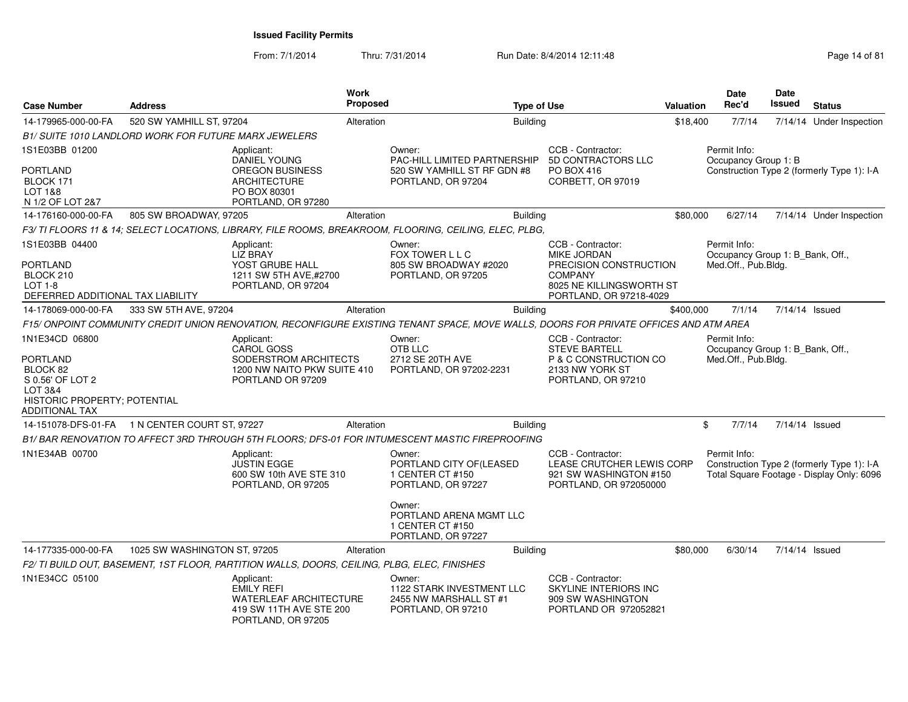From: 7/1/2014Thru: 7/31/2014 Run Date: 8/4/2014 12:11:48 Research 2014 13:11:49

| <b>Case Number</b>                                                                                                             | <b>Address</b>                                               |                                                                                                              | Work<br><b>Proposed</b> |                                                                                                                                       | <b>Type of Use</b>                                                                                                                         | Valuation                 | <b>Date</b><br>Rec'd                                                    | Date<br>Issued | <b>Status</b>                                                                           |
|--------------------------------------------------------------------------------------------------------------------------------|--------------------------------------------------------------|--------------------------------------------------------------------------------------------------------------|-------------------------|---------------------------------------------------------------------------------------------------------------------------------------|--------------------------------------------------------------------------------------------------------------------------------------------|---------------------------|-------------------------------------------------------------------------|----------------|-----------------------------------------------------------------------------------------|
| 14-179965-000-00-FA                                                                                                            | 520 SW YAMHILL ST, 97204                                     |                                                                                                              | Alteration              |                                                                                                                                       | <b>Building</b>                                                                                                                            | \$18,400                  | 7/7/14                                                                  |                | 7/14/14 Under Inspection                                                                |
|                                                                                                                                | <b>B1/ SUITE 1010 LANDLORD WORK FOR FUTURE MARX JEWELERS</b> |                                                                                                              |                         |                                                                                                                                       |                                                                                                                                            |                           |                                                                         |                |                                                                                         |
| 1S1E03BB 01200<br>PORTLAND<br>BLOCK 171<br>LOT 1&8                                                                             |                                                              | Applicant:<br><b>DANIEL YOUNG</b><br><b>OREGON BUSINESS</b><br><b>ARCHITECTURE</b><br>PO BOX 80301           |                         | Owner:<br>PAC-HILL LIMITED PARTNERSHIP<br>520 SW YAMHILL ST RF GDN #8<br>PORTLAND, OR 97204                                           | CCB - Contractor:<br><b>5D CONTRACTORS LLC</b><br>PO BOX 416<br>CORBETT, OR 97019                                                          |                           | Permit Info:<br>Occupancy Group 1: B                                    |                | Construction Type 2 (formerly Type 1): I-A                                              |
| N 1/2 OF LOT 2&7                                                                                                               |                                                              | PORTLAND, OR 97280                                                                                           |                         |                                                                                                                                       |                                                                                                                                            |                           |                                                                         |                |                                                                                         |
| 14-176160-000-00-FA                                                                                                            | 805 SW BROADWAY, 97205                                       |                                                                                                              | Alteration              |                                                                                                                                       | Building                                                                                                                                   | \$80,000                  | 6/27/14                                                                 |                | 7/14/14 Under Inspection                                                                |
|                                                                                                                                |                                                              |                                                                                                              |                         | F3/ TI FLOORS 11 & 14; SELECT LOCATIONS, LIBRARY, FILE ROOMS, BREAKROOM, FLOORING, CEILING, ELEC, PLBG,                               |                                                                                                                                            |                           |                                                                         |                |                                                                                         |
| 1S1E03BB 04400<br><b>PORTLAND</b><br>BLOCK 210<br><b>LOT 1-8</b><br>DEFERRED ADDITIONAL TAX LIABILITY                          |                                                              | Applicant:<br><b>LIZ BRAY</b><br>YOST GRUBE HALL<br>1211 SW 5TH AVE,#2700<br>PORTLAND, OR 97204              |                         | Owner:<br>FOX TOWER L L C<br>805 SW BROADWAY #2020<br>PORTLAND, OR 97205                                                              | CCB - Contractor:<br><b>MIKE JORDAN</b><br>PRECISION CONSTRUCTION<br><b>COMPANY</b><br>8025 NE KILLINGSWORTH ST<br>PORTLAND, OR 97218-4029 |                           | Permit Info:<br>Occupancy Group 1: B Bank, Off.,<br>Med.Off., Pub.Bldg. |                |                                                                                         |
| 14-178069-000-00-FA                                                                                                            | 333 SW 5TH AVE, 97204                                        |                                                                                                              | Alteration              |                                                                                                                                       | <b>Building</b>                                                                                                                            | \$400,000                 | 7/1/14                                                                  |                | 7/14/14 Issued                                                                          |
|                                                                                                                                |                                                              |                                                                                                              |                         | F15/ ONPOINT COMMUNITY CREDIT UNION RENOVATION, RECONFIGURE EXISTING TENANT SPACE, MOVE WALLS, DOORS FOR PRIVATE OFFICES AND ATM AREA |                                                                                                                                            |                           |                                                                         |                |                                                                                         |
| 1N1E34CD 06800<br>PORTLAND<br>BLOCK 82<br>S 0.56' OF LOT 2<br>LOT 3&4<br>HISTORIC PROPERTY; POTENTIAL<br><b>ADDITIONAL TAX</b> |                                                              | Applicant:<br><b>CAROL GOSS</b><br>SODERSTROM ARCHITECTS<br>1200 NW NAITO PKW SUITE 410<br>PORTLAND OR 97209 |                         | Owner:<br>OTB LLC<br>2712 SE 20TH AVE<br>PORTLAND, OR 97202-2231                                                                      | CCB - Contractor:<br><b>STEVE BARTELL</b><br>P & C CONSTRUCTION CO<br>2133 NW YORK ST<br>PORTLAND, OR 97210                                |                           | Permit Info:<br>Occupancy Group 1: B_Bank, Off.,<br>Med.Off., Pub.Bldg. |                |                                                                                         |
| 14-151078-DFS-01-FA                                                                                                            | 1 N CENTER COURT ST, 97227                                   |                                                                                                              | Alteration              |                                                                                                                                       | <b>Building</b>                                                                                                                            |                           | \$<br>7/7/14                                                            |                | 7/14/14 Issued                                                                          |
|                                                                                                                                |                                                              |                                                                                                              |                         | B1/BAR RENOVATION TO AFFECT 3RD THROUGH 5TH FLOORS; DFS-01 FOR INTUMESCENT MASTIC FIREPROOFING                                        |                                                                                                                                            |                           |                                                                         |                |                                                                                         |
| 1N1E34AB 00700                                                                                                                 |                                                              | Applicant:<br><b>JUSTIN EGGE</b><br>600 SW 10th AVE STE 310<br>PORTLAND, OR 97205                            |                         | Owner:<br>PORTLAND CITY OF(LEASED<br>1 CENTER CT #150<br>PORTLAND, OR 97227                                                           | CCB - Contractor:<br>921 SW WASHINGTON #150<br>PORTLAND, OR 972050000                                                                      | LEASE CRUTCHER LEWIS CORP | Permit Info:                                                            |                | Construction Type 2 (formerly Type 1): I-A<br>Total Square Footage - Display Only: 6096 |
|                                                                                                                                |                                                              |                                                                                                              |                         | Owner:<br>PORTLAND ARENA MGMT LLC<br>1 CENTER CT #150<br>PORTLAND, OR 97227                                                           |                                                                                                                                            |                           |                                                                         |                |                                                                                         |
| 14-177335-000-00-FA                                                                                                            | 1025 SW WASHINGTON ST, 97205                                 |                                                                                                              | Alteration              |                                                                                                                                       | <b>Building</b>                                                                                                                            | \$80,000                  | 6/30/14                                                                 |                | 7/14/14 Issued                                                                          |
|                                                                                                                                |                                                              | F2/TI BUILD OUT, BASEMENT, 1ST FLOOR, PARTITION WALLS, DOORS, CEILING, PLBG, ELEC, FINISHES                  |                         |                                                                                                                                       |                                                                                                                                            |                           |                                                                         |                |                                                                                         |
| 1N1E34CC 05100                                                                                                                 |                                                              | Applicant:<br><b>EMILY REFI</b><br>WATERLEAF ARCHITECTURE<br>419 SW 11TH AVE STE 200<br>PORTLAND, OR 97205   |                         | Owner:<br>1122 STARK INVESTMENT LLC<br>2455 NW MARSHALL ST #1<br>PORTLAND, OR 97210                                                   | CCB - Contractor:<br>SKYLINE INTERIORS INC<br>909 SW WASHINGTON<br>PORTLAND OR 972052821                                                   |                           |                                                                         |                |                                                                                         |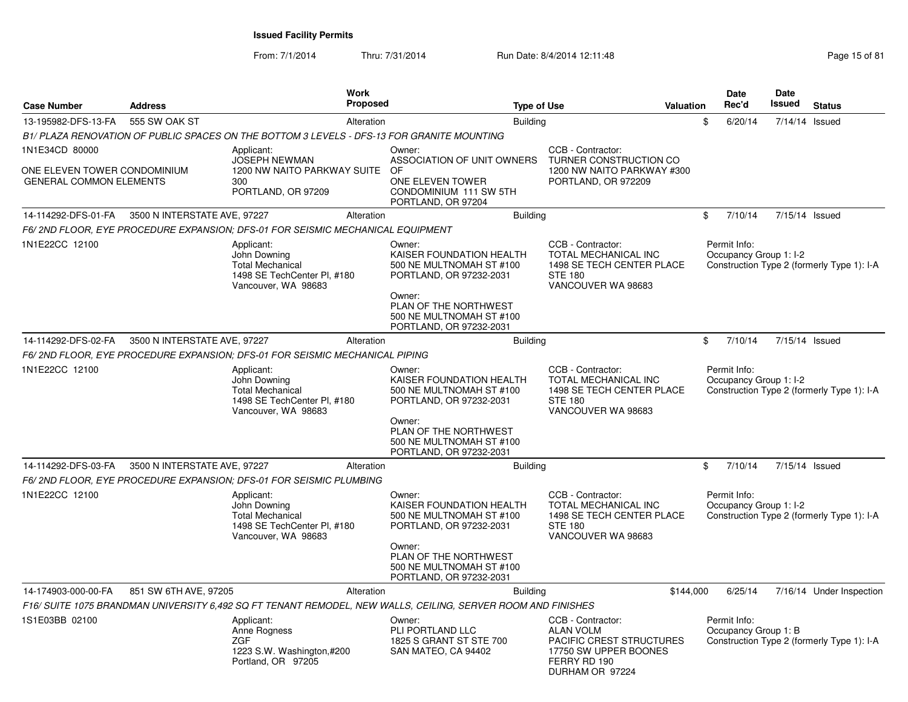From: 7/1/2014

| <b>Case Number</b>                                             | <b>Address</b>               | <b>Work</b><br><b>Proposed</b>                                                                               | <b>Type of Use</b>                                                                                                                                                                  |                                                                                                                                      | Valuation | <b>Date</b><br>Rec'd                   | Date<br><b>Issued</b> | <b>Status</b>                              |
|----------------------------------------------------------------|------------------------------|--------------------------------------------------------------------------------------------------------------|-------------------------------------------------------------------------------------------------------------------------------------------------------------------------------------|--------------------------------------------------------------------------------------------------------------------------------------|-----------|----------------------------------------|-----------------------|--------------------------------------------|
| 13-195982-DFS-13-FA                                            | 555 SW OAK ST                | Alteration                                                                                                   | <b>Building</b>                                                                                                                                                                     |                                                                                                                                      | \$        | 6/20/14                                | 7/14/14 Issued        |                                            |
|                                                                |                              | B1/PLAZA RENOVATION OF PUBLIC SPACES ON THE BOTTOM 3 LEVELS - DFS-13 FOR GRANITE MOUNTING                    |                                                                                                                                                                                     |                                                                                                                                      |           |                                        |                       |                                            |
| 1N1E34CD 80000                                                 |                              | Applicant:<br><b>JOSEPH NEWMAN</b>                                                                           | Owner:<br>ASSOCIATION OF UNIT OWNERS                                                                                                                                                | CCB - Contractor:<br>TURNER CONSTRUCTION CO                                                                                          |           |                                        |                       |                                            |
| ONE ELEVEN TOWER CONDOMINIUM<br><b>GENERAL COMMON ELEMENTS</b> |                              | 1200 NW NAITO PARKWAY SUITE<br>300<br>PORTLAND, OR 97209                                                     | <b>OF</b><br>ONE ELEVEN TOWER<br>CONDOMINIUM 111 SW 5TH<br>PORTLAND, OR 97204                                                                                                       | 1200 NW NAITO PARKWAY #300<br>PORTLAND, OR 972209                                                                                    |           |                                        |                       |                                            |
| 14-114292-DFS-01-FA                                            | 3500 N INTERSTATE AVE, 97227 | Alteration                                                                                                   | <b>Building</b>                                                                                                                                                                     |                                                                                                                                      | \$        | 7/10/14                                | 7/15/14 Issued        |                                            |
|                                                                |                              | F6/2ND FLOOR, EYE PROCEDURE EXPANSION; DFS-01 FOR SEISMIC MECHANICAL EQUIPMENT                               |                                                                                                                                                                                     |                                                                                                                                      |           |                                        |                       |                                            |
| 1N1E22CC 12100                                                 |                              | Applicant:<br>John Downing<br><b>Total Mechanical</b><br>1498 SE TechCenter PI, #180<br>Vancouver, WA 98683  | Owner:<br>KAISER FOUNDATION HEALTH<br>500 NE MULTNOMAH ST #100<br>PORTLAND, OR 97232-2031<br>Owner:<br>PLAN OF THE NORTHWEST<br>500 NE MULTNOMAH ST #100<br>PORTLAND, OR 97232-2031 | CCB - Contractor:<br>TOTAL MECHANICAL INC<br>1498 SE TECH CENTER PLACE<br><b>STE 180</b><br>VANCOUVER WA 98683                       |           | Permit Info:<br>Occupancy Group 1: I-2 |                       | Construction Type 2 (formerly Type 1): I-A |
| 14-114292-DFS-02-FA                                            | 3500 N INTERSTATE AVE, 97227 | Alteration                                                                                                   | <b>Building</b>                                                                                                                                                                     |                                                                                                                                      | \$        | 7/10/14                                | 7/15/14 Issued        |                                            |
|                                                                |                              | F6/2ND FLOOR, EYE PROCEDURE EXPANSION; DFS-01 FOR SEISMIC MECHANICAL PIPING                                  |                                                                                                                                                                                     |                                                                                                                                      |           |                                        |                       |                                            |
| 1N1E22CC 12100                                                 |                              | Applicant:<br>John Downing<br><b>Total Mechanical</b><br>1498 SE TechCenter PI, #180<br>Vancouver, WA 98683  | Owner:<br>KAISER FOUNDATION HEALTH<br>500 NE MULTNOMAH ST #100<br>PORTLAND, OR 97232-2031<br>Owner:                                                                                 | CCB - Contractor:<br><b>TOTAL MECHANICAL INC</b><br>1498 SE TECH CENTER PLACE<br><b>STE 180</b><br>VANCOUVER WA 98683                |           | Permit Info:<br>Occupancy Group 1: I-2 |                       | Construction Type 2 (formerly Type 1): I-A |
|                                                                |                              |                                                                                                              | PLAN OF THE NORTHWEST<br>500 NE MULTNOMAH ST #100<br>PORTLAND, OR 97232-2031                                                                                                        |                                                                                                                                      |           |                                        |                       |                                            |
| 14-114292-DFS-03-FA                                            | 3500 N INTERSTATE AVE, 97227 | Alteration                                                                                                   | <b>Building</b>                                                                                                                                                                     |                                                                                                                                      | \$        | 7/10/14                                | 7/15/14 Issued        |                                            |
|                                                                |                              | F6/2ND FLOOR, EYE PROCEDURE EXPANSION; DFS-01 FOR SEISMIC PLUMBING                                           |                                                                                                                                                                                     |                                                                                                                                      |           |                                        |                       |                                            |
| 1N1E22CC 12100                                                 |                              | Applicant:<br>John Downing<br><b>Total Mechanical</b><br>1498 SE TechCenter PI, #180<br>Vancouver, WA 98683  | Owner:<br>KAISER FOUNDATION HEALTH<br>500 NE MULTNOMAH ST #100<br>PORTLAND, OR 97232-2031<br>Owner:                                                                                 | CCB - Contractor:<br>TOTAL MECHANICAL INC<br>1498 SE TECH CENTER PLACE<br><b>STE 180</b><br>VANCOUVER WA 98683                       |           | Permit Info:<br>Occupancy Group 1: I-2 |                       | Construction Type 2 (formerly Type 1): I-A |
|                                                                |                              |                                                                                                              | PLAN OF THE NORTHWEST<br>500 NE MULTNOMAH ST #100<br>PORTLAND, OR 97232-2031                                                                                                        |                                                                                                                                      |           |                                        |                       |                                            |
| 14-174903-000-00-FA                                            | 851 SW 6TH AVE, 97205        | Alteration                                                                                                   | <b>Building</b>                                                                                                                                                                     |                                                                                                                                      | \$144,000 | 6/25/14                                |                       | 7/16/14 Under Inspection                   |
|                                                                |                              | F16/ SUITE 1075 BRANDMAN UNIVERSITY 6.492 SQ FT TENANT REMODEL. NEW WALLS, CEILING, SERVER ROOM AND FINISHES |                                                                                                                                                                                     |                                                                                                                                      |           |                                        |                       |                                            |
| 1S1E03BB 02100                                                 |                              | Applicant:<br>Anne Rogness<br>ZGF<br>1223 S.W. Washington,#200<br>Portland, OR 97205                         | Owner:<br>PLI PORTLAND LLC<br>1825 S GRANT ST STE 700<br>SAN MATEO, CA 94402                                                                                                        | CCB - Contractor:<br><b>ALAN VOLM</b><br><b>PACIFIC CREST STRUCTURES</b><br>17750 SW UPPER BOONES<br>FERRY RD 190<br>DURHAM OR 97224 |           | Permit Info:<br>Occupancy Group 1: B   |                       | Construction Type 2 (formerly Type 1): I-A |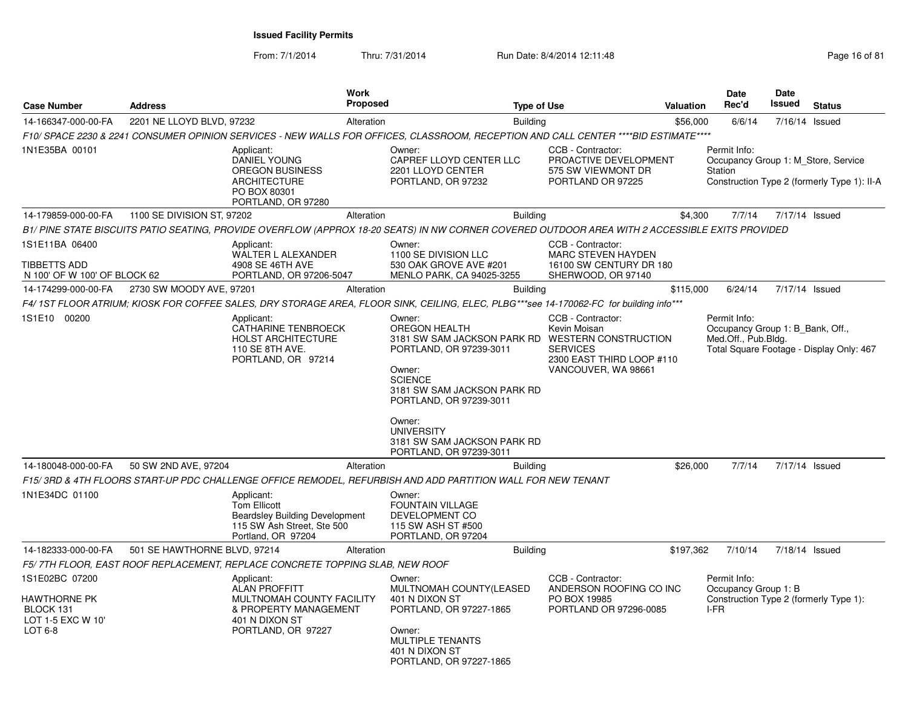From: 7/1/2014

| <b>Case Number</b>                                                                 | <b>Address</b>               | Work<br>Proposed                                                                                                                                |                                                                                                                                                                                                     | <b>Type of Use</b> |                                                                                                          | <b>Valuation</b> | Date<br>Rec'd                                                           | Date<br>Issued | <b>Status</b>                                                                      |
|------------------------------------------------------------------------------------|------------------------------|-------------------------------------------------------------------------------------------------------------------------------------------------|-----------------------------------------------------------------------------------------------------------------------------------------------------------------------------------------------------|--------------------|----------------------------------------------------------------------------------------------------------|------------------|-------------------------------------------------------------------------|----------------|------------------------------------------------------------------------------------|
| 14-166347-000-00-FA                                                                | 2201 NE LLOYD BLVD, 97232    | Alteration                                                                                                                                      |                                                                                                                                                                                                     | <b>Building</b>    |                                                                                                          | \$56,000         | 6/6/14                                                                  | 7/16/14 Issued |                                                                                    |
|                                                                                    |                              | F10/ SPACE 2230 & 2241 CONSUMER OPINION SERVICES - NEW WALLS FOR OFFICES, CLASSROOM, RECEPTION AND CALL CENTER ****BID ESTIMATE****             |                                                                                                                                                                                                     |                    |                                                                                                          |                  |                                                                         |                |                                                                                    |
| 1N1E35BA 00101                                                                     |                              | Applicant:<br>DANIEL YOUNG<br><b>OREGON BUSINESS</b><br><b>ARCHITECTURE</b><br>PO BOX 80301<br>PORTLAND, OR 97280                               | Owner:<br>CAPREF LLOYD CENTER LLC<br>2201 LLOYD CENTER<br>PORTLAND, OR 97232                                                                                                                        |                    | CCB - Contractor:<br>PROACTIVE DEVELOPMENT<br>575 SW VIEWMONT DR<br>PORTLAND OR 97225                    |                  | Permit Info:<br>Station                                                 |                | Occupancy Group 1: M Store, Service<br>Construction Type 2 (formerly Type 1): II-A |
| 14-179859-000-00-FA                                                                | 1100 SE DIVISION ST, 97202   | Alteration                                                                                                                                      |                                                                                                                                                                                                     | <b>Building</b>    |                                                                                                          | \$4,300          | 7/7/14                                                                  | 7/17/14 Issued |                                                                                    |
|                                                                                    |                              | B1/ PINE STATE BISCUITS PATIO SEATING, PROVIDE OVERFLOW (APPROX 18-20 SEATS) IN NW CORNER COVERED OUTDOOR AREA WITH 2 ACCESSIBLE EXITS PROVIDED |                                                                                                                                                                                                     |                    |                                                                                                          |                  |                                                                         |                |                                                                                    |
| 1S1E11BA 06400<br><b>TIBBETTS ADD</b><br>N 100' OF W 100' OF BLOCK 62              |                              | Applicant:<br>WALTER L ALEXANDER<br>4908 SE 46TH AVE<br>PORTLAND, OR 97206-5047                                                                 | Owner:<br>1100 SE DIVISION LLC<br>530 OAK GROVE AVE #201<br>MENLO PARK, CA 94025-3255                                                                                                               |                    | CCB - Contractor:<br><b>MARC STEVEN HAYDEN</b><br>16100 SW CENTURY DR 180<br>SHERWOOD, OR 97140          |                  |                                                                         |                |                                                                                    |
| 14-174299-000-00-FA                                                                | 2730 SW MOODY AVE, 97201     | Alteration                                                                                                                                      |                                                                                                                                                                                                     | <b>Building</b>    |                                                                                                          | \$115,000        | 6/24/14                                                                 | 7/17/14 Issued |                                                                                    |
|                                                                                    |                              | F4/1ST FLOOR ATRIUM; KIOSK FOR COFFEE SALES, DRY STORAGE AREA, FLOOR SINK, CEILING, ELEC, PLBG***see 14-170062-FC for building info***          |                                                                                                                                                                                                     |                    |                                                                                                          |                  |                                                                         |                |                                                                                    |
| 1S1E10 00200                                                                       |                              | Applicant:<br><b>CATHARINE TENBROECK</b><br><b>HOLST ARCHITECTURE</b><br>110 SE 8TH AVE.<br>PORTLAND, OR 97214                                  | Owner:<br><b>OREGON HEALTH</b><br>3181 SW SAM JACKSON PARK RD WESTERN CONSTRUCTION<br>PORTLAND, OR 97239-3011<br>Owner:<br><b>SCIENCE</b><br>3181 SW SAM JACKSON PARK RD<br>PORTLAND, OR 97239-3011 |                    | CCB - Contractor:<br>Kevin Moisan<br><b>SERVICES</b><br>2300 EAST THIRD LOOP #110<br>VANCOUVER, WA 98661 |                  | Permit Info:<br>Occupancy Group 1: B Bank, Off.,<br>Med.Off., Pub.Bldg. |                | Total Square Footage - Display Only: 467                                           |
|                                                                                    |                              |                                                                                                                                                 | Owner:<br><b>UNIVERSITY</b><br>3181 SW SAM JACKSON PARK RD<br>PORTLAND, OR 97239-3011                                                                                                               |                    |                                                                                                          |                  |                                                                         |                |                                                                                    |
| 14-180048-000-00-FA                                                                | 50 SW 2ND AVE, 97204         | Alteration                                                                                                                                      |                                                                                                                                                                                                     | <b>Building</b>    |                                                                                                          | \$26,000         | 7/7/14                                                                  | 7/17/14 Issued |                                                                                    |
|                                                                                    |                              | F15/ 3RD & 4TH FLOORS START-UP PDC CHALLENGE OFFICE REMODEL, REFURBISH AND ADD PARTITION WALL FOR NEW TENANT                                    |                                                                                                                                                                                                     |                    |                                                                                                          |                  |                                                                         |                |                                                                                    |
| 1N1E34DC 01100                                                                     |                              | Applicant:<br><b>Tom Ellicott</b><br><b>Beardsley Building Development</b><br>115 SW Ash Street, Ste 500<br>Portland, OR 97204                  | Owner:<br><b>FOUNTAIN VILLAGE</b><br>DEVELOPMENT CO<br>115 SW ASH ST #500<br>PORTLAND, OR 97204                                                                                                     |                    |                                                                                                          |                  |                                                                         |                |                                                                                    |
| 14-182333-000-00-FA                                                                | 501 SE HAWTHORNE BLVD, 97214 | Alteration                                                                                                                                      |                                                                                                                                                                                                     | <b>Building</b>    |                                                                                                          | \$197,362        | 7/10/14                                                                 | 7/18/14 Issued |                                                                                    |
|                                                                                    |                              | F5/7TH FLOOR, EAST ROOF REPLACEMENT, REPLACE CONCRETE TOPPING SLAB, NEW ROOF                                                                    |                                                                                                                                                                                                     |                    |                                                                                                          |                  |                                                                         |                |                                                                                    |
| 1S1E02BC 07200<br><b>HAWTHORNE PK</b><br>BLOCK 131<br>LOT 1-5 EXC W 10'<br>LOT 6-8 |                              | Applicant:<br><b>ALAN PROFFITT</b><br>MULTNOMAH COUNTY FACILITY<br>& PROPERTY MANAGEMENT<br>401 N DIXON ST<br>PORTLAND, OR 97227                | Owner:<br>MULTNOMAH COUNTY(LEASED<br>401 N DIXON ST<br>PORTLAND, OR 97227-1865<br>Owner:<br>MULTIPLE TENANTS<br>401 N DIXON ST<br>PORTLAND, OR 97227-1865                                           |                    | CCB - Contractor:<br>ANDERSON ROOFING CO INC<br>PO BOX 19985<br>PORTLAND OR 97296-0085                   |                  | Permit Info:<br>Occupancy Group 1: B<br>I-FR                            |                | Construction Type 2 (formerly Type 1):                                             |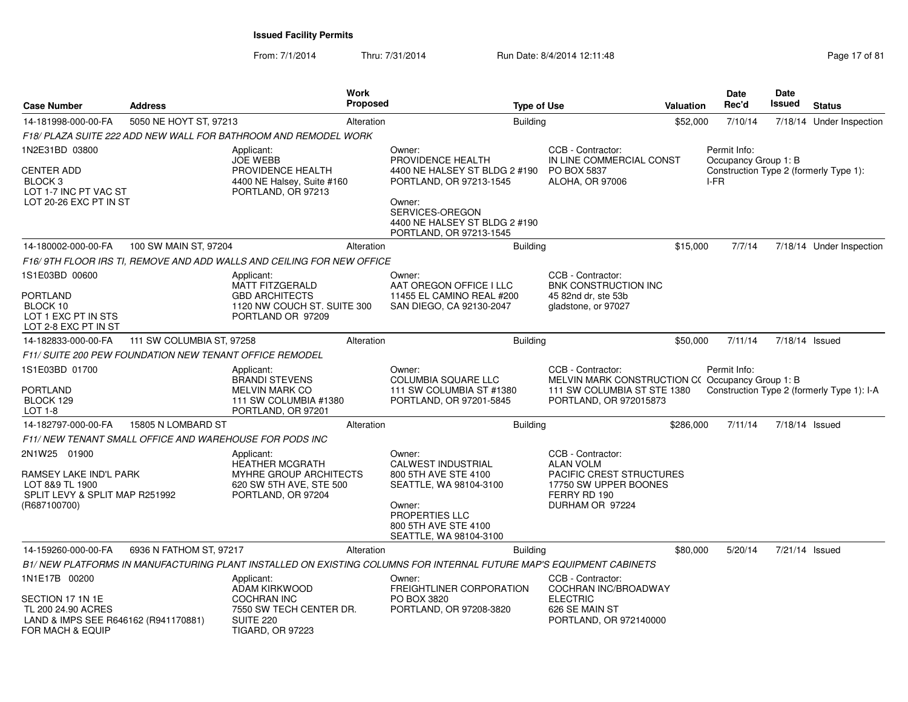From: 7/1/2014Thru: 7/31/2014 Run Date: 8/4/2014 12:11:48 Research 2010 17 of 81

| <b>Case Number</b>                                                                                                  | <b>Address</b>                                          | <b>Work</b><br>Proposed                                                                                                |                                                                                                                                                                                  | <b>Type of Use</b>                                                                                                             | Valuation | Date<br>Rec'd                                                                          | <b>Date</b><br><b>Issued</b> | <b>Status</b>                              |
|---------------------------------------------------------------------------------------------------------------------|---------------------------------------------------------|------------------------------------------------------------------------------------------------------------------------|----------------------------------------------------------------------------------------------------------------------------------------------------------------------------------|--------------------------------------------------------------------------------------------------------------------------------|-----------|----------------------------------------------------------------------------------------|------------------------------|--------------------------------------------|
| 14-181998-000-00-FA                                                                                                 | 5050 NE HOYT ST, 97213                                  | Alteration                                                                                                             | <b>Building</b>                                                                                                                                                                  |                                                                                                                                | \$52,000  | 7/10/14                                                                                |                              | 7/18/14 Under Inspection                   |
|                                                                                                                     |                                                         | F18/ PLAZA SUITE 222 ADD NEW WALL FOR BATHROOM AND REMODEL WORK                                                        |                                                                                                                                                                                  |                                                                                                                                |           |                                                                                        |                              |                                            |
| 1N2E31BD 03800<br><b>CENTER ADD</b><br>BLOCK <sub>3</sub><br>LOT 1-7 INC PT VAC ST<br>LOT 20-26 EXC PT IN ST        |                                                         | Applicant:<br><b>JOE WEBB</b><br>PROVIDENCE HEALTH<br>4400 NE Halsey, Suite #160<br>PORTLAND, OR 97213                 | Owner:<br>PROVIDENCE HEALTH<br>4400 NE HALSEY ST BLDG 2 #190<br>PORTLAND, OR 97213-1545<br>Owner:<br>SERVICES-OREGON<br>4400 NE HALSEY ST BLDG 2 #190<br>PORTLAND, OR 97213-1545 | CCB - Contractor:<br>IN LINE COMMERCIAL CONST<br>PO BOX 5837<br><b>ALOHA, OR 97006</b>                                         |           | Permit Info:<br>Occupancy Group 1: B<br>Construction Type 2 (formerly Type 1):<br>I-FR |                              |                                            |
| 14-180002-000-00-FA                                                                                                 | 100 SW MAIN ST, 97204                                   | Alteration                                                                                                             | <b>Building</b>                                                                                                                                                                  |                                                                                                                                | \$15,000  | 7/7/14                                                                                 |                              | 7/18/14 Under Inspection                   |
|                                                                                                                     |                                                         | F16/9TH FLOOR IRS TI, REMOVE AND ADD WALLS AND CEILING FOR NEW OFFICE                                                  |                                                                                                                                                                                  |                                                                                                                                |           |                                                                                        |                              |                                            |
| 1S1E03BD 00600<br>PORTLAND<br>BLOCK 10<br>LOT 1 EXC PT IN STS<br>LOT 2-8 EXC PT IN ST                               |                                                         | Applicant:<br><b>MATT FITZGERALD</b><br><b>GBD ARCHITECTS</b><br>1120 NW COUCH ST. SUITE 300<br>PORTLAND OR 97209      | Owner:<br>AAT OREGON OFFICE I LLC<br>11455 EL CAMINO REAL #200<br>SAN DIEGO, CA 92130-2047                                                                                       | CCB - Contractor:<br><b>BNK CONSTRUCTION INC</b><br>45 82nd dr. ste 53b<br>gladstone, or 97027                                 |           |                                                                                        |                              |                                            |
| 14-182833-000-00-FA                                                                                                 | 111 SW COLUMBIA ST, 97258                               | Alteration                                                                                                             | <b>Building</b>                                                                                                                                                                  |                                                                                                                                | \$50,000  | 7/11/14                                                                                | 7/18/14 Issued               |                                            |
|                                                                                                                     | F11/ SUITE 200 PEW FOUNDATION NEW TENANT OFFICE REMODEL |                                                                                                                        |                                                                                                                                                                                  |                                                                                                                                |           |                                                                                        |                              |                                            |
| 1S1E03BD 01700<br>PORTLAND<br>BLOCK 129<br>LOT 1-8                                                                  |                                                         | Applicant:<br><b>BRANDI STEVENS</b><br><b>MELVIN MARK CO</b><br>111 SW COLUMBIA #1380<br>PORTLAND, OR 97201            | Owner:<br><b>COLUMBIA SQUARE LLC</b><br>111 SW COLUMBIA ST #1380<br>PORTLAND, OR 97201-5845                                                                                      | CCB - Contractor:<br>MELVIN MARK CONSTRUCTION C(Occupancy Group 1: B)<br>111 SW COLUMBIA ST STE 1380<br>PORTLAND, OR 972015873 |           | Permit Info:                                                                           |                              | Construction Type 2 (formerly Type 1): I-A |
| 14-182797-000-00-FA                                                                                                 | 15805 N LOMBARD ST                                      | Alteration                                                                                                             | <b>Building</b>                                                                                                                                                                  |                                                                                                                                | \$286,000 | 7/11/14                                                                                | 7/18/14 Issued               |                                            |
|                                                                                                                     | F11/ NEW TENANT SMALL OFFICE AND WAREHOUSE FOR PODS INC |                                                                                                                        |                                                                                                                                                                                  |                                                                                                                                |           |                                                                                        |                              |                                            |
| 2N1W25 01900<br>RAMSEY LAKE IND'L PARK<br>LOT 8&9 TL 1900<br>SPLIT LEVY & SPLIT MAP R251992<br>(R687100700)         |                                                         | Applicant:<br><b>HEATHER MCGRATH</b><br><b>MYHRE GROUP ARCHITECTS</b><br>620 SW 5TH AVE, STE 500<br>PORTLAND, OR 97204 | Owner:<br><b>CALWEST INDUSTRIAL</b><br>800 5TH AVE STE 4100<br>SEATTLE, WA 98104-3100<br>Owner:<br><b>PROPERTIES LLC</b><br>800 5TH AVE STE 4100<br>SEATTLE, WA 98104-3100       | CCB - Contractor:<br><b>ALAN VOLM</b><br>PACIFIC CREST STRUCTURES<br>17750 SW UPPER BOONES<br>FERRY RD 190<br>DURHAM OR 97224  |           |                                                                                        |                              |                                            |
| 14-159260-000-00-FA                                                                                                 | 6936 N FATHOM ST, 97217                                 | Alteration                                                                                                             | <b>Building</b>                                                                                                                                                                  |                                                                                                                                | \$80,000  | 5/20/14                                                                                | 7/21/14 Issued               |                                            |
|                                                                                                                     |                                                         | B1/ NEW PLATFORMS IN MANUFACTURING PLANT INSTALLED ON EXISTING COLUMNS FOR INTERNAL FUTURE MAP'S EQUIPMENT CABINETS    |                                                                                                                                                                                  |                                                                                                                                |           |                                                                                        |                              |                                            |
| 1N1E17B 00200<br>SECTION 17 1N 1E<br>TL 200 24.90 ACRES<br>LAND & IMPS SEE R646162 (R941170881)<br>FOR MACH & EQUIP |                                                         | Applicant:<br>ADAM KIRKWOOD<br>COCHRAN INC<br>7550 SW TECH CENTER DR.<br><b>SUITE 220</b><br><b>TIGARD, OR 97223</b>   | Owner:<br>FREIGHTLINER CORPORATION<br>PO BOX 3820<br>PORTLAND, OR 97208-3820                                                                                                     | CCB - Contractor:<br>COCHRAN INC/BROADWAY<br><b>ELECTRIC</b><br>626 SE MAIN ST<br>PORTLAND, OR 972140000                       |           |                                                                                        |                              |                                            |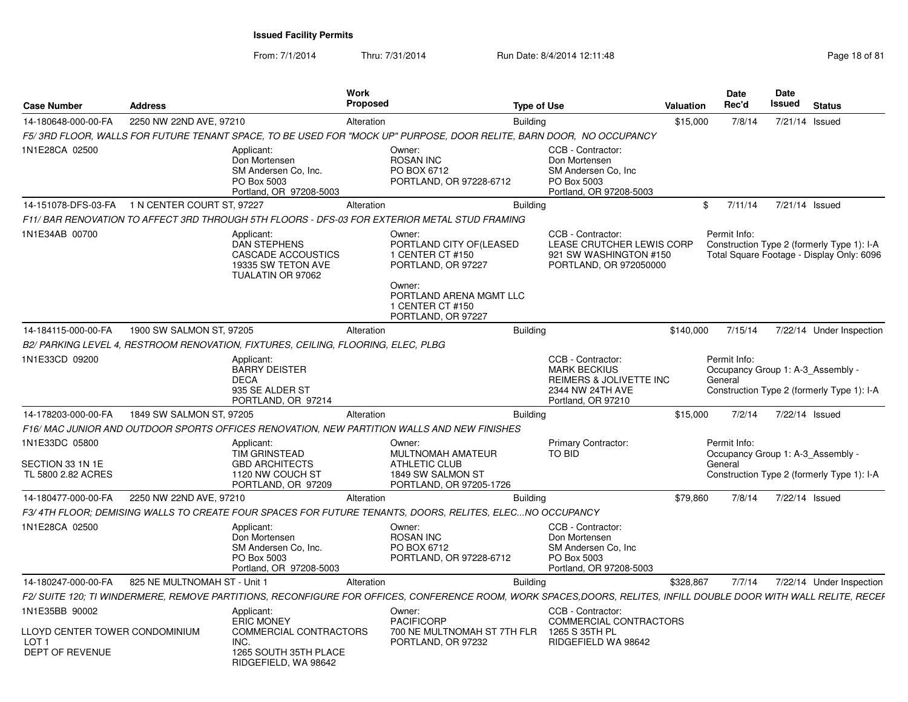| <b>Case Number</b>                                                    | <b>Address</b>                                 |                                                                                                       | Work<br><b>Proposed</b> |                                                                                                                                                                   | <b>Type of Use</b> |                                                                                                               | <b>Valuation</b> |         | Date<br>Rec'd | <b>Date</b><br><b>Issued</b> | <b>Status</b>                                                                           |
|-----------------------------------------------------------------------|------------------------------------------------|-------------------------------------------------------------------------------------------------------|-------------------------|-------------------------------------------------------------------------------------------------------------------------------------------------------------------|--------------------|---------------------------------------------------------------------------------------------------------------|------------------|---------|---------------|------------------------------|-----------------------------------------------------------------------------------------|
| 14-180648-000-00-FA                                                   | 2250 NW 22ND AVE, 97210                        |                                                                                                       | Alteration              |                                                                                                                                                                   | <b>Building</b>    |                                                                                                               | \$15,000         |         | 7/8/14        | 7/21/14 Issued               |                                                                                         |
|                                                                       |                                                |                                                                                                       |                         | F5/3RD FLOOR, WALLS FOR FUTURE TENANT SPACE, TO BE USED FOR "MOCK UP" PURPOSE, DOOR RELITE, BARN DOOR, NO OCCUPANCY                                               |                    |                                                                                                               |                  |         |               |                              |                                                                                         |
| 1N1E28CA 02500                                                        |                                                | Applicant:<br>Don Mortensen<br>SM Andersen Co, Inc.<br>PO Box 5003<br>Portland, OR 97208-5003         |                         | Owner:<br><b>ROSAN INC</b><br>PO BOX 6712<br>PORTLAND, OR 97228-6712                                                                                              |                    | CCB - Contractor:<br>Don Mortensen<br>SM Andersen Co, Inc.<br>PO Box 5003<br>Portland, OR 97208-5003          |                  |         |               |                              |                                                                                         |
|                                                                       | 14-151078-DFS-03-FA 1 N CENTER COURT ST, 97227 |                                                                                                       | Alteration              |                                                                                                                                                                   | <b>Building</b>    |                                                                                                               |                  | \$      | 7/11/14       | 7/21/14 Issued               |                                                                                         |
|                                                                       |                                                |                                                                                                       |                         | F11/BAR RENOVATION TO AFFECT 3RD THROUGH 5TH FLOORS - DFS-03 FOR EXTERIOR METAL STUD FRAMING                                                                      |                    |                                                                                                               |                  |         |               |                              |                                                                                         |
| 1N1E34AB 00700                                                        |                                                | Applicant:<br><b>DAN STEPHENS</b><br>CASCADE ACCOUSTICS<br>19335 SW TETON AVE<br>TUALATIN OR 97062    |                         | Owner:<br>PORTLAND CITY OF (LEASED<br>1 CENTER CT #150<br>PORTLAND, OR 97227<br>Owner:<br>PORTLAND ARENA MGMT LLC<br>1 CENTER CT #150<br>PORTLAND, OR 97227       |                    | CCB - Contractor:<br>LEASE CRUTCHER LEWIS CORP<br>921 SW WASHINGTON #150<br>PORTLAND, OR 972050000            |                  |         | Permit Info:  |                              | Construction Type 2 (formerly Type 1): I-A<br>Total Square Footage - Display Only: 6096 |
| 14-184115-000-00-FA                                                   | 1900 SW SALMON ST, 97205                       |                                                                                                       | Alteration              |                                                                                                                                                                   | <b>Building</b>    |                                                                                                               | \$140,000        |         | 7/15/14       |                              | 7/22/14 Under Inspection                                                                |
|                                                                       |                                                | B2/ PARKING LEVEL 4, RESTROOM RENOVATION, FIXTURES, CEILING, FLOORING, ELEC, PLBG                     |                         |                                                                                                                                                                   |                    |                                                                                                               |                  |         |               |                              |                                                                                         |
| 1N1E33CD 09200                                                        |                                                | Applicant:<br><b>BARRY DEISTER</b><br><b>DECA</b><br>935 SE ALDER ST<br>PORTLAND, OR 97214            |                         |                                                                                                                                                                   |                    | CCB - Contractor:<br><b>MARK BECKIUS</b><br>REIMERS & JOLIVETTE INC<br>2344 NW 24TH AVE<br>Portland, OR 97210 |                  | General | Permit Info:  |                              | Occupancy Group 1: A-3 Assembly -<br>Construction Type 2 (formerly Type 1): I-A         |
| 14-178203-000-00-FA                                                   | 1849 SW SALMON ST, 97205                       |                                                                                                       | Alteration              |                                                                                                                                                                   | <b>Building</b>    |                                                                                                               | \$15,000         |         | 7/2/14        | 7/22/14 Issued               |                                                                                         |
|                                                                       |                                                |                                                                                                       |                         | F16/ MAC JUNIOR AND OUTDOOR SPORTS OFFICES RENOVATION, NEW PARTITION WALLS AND NEW FINISHES                                                                       |                    |                                                                                                               |                  |         |               |                              |                                                                                         |
| 1N1E33DC 05800<br>SECTION 33 1N 1E<br>TL 5800 2.82 ACRES              |                                                | Applicant:<br><b>TIM GRINSTEAD</b><br><b>GBD ARCHITECTS</b><br>1120 NW COUCH ST<br>PORTLAND, OR 97209 |                         | Owner:<br>MULTNOMAH AMATEUR<br><b>ATHLETIC CLUB</b><br>1849 SW SALMON ST<br>PORTLAND, OR 97205-1726                                                               |                    | <b>Primary Contractor:</b><br>TO BID                                                                          |                  | General | Permit Info:  |                              | Occupancy Group 1: A-3 Assembly -<br>Construction Type 2 (formerly Type 1): I-A         |
| 14-180477-000-00-FA                                                   | 2250 NW 22ND AVE, 97210                        |                                                                                                       | Alteration              |                                                                                                                                                                   | <b>Building</b>    |                                                                                                               | \$79,860         |         | 7/8/14        | 7/22/14 Issued               |                                                                                         |
|                                                                       |                                                |                                                                                                       |                         | F3/4TH FLOOR; DEMISING WALLS TO CREATE FOUR SPACES FOR FUTURE TENANTS, DOORS, RELITES, ELECNO OCCUPANCY                                                           |                    |                                                                                                               |                  |         |               |                              |                                                                                         |
| 1N1E28CA 02500                                                        |                                                | Applicant:<br>Don Mortensen<br>SM Andersen Co, Inc.<br>PO Box 5003<br>Portland, OR 97208-5003         |                         | Owner:<br><b>ROSAN INC</b><br>PO BOX 6712<br>PORTLAND, OR 97228-6712                                                                                              |                    | CCB - Contractor:<br>Don Mortensen<br>SM Andersen Co, Inc<br>PO Box 5003<br>Portland, OR 97208-5003           |                  |         |               |                              |                                                                                         |
| 14-180247-000-00-FA                                                   | 825 NE MULTNOMAH ST - Unit 1                   |                                                                                                       | Alteration              |                                                                                                                                                                   | <b>Building</b>    |                                                                                                               | \$328,867        |         | 7/7/14        |                              | 7/22/14 Under Inspection                                                                |
|                                                                       |                                                |                                                                                                       |                         | F2/ SUITE 120; TI WINDERMERE, REMOVE PARTITIONS, RECONFIGURE FOR OFFICES, CONFERENCE ROOM, WORK SPACES,DOORS, RELITES, INFILL DOUBLE DOOR WITH WALL RELITE, RECEF |                    |                                                                                                               |                  |         |               |                              |                                                                                         |
| 1N1E35BB 90002                                                        |                                                | Applicant:<br><b>ERIC MONEY</b>                                                                       |                         | Owner:<br><b>PACIFICORP</b>                                                                                                                                       |                    | CCB - Contractor:<br>COMMERCIAL CONTRACTORS                                                                   |                  |         |               |                              |                                                                                         |
| LLOYD CENTER TOWER CONDOMINIUM<br>LOT <sub>1</sub><br>DEPT OF REVENUE |                                                | COMMERCIAL CONTRACTORS<br>INC.<br>1265 SOUTH 35TH PLACE<br>RIDGEFIELD, WA 98642                       |                         | 700 NE MULTNOMAH ST 7TH FLR<br>PORTLAND, OR 97232                                                                                                                 |                    | 1265 S 35TH PL<br>RIDGEFIELD WA 98642                                                                         |                  |         |               |                              |                                                                                         |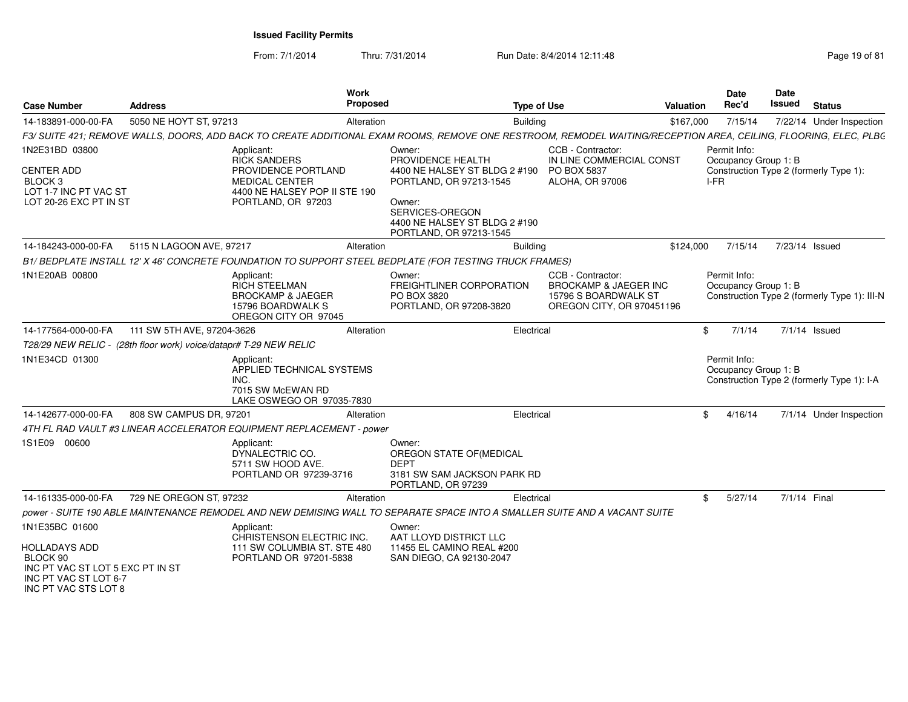| <b>Case Number</b>                                                                                                                      | <b>Address</b>             | <b>Work</b><br>Proposed                                                                                                                                          |                                                                                                                                                                                  | <b>Type of Use</b>                                                                                         | <b>Valuation</b> | <b>Date</b><br>Rec'd                         | <b>Date</b><br>Issued | <b>Status</b>                                |
|-----------------------------------------------------------------------------------------------------------------------------------------|----------------------------|------------------------------------------------------------------------------------------------------------------------------------------------------------------|----------------------------------------------------------------------------------------------------------------------------------------------------------------------------------|------------------------------------------------------------------------------------------------------------|------------------|----------------------------------------------|-----------------------|----------------------------------------------|
| 14-183891-000-00-FA                                                                                                                     | 5050 NE HOYT ST, 97213     | Alteration                                                                                                                                                       |                                                                                                                                                                                  | <b>Building</b>                                                                                            | \$167,000        | 7/15/14                                      |                       | 7/22/14 Under Inspection                     |
|                                                                                                                                         |                            | F3/ SUITE 421; REMOVE WALLS, DOORS, ADD BACK TO CREATE ADDITIONAL EXAM ROOMS, REMOVE ONE RESTROOM, REMODEL WAITING/RECEPTION AREA, CEILING, FLOORING, ELEC, PLBC |                                                                                                                                                                                  |                                                                                                            |                  |                                              |                       |                                              |
| 1N2E31BD 03800<br><b>CENTER ADD</b><br>BLOCK <sub>3</sub><br>LOT 1-7 INC PT VAC ST<br>LOT 20-26 EXC PT IN ST                            |                            | Applicant:<br><b>RICK SANDERS</b><br>PROVIDENCE PORTLAND<br><b>MEDICAL CENTER</b><br>4400 NE HALSEY POP II STE 190<br>PORTLAND, OR 97203                         | Owner:<br>PROVIDENCE HEALTH<br>4400 NE HALSEY ST BLDG 2 #190<br>PORTLAND, OR 97213-1545<br>Owner:<br>SERVICES-OREGON<br>4400 NE HALSEY ST BLDG 2 #190<br>PORTLAND, OR 97213-1545 | CCB - Contractor:<br>IN LINE COMMERCIAL CONST<br>PO BOX 5837<br>ALOHA, OR 97006                            |                  | Permit Info:<br>Occupancy Group 1: B<br>I-FR |                       | Construction Type 2 (formerly Type 1):       |
| 14-184243-000-00-FA                                                                                                                     | 5115 N LAGOON AVE, 97217   | Alteration                                                                                                                                                       |                                                                                                                                                                                  | <b>Building</b>                                                                                            | \$124,000        | 7/15/14                                      |                       | 7/23/14 Issued                               |
|                                                                                                                                         |                            | B1/BEDPLATE INSTALL 12' X 46' CONCRETE FOUNDATION TO SUPPORT STEEL BEDPLATE (FOR TESTING TRUCK FRAMES)                                                           |                                                                                                                                                                                  |                                                                                                            |                  |                                              |                       |                                              |
| 1N1E20AB 00800                                                                                                                          |                            | Applicant:<br>RICH STEELMAN<br><b>BROCKAMP &amp; JAEGER</b><br>15796 BOARDWALK S<br>OREGON CITY OR 97045                                                         | Owner:<br>FREIGHTLINER CORPORATION<br>PO BOX 3820<br>PORTLAND, OR 97208-3820                                                                                                     | CCB - Contractor:<br><b>BROCKAMP &amp; JAEGER INC</b><br>15796 S BOARDWALK ST<br>OREGON CITY, OR 970451196 |                  | Permit Info:<br>Occupancy Group 1: B         |                       | Construction Type 2 (formerly Type 1): III-N |
| 14-177564-000-00-FA                                                                                                                     | 111 SW 5TH AVE, 97204-3626 | Alteration                                                                                                                                                       |                                                                                                                                                                                  | Electrical                                                                                                 | \$               | 7/1/14                                       |                       | 7/1/14 Issued                                |
| T28/29 NEW RELIC - (28th floor work) voice/datapr# T-29 NEW RELIC                                                                       |                            |                                                                                                                                                                  |                                                                                                                                                                                  |                                                                                                            |                  |                                              |                       |                                              |
| 1N1E34CD 01300                                                                                                                          |                            | Applicant:<br>APPLIED TECHNICAL SYSTEMS<br>INC.<br>7015 SW McEWAN RD<br>LAKE OSWEGO OR 97035-7830                                                                |                                                                                                                                                                                  |                                                                                                            |                  | Permit Info:<br>Occupancy Group 1: B         |                       | Construction Type 2 (formerly Type 1): I-A   |
| 14-142677-000-00-FA                                                                                                                     | 808 SW CAMPUS DR, 97201    | Alteration                                                                                                                                                       |                                                                                                                                                                                  | Electrical                                                                                                 | \$               | 4/16/14                                      |                       | 7/1/14 Under Inspection                      |
|                                                                                                                                         |                            | 4TH FL RAD VAULT #3 LINEAR ACCELERATOR EQUIPMENT REPLACEMENT - power                                                                                             |                                                                                                                                                                                  |                                                                                                            |                  |                                              |                       |                                              |
| 1S1E09 00600                                                                                                                            |                            | Applicant:<br>DYNALECTRIC CO.<br>5711 SW HOOD AVE.<br>PORTLAND OR 97239-3716                                                                                     | Owner:<br>OREGON STATE OF (MEDICAL<br><b>DEPT</b><br>3181 SW SAM JACKSON PARK RD<br>PORTLAND, OR 97239                                                                           |                                                                                                            |                  |                                              |                       |                                              |
| 14-161335-000-00-FA                                                                                                                     | 729 NE OREGON ST, 97232    | Alteration                                                                                                                                                       |                                                                                                                                                                                  | Electrical                                                                                                 | \$               | 5/27/14                                      | 7/1/14 Final          |                                              |
|                                                                                                                                         |                            | power - SUITE 190 ABLE MAINTENANCE REMODEL AND NEW DEMISING WALL TO SEPARATE SPACE INTO A SMALLER SUITE AND A VACANT SUITE                                       |                                                                                                                                                                                  |                                                                                                            |                  |                                              |                       |                                              |
| 1N1E35BC 01600<br><b>HOLLADAYS ADD</b><br>BLOCK 90<br>INC PT VAC ST LOT 5 EXC PT IN ST<br>INC PT VAC ST LOT 6-7<br>INC PT VAC STS LOT 8 |                            | Applicant:<br>CHRISTENSON ELECTRIC INC.<br>111 SW COLUMBIA ST. STE 480<br>PORTLAND OR 97201-5838                                                                 | Owner:<br>AAT LLOYD DISTRICT LLC<br>11455 EL CAMINO REAL #200<br>SAN DIEGO, CA 92130-2047                                                                                        |                                                                                                            |                  |                                              |                       |                                              |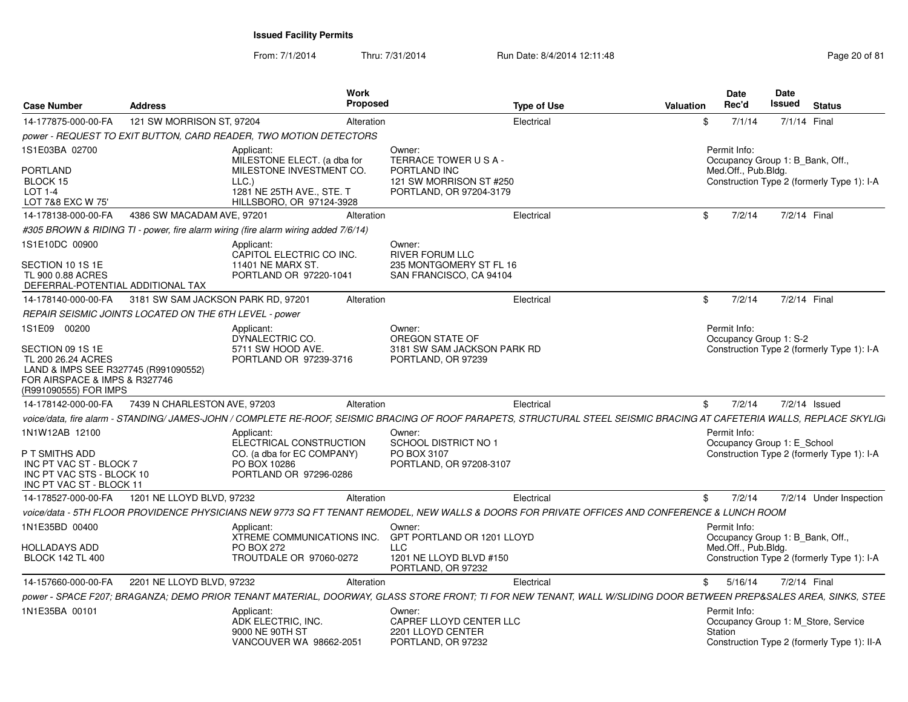From: 7/1/2014Thru: 7/31/2014 Run Date: 8/4/2014 12:11:48 Research 20 of 81

| <b>Case Number</b>                                                                                                                       | <b>Address</b>                                                                                                                                                           | Work<br><b>Proposed</b>                                                         | <b>Type of Use</b>          | Valuation | Date<br>Rec'd                                                           | Date<br>Issued | <b>Status</b>                               |
|------------------------------------------------------------------------------------------------------------------------------------------|--------------------------------------------------------------------------------------------------------------------------------------------------------------------------|---------------------------------------------------------------------------------|-----------------------------|-----------|-------------------------------------------------------------------------|----------------|---------------------------------------------|
| 14-177875-000-00-FA                                                                                                                      | 121 SW MORRISON ST, 97204                                                                                                                                                | Alteration                                                                      | Electrical                  | \$        | 7/1/14                                                                  |                | 7/1/14 Final                                |
|                                                                                                                                          | power - REQUEST TO EXIT BUTTON. CARD READER. TWO MOTION DETECTORS                                                                                                        |                                                                                 |                             |           |                                                                         |                |                                             |
| 1S1E03BA 02700                                                                                                                           | Applicant:<br>MILESTONE ELECT. (a dba for                                                                                                                                | Owner:<br>TERRACE TOWER USA-                                                    |                             |           | Permit Info:<br>Occupancy Group 1: B Bank, Off.,                        |                |                                             |
| <b>PORTLAND</b><br>BLOCK 15<br>LOT 1-4<br>LOT 7&8 EXC W 75'                                                                              | MILESTONE INVESTMENT CO.<br>LLC.<br>1281 NE 25TH AVE., STE. T<br>HILLSBORO, OR 97124-3928                                                                                | PORTLAND INC<br>121 SW MORRISON ST #250<br>PORTLAND, OR 97204-3179              |                             |           | Med.Off., Pub.Bldg.                                                     |                | Construction Type 2 (formerly Type 1): I-A  |
| 14-178138-000-00-FA                                                                                                                      | 4386 SW MACADAM AVE, 97201                                                                                                                                               | Alteration                                                                      | Electrical                  | \$        | 7/2/14                                                                  |                | 7/2/14 Final                                |
|                                                                                                                                          | #305 BROWN & RIDING TI - power, fire alarm wiring (fire alarm wiring added 7/6/14)                                                                                       |                                                                                 |                             |           |                                                                         |                |                                             |
| 1S1E10DC 00900                                                                                                                           | Applicant:<br>CAPITOL ELECTRIC CO INC.                                                                                                                                   | Owner:<br><b>RIVER FORUM LLC</b>                                                |                             |           |                                                                         |                |                                             |
| SECTION 10 1S 1E<br>TL 900 0.88 ACRES<br>DEFERRAL-POTENTIAL ADDITIONAL TAX                                                               | 11401 NE MARX ST.<br>PORTLAND OR 97220-1041                                                                                                                              | 235 MONTGOMERY ST FL 16<br>SAN FRANCISCO, CA 94104                              |                             |           |                                                                         |                |                                             |
| 14-178140-000-00-FA                                                                                                                      | 3181 SW SAM JACKSON PARK RD, 97201                                                                                                                                       | Alteration                                                                      | Electrical                  | \$        | 7/2/14                                                                  |                | 7/2/14 Final                                |
|                                                                                                                                          | REPAIR SEISMIC JOINTS LOCATED ON THE 6TH LEVEL - power                                                                                                                   |                                                                                 |                             |           |                                                                         |                |                                             |
| 1S1E09 00200                                                                                                                             | Applicant:<br>DYNALECTRIC CO.                                                                                                                                            | Owner:<br>OREGON STATE OF                                                       |                             |           | Permit Info:<br>Occupancy Group 1: S-2                                  |                |                                             |
| SECTION 09 1S 1E<br>TL 200 26.24 ACRES<br>LAND & IMPS SEE R327745 (R991090552)<br>FOR AIRSPACE & IMPS & R327746<br>(R991090555) FOR IMPS | 5711 SW HOOD AVE.<br>PORTLAND OR 97239-3716                                                                                                                              | PORTLAND, OR 97239                                                              | 3181 SW SAM JACKSON PARK RD |           |                                                                         |                | Construction Type 2 (formerly Type 1): I-A  |
| 14-178142-000-00-FA                                                                                                                      | 7439 N CHARLESTON AVE, 97203                                                                                                                                             | Alteration                                                                      | Electrical                  | \$        | 7/2/14                                                                  |                | $7/2/14$ Issued                             |
|                                                                                                                                          | voice/data. fire alarm - STANDING/ JAMES-JOHN / COMPLETE RE-ROOF. SEISMIC BRACING OF ROOF PARAPETS. STRUCTURAL STEEL SEISMIC BRACING AT CAFETERIA WALLS. REPLACE SKYLIGI |                                                                                 |                             |           |                                                                         |                |                                             |
| 1N1W12AB 12100<br>P T SMITHS ADD<br>INC PT VAC ST - BLOCK 7<br>INC PT VAC STS - BLOCK 10                                                 | Applicant:<br>ELECTRICAL CONSTRUCTION<br>CO. (a dba for EC COMPANY)<br>PO BOX 10286<br>PORTLAND OR 97296-0286                                                            | Owner:<br><b>SCHOOL DISTRICT NO 1</b><br>PO BOX 3107<br>PORTLAND, OR 97208-3107 |                             |           | Permit Info:<br>Occupancy Group 1: E School                             |                | Construction Type 2 (formerly Type 1): I-A  |
| INC PT VAC ST - BLOCK 11                                                                                                                 |                                                                                                                                                                          |                                                                                 |                             |           |                                                                         |                |                                             |
| 14-178527-000-00-FA                                                                                                                      | 1201 NE LLOYD BLVD, 97232                                                                                                                                                | Alteration                                                                      | Electrical                  | \$        | 7/2/14                                                                  |                | 7/2/14 Under Inspection                     |
|                                                                                                                                          | voice/data - 5TH FLOOR PROVIDENCE PHYSICIANS NEW 9773 SQ FT TENANT REMODEL. NEW WALLS & DOORS FOR PRIVATE OFFICES AND CONFERENCE & LUNCH ROOM                            |                                                                                 |                             |           |                                                                         |                |                                             |
| 1N1E35BD 00400                                                                                                                           | Applicant:<br>XTREME COMMUNICATIONS INC.                                                                                                                                 | Owner:                                                                          | GPT PORTLAND OR 1201 LLOYD  |           | Permit Info:<br>Occupancy Group 1: B Bank, Off.,<br>Med.Off., Pub.Bldg. |                |                                             |
| HOLLADAYS ADD<br><b>BLOCK 142 TL 400</b>                                                                                                 | <b>PO BOX 272</b><br>TROUTDALE OR 97060-0272                                                                                                                             | LLC<br>1201 NE LLOYD BLVD #150<br>PORTLAND, OR 97232                            |                             |           |                                                                         |                | Construction Type 2 (formerly Type 1): I-A  |
| 14-157660-000-00-FA                                                                                                                      | 2201 NE LLOYD BLVD, 97232                                                                                                                                                | Alteration                                                                      | Electrical                  | \$        | 5/16/14                                                                 |                | 7/2/14 Final                                |
|                                                                                                                                          | power - SPACE F207; BRAGANZA; DEMO PRIOR TENANT MATERIAL, DOORWAY, GLASS STORE FRONT; TI FOR NEW TENANT, WALL W/SLIDING DOOR BETWEEN PREP&SALES AREA, SINKS, STEE        |                                                                                 |                             |           |                                                                         |                |                                             |
| 1N1E35BA 00101                                                                                                                           | Applicant:<br>ADK ELECTRIC, INC.<br>9000 NE 90TH ST                                                                                                                      | Owner:<br>CAPREF LLOYD CENTER LLC<br>2201 LLOYD CENTER                          |                             |           | Permit Info:<br>Station                                                 |                | Occupancy Group 1: M Store, Service         |
|                                                                                                                                          | VANCOUVER WA 98662-2051                                                                                                                                                  | PORTLAND, OR 97232                                                              |                             |           |                                                                         |                | Construction Type 2 (formerly Type 1): II-A |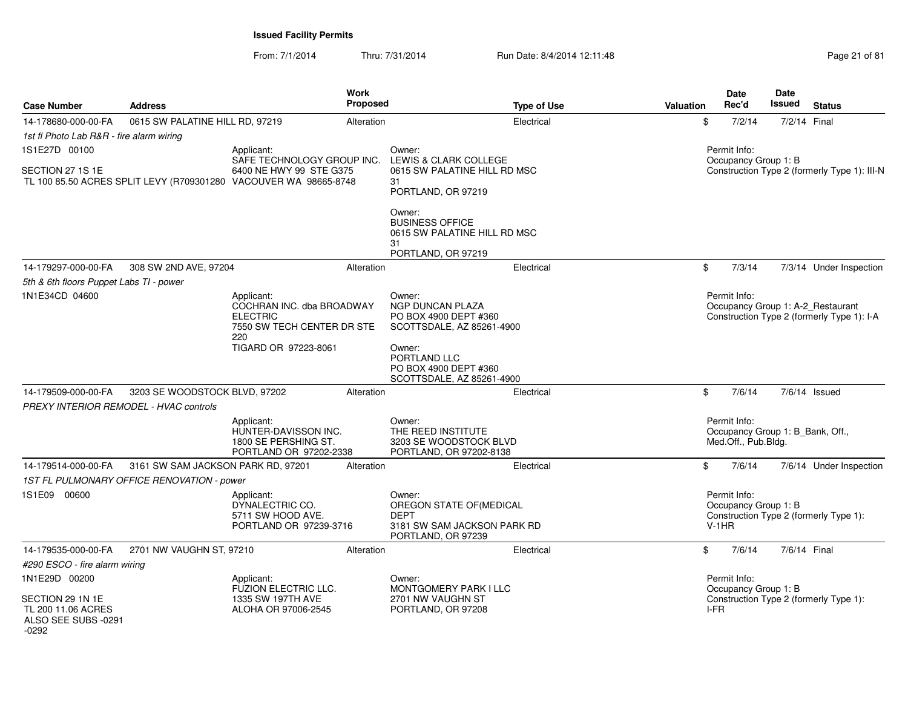| <b>Case Number</b>                                                       | <b>Address</b>                                |                                                                                                 | <b>Work</b><br>Proposed |                                                                                                        | <b>Type of Use</b> | Valuation |              | <b>Date</b><br>Rec'd                 | Date<br><b>Issued</b> | <b>Status</b>                                                                   |
|--------------------------------------------------------------------------|-----------------------------------------------|-------------------------------------------------------------------------------------------------|-------------------------|--------------------------------------------------------------------------------------------------------|--------------------|-----------|--------------|--------------------------------------|-----------------------|---------------------------------------------------------------------------------|
|                                                                          |                                               |                                                                                                 |                         |                                                                                                        |                    |           |              |                                      |                       | 7/2/14 Final                                                                    |
| 14-178680-000-00-FA                                                      | 0615 SW PALATINE HILL RD, 97219               |                                                                                                 | Alteration              |                                                                                                        | Electrical         |           | \$           | 7/2/14                               |                       |                                                                                 |
| 1st fl Photo Lab R&R - fire alarm wiring<br>1S1E27D 00100                |                                               |                                                                                                 |                         |                                                                                                        |                    |           |              | Permit Info:                         |                       |                                                                                 |
|                                                                          |                                               | Applicant:<br>SAFE TECHNOLOGY GROUP INC.                                                        |                         | Owner:<br>LEWIS & CLARK COLLEGE                                                                        |                    |           |              | Occupancy Group 1: B                 |                       |                                                                                 |
| SECTION 27 1S 1E                                                         |                                               | 6400 NE HWY 99 STE G375                                                                         |                         | 0615 SW PALATINE HILL RD MSC                                                                           |                    |           |              |                                      |                       | Construction Type 2 (formerly Type 1): III-N                                    |
|                                                                          |                                               | TL 100 85.50 ACRES SPLIT LEVY (R709301280 VACOUVER WA 98665-8748                                |                         | 31<br>PORTLAND, OR 97219                                                                               |                    |           |              |                                      |                       |                                                                                 |
|                                                                          |                                               |                                                                                                 |                         | Owner:<br><b>BUSINESS OFFICE</b><br>0615 SW PALATINE HILL RD MSC<br>31                                 |                    |           |              |                                      |                       |                                                                                 |
|                                                                          |                                               |                                                                                                 |                         | PORTLAND, OR 97219                                                                                     |                    |           |              |                                      |                       |                                                                                 |
| 14-179297-000-00-FA                                                      | 308 SW 2ND AVE, 97204                         |                                                                                                 | Alteration              |                                                                                                        | Electrical         |           | \$           | 7/3/14                               |                       | 7/3/14 Under Inspection                                                         |
| 5th & 6th floors Puppet Labs TI - power                                  |                                               |                                                                                                 |                         |                                                                                                        |                    |           |              |                                      |                       |                                                                                 |
| 1N1E34CD 04600                                                           |                                               | Applicant:<br>COCHRAN INC. dba BROADWAY<br><b>ELECTRIC</b><br>7550 SW TECH CENTER DR STE<br>220 |                         | Owner:<br><b>NGP DUNCAN PLAZA</b><br>PO BOX 4900 DEPT #360<br>SCOTTSDALE, AZ 85261-4900                |                    |           |              | Permit Info:                         |                       | Occupancy Group 1: A-2_Restaurant<br>Construction Type 2 (formerly Type 1): I-A |
|                                                                          |                                               | TIGARD OR 97223-8061                                                                            |                         | Owner:<br>PORTLAND LLC<br>PO BOX 4900 DEPT #360<br>SCOTTSDALE, AZ 85261-4900                           |                    |           |              |                                      |                       |                                                                                 |
| 14-179509-000-00-FA                                                      | 3203 SE WOODSTOCK BLVD, 97202                 |                                                                                                 | Alteration              |                                                                                                        | Electrical         |           | $\mathbb{S}$ | 7/6/14                               |                       | $7/6/14$ Issued                                                                 |
|                                                                          | <b>PREXY INTERIOR REMODEL - HVAC controls</b> |                                                                                                 |                         |                                                                                                        |                    |           |              |                                      |                       |                                                                                 |
|                                                                          |                                               | Applicant:<br>HUNTER-DAVISSON INC.<br>1800 SE PERSHING ST.<br>PORTLAND OR 97202-2338            |                         | Owner:<br>THE REED INSTITUTE<br>3203 SE WOODSTOCK BLVD<br>PORTLAND, OR 97202-8138                      |                    |           |              | Permit Info:<br>Med.Off., Pub.Bldg.  |                       | Occupancy Group 1: B_Bank, Off.,                                                |
| 14-179514-000-00-FA                                                      | 3161 SW SAM JACKSON PARK RD, 97201            |                                                                                                 | Alteration              |                                                                                                        | Electrical         |           | \$           | 7/6/14                               |                       | 7/6/14 Under Inspection                                                         |
|                                                                          | 1ST FL PULMONARY OFFICE RENOVATION - power    |                                                                                                 |                         |                                                                                                        |                    |           |              |                                      |                       |                                                                                 |
| 1S1E09 00600                                                             |                                               | Applicant:<br>DYNALECTRIC CO.<br>5711 SW HOOD AVE.<br>PORTLAND OR 97239-3716                    |                         | Owner:<br>OREGON STATE OF (MEDICAL<br><b>DEPT</b><br>3181 SW SAM JACKSON PARK RD<br>PORTLAND, OR 97239 |                    |           | $V-1HR$      | Permit Info:<br>Occupancy Group 1: B |                       | Construction Type 2 (formerly Type 1):                                          |
| 14-179535-000-00-FA                                                      | 2701 NW VAUGHN ST, 97210                      |                                                                                                 | Alteration              |                                                                                                        | Electrical         |           | \$           | 7/6/14                               |                       | 7/6/14 Final                                                                    |
| #290 ESCO - fire alarm wiring                                            |                                               |                                                                                                 |                         |                                                                                                        |                    |           |              |                                      |                       |                                                                                 |
| 1N1E29D 00200                                                            |                                               | Applicant:<br><b>FUZION ELECTRIC LLC.</b>                                                       |                         | Owner:<br>MONTGOMERY PARK I LLC                                                                        |                    |           |              | Permit Info:<br>Occupancy Group 1: B |                       |                                                                                 |
| SECTION 29 1N 1E<br>TL 200 11.06 ACRES<br>ALSO SEE SUBS -0291<br>$-0292$ |                                               | 1335 SW 197TH AVE<br>ALOHA OR 97006-2545                                                        |                         | 2701 NW VAUGHN ST<br>PORTLAND, OR 97208                                                                |                    |           | I-FR         |                                      |                       | Construction Type 2 (formerly Type 1):                                          |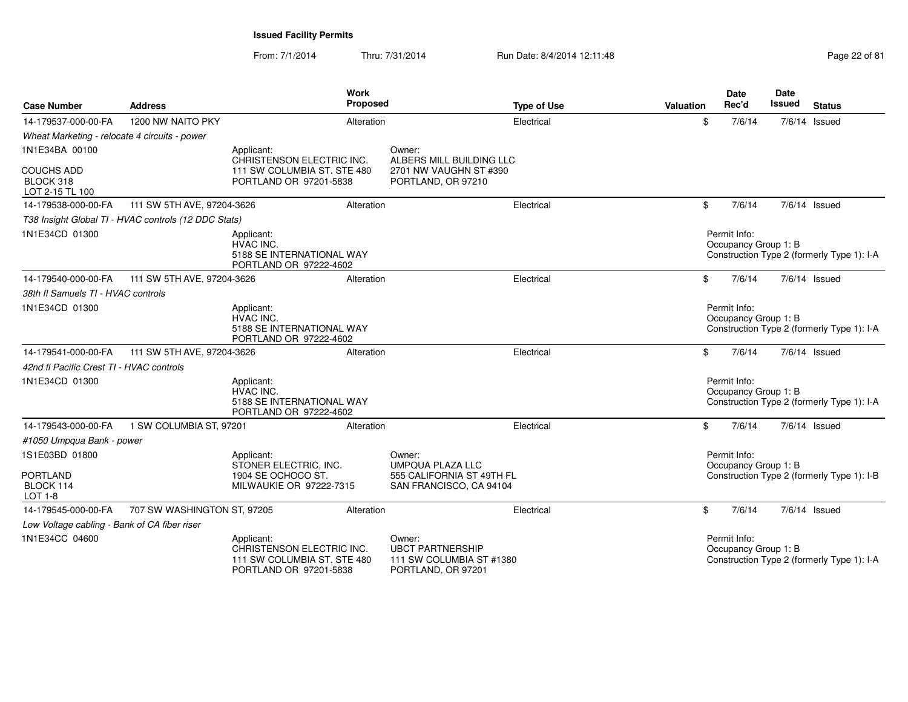From: 7/1/2014Thru: 7/31/2014 Run Date: 8/4/2014 12:11:48 Research 2010 12:00 Page 22 of 81

| <b>Case Number</b>                                | <b>Address</b>                                       |                                                                                                  | Work<br>Proposed |                                                                                     | <b>Type of Use</b> | <b>Valuation</b> | <b>Date</b><br>Rec'd                 | <b>Date</b><br>Issued | <b>Status</b>                              |
|---------------------------------------------------|------------------------------------------------------|--------------------------------------------------------------------------------------------------|------------------|-------------------------------------------------------------------------------------|--------------------|------------------|--------------------------------------|-----------------------|--------------------------------------------|
| 14-179537-000-00-FA                               | 1200 NW NAITO PKY                                    |                                                                                                  | Alteration       |                                                                                     | Electrical         | \$               | 7/6/14                               |                       | $7/6/14$ Issued                            |
| Wheat Marketing - relocate 4 circuits - power     |                                                      |                                                                                                  |                  |                                                                                     |                    |                  |                                      |                       |                                            |
| 1N1E34BA 00100                                    |                                                      | Applicant:<br>CHRISTENSON ELECTRIC INC.                                                          |                  | Owner:<br>ALBERS MILL BUILDING LLC                                                  |                    |                  |                                      |                       |                                            |
| <b>COUCHS ADD</b><br>BLOCK 318<br>LOT 2-15 TL 100 |                                                      | 111 SW COLUMBIA ST. STE 480<br>PORTLAND OR 97201-5838                                            |                  | 2701 NW VAUGHN ST #390<br>PORTLAND, OR 97210                                        |                    |                  |                                      |                       |                                            |
| 14-179538-000-00-FA                               | 111 SW 5TH AVE, 97204-3626                           |                                                                                                  | Alteration       |                                                                                     | Electrical         | \$               | 7/6/14                               |                       | $7/6/14$ Issued                            |
|                                                   | T38 Insight Global TI - HVAC controls (12 DDC Stats) |                                                                                                  |                  |                                                                                     |                    |                  |                                      |                       |                                            |
| 1N1E34CD 01300                                    |                                                      | Applicant:<br>HVAC INC.<br>5188 SE INTERNATIONAL WAY<br>PORTLAND OR 97222-4602                   |                  |                                                                                     |                    |                  | Permit Info:<br>Occupancy Group 1: B |                       | Construction Type 2 (formerly Type 1): I-A |
| 14-179540-000-00-FA                               | 111 SW 5TH AVE, 97204-3626                           |                                                                                                  | Alteration       |                                                                                     | Electrical         | \$               | 7/6/14                               |                       | $7/6/14$ Issued                            |
| 38th fl Samuels TI - HVAC controls                |                                                      |                                                                                                  |                  |                                                                                     |                    |                  |                                      |                       |                                            |
| 1N1E34CD 01300                                    |                                                      | Applicant:<br>HVAC INC.<br>5188 SE INTERNATIONAL WAY<br>PORTLAND OR 97222-4602                   |                  |                                                                                     |                    |                  | Permit Info:<br>Occupancy Group 1: B |                       | Construction Type 2 (formerly Type 1): I-A |
| 14-179541-000-00-FA                               | 111 SW 5TH AVE, 97204-3626                           |                                                                                                  | Alteration       |                                                                                     | Electrical         | \$               | 7/6/14                               |                       | $7/6/14$ Issued                            |
| 42nd fl Pacific Crest TI - HVAC controls          |                                                      |                                                                                                  |                  |                                                                                     |                    |                  |                                      |                       |                                            |
| 1N1E34CD 01300                                    |                                                      | Applicant:<br>HVAC INC.<br>5188 SE INTERNATIONAL WAY<br>PORTLAND OR 97222-4602                   |                  |                                                                                     |                    |                  | Permit Info:<br>Occupancy Group 1: B |                       | Construction Type 2 (formerly Type 1): I-A |
| 14-179543-000-00-FA                               | 1 SW COLUMBIA ST, 97201                              |                                                                                                  | Alteration       |                                                                                     | Electrical         | \$               | 7/6/14                               |                       | $7/6/14$ Issued                            |
| #1050 Umpqua Bank - power                         |                                                      |                                                                                                  |                  |                                                                                     |                    |                  |                                      |                       |                                            |
| 1S1E03BD 01800                                    |                                                      | Applicant:<br>STONER ELECTRIC. INC.                                                              |                  | Owner:<br><b>UMPQUA PLAZA LLC</b>                                                   |                    |                  | Permit Info:<br>Occupancy Group 1: B |                       |                                            |
| <b>PORTLAND</b><br>BLOCK 114<br><b>LOT 1-8</b>    |                                                      | 1904 SE OCHOCO ST.<br>MILWAUKIE OR 97222-7315                                                    |                  | 555 CALIFORNIA ST 49TH FL<br>SAN FRANCISCO, CA 94104                                |                    |                  |                                      |                       | Construction Type 2 (formerly Type 1): I-B |
| 14-179545-000-00-FA                               | 707 SW WASHINGTON ST, 97205                          |                                                                                                  | Alteration       |                                                                                     | Electrical         | \$               | 7/6/14                               |                       | $7/6/14$ Issued                            |
| Low Voltage cabling - Bank of CA fiber riser      |                                                      |                                                                                                  |                  |                                                                                     |                    |                  |                                      |                       |                                            |
| 1N1E34CC 04600                                    |                                                      | Applicant:<br>CHRISTENSON ELECTRIC INC.<br>111 SW COLUMBIA ST. STE 480<br>PORTLAND OR 97201-5838 |                  | Owner:<br><b>UBCT PARTNERSHIP</b><br>111 SW COLUMBIA ST #1380<br>PORTLAND, OR 97201 |                    |                  | Permit Info:<br>Occupancy Group 1: B |                       | Construction Type 2 (formerly Type 1): I-A |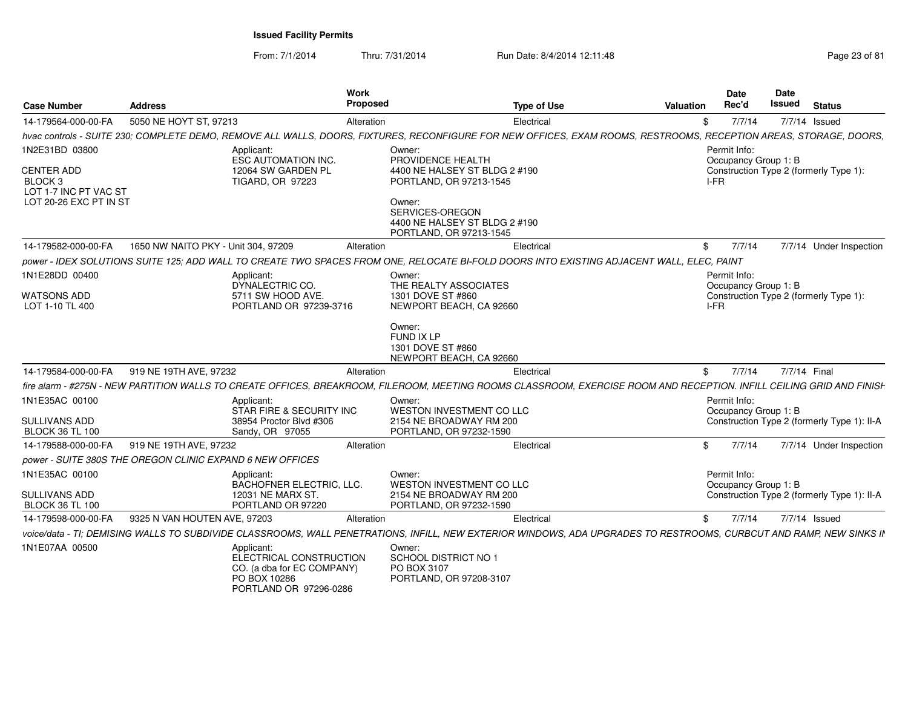| <b>Case Number</b>                                                          | <b>Address</b>                                                                                                                                                        | Work<br>Proposed                                                                |                                                                                         | <b>Type of Use</b> | <b>Valuation</b> | <b>Date</b><br>Rec'd | <b>Date</b><br>Issued | <b>Status</b>                               |
|-----------------------------------------------------------------------------|-----------------------------------------------------------------------------------------------------------------------------------------------------------------------|---------------------------------------------------------------------------------|-----------------------------------------------------------------------------------------|--------------------|------------------|----------------------|-----------------------|---------------------------------------------|
| 14-179564-000-00-FA                                                         | 5050 NE HOYT ST, 97213                                                                                                                                                | Alteration                                                                      |                                                                                         | Electrical         | \$               | 7/7/14               |                       | 7/7/14 Issued                               |
|                                                                             | hvac controls - SUITE 230; COMPLETE DEMO, REMOVE ALL WALLS, DOORS, FIXTURES, RECONFIGURE FOR NEW OFFICES, EXAM ROOMS, RESTROOMS, RECEPTION AREAS, STORAGE, DOORS,     |                                                                                 |                                                                                         |                    |                  |                      |                       |                                             |
| 1N2E31BD 03800<br>CENTER ADD<br>BLOCK <sub>3</sub><br>LOT 1-7 INC PT VAC ST | Applicant:                                                                                                                                                            | ESC AUTOMATION INC.<br>12064 SW GARDEN PL<br><b>TIGARD, OR 97223</b>            | Owner:<br>PROVIDENCE HEALTH<br>4400 NE HALSEY ST BLDG 2 #190<br>PORTLAND, OR 97213-1545 |                    |                  | Permit Info:<br>I-FR | Occupancy Group 1: B  | Construction Type 2 (formerly Type 1):      |
| LOT 20-26 EXC PT IN ST                                                      |                                                                                                                                                                       |                                                                                 | Owner:<br>SERVICES-OREGON<br>4400 NE HALSEY ST BLDG 2 #190<br>PORTLAND, OR 97213-1545   |                    |                  |                      |                       |                                             |
| 14-179582-000-00-FA                                                         | 1650 NW NAITO PKY - Unit 304, 97209                                                                                                                                   | Alteration                                                                      |                                                                                         | Electrical         | \$               | 7/7/14               |                       | 7/7/14 Under Inspection                     |
|                                                                             | power - IDEX SOLUTIONS SUITE 125; ADD WALL TO CREATE TWO SPACES FROM ONE, RELOCATE BI-FOLD DOORS INTO EXISTING ADJACENT WALL, ELEC, PAINT                             |                                                                                 |                                                                                         |                    |                  |                      |                       |                                             |
| 1N1E28DD 00400                                                              | Applicant:                                                                                                                                                            | DYNALECTRIC CO.                                                                 | Owner:<br>THE REALTY ASSOCIATES                                                         |                    |                  | Permit Info:         | Occupancy Group 1: B  |                                             |
| <b>WATSONS ADD</b><br>LOT 1-10 TL 400                                       |                                                                                                                                                                       | 5711 SW HOOD AVE.<br>PORTLAND OR 97239-3716                                     | 1301 DOVE ST #860<br>NEWPORT BEACH, CA 92660                                            |                    |                  | I-FR                 |                       | Construction Type 2 (formerly Type 1):      |
|                                                                             |                                                                                                                                                                       |                                                                                 | Owner:<br>FUND IX LP<br>1301 DOVE ST #860<br>NEWPORT BEACH, CA 92660                    |                    |                  |                      |                       |                                             |
| 14-179584-000-00-FA                                                         | 919 NE 19TH AVE, 97232                                                                                                                                                | Alteration                                                                      |                                                                                         | Electrical         | \$               | 7/7/14               |                       | 7/7/14 Final                                |
|                                                                             | fire alarm - #275N - NEW PARTITION WALLS TO CREATE OFFICES, BREAKROOM, FILEROOM, MEETING ROOMS CLASSROOM, EXERCISE ROOM AND RECEPTION. INFILL CEILING GRID AND FINISH |                                                                                 |                                                                                         |                    |                  |                      |                       |                                             |
| 1N1E35AC 00100                                                              | Applicant:                                                                                                                                                            | STAR FIRE & SECURITY INC                                                        | Owner:<br>WESTON INVESTMENT CO LLC                                                      |                    |                  | Permit Info:         | Occupancy Group 1: B  |                                             |
| SULLIVANS ADD<br><b>BLOCK 36 TL 100</b>                                     |                                                                                                                                                                       | 38954 Proctor Blvd #306<br>Sandy, OR 97055                                      | 2154 NE BROADWAY RM 200<br>PORTLAND, OR 97232-1590                                      |                    |                  |                      |                       | Construction Type 2 (formerly Type 1): II-A |
| 14-179588-000-00-FA                                                         | 919 NE 19TH AVE, 97232                                                                                                                                                | Alteration                                                                      |                                                                                         | Electrical         | \$               | 7/7/14               |                       | 7/7/14 Under Inspection                     |
|                                                                             | power - SUITE 380S THE OREGON CLINIC EXPAND 6 NEW OFFICES                                                                                                             |                                                                                 |                                                                                         |                    |                  |                      |                       |                                             |
| 1N1E35AC 00100                                                              | Applicant:                                                                                                                                                            | <b>BACHOFNER ELECTRIC, LLC.</b>                                                 | Owner:<br>WESTON INVESTMENT CO LLC                                                      |                    |                  | Permit Info:         | Occupancy Group 1: B  |                                             |
| SULLIVANS ADD<br><b>BLOCK 36 TL 100</b>                                     |                                                                                                                                                                       | 12031 NE MARX ST.<br>PORTLAND OR 97220                                          | 2154 NE BROADWAY RM 200<br>PORTLAND, OR 97232-1590                                      |                    |                  |                      |                       | Construction Type 2 (formerly Type 1): II-A |
| 14-179598-000-00-FA                                                         | 9325 N VAN HOUTEN AVE, 97203                                                                                                                                          | Alteration                                                                      |                                                                                         | Electrical         | \$               | 7/7/14               |                       | 7/7/14 Issued                               |
|                                                                             | voice/data - TI; DEMISING WALLS TO SUBDIVIDE CLASSROOMS, WALL PENETRATIONS, INFILL, NEW EXTERIOR WINDOWS, ADA UPGRADES TO RESTROOMS, CURBCUT AND RAMP, NEW SINKS II   |                                                                                 |                                                                                         |                    |                  |                      |                       |                                             |
| 1N1E07AA 00500                                                              | Applicant:<br>PO BOX 10286                                                                                                                                            | ELECTRICAL CONSTRUCTION<br>CO. (a dba for EC COMPANY)<br>PORTLAND OR 97296-0286 | Owner:<br>SCHOOL DISTRICT NO 1<br>PO BOX 3107<br>PORTLAND, OR 97208-3107                |                    |                  |                      |                       |                                             |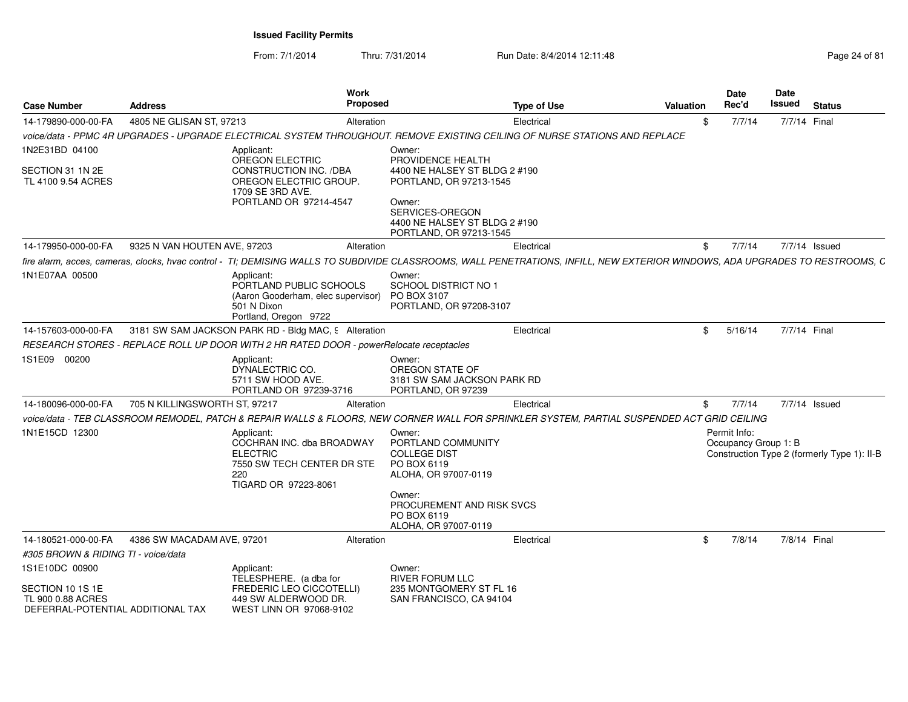From: 7/1/2014

Thru: 7/31/2014 Run Date: 8/4/2014 12:11:48 Research 2010 12:00 Rage 24 of 81

| <b>Case Number</b>                                                         | <b>Address</b>                | Work<br><b>Proposed</b>                                                                                                                                                      |                                                                                            | <b>Type of Use</b> | <b>Valuation</b> | <b>Date</b><br>Rec'd | <b>Date</b><br><b>Issued</b> | <b>Status</b>                               |
|----------------------------------------------------------------------------|-------------------------------|------------------------------------------------------------------------------------------------------------------------------------------------------------------------------|--------------------------------------------------------------------------------------------|--------------------|------------------|----------------------|------------------------------|---------------------------------------------|
| 14-179890-000-00-FA                                                        | 4805 NE GLISAN ST, 97213      | Alteration                                                                                                                                                                   |                                                                                            | Electrical         | \$               | 7/7/14               |                              | 7/7/14 Final                                |
|                                                                            |                               | voice/data - PPMC 4R UPGRADES - UPGRADE ELECTRICAL SYSTEM THROUGHOUT. REMOVE EXISTING CEILING OF NURSE STATIONS AND REPLACE                                                  |                                                                                            |                    |                  |                      |                              |                                             |
| 1N2E31BD 04100                                                             |                               | Applicant:<br>OREGON ELECTRIC                                                                                                                                                | Owner:<br>PROVIDENCE HEALTH                                                                |                    |                  |                      |                              |                                             |
| SECTION 31 1N 2E<br>TL 4100 9.54 ACRES                                     |                               | <b>CONSTRUCTION INC. /DBA</b><br>OREGON ELECTRIC GROUP.<br>1709 SE 3RD AVE.<br>PORTLAND OR 97214-4547                                                                        | 4400 NE HALSEY ST BLDG 2 #190<br>PORTLAND, OR 97213-1545<br>Owner:<br>SERVICES-OREGON      |                    |                  |                      |                              |                                             |
|                                                                            |                               |                                                                                                                                                                              | 4400 NE HALSEY ST BLDG 2 #190<br>PORTLAND, OR 97213-1545                                   |                    |                  |                      |                              |                                             |
| 14-179950-000-00-FA                                                        | 9325 N VAN HOUTEN AVE, 97203  | Alteration                                                                                                                                                                   |                                                                                            | Electrical         | \$               | 7/7/14               |                              | 7/7/14 Issued                               |
|                                                                            |                               | fire alarm, acces, cameras, clocks, hvac control - TI; DEMISING WALLS TO SUBDIVIDE CLASSROOMS, WALL PENETRATIONS, INFILL, NEW EXTERIOR WINDOWS, ADA UPGRADES TO RESTROOMS, C |                                                                                            |                    |                  |                      |                              |                                             |
| 1N1E07AA 00500                                                             |                               | Applicant:<br>PORTLAND PUBLIC SCHOOLS<br>(Aaron Gooderham, elec supervisor)<br>501 N Dixon<br>Portland, Oregon 9722                                                          | Owner:<br><b>SCHOOL DISTRICT NO 1</b><br>PO BOX 3107<br>PORTLAND, OR 97208-3107            |                    |                  |                      |                              |                                             |
| 14-157603-000-00-FA                                                        |                               | 3181 SW SAM JACKSON PARK RD - Bldg MAC, 9 Alteration                                                                                                                         |                                                                                            | Electrical         | \$               | 5/16/14              |                              | 7/7/14 Final                                |
|                                                                            |                               | RESEARCH STORES - REPLACE ROLL UP DOOR WITH 2 HR RATED DOOR - powerRelocate receptacles                                                                                      |                                                                                            |                    |                  |                      |                              |                                             |
| 1S1E09 00200                                                               |                               | Applicant:<br>DYNALECTRIC CO.<br>5711 SW HOOD AVE.<br>PORTLAND OR 97239-3716                                                                                                 | Owner:<br>OREGON STATE OF<br>3181 SW SAM JACKSON PARK RD<br>PORTLAND, OR 97239             |                    |                  |                      |                              |                                             |
| 14-180096-000-00-FA                                                        | 705 N KILLINGSWORTH ST, 97217 | Alteration                                                                                                                                                                   |                                                                                            | Electrical         |                  | 7/7/14<br>\$         |                              | 7/7/14 Issued                               |
|                                                                            |                               | voice/data - TEB CLASSROOM REMODEL, PATCH & REPAIR WALLS & FLOORS, NEW CORNER WALL FOR SPRINKLER SYSTEM, PARTIAL SUSPENDED ACT GRID CEILING                                  |                                                                                            |                    |                  |                      |                              |                                             |
| 1N1E15CD 12300                                                             |                               | Applicant:<br>COCHRAN INC. dba BROADWAY<br><b>ELECTRIC</b><br>7550 SW TECH CENTER DR STE<br>220<br>TIGARD OR 97223-8061                                                      | Owner:<br>PORTLAND COMMUNITY<br><b>COLLEGE DIST</b><br>PO BOX 6119<br>ALOHA, OR 97007-0119 |                    |                  | Permit Info:         | Occupancy Group 1: B         | Construction Type 2 (formerly Type 1): II-B |
|                                                                            |                               |                                                                                                                                                                              | Owner:<br>PROCUREMENT AND RISK SVCS<br>PO BOX 6119<br>ALOHA, OR 97007-0119                 |                    |                  |                      |                              |                                             |
| 14-180521-000-00-FA                                                        | 4386 SW MACADAM AVE, 97201    | Alteration                                                                                                                                                                   |                                                                                            | Electrical         | \$               | 7/8/14               |                              | 7/8/14 Final                                |
| #305 BROWN & RIDING TI - voice/data                                        |                               |                                                                                                                                                                              |                                                                                            |                    |                  |                      |                              |                                             |
| 1S1E10DC 00900                                                             |                               | Applicant:<br>TELESPHERE. (a dba for                                                                                                                                         | Owner:<br><b>RIVER FORUM LLC</b>                                                           |                    |                  |                      |                              |                                             |
| SECTION 10 1S 1E<br>TL 900 0.88 ACRES<br>DEFERRAL-POTENTIAL ADDITIONAL TAX |                               | FREDERIC LEO CICCOTELLI)<br>449 SW ALDERWOOD DR.<br>WEST LINN OR 97068-9102                                                                                                  | 235 MONTGOMERY ST FL 16<br>SAN FRANCISCO, CA 94104                                         |                    |                  |                      |                              |                                             |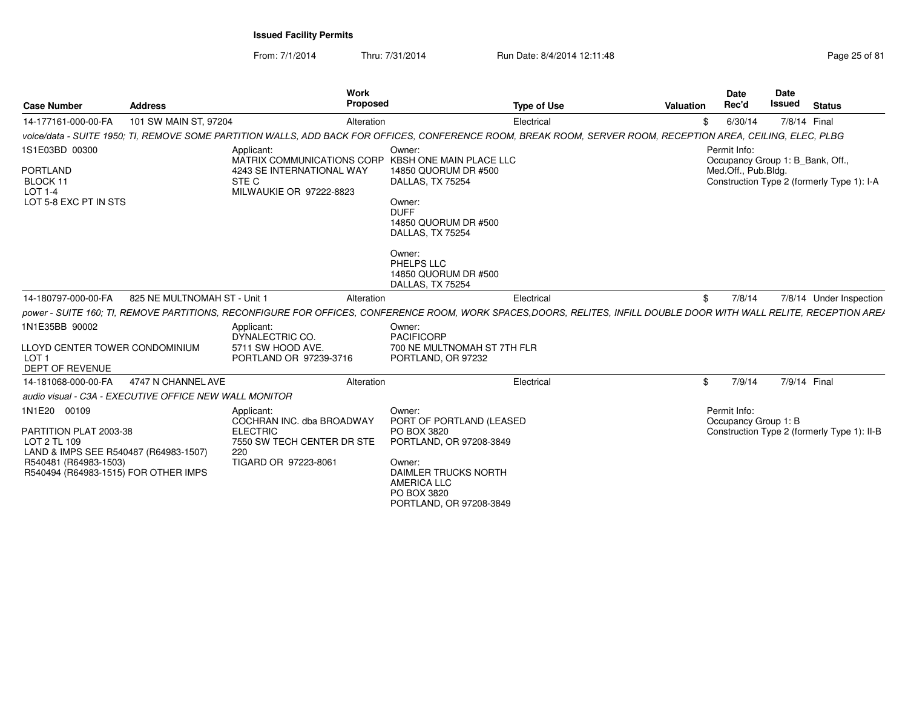| <b>Case Number</b>                                                                                                                                               | <b>Address</b>               | <b>Work</b><br>Proposed                                                                                                                                             |                                                                                                                                                                                                                        | <b>Type of Use</b> | <b>Valuation</b> | <b>Date</b><br>Rec'd                 | Date<br>Issued | <b>Status</b>                                                                  |
|------------------------------------------------------------------------------------------------------------------------------------------------------------------|------------------------------|---------------------------------------------------------------------------------------------------------------------------------------------------------------------|------------------------------------------------------------------------------------------------------------------------------------------------------------------------------------------------------------------------|--------------------|------------------|--------------------------------------|----------------|--------------------------------------------------------------------------------|
| 14-177161-000-00-FA                                                                                                                                              | 101 SW MAIN ST, 97204        | Alteration                                                                                                                                                          |                                                                                                                                                                                                                        | Electrical         |                  | \$<br>6/30/14                        | 7/8/14 Final   |                                                                                |
|                                                                                                                                                                  |                              | voice/data - SUITE 1950; TI, REMOVE SOME PARTITION WALLS, ADD BACK FOR OFFICES, CONFERENCE ROOM, BREAK ROOM, SERVER ROOM, RECEPTION AREA, CEILING, ELEC, PLBG       |                                                                                                                                                                                                                        |                    |                  |                                      |                |                                                                                |
| 1S1E03BD 00300<br><b>PORTLAND</b><br>BLOCK 11<br>LOT 1-4<br>LOT 5-8 EXC PT IN STS                                                                                |                              | Applicant:<br>MATRIX COMMUNICATIONS CORP<br>4243 SE INTERNATIONAL WAY<br>STE C<br>MILWAUKIE OR 97222-8823                                                           | Owner:<br>KBSH ONE MAIN PLACE LLC<br>14850 QUORUM DR #500<br>DALLAS, TX 75254<br>Owner:<br><b>DUFF</b><br>14850 QUORUM DR #500<br>DALLAS, TX 75254<br>Owner:<br>PHELPS LLC<br>14850 QUORUM DR #500<br>DALLAS, TX 75254 |                    |                  | Permit Info:<br>Med.Off., Pub.Bldg.  |                | Occupancy Group 1: B Bank, Off.,<br>Construction Type 2 (formerly Type 1): I-A |
| 14-180797-000-00-FA                                                                                                                                              | 825 NE MULTNOMAH ST - Unit 1 | Alteration                                                                                                                                                          |                                                                                                                                                                                                                        | Electrical         |                  | \$<br>7/8/14                         |                | 7/8/14 Under Inspection                                                        |
|                                                                                                                                                                  |                              | power - SUITE 160; TI, REMOVE PARTITIONS, RECONFIGURE FOR OFFICES, CONFERENCE ROOM, WORK SPACES,DOORS, RELITES, INFILL DOUBLE DOOR WITH WALL RELITE, RECEPTION AREA |                                                                                                                                                                                                                        |                    |                  |                                      |                |                                                                                |
| 1N1E35BB 90002<br>LLOYD CENTER TOWER CONDOMINIUM<br>LOT <sub>1</sub><br><b>DEPT OF REVENUE</b>                                                                   |                              | Applicant:<br>DYNALECTRIC CO.<br>5711 SW HOOD AVE.<br>PORTLAND OR 97239-3716                                                                                        | Owner:<br><b>PACIFICORP</b><br>700 NE MULTNOMAH ST 7TH FLR<br>PORTLAND, OR 97232                                                                                                                                       |                    |                  |                                      |                |                                                                                |
| 14-181068-000-00-FA                                                                                                                                              | 4747 N CHANNEL AVE           | Alteration                                                                                                                                                          |                                                                                                                                                                                                                        | Electrical         |                  | \$<br>7/9/14                         | 7/9/14 Final   |                                                                                |
| audio visual - C3A - EXECUTIVE OFFICE NEW WALL MONITOR                                                                                                           |                              |                                                                                                                                                                     |                                                                                                                                                                                                                        |                    |                  |                                      |                |                                                                                |
| 1N1E20 00109<br>PARTITION PLAT 2003-38<br>LOT 2 TL 109<br>LAND & IMPS SEE R540487 (R64983-1507)<br>R540481 (R64983-1503)<br>R540494 (R64983-1515) FOR OTHER IMPS |                              | Applicant:<br>COCHRAN INC. dba BROADWAY<br><b>ELECTRIC</b><br>7550 SW TECH CENTER DR STE<br>220<br>TIGARD OR 97223-8061                                             | Owner:<br>PORT OF PORTLAND (LEASED<br>PO BOX 3820<br>PORTLAND, OR 97208-3849<br>Owner:<br>DAIMLER TRUCKS NORTH<br><b>AMERICA LLC</b><br>PO BOX 3820<br>PORTLAND, OR 97208-3849                                         |                    |                  | Permit Info:<br>Occupancy Group 1: B |                | Construction Type 2 (formerly Type 1): II-B                                    |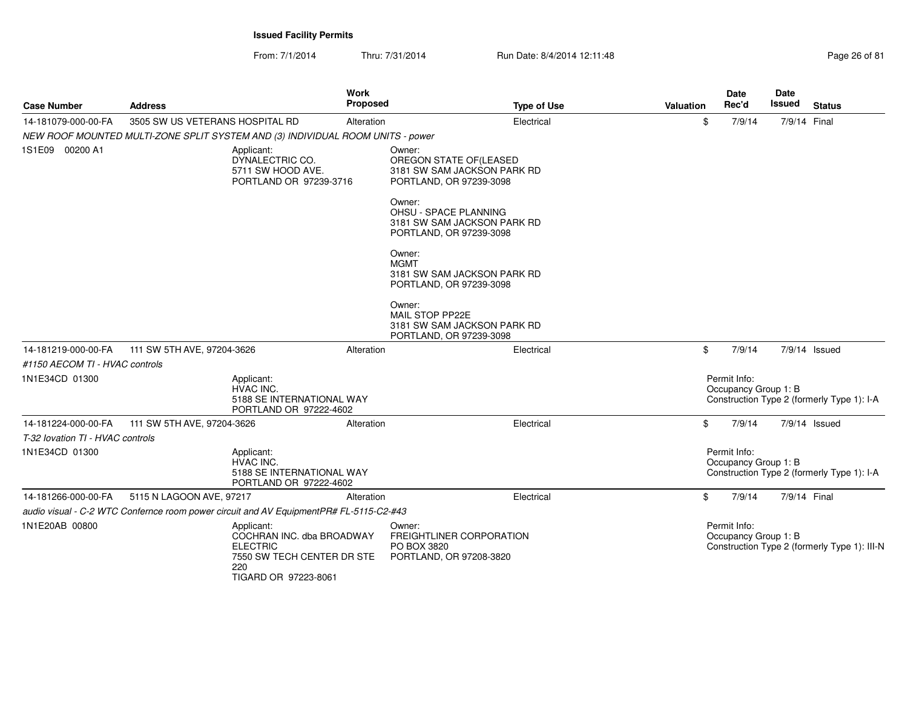| <b>Case Number</b>               | <b>Address</b>                  | Work<br><b>Proposed</b>                                                                                                 |                                                                                            | <b>Type of Use</b> | Valuation | <b>Date</b><br>Rec'd                 | Date<br>Issued | <b>Status</b>                                |
|----------------------------------|---------------------------------|-------------------------------------------------------------------------------------------------------------------------|--------------------------------------------------------------------------------------------|--------------------|-----------|--------------------------------------|----------------|----------------------------------------------|
| 14-181079-000-00-FA              | 3505 SW US VETERANS HOSPITAL RD | Alteration                                                                                                              |                                                                                            | Electrical         | \$        | 7/9/14                               | 7/9/14 Final   |                                              |
|                                  |                                 | NEW ROOF MOUNTED MULTI-ZONE SPLIT SYSTEM AND (3) INDIVIDUAL ROOM UNITS - power                                          |                                                                                            |                    |           |                                      |                |                                              |
| 1S1E09 00200 A1                  |                                 | Applicant:<br>DYNALECTRIC CO.<br>5711 SW HOOD AVE.<br>PORTLAND OR 97239-3716                                            | Owner:<br>OREGON STATE OF(LEASED<br>3181 SW SAM JACKSON PARK RD<br>PORTLAND, OR 97239-3098 |                    |           |                                      |                |                                              |
|                                  |                                 |                                                                                                                         | Owner:<br>OHSU - SPACE PLANNING<br>3181 SW SAM JACKSON PARK RD<br>PORTLAND, OR 97239-3098  |                    |           |                                      |                |                                              |
|                                  |                                 |                                                                                                                         | Owner:<br><b>MGMT</b><br>3181 SW SAM JACKSON PARK RD<br>PORTLAND, OR 97239-3098            |                    |           |                                      |                |                                              |
|                                  |                                 |                                                                                                                         | Owner:<br>MAIL STOP PP22E<br>3181 SW SAM JACKSON PARK RD<br>PORTLAND, OR 97239-3098        |                    |           |                                      |                |                                              |
| 14-181219-000-00-FA              | 111 SW 5TH AVE, 97204-3626      | Alteration                                                                                                              |                                                                                            | Electrical         | \$        | 7/9/14                               |                | 7/9/14 Issued                                |
| #1150 AECOM TI - HVAC controls   |                                 |                                                                                                                         |                                                                                            |                    |           |                                      |                |                                              |
| 1N1E34CD 01300                   |                                 | Applicant:<br>HVAC INC.<br>5188 SE INTERNATIONAL WAY<br>PORTLAND OR 97222-4602                                          |                                                                                            |                    |           | Permit Info:<br>Occupancy Group 1: B |                | Construction Type 2 (formerly Type 1): I-A   |
| 14-181224-000-00-FA              | 111 SW 5TH AVE, 97204-3626      | Alteration                                                                                                              |                                                                                            | Electrical         | \$        | 7/9/14                               |                | 7/9/14 Issued                                |
| T-32 lovation TI - HVAC controls |                                 |                                                                                                                         |                                                                                            |                    |           |                                      |                |                                              |
| 1N1E34CD 01300                   |                                 | Applicant:<br>HVAC INC.<br>5188 SE INTERNATIONAL WAY<br>PORTLAND OR 97222-4602                                          |                                                                                            |                    |           | Permit Info:<br>Occupancy Group 1: B |                | Construction Type 2 (formerly Type 1): I-A   |
| 14-181266-000-00-FA              | 5115 N LAGOON AVE, 97217        | Alteration                                                                                                              |                                                                                            | Electrical         | \$        | 7/9/14                               | 7/9/14 Final   |                                              |
|                                  |                                 | audio visual - C-2 WTC Confernce room power circuit and AV EquipmentPR# FL-5115-C2-#43                                  |                                                                                            |                    |           |                                      |                |                                              |
| 1N1E20AB 00800                   |                                 | Applicant:<br>COCHRAN INC. dba BROADWAY<br><b>ELECTRIC</b><br>7550 SW TECH CENTER DR STE<br>220<br>TIGARD OR 97223-8061 | Owner:<br>FREIGHTLINER CORPORATION<br>PO BOX 3820<br>PORTLAND, OR 97208-3820               |                    |           | Permit Info:<br>Occupancy Group 1: B |                | Construction Type 2 (formerly Type 1): III-N |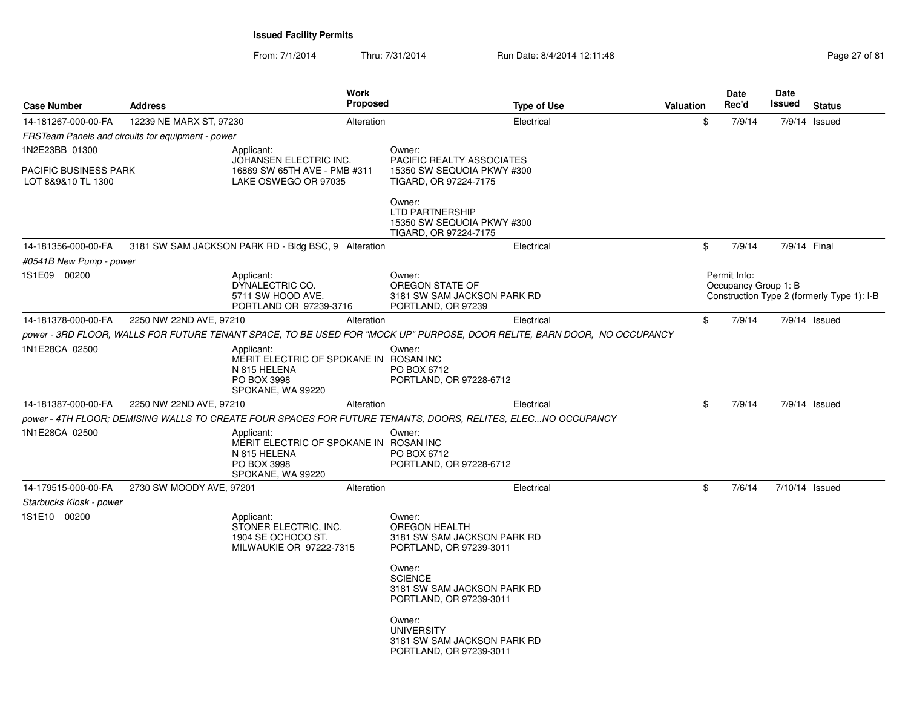| <b>Case Number</b>                      | <b>Address</b>                                    | Work<br>Proposed                                                                                                         |                                                                                                           | <b>Type of Use</b> | Valuation | Date<br>Rec'd                        | <b>Date</b><br>Issued | <b>Status</b>                              |
|-----------------------------------------|---------------------------------------------------|--------------------------------------------------------------------------------------------------------------------------|-----------------------------------------------------------------------------------------------------------|--------------------|-----------|--------------------------------------|-----------------------|--------------------------------------------|
| 14-181267-000-00-FA                     | 12239 NE MARX ST, 97230                           | Alteration                                                                                                               |                                                                                                           | Electrical         | \$        | 7/9/14                               |                       | $7/9/14$ Issued                            |
|                                         | FRSTeam Panels and circuits for equipment - power |                                                                                                                          |                                                                                                           |                    |           |                                      |                       |                                            |
| 1N2E23BB 01300<br>PACIFIC BUSINESS PARK |                                                   | Applicant:<br>JOHANSEN ELECTRIC INC.<br>16869 SW 65TH AVE - PMB #311                                                     | Owner:<br>PACIFIC REALTY ASSOCIATES<br>15350 SW SEQUOIA PKWY #300                                         |                    |           |                                      |                       |                                            |
| LOT 8&9&10 TL 1300                      |                                                   | LAKE OSWEGO OR 97035                                                                                                     | TIGARD, OR 97224-7175<br>Owner:<br>LTD PARTNERSHIP<br>15350 SW SEQUOIA PKWY #300<br>TIGARD, OR 97224-7175 |                    |           |                                      |                       |                                            |
| 14-181356-000-00-FA                     |                                                   | 3181 SW SAM JACKSON PARK RD - Bldg BSC, 9 Alteration                                                                     |                                                                                                           | Electrical         | \$        | 7/9/14                               | 7/9/14 Final          |                                            |
| #0541B New Pump - power                 |                                                   |                                                                                                                          |                                                                                                           |                    |           |                                      |                       |                                            |
| 1S1E09 00200                            |                                                   | Applicant:<br>DYNALECTRIC CO.<br>5711 SW HOOD AVE.<br>PORTLAND OR 97239-3716                                             | Owner:<br>OREGON STATE OF<br>3181 SW SAM JACKSON PARK RD<br>PORTLAND, OR 97239                            |                    |           | Permit Info:<br>Occupancy Group 1: B |                       | Construction Type 2 (formerly Type 1): I-B |
| 14-181378-000-00-FA                     | 2250 NW 22ND AVE, 97210                           | Alteration                                                                                                               |                                                                                                           | Electrical         | \$        | 7/9/14                               |                       | 7/9/14 Issued                              |
|                                         |                                                   | power - 3RD FLOOR, WALLS FOR FUTURE TENANT SPACE, TO BE USED FOR "MOCK UP" PURPOSE, DOOR RELITE, BARN DOOR, NO OCCUPANCY |                                                                                                           |                    |           |                                      |                       |                                            |
| 1N1E28CA 02500                          |                                                   | Applicant:<br>MERIT ELECTRIC OF SPOKANE IN ROSAN INC<br>N 815 HELENA<br>PO BOX 3998<br>SPOKANE, WA 99220                 | Owner:<br>PO BOX 6712<br>PORTLAND, OR 97228-6712                                                          |                    |           |                                      |                       |                                            |
| 14-181387-000-00-FA                     | 2250 NW 22ND AVE, 97210                           | Alteration                                                                                                               |                                                                                                           | Electrical         | \$        | 7/9/14                               |                       | $7/9/14$ Issued                            |
|                                         |                                                   | power - 4TH FLOOR; DEMISING WALLS TO CREATE FOUR SPACES FOR FUTURE TENANTS, DOORS, RELITES, ELEC…NO OCCUPANCY            |                                                                                                           |                    |           |                                      |                       |                                            |
| 1N1E28CA 02500                          |                                                   | Applicant:<br>MERIT ELECTRIC OF SPOKANE IN ROSAN INC<br>N 815 HELENA<br>PO BOX 3998<br>SPOKANE, WA 99220                 | Owner:<br>PO BOX 6712<br>PORTLAND, OR 97228-6712                                                          |                    |           |                                      |                       |                                            |
| 14-179515-000-00-FA                     | 2730 SW MOODY AVE, 97201                          | Alteration                                                                                                               |                                                                                                           | Electrical         | \$        | 7/6/14                               | 7/10/14 Issued        |                                            |
| Starbucks Kiosk - power                 |                                                   |                                                                                                                          |                                                                                                           |                    |           |                                      |                       |                                            |
| 1S1E10 00200                            |                                                   | Applicant:<br>STONER ELECTRIC, INC.<br>1904 SE OCHOCO ST.<br>MILWAUKIE OR 97222-7315                                     | Owner:<br><b>OREGON HEALTH</b><br>3181 SW SAM JACKSON PARK RD<br>PORTLAND, OR 97239-3011                  |                    |           |                                      |                       |                                            |
|                                         |                                                   |                                                                                                                          | Owner:<br><b>SCIENCE</b><br>3181 SW SAM JACKSON PARK RD<br>PORTLAND, OR 97239-3011                        |                    |           |                                      |                       |                                            |
|                                         |                                                   |                                                                                                                          | Owner:<br><b>UNIVERSITY</b><br>3181 SW SAM JACKSON PARK RD<br>PORTLAND, OR 97239-3011                     |                    |           |                                      |                       |                                            |
|                                         |                                                   |                                                                                                                          |                                                                                                           |                    |           |                                      |                       |                                            |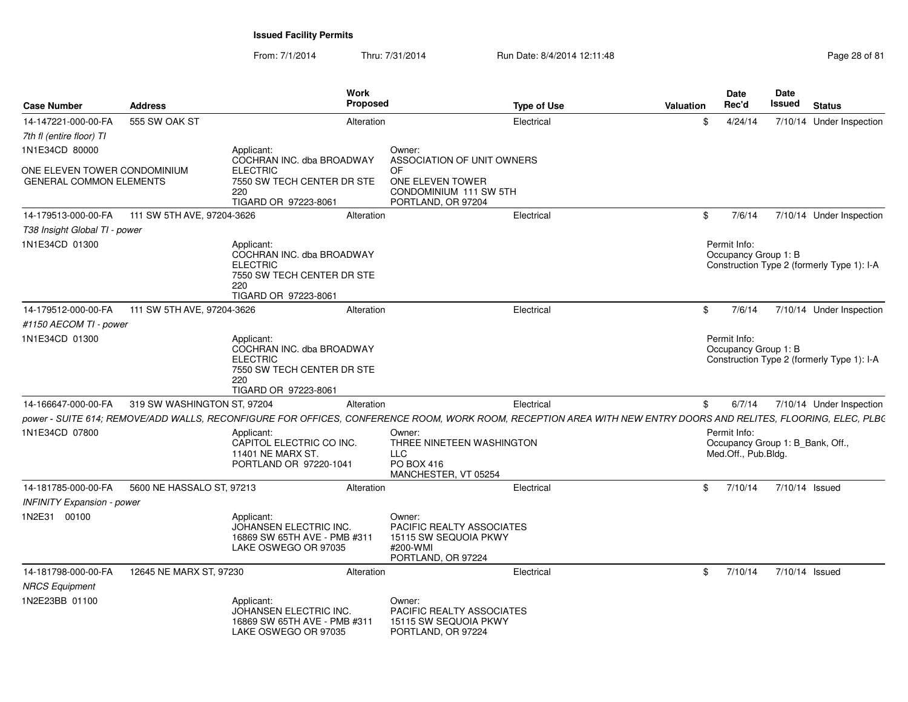| <b>Case Number</b>                                             | <b>Address</b>              | Work<br><b>Proposed</b>                                                                                                                                         |                                                                                                      | <b>Type of Use</b> | <b>Valuation</b> | Date<br>Rec'd                        | <b>Date</b><br><b>Issued</b>     | <b>Status</b>                              |
|----------------------------------------------------------------|-----------------------------|-----------------------------------------------------------------------------------------------------------------------------------------------------------------|------------------------------------------------------------------------------------------------------|--------------------|------------------|--------------------------------------|----------------------------------|--------------------------------------------|
| 14-147221-000-00-FA                                            | 555 SW OAK ST               | Alteration                                                                                                                                                      |                                                                                                      | Electrical         | \$               | 4/24/14                              |                                  | 7/10/14 Under Inspection                   |
| 7th fl (entire floor) TI<br>1N1E34CD 80000                     |                             | Applicant:                                                                                                                                                      | Owner:                                                                                               |                    |                  |                                      |                                  |                                            |
| ONE ELEVEN TOWER CONDOMINIUM<br><b>GENERAL COMMON ELEMENTS</b> |                             | COCHRAN INC. dba BROADWAY<br><b>ELECTRIC</b><br>7550 SW TECH CENTER DR STE<br>220<br>TIGARD OR 97223-8061                                                       | ASSOCIATION OF UNIT OWNERS<br>OF<br>ONE ELEVEN TOWER<br>CONDOMINIUM 111 SW 5TH<br>PORTLAND, OR 97204 |                    |                  |                                      |                                  |                                            |
| 14-179513-000-00-FA                                            | 111 SW 5TH AVE, 97204-3626  | Alteration                                                                                                                                                      |                                                                                                      | Electrical         | \$               | 7/6/14                               |                                  | 7/10/14 Under Inspection                   |
| T38 Insight Global TI - power                                  |                             |                                                                                                                                                                 |                                                                                                      |                    |                  |                                      |                                  |                                            |
| 1N1E34CD 01300                                                 |                             | Applicant:<br>COCHRAN INC. dba BROADWAY<br><b>ELECTRIC</b><br>7550 SW TECH CENTER DR STE<br>220<br>TIGARD OR 97223-8061                                         |                                                                                                      |                    |                  | Permit Info:<br>Occupancy Group 1: B |                                  | Construction Type 2 (formerly Type 1): I-A |
| 14-179512-000-00-FA                                            | 111 SW 5TH AVE, 97204-3626  | Alteration                                                                                                                                                      |                                                                                                      | Electrical         | \$               | 7/6/14                               |                                  | 7/10/14 Under Inspection                   |
| #1150 AECOM TI - power                                         |                             |                                                                                                                                                                 |                                                                                                      |                    |                  |                                      |                                  |                                            |
| 1N1E34CD 01300                                                 |                             | Applicant:<br>COCHRAN INC. dba BROADWAY<br><b>ELECTRIC</b><br>7550 SW TECH CENTER DR STE<br>220<br>TIGARD OR 97223-8061                                         |                                                                                                      |                    |                  | Permit Info:<br>Occupancy Group 1: B |                                  | Construction Type 2 (formerly Type 1): I-A |
| 14-166647-000-00-FA                                            | 319 SW WASHINGTON ST, 97204 | Alteration                                                                                                                                                      |                                                                                                      | Electrical         | \$               | 6/7/14                               |                                  | 7/10/14 Under Inspection                   |
|                                                                |                             | power - SUITE 614; REMOVE/ADD WALLS, RECONFIGURE FOR OFFICES, CONFERENCE ROOM, WORK ROOM, RECEPTION AREA WITH NEW ENTRY DOORS AND RELITES, FLOORING, ELEC, PLBC |                                                                                                      |                    |                  |                                      |                                  |                                            |
| 1N1E34CD 07800                                                 |                             | Applicant:<br>CAPITOL ELECTRIC CO INC.<br>11401 NE MARX ST.<br>PORTLAND OR 97220-1041                                                                           | Owner:<br>THREE NINETEEN WASHINGTON<br><b>LLC</b><br><b>PO BOX 416</b><br>MANCHESTER, VT 05254       |                    |                  | Permit Info:<br>Med.Off., Pub.Bldg.  | Occupancy Group 1: B_Bank, Off., |                                            |
| 14-181785-000-00-FA                                            | 5600 NE HASSALO ST, 97213   | Alteration                                                                                                                                                      |                                                                                                      | Electrical         | \$               | 7/10/14                              | 7/10/14 Issued                   |                                            |
| <b>INFINITY Expansion - power</b>                              |                             |                                                                                                                                                                 |                                                                                                      |                    |                  |                                      |                                  |                                            |
| 1N2E31 00100                                                   |                             | Applicant:<br><b>JOHANSEN ELECTRIC INC.</b><br>16869 SW 65TH AVE - PMB #311<br>LAKE OSWEGO OR 97035                                                             | Owner:<br>PACIFIC REALTY ASSOCIATES<br>15115 SW SEQUOIA PKWY<br>#200-WMI<br>PORTLAND, OR 97224       |                    |                  |                                      |                                  |                                            |
| 14-181798-000-00-FA<br><b>NRCS Equipment</b>                   | 12645 NE MARX ST, 97230     | Alteration                                                                                                                                                      |                                                                                                      | Electrical         | \$               | 7/10/14                              | 7/10/14 Issued                   |                                            |
| 1N2E23BB 01100                                                 |                             | Applicant:<br>JOHANSEN ELECTRIC INC.<br>16869 SW 65TH AVE - PMB #311<br>LAKE OSWEGO OR 97035                                                                    | Owner:<br>PACIFIC REALTY ASSOCIATES<br>15115 SW SEQUOIA PKWY<br>PORTLAND, OR 97224                   |                    |                  |                                      |                                  |                                            |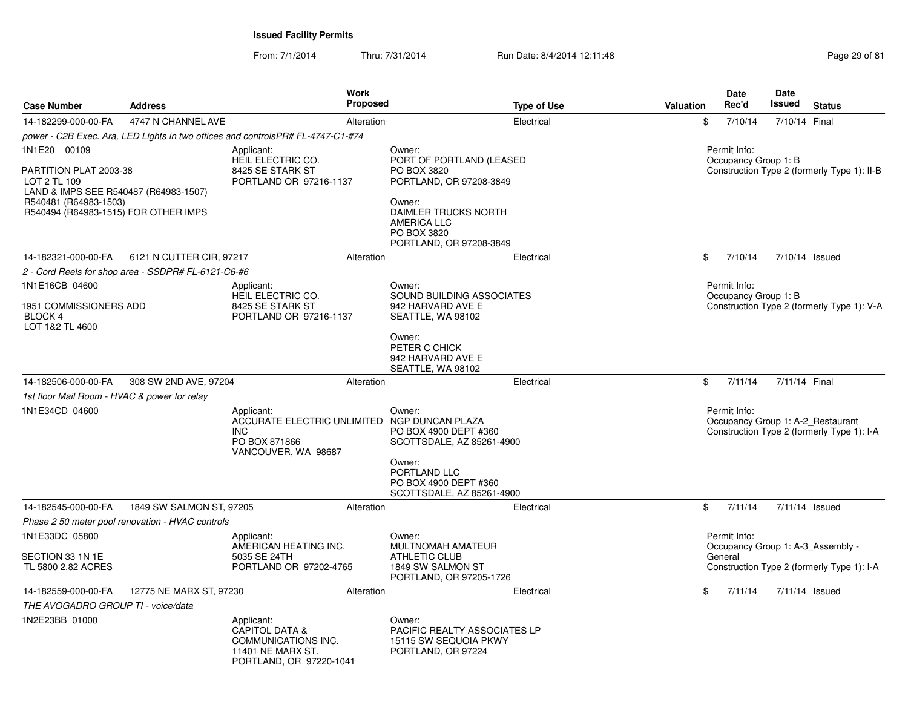| <b>Case Number</b>                                                                                                                                               | <b>Address</b>                                      | <b>Work</b><br><b>Proposed</b>                                                                                        |                                                                                                                                                                         | <b>Type of Use</b> | <b>Valuation</b> | Date<br>Rec'd                        | <b>Date</b><br>Issued | <b>Status</b>                                                                   |
|------------------------------------------------------------------------------------------------------------------------------------------------------------------|-----------------------------------------------------|-----------------------------------------------------------------------------------------------------------------------|-------------------------------------------------------------------------------------------------------------------------------------------------------------------------|--------------------|------------------|--------------------------------------|-----------------------|---------------------------------------------------------------------------------|
| 14-182299-000-00-FA                                                                                                                                              | 4747 N CHANNEL AVE                                  | Alteration                                                                                                            |                                                                                                                                                                         | Electrical         | \$               | 7/10/14                              | 7/10/14 Final         |                                                                                 |
|                                                                                                                                                                  |                                                     | power - C2B Exec. Ara, LED Lights in two offices and controlsPR# FL-4747-C1-#74                                       |                                                                                                                                                                         |                    |                  |                                      |                       |                                                                                 |
| 1N1E20 00109<br>PARTITION PLAT 2003-38<br>LOT 2 TL 109<br>LAND & IMPS SEE R540487 (R64983-1507)<br>R540481 (R64983-1503)<br>R540494 (R64983-1515) FOR OTHER IMPS |                                                     | Applicant:<br>HEIL ELECTRIC CO.<br>8425 SE STARK ST<br>PORTLAND OR 97216-1137                                         | Owner:<br>PORT OF PORTLAND (LEASED<br>PO BOX 3820<br>PORTLAND, OR 97208-3849<br>Owner:<br>DAIMLER TRUCKS NORTH<br>AMERICA LLC<br>PO BOX 3820<br>PORTLAND, OR 97208-3849 |                    |                  | Permit Info:<br>Occupancy Group 1: B |                       | Construction Type 2 (formerly Type 1): II-B                                     |
| 14-182321-000-00-FA                                                                                                                                              | 6121 N CUTTER CIR, 97217                            | Alteration                                                                                                            |                                                                                                                                                                         | Electrical         | \$               | 7/10/14                              |                       | 7/10/14 Issued                                                                  |
|                                                                                                                                                                  | 2 - Cord Reels for shop area - SSDPR# FL-6121-C6-#6 |                                                                                                                       |                                                                                                                                                                         |                    |                  |                                      |                       |                                                                                 |
| 1N1E16CB 04600<br>1951 COMMISSIONERS ADD<br>BLOCK 4                                                                                                              |                                                     | Applicant:<br>HEIL ELECTRIC CO.<br>8425 SE STARK ST<br>PORTLAND OR 97216-1137                                         | Owner:<br>SOUND BUILDING ASSOCIATES<br>942 HARVARD AVE E<br>SEATTLE, WA 98102                                                                                           |                    |                  | Permit Info:<br>Occupancy Group 1: B |                       | Construction Type 2 (formerly Type 1): V-A                                      |
| LOT 1&2 TL 4600                                                                                                                                                  |                                                     |                                                                                                                       | Owner:<br>PETER C CHICK<br>942 HARVARD AVE E<br>SEATTLE, WA 98102                                                                                                       |                    |                  |                                      |                       |                                                                                 |
| 14-182506-000-00-FA                                                                                                                                              | 308 SW 2ND AVE, 97204                               | Alteration                                                                                                            |                                                                                                                                                                         | Electrical         | \$               | 7/11/14                              | 7/11/14 Final         |                                                                                 |
| 1st floor Mail Room - HVAC & power for relay                                                                                                                     |                                                     |                                                                                                                       |                                                                                                                                                                         |                    |                  |                                      |                       |                                                                                 |
| 1N1E34CD 04600                                                                                                                                                   |                                                     | Applicant:<br>ACCURATE ELECTRIC UNLIMITED NGP DUNCAN PLAZA<br><b>INC</b><br>PO BOX 871866<br>VANCOUVER, WA 98687      | Owner:<br>PO BOX 4900 DEPT #360<br>SCOTTSDALE, AZ 85261-4900<br>Owner:<br>PORTLAND LLC<br>PO BOX 4900 DEPT #360<br>SCOTTSDALE, AZ 85261-4900                            |                    |                  | Permit Info:                         |                       | Occupancy Group 1: A-2_Restaurant<br>Construction Type 2 (formerly Type 1): I-A |
| 14-182545-000-00-FA                                                                                                                                              | 1849 SW SALMON ST, 97205                            | Alteration                                                                                                            |                                                                                                                                                                         | Electrical         | \$               | 7/11/14                              |                       | 7/11/14 Issued                                                                  |
|                                                                                                                                                                  | Phase 2 50 meter pool renovation - HVAC controls    |                                                                                                                       |                                                                                                                                                                         |                    |                  |                                      |                       |                                                                                 |
| 1N1E33DC 05800                                                                                                                                                   |                                                     | Applicant:<br>AMERICAN HEATING INC.                                                                                   | Owner:<br>MULTNOMAH AMATEUR                                                                                                                                             |                    |                  | Permit Info:                         |                       | Occupancy Group 1: A-3_Assembly -                                               |
| SECTION 33 1N 1E<br>TL 5800 2.82 ACRES                                                                                                                           |                                                     | 5035 SE 24TH<br>PORTLAND OR 97202-4765                                                                                | <b>ATHLETIC CLUB</b><br>1849 SW SALMON ST<br>PORTLAND, OR 97205-1726                                                                                                    |                    |                  | General                              |                       | Construction Type 2 (formerly Type 1): I-A                                      |
| 14-182559-000-00-FA                                                                                                                                              | 12775 NE MARX ST, 97230                             | Alteration                                                                                                            |                                                                                                                                                                         | Electrical         | \$               | 7/11/14                              |                       | 7/11/14 Issued                                                                  |
| THE AVOGADRO GROUP TI - voice/data                                                                                                                               |                                                     |                                                                                                                       |                                                                                                                                                                         |                    |                  |                                      |                       |                                                                                 |
| 1N2E23BB 01000                                                                                                                                                   |                                                     | Applicant:<br><b>CAPITOL DATA &amp;</b><br><b>COMMUNICATIONS INC.</b><br>11401 NE MARX ST.<br>PORTLAND, OR 97220-1041 | Owner:<br>PACIFIC REALTY ASSOCIATES LP<br>15115 SW SEQUOIA PKWY<br>PORTLAND, OR 97224                                                                                   |                    |                  |                                      |                       |                                                                                 |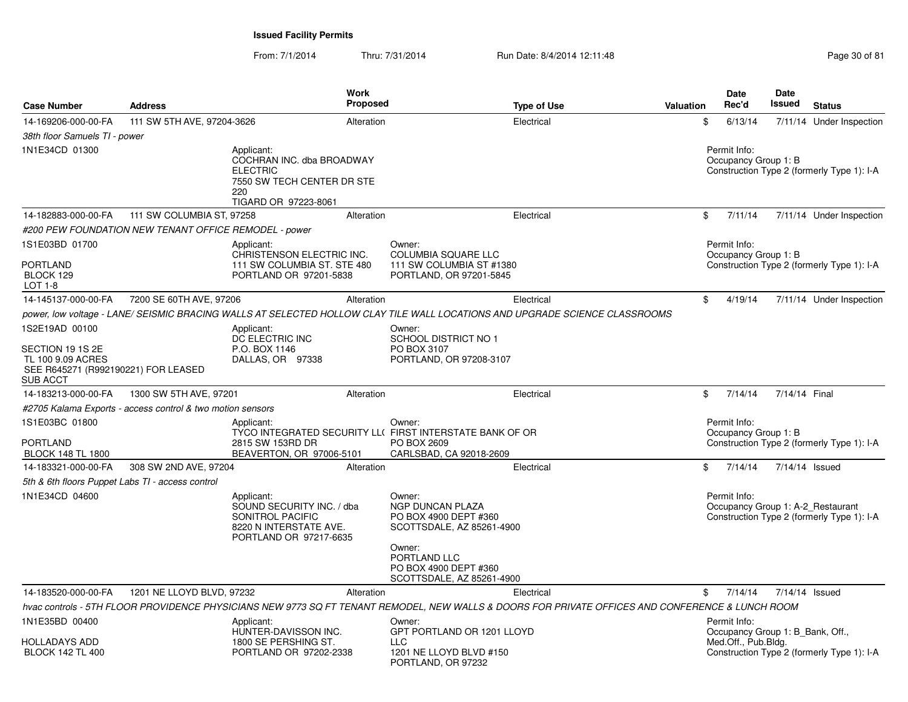| <b>Case Number</b>                                                                              | <b>Address</b>                                             |                                                                                                                         | <b>Work</b><br><b>Proposed</b> | <b>Type of Use</b>                                                                                                                               | Valuation | Date<br>Rec'd                                    | <b>Date</b><br>Issued | <b>Status</b>                                                                   |
|-------------------------------------------------------------------------------------------------|------------------------------------------------------------|-------------------------------------------------------------------------------------------------------------------------|--------------------------------|--------------------------------------------------------------------------------------------------------------------------------------------------|-----------|--------------------------------------------------|-----------------------|---------------------------------------------------------------------------------|
| 14-169206-000-00-FA                                                                             | 111 SW 5TH AVE, 97204-3626                                 |                                                                                                                         | Alteration                     | Electrical                                                                                                                                       |           | \$<br>6/13/14                                    |                       | 7/11/14 Under Inspection                                                        |
| 38th floor Samuels TI - power                                                                   |                                                            |                                                                                                                         |                                |                                                                                                                                                  |           |                                                  |                       |                                                                                 |
| 1N1E34CD 01300                                                                                  |                                                            | Applicant:<br>COCHRAN INC. dba BROADWAY<br><b>ELECTRIC</b><br>7550 SW TECH CENTER DR STE<br>220<br>TIGARD OR 97223-8061 |                                |                                                                                                                                                  |           | Permit Info:<br>Occupancy Group 1: B             |                       | Construction Type 2 (formerly Type 1): I-A                                      |
| 14-182883-000-00-FA                                                                             | 111 SW COLUMBIA ST, 97258                                  |                                                                                                                         | Alteration                     | Electrical                                                                                                                                       |           | \$<br>7/11/14                                    |                       | 7/11/14 Under Inspection                                                        |
|                                                                                                 | #200 PEW FOUNDATION NEW TENANT OFFICE REMODEL - power      |                                                                                                                         |                                |                                                                                                                                                  |           |                                                  |                       |                                                                                 |
| 1S1E03BD 01700<br><b>PORTLAND</b><br>BLOCK 129<br><b>LOT 1-8</b>                                |                                                            | Applicant:<br>CHRISTENSON ELECTRIC INC.<br>111 SW COLUMBIA ST. STE 480<br>PORTLAND OR 97201-5838                        |                                | Owner:<br><b>COLUMBIA SQUARE LLC</b><br>111 SW COLUMBIA ST #1380<br>PORTLAND, OR 97201-5845                                                      |           | Permit Info:<br>Occupancy Group 1: B             |                       | Construction Type 2 (formerly Type 1): I-A                                      |
| 14-145137-000-00-FA                                                                             | 7200 SE 60TH AVE, 97206                                    |                                                                                                                         | Alteration                     | Electrical                                                                                                                                       |           | \$<br>4/19/14                                    |                       | 7/11/14 Under Inspection                                                        |
|                                                                                                 |                                                            |                                                                                                                         |                                | power, low voltage - LANE/ SEISMIC BRACING WALLS AT SELECTED HOLLOW CLAY TILE WALL LOCATIONS AND UPGRADE SCIENCE CLASSROOMS                      |           |                                                  |                       |                                                                                 |
| 1S2E19AD 00100                                                                                  |                                                            | Applicant:<br>DC ELECTRIC INC                                                                                           |                                | Owner:<br><b>SCHOOL DISTRICT NO 1</b>                                                                                                            |           |                                                  |                       |                                                                                 |
| SECTION 19 1S 2E<br>TL 100 9.09 ACRES<br>SEE R645271 (R992190221) FOR LEASED<br><b>SUB ACCT</b> |                                                            | P.O. BOX 1146<br>DALLAS, OR 97338                                                                                       |                                | PO BOX 3107<br>PORTLAND, OR 97208-3107                                                                                                           |           |                                                  |                       |                                                                                 |
| 14-183213-000-00-FA                                                                             | 1300 SW 5TH AVE, 97201                                     |                                                                                                                         | Alteration                     | Electrical                                                                                                                                       |           | \$<br>7/14/14                                    | 7/14/14 Final         |                                                                                 |
|                                                                                                 | #2705 Kalama Exports - access control & two motion sensors |                                                                                                                         |                                |                                                                                                                                                  |           |                                                  |                       |                                                                                 |
| 1S1E03BC 01800<br><b>PORTLAND</b><br><b>BLOCK 148 TL 1800</b>                                   |                                                            | Applicant:<br>2815 SW 153RD DR<br>BEAVERTON, OR 97006-5101                                                              |                                | Owner:<br>TYCO INTEGRATED SECURITY LL( FIRST INTERSTATE BANK OF OR<br>PO BOX 2609<br>CARLSBAD, CA 92018-2609                                     |           | Permit Info:<br>Occupancy Group 1: B             |                       | Construction Type 2 (formerly Type 1): I-A                                      |
| 14-183321-000-00-FA                                                                             | 308 SW 2ND AVE, 97204                                      |                                                                                                                         | Alteration                     | Electrical                                                                                                                                       |           | \$<br>7/14/14                                    | 7/14/14 Issued        |                                                                                 |
| 5th & 6th floors Puppet Labs TI - access control                                                |                                                            |                                                                                                                         |                                |                                                                                                                                                  |           |                                                  |                       |                                                                                 |
| 1N1E34CD 04600                                                                                  |                                                            | Applicant:<br>SOUND SECURITY INC. / dba<br>SONITROL PACIFIC<br>8220 N INTERSTATE AVE.<br>PORTLAND OR 97217-6635         |                                | Owner:<br><b>NGP DUNCAN PLAZA</b><br>PO BOX 4900 DEPT #360<br>SCOTTSDALE, AZ 85261-4900                                                          |           | Permit Info:                                     |                       | Occupancy Group 1: A-2 Restaurant<br>Construction Type 2 (formerly Type 1): I-A |
|                                                                                                 |                                                            |                                                                                                                         |                                | Owner:<br>PORTLAND LLC<br>PO BOX 4900 DEPT #360<br>SCOTTSDALE, AZ 85261-4900                                                                     |           |                                                  |                       |                                                                                 |
| 14-183520-000-00-FA                                                                             | 1201 NE LLOYD BLVD, 97232                                  |                                                                                                                         | Alteration                     | Electrical                                                                                                                                       |           | \$<br>7/14/14                                    | 7/14/14 Issued        |                                                                                 |
|                                                                                                 |                                                            |                                                                                                                         |                                | hvac controls - 5TH FLOOR PROVIDENCE PHYSICIANS NEW 9773 SQ FT TENANT REMODEL, NEW WALLS & DOORS FOR PRIVATE OFFICES AND CONFERENCE & LUNCH ROOM |           |                                                  |                       |                                                                                 |
| 1N1E35BD 00400                                                                                  |                                                            | Applicant:<br>HUNTER-DAVISSON INC.                                                                                      |                                | Owner:<br>GPT PORTLAND OR 1201 LLOYD                                                                                                             |           | Permit Info:<br>Occupancy Group 1: B_Bank, Off., |                       |                                                                                 |
| <b>HOLLADAYS ADD</b><br><b>BLOCK 142 TL 400</b>                                                 |                                                            | 1800 SE PERSHING ST.<br>PORTLAND OR 97202-2338                                                                          |                                | LLC<br>1201 NE LLOYD BLVD #150<br>PORTLAND, OR 97232                                                                                             |           | Med.Off., Pub.Bldg.                              |                       | Construction Type 2 (formerly Type 1): I-A                                      |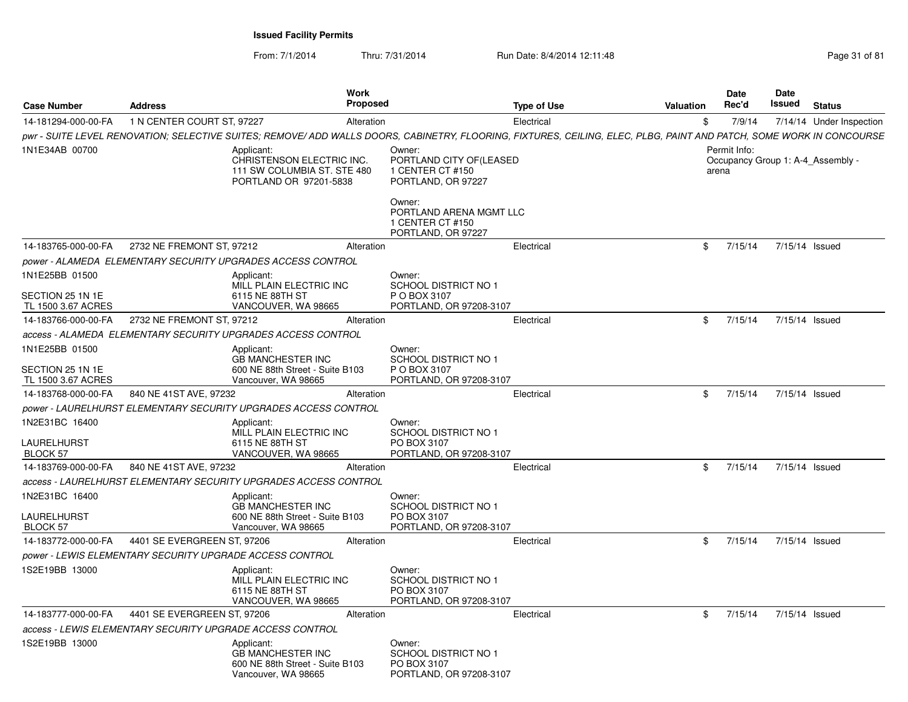From: 7/1/2014Thru: 7/31/2014 Run Date: 8/4/2014 12:11:48 Research 2010 12:11:49

| <b>Case Number</b>                               | <b>Address</b>              |                                                                                                  | Work<br><b>Proposed</b> |                                                                                 | <b>Type of Use</b>                                                                                                                                                   | Valuation |       | Date<br>Rec'd | Date<br>Issued | <b>Status</b>                     |
|--------------------------------------------------|-----------------------------|--------------------------------------------------------------------------------------------------|-------------------------|---------------------------------------------------------------------------------|----------------------------------------------------------------------------------------------------------------------------------------------------------------------|-----------|-------|---------------|----------------|-----------------------------------|
| 14-181294-000-00-FA                              | 1 N CENTER COURT ST, 97227  |                                                                                                  | Alteration              |                                                                                 | Electrical                                                                                                                                                           | \$        |       | 7/9/14        |                | 7/14/14 Under Inspection          |
|                                                  |                             |                                                                                                  |                         |                                                                                 | pwr - SUITE LEVEL RENOVATION; SELECTIVE SUITES; REMOVE/ ADD WALLS DOORS, CABINETRY, FLOORING, FIXTURES, CEILING, ELEC, PLBG, PAINT AND PATCH, SOME WORK IN CONCOURSE |           |       |               |                |                                   |
| 1N1E34AB 00700                                   |                             | Applicant:<br>CHRISTENSON ELECTRIC INC.<br>111 SW COLUMBIA ST. STE 480<br>PORTLAND OR 97201-5838 |                         | Owner:<br>PORTLAND CITY OF (LEASED<br>1 CENTER CT #150<br>PORTLAND, OR 97227    |                                                                                                                                                                      |           | arena | Permit Info:  |                | Occupancy Group 1: A-4 Assembly - |
|                                                  |                             |                                                                                                  |                         | Owner:<br>PORTLAND ARENA MGMT LLC<br>1 CENTER CT #150<br>PORTLAND, OR 97227     |                                                                                                                                                                      |           |       |               |                |                                   |
| 14-183765-000-00-FA                              | 2732 NE FREMONT ST, 97212   |                                                                                                  | Alteration              |                                                                                 | Electrical                                                                                                                                                           | \$        |       | 7/15/14       | 7/15/14 Issued |                                   |
|                                                  |                             | power - ALAMEDA ELEMENTARY SECURITY UPGRADES ACCESS CONTROL                                      |                         |                                                                                 |                                                                                                                                                                      |           |       |               |                |                                   |
| 1N1E25BB 01500                                   |                             | Applicant:                                                                                       |                         | Owner:                                                                          |                                                                                                                                                                      |           |       |               |                |                                   |
| SECTION 25 1N 1E<br>TL 1500 3.67 ACRES           |                             | MILL PLAIN ELECTRIC INC<br>6115 NE 88TH ST<br>VANCOUVER, WA 98665                                |                         | SCHOOL DISTRICT NO 1<br>P O BOX 3107<br>PORTLAND, OR 97208-3107                 |                                                                                                                                                                      |           |       |               |                |                                   |
| 14-183766-000-00-FA                              | 2732 NE FREMONT ST, 97212   |                                                                                                  | Alteration              |                                                                                 | Electrical                                                                                                                                                           | \$        |       | 7/15/14       | 7/15/14 Issued |                                   |
|                                                  |                             | access - ALAMEDA ELEMENTARY SECURITY UPGRADES ACCESS CONTROL                                     |                         |                                                                                 |                                                                                                                                                                      |           |       |               |                |                                   |
| 1N1E25BB 01500                                   |                             | Applicant:<br><b>GB MANCHESTER INC</b>                                                           |                         | Owner:<br><b>SCHOOL DISTRICT NO 1</b>                                           |                                                                                                                                                                      |           |       |               |                |                                   |
| SECTION 25 1N 1E<br>TL 1500 3.67 ACRES           |                             | 600 NE 88th Street - Suite B103<br>Vancouver, WA 98665                                           |                         | P O BOX 3107<br>PORTLAND, OR 97208-3107                                         |                                                                                                                                                                      |           |       |               |                |                                   |
| 14-183768-000-00-FA                              | 840 NE 41ST AVE, 97232      |                                                                                                  | Alteration              |                                                                                 | Electrical                                                                                                                                                           | \$        |       | 7/15/14       | 7/15/14 Issued |                                   |
|                                                  |                             | power - LAURELHURST ELEMENTARY SECURITY UPGRADES ACCESS CONTROL                                  |                         |                                                                                 |                                                                                                                                                                      |           |       |               |                |                                   |
| 1N2E31BC 16400<br>LAURELHURST                    |                             | Applicant:<br>MILL PLAIN ELECTRIC INC<br>6115 NE 88TH ST                                         |                         | Owner:<br><b>SCHOOL DISTRICT NO 1</b><br>PO BOX 3107                            |                                                                                                                                                                      |           |       |               |                |                                   |
| BLOCK 57                                         |                             | VANCOUVER, WA 98665                                                                              |                         | PORTLAND, OR 97208-3107                                                         |                                                                                                                                                                      |           |       |               |                |                                   |
| 14-183769-000-00-FA                              | 840 NE 41ST AVE, 97232      |                                                                                                  | Alteration              |                                                                                 | Electrical                                                                                                                                                           | \$        |       | 7/15/14       | 7/15/14 Issued |                                   |
|                                                  |                             | access - LAURELHURST ELEMENTARY SECURITY UPGRADES ACCESS CONTROL                                 |                         |                                                                                 |                                                                                                                                                                      |           |       |               |                |                                   |
| 1N2E31BC 16400<br><b>LAURELHURST</b><br>BLOCK 57 |                             | Applicant:<br><b>GB MANCHESTER INC</b><br>600 NE 88th Street - Suite B103<br>Vancouver, WA 98665 |                         | Owner:<br><b>SCHOOL DISTRICT NO 1</b><br>PO BOX 3107<br>PORTLAND, OR 97208-3107 |                                                                                                                                                                      |           |       |               |                |                                   |
| 14-183772-000-00-FA                              | 4401 SE EVERGREEN ST, 97206 |                                                                                                  | Alteration              |                                                                                 | Electrical                                                                                                                                                           | \$        |       | 7/15/14       | 7/15/14 Issued |                                   |
|                                                  |                             | power - LEWIS ELEMENTARY SECURITY UPGRADE ACCESS CONTROL                                         |                         |                                                                                 |                                                                                                                                                                      |           |       |               |                |                                   |
| 1S2E19BB 13000                                   |                             | Applicant:                                                                                       |                         | Owner:                                                                          |                                                                                                                                                                      |           |       |               |                |                                   |
|                                                  |                             | MILL PLAIN ELECTRIC INC<br>6115 NE 88TH ST<br>VANCOUVER, WA 98665                                |                         | SCHOOL DISTRICT NO 1<br>PO BOX 3107<br>PORTLAND, OR 97208-3107                  |                                                                                                                                                                      |           |       |               |                |                                   |
| 14-183777-000-00-FA                              | 4401 SE EVERGREEN ST, 97206 |                                                                                                  | Alteration              |                                                                                 | Electrical                                                                                                                                                           | \$        |       | 7/15/14       | 7/15/14 Issued |                                   |
|                                                  |                             | access - LEWIS ELEMENTARY SECURITY UPGRADE ACCESS CONTROL                                        |                         |                                                                                 |                                                                                                                                                                      |           |       |               |                |                                   |
| 1S2E19BB 13000                                   |                             | Applicant:<br><b>GB MANCHESTER INC</b><br>600 NE 88th Street - Suite B103<br>Vancouver, WA 98665 |                         | Owner:<br><b>SCHOOL DISTRICT NO 1</b><br>PO BOX 3107<br>PORTLAND, OR 97208-3107 |                                                                                                                                                                      |           |       |               |                |                                   |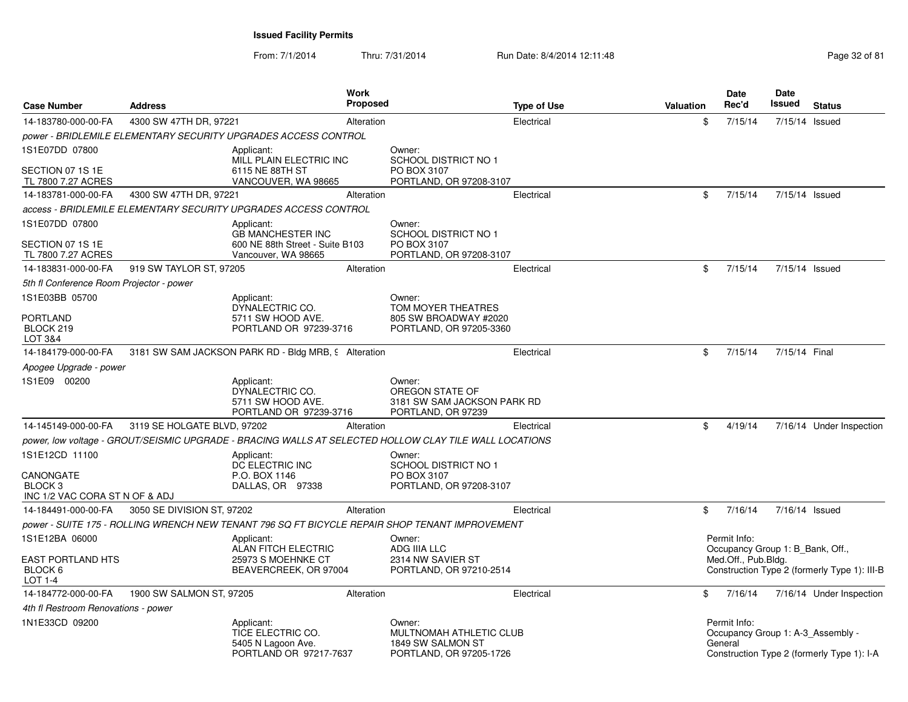From: 7/1/2014Thru: 7/31/2014 Run Date: 8/4/2014 12:11:48 Research 2010 12:00 Rage 32 of 81

| <b>Case Number</b>                                                                  | <b>Address</b>              |                                                                                 | <b>Work</b><br><b>Proposed</b> |                                                                                                        | <b>Type of Use</b> | Valuation | Date<br>Rec'd                                           | <b>Date</b><br>Issued | <b>Status</b>                                                                   |
|-------------------------------------------------------------------------------------|-----------------------------|---------------------------------------------------------------------------------|--------------------------------|--------------------------------------------------------------------------------------------------------|--------------------|-----------|---------------------------------------------------------|-----------------------|---------------------------------------------------------------------------------|
| 14-183780-000-00-FA                                                                 | 4300 SW 47TH DR, 97221      |                                                                                 | Alteration                     |                                                                                                        | Electrical         | \$        | 7/15/14                                                 | 7/15/14 Issued        |                                                                                 |
|                                                                                     |                             | power - BRIDLEMILE ELEMENTARY SECURITY UPGRADES ACCESS CONTROL                  |                                |                                                                                                        |                    |           |                                                         |                       |                                                                                 |
| 1S1E07DD 07800                                                                      |                             | Applicant:<br>MILL PLAIN ELECTRIC INC                                           |                                | Owner:<br><b>SCHOOL DISTRICT NO 1</b>                                                                  |                    |           |                                                         |                       |                                                                                 |
| SECTION 07 1S 1E<br>TL 7800 7.27 ACRES                                              |                             | 6115 NE 88TH ST<br>VANCOUVER, WA 98665                                          |                                | PO BOX 3107<br>PORTLAND, OR 97208-3107                                                                 |                    |           |                                                         |                       |                                                                                 |
| 14-183781-000-00-FA                                                                 | 4300 SW 47TH DR, 97221      |                                                                                 | Alteration                     |                                                                                                        | Electrical         | \$        | 7/15/14                                                 | 7/15/14 Issued        |                                                                                 |
|                                                                                     |                             | access - BRIDLEMILE ELEMENTARY SECURITY UPGRADES ACCESS CONTROL                 |                                |                                                                                                        |                    |           |                                                         |                       |                                                                                 |
| 1S1E07DD 07800                                                                      |                             | Applicant:<br><b>GB MANCHESTER INC</b>                                          |                                | Owner:<br>SCHOOL DISTRICT NO 1                                                                         |                    |           |                                                         |                       |                                                                                 |
| SECTION 07 1S 1E<br>TL 7800 7.27 ACRES                                              |                             | 600 NE 88th Street - Suite B103<br>Vancouver, WA 98665                          |                                | PO BOX 3107<br>PORTLAND, OR 97208-3107                                                                 |                    |           |                                                         |                       |                                                                                 |
| 14-183831-000-00-FA                                                                 | 919 SW TAYLOR ST, 97205     |                                                                                 | Alteration                     |                                                                                                        | Electrical         | \$        | 7/15/14                                                 | 7/15/14 Issued        |                                                                                 |
| 5th fl Conference Room Projector - power                                            |                             |                                                                                 |                                |                                                                                                        |                    |           |                                                         |                       |                                                                                 |
| 1S1E03BB 05700                                                                      |                             | Applicant:<br>DYNALECTRIC CO.                                                   |                                | Owner:<br>TOM MOYER THEATRES                                                                           |                    |           |                                                         |                       |                                                                                 |
| PORTLAND                                                                            |                             | 5711 SW HOOD AVE.                                                               |                                | 805 SW BROADWAY #2020                                                                                  |                    |           |                                                         |                       |                                                                                 |
| BLOCK 219                                                                           |                             | PORTLAND OR 97239-3716                                                          |                                | PORTLAND, OR 97205-3360                                                                                |                    |           |                                                         |                       |                                                                                 |
| <b>LOT 3&amp;4</b><br>14-184179-000-00-FA                                           |                             | 3181 SW SAM JACKSON PARK RD - Bldg MRB, 9 Alteration                            |                                |                                                                                                        | Electrical         | \$        | 7/15/14                                                 | 7/15/14 Final         |                                                                                 |
| Apogee Upgrade - power                                                              |                             |                                                                                 |                                |                                                                                                        |                    |           |                                                         |                       |                                                                                 |
| 1S1E09 00200                                                                        |                             | Applicant:<br>DYNALECTRIC CO.<br>5711 SW HOOD AVE.<br>PORTLAND OR 97239-3716    |                                | Owner:<br>OREGON STATE OF<br>3181 SW SAM JACKSON PARK RD<br>PORTLAND, OR 97239                         |                    |           |                                                         |                       |                                                                                 |
| 14-145149-000-00-FA                                                                 | 3119 SE HOLGATE BLVD, 97202 |                                                                                 | Alteration                     |                                                                                                        | Electrical         | \$        | 4/19/14                                                 |                       | 7/16/14 Under Inspection                                                        |
|                                                                                     |                             |                                                                                 |                                | power, low voltage - GROUT/SEISMIC UPGRADE - BRACING WALLS AT SELECTED HOLLOW CLAY TILE WALL LOCATIONS |                    |           |                                                         |                       |                                                                                 |
| 1S1E12CD 11100<br>CANONGATE<br>BLOCK <sub>3</sub><br>INC 1/2 VAC CORA ST N OF & ADJ |                             | Applicant:<br>DC ELECTRIC INC<br>P.O. BOX 1146<br>DALLAS, OR 97338              |                                | Owner:<br><b>SCHOOL DISTRICT NO 1</b><br>PO BOX 3107<br>PORTLAND, OR 97208-3107                        |                    |           |                                                         |                       |                                                                                 |
| 14-184491-000-00-FA                                                                 | 3050 SE DIVISION ST, 97202  |                                                                                 | Alteration                     |                                                                                                        | Electrical         | \$        | 7/16/14                                                 | 7/16/14 Issued        |                                                                                 |
|                                                                                     |                             |                                                                                 |                                | power - SUITE 175 - ROLLING WRENCH NEW TENANT 796 SQ FT BICYCLE REPAIR SHOP TENANT IMPROVEMENT         |                    |           |                                                         |                       |                                                                                 |
| 1S1E12BA 06000                                                                      |                             | Applicant:                                                                      |                                | Owner:                                                                                                 |                    |           | Permit Info:                                            |                       |                                                                                 |
| <b>EAST PORTLAND HTS</b><br>BLOCK 6<br>LOT 1-4                                      |                             | <b>ALAN FITCH ELECTRIC</b><br>25973 S MOEHNKE CT<br>BEAVERCREEK, OR 97004       |                                | ADG IIIA LLC<br>2314 NW SAVIER ST<br>PORTLAND, OR 97210-2514                                           |                    |           | Occupancy Group 1: B_Bank, Off.,<br>Med.Off., Pub.Bldg. |                       | Construction Type 2 (formerly Type 1): III-B                                    |
| 14-184772-000-00-FA                                                                 | 1900 SW SALMON ST, 97205    |                                                                                 | Alteration                     |                                                                                                        | Electrical         | \$        | 7/16/14                                                 |                       | 7/16/14 Under Inspection                                                        |
| 4th fl Restroom Renovations - power                                                 |                             |                                                                                 |                                |                                                                                                        |                    |           |                                                         |                       |                                                                                 |
| 1N1E33CD 09200                                                                      |                             | Applicant:<br>TICE ELECTRIC CO.<br>5405 N Lagoon Ave.<br>PORTLAND OR 97217-7637 |                                | Owner:<br>MULTNOMAH ATHLETIC CLUB<br>1849 SW SALMON ST<br>PORTLAND, OR 97205-1726                      |                    |           | Permit Info:<br>General                                 |                       | Occupancy Group 1: A-3 Assembly -<br>Construction Type 2 (formerly Type 1): I-A |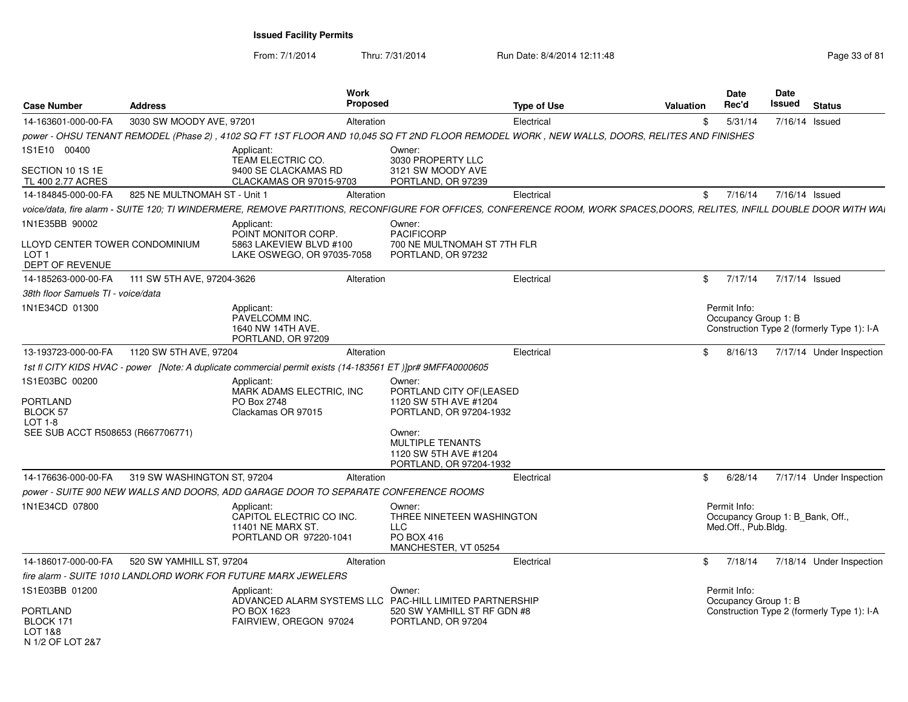From: 7/1/2014Thru: 7/31/2014 Run Date: 8/4/2014 12:11:48 Research 2010 12:00 Rage 33 of 81

| <b>Case Number</b>                                                                                   | <b>Address</b>               | Work                                                                                                                                                                    | Proposed                                                                                                                                                                        | <b>Type of Use</b> | <b>Valuation</b> | <b>Date</b><br>Rec'd                                                    | Date<br>Issued | <b>Status</b>                              |
|------------------------------------------------------------------------------------------------------|------------------------------|-------------------------------------------------------------------------------------------------------------------------------------------------------------------------|---------------------------------------------------------------------------------------------------------------------------------------------------------------------------------|--------------------|------------------|-------------------------------------------------------------------------|----------------|--------------------------------------------|
| 14-163601-000-00-FA                                                                                  | 3030 SW MOODY AVE, 97201     | Alteration                                                                                                                                                              |                                                                                                                                                                                 | Electrical         | \$               | 5/31/14                                                                 |                | 7/16/14 Issued                             |
|                                                                                                      |                              | power - OHSU TENANT REMODEL (Phase 2), 4102 SQ FT 1ST FLOOR AND 10,045 SQ FT 2ND FLOOR REMODEL WORK, NEW WALLS, DOORS, RELITES AND FINISHES                             |                                                                                                                                                                                 |                    |                  |                                                                         |                |                                            |
| 1S1E10 00400                                                                                         |                              | Applicant:<br>TEAM ELECTRIC CO.                                                                                                                                         | Owner:<br>3030 PROPERTY LLC                                                                                                                                                     |                    |                  |                                                                         |                |                                            |
| SECTION 10 1S 1E<br>TL 400 2.77 ACRES                                                                |                              | 9400 SE CLACKAMAS RD<br>CLACKAMAS OR 97015-9703                                                                                                                         | 3121 SW MOODY AVE<br>PORTLAND, OR 97239                                                                                                                                         |                    |                  |                                                                         |                |                                            |
| 14-184845-000-00-FA                                                                                  | 825 NE MULTNOMAH ST - Unit 1 | Alteration                                                                                                                                                              |                                                                                                                                                                                 | Electrical         | \$               | 7/16/14                                                                 |                | 7/16/14 Issued                             |
|                                                                                                      |                              | voice/data, fire alarm - SUITE 120; TI WINDERMERE, REMOVE PARTITIONS, RECONFIGURE FOR OFFICES, CONFERENCE ROOM, WORK SPACES,DOORS, RELITES, INFILL DOUBLE DOOR WITH WAI |                                                                                                                                                                                 |                    |                  |                                                                         |                |                                            |
| 1N1E35BB 90002                                                                                       |                              | Applicant:<br>POINT MONITOR CORP.                                                                                                                                       | Owner:<br><b>PACIFICORP</b>                                                                                                                                                     |                    |                  |                                                                         |                |                                            |
| LLOYD CENTER TOWER CONDOMINIUM<br>LOT <sub>1</sub><br>DEPT OF REVENUE                                |                              | 5863 LAKEVIEW BLVD #100<br>LAKE OSWEGO, OR 97035-7058                                                                                                                   | 700 NE MULTNOMAH ST 7TH FLR<br>PORTLAND, OR 97232                                                                                                                               |                    |                  |                                                                         |                |                                            |
| 14-185263-000-00-FA                                                                                  | 111 SW 5TH AVE, 97204-3626   | Alteration                                                                                                                                                              |                                                                                                                                                                                 | Electrical         | $\mathfrak{S}$   | 7/17/14                                                                 |                | 7/17/14 Issued                             |
| 38th floor Samuels TI - voice/data                                                                   |                              |                                                                                                                                                                         |                                                                                                                                                                                 |                    |                  |                                                                         |                |                                            |
| 1N1E34CD 01300                                                                                       |                              | Applicant:<br>PAVELCOMM INC.<br>1640 NW 14TH AVE.<br>PORTLAND, OR 97209                                                                                                 |                                                                                                                                                                                 |                    |                  | Permit Info:<br>Occupancy Group 1: B                                    |                | Construction Type 2 (formerly Type 1): I-A |
| 13-193723-000-00-FA                                                                                  | 1120 SW 5TH AVE, 97204       | Alteration                                                                                                                                                              |                                                                                                                                                                                 | Electrical         | \$               | 8/16/13                                                                 |                | 7/17/14 Under Inspection                   |
|                                                                                                      |                              | 1st fl CITY KIDS HVAC - power [Note: A duplicate commercial permit exists (14-183561 ET)]pr# 9MFFA0000605                                                               |                                                                                                                                                                                 |                    |                  |                                                                         |                |                                            |
| 1S1E03BC 00200<br><b>PORTLAND</b><br><b>BLOCK 57</b><br>LOT 1-8<br>SEE SUB ACCT R508653 (R667706771) |                              | Applicant:<br>MARK ADAMS ELECTRIC, INC.<br>PO Box 2748<br>Clackamas OR 97015                                                                                            | Owner:<br>PORTLAND CITY OF (LEASED<br>1120 SW 5TH AVE #1204<br>PORTLAND, OR 97204-1932<br>Owner:<br><b>MULTIPLE TENANTS</b><br>1120 SW 5TH AVE #1204<br>PORTLAND, OR 97204-1932 |                    |                  |                                                                         |                |                                            |
| 14-176636-000-00-FA                                                                                  | 319 SW WASHINGTON ST, 97204  | Alteration                                                                                                                                                              |                                                                                                                                                                                 | Electrical         | $\mathfrak{S}$   | 6/28/14                                                                 |                | 7/17/14 Under Inspection                   |
|                                                                                                      |                              | power - SUITE 900 NEW WALLS AND DOORS. ADD GARAGE DOOR TO SEPARATE CONFERENCE ROOMS                                                                                     |                                                                                                                                                                                 |                    |                  |                                                                         |                |                                            |
| 1N1E34CD 07800                                                                                       |                              | Applicant:<br>CAPITOL ELECTRIC CO INC.<br>11401 NE MARX ST.<br>PORTLAND OR 97220-1041                                                                                   | Owner:<br>THREE NINETEEN WASHINGTON<br>LLC<br>PO BOX 416<br>MANCHESTER, VT 05254                                                                                                |                    |                  | Permit Info:<br>Occupancy Group 1: B_Bank, Off.,<br>Med.Off., Pub.Bldg. |                |                                            |
| 14-186017-000-00-FA                                                                                  | 520 SW YAMHILL ST, 97204     | Alteration                                                                                                                                                              |                                                                                                                                                                                 | Electrical         | $^{\circ}$       | 7/18/14                                                                 |                | 7/18/14 Under Inspection                   |
|                                                                                                      |                              | fire alarm - SUITE 1010 LANDLORD WORK FOR FUTURE MARX JEWELERS                                                                                                          |                                                                                                                                                                                 |                    |                  |                                                                         |                |                                            |
| 1S1E03BB 01200                                                                                       |                              | Applicant:<br>ADVANCED ALARM SYSTEMS LLC PAC-HILL LIMITED PARTNERSHIP                                                                                                   | Owner:                                                                                                                                                                          |                    |                  | Permit Info:<br>Occupancy Group 1: B                                    |                |                                            |
| PORTLAND<br>BLOCK 171<br>LOT 1&8<br>N 1/2 OF LOT 2&7                                                 |                              | PO BOX 1623<br>FAIRVIEW, OREGON 97024                                                                                                                                   | 520 SW YAMHILL ST RF GDN #8<br>PORTLAND, OR 97204                                                                                                                               |                    |                  |                                                                         |                | Construction Type 2 (formerly Type 1): I-A |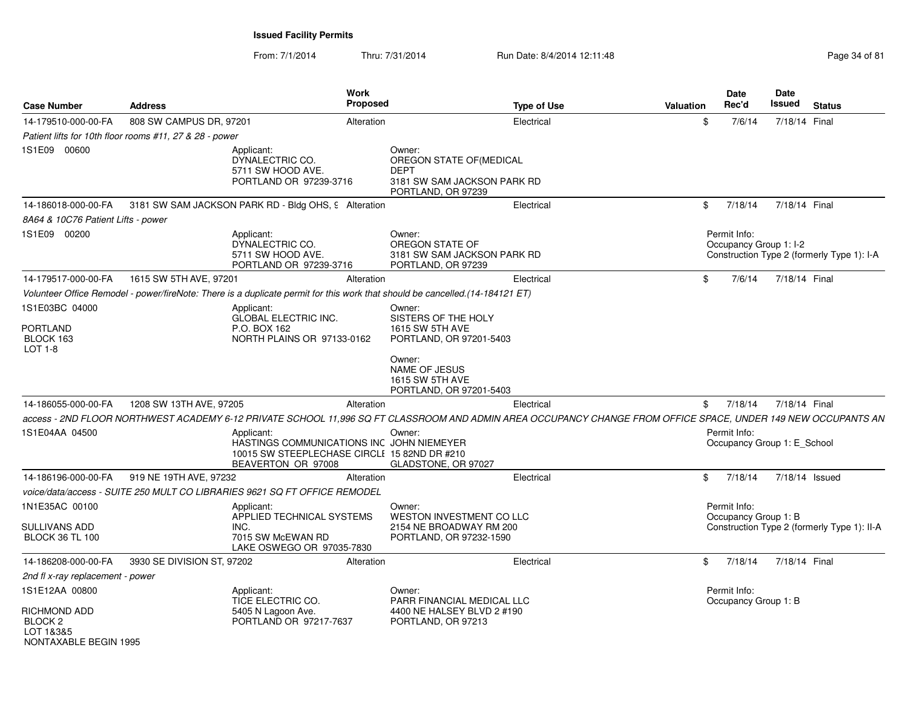From: 7/1/2014Thru: 7/31/2014 Run Date: 8/4/2014 12:11:48 Research 2010 Rage 34 of 81

|                                                               |                                                         | <b>Work</b>                                                                                                                   |                                                                                                        |                                                                                                                                                               |            | Date                                 | Date                        |                                             |
|---------------------------------------------------------------|---------------------------------------------------------|-------------------------------------------------------------------------------------------------------------------------------|--------------------------------------------------------------------------------------------------------|---------------------------------------------------------------------------------------------------------------------------------------------------------------|------------|--------------------------------------|-----------------------------|---------------------------------------------|
| <b>Case Number</b>                                            | <b>Address</b>                                          | <b>Proposed</b>                                                                                                               |                                                                                                        | <b>Type of Use</b><br><b>Valuation</b>                                                                                                                        |            | Rec'd                                | Issued                      | <b>Status</b>                               |
| 14-179510-000-00-FA                                           | 808 SW CAMPUS DR, 97201                                 | Alteration                                                                                                                    | Electrical                                                                                             |                                                                                                                                                               | \$         | 7/6/14                               | 7/18/14 Final               |                                             |
|                                                               | Patient lifts for 10th floor rooms #11, 27 & 28 - power |                                                                                                                               |                                                                                                        |                                                                                                                                                               |            |                                      |                             |                                             |
| 1S1E09 00600                                                  |                                                         | Applicant:<br>DYNALECTRIC CO.<br>5711 SW HOOD AVE.<br>PORTLAND OR 97239-3716                                                  | Owner:<br>OREGON STATE OF (MEDICAL<br><b>DEPT</b><br>3181 SW SAM JACKSON PARK RD<br>PORTLAND, OR 97239 |                                                                                                                                                               |            |                                      |                             |                                             |
| 14-186018-000-00-FA                                           |                                                         | 3181 SW SAM JACKSON PARK RD - Bldg OHS, 9 Alteration                                                                          | Electrical                                                                                             |                                                                                                                                                               | \$.        | 7/18/14                              | 7/18/14 Final               |                                             |
| 8A64 & 10C76 Patient Lifts - power                            |                                                         |                                                                                                                               |                                                                                                        |                                                                                                                                                               |            |                                      |                             |                                             |
| 1S1E09 00200                                                  |                                                         | Applicant:<br>DYNALECTRIC CO.<br>5711 SW HOOD AVE.<br>PORTLAND OR 97239-3716                                                  | Owner:<br>OREGON STATE OF<br>3181 SW SAM JACKSON PARK RD<br>PORTLAND, OR 97239                         |                                                                                                                                                               |            | Permit Info:                         | Occupancy Group 1: I-2      | Construction Type 2 (formerly Type 1): I-A  |
| 14-179517-000-00-FA                                           | 1615 SW 5TH AVE, 97201                                  | Alteration                                                                                                                    | Electrical                                                                                             |                                                                                                                                                               | \$.        | 7/6/14                               | 7/18/14 Final               |                                             |
|                                                               |                                                         | Volunteer Office Remodel - power/fireNote: There is a duplicate permit for this work that should be cancelled.(14-184121 ET)  |                                                                                                        |                                                                                                                                                               |            |                                      |                             |                                             |
| 1S1E03BC 04000                                                |                                                         | Applicant:                                                                                                                    | Owner:                                                                                                 |                                                                                                                                                               |            |                                      |                             |                                             |
| <b>PORTLAND</b><br>BLOCK 163<br>LOT 1-8                       |                                                         | <b>GLOBAL ELECTRIC INC.</b><br>P.O. BOX 162<br>NORTH PLAINS OR 97133-0162                                                     | SISTERS OF THE HOLY<br><b>1615 SW 5TH AVE</b><br>PORTLAND, OR 97201-5403                               |                                                                                                                                                               |            |                                      |                             |                                             |
|                                                               |                                                         |                                                                                                                               | Owner:<br>NAME OF JESUS<br><b>1615 SW 5TH AVE</b><br>PORTLAND, OR 97201-5403                           |                                                                                                                                                               |            |                                      |                             |                                             |
| 14-186055-000-00-FA                                           | 1208 SW 13TH AVE, 97205                                 | Alteration                                                                                                                    | Electrical                                                                                             |                                                                                                                                                               | $^{\circ}$ | 7/18/14                              | 7/18/14 Final               |                                             |
|                                                               |                                                         |                                                                                                                               |                                                                                                        | access - 2ND FLOOR NORTHWEST ACADEMY 6-12 PRIVATE SCHOOL 11,996 SQ FT CLASSROOM AND ADMIN AREA OCCUPANCY CHANGE FROM OFFICE SPACE, UNDER 149 NEW OCCUPANTS AN |            |                                      |                             |                                             |
| 1S1E04AA 04500                                                |                                                         | Applicant:<br>HASTINGS COMMUNICATIONS INC JOHN NIEMEYER<br>10015 SW STEEPLECHASE CIRCLI 15 82ND DR #210<br>BEAVERTON OR 97008 | Owner:<br>GLADSTONE, OR 97027                                                                          |                                                                                                                                                               |            | Permit Info:                         | Occupancy Group 1: E School |                                             |
| 14-186196-000-00-FA                                           | 919 NE 19TH AVE, 97232                                  | Alteration                                                                                                                    | Electrical                                                                                             |                                                                                                                                                               | \$         | 7/18/14                              |                             | 7/18/14 Issued                              |
|                                                               |                                                         | voice/data/access - SUITE 250 MULT CO LIBRARIES 9621 SQ FT OFFICE REMODEL                                                     |                                                                                                        |                                                                                                                                                               |            |                                      |                             |                                             |
| 1N1E35AC 00100                                                |                                                         | Applicant:<br>APPLIED TECHNICAL SYSTEMS                                                                                       | Owner:<br>WESTON INVESTMENT CO LLC                                                                     |                                                                                                                                                               |            | Permit Info:<br>Occupancy Group 1: B |                             |                                             |
| <b>SULLIVANS ADD</b><br><b>BLOCK 36 TL 100</b>                |                                                         | INC.<br>7015 SW McEWAN RD<br>LAKE OSWEGO OR 97035-7830                                                                        | 2154 NE BROADWAY RM 200<br>PORTLAND, OR 97232-1590                                                     |                                                                                                                                                               |            |                                      |                             | Construction Type 2 (formerly Type 1): II-A |
| 14-186208-000-00-FA                                           | 3930 SE DIVISION ST, 97202                              | Alteration                                                                                                                    | Electrical                                                                                             |                                                                                                                                                               | \$         | 7/18/14                              | 7/18/14 Final               |                                             |
| 2nd fl x-ray replacement - power                              |                                                         |                                                                                                                               |                                                                                                        |                                                                                                                                                               |            |                                      |                             |                                             |
| 1S1E12AA 00800                                                |                                                         | Applicant:<br>TICE ELECTRIC CO.                                                                                               | Owner:<br>PARR FINANCIAL MEDICAL LLC                                                                   |                                                                                                                                                               |            | Permit Info:<br>Occupancy Group 1: B |                             |                                             |
| RICHMOND ADD<br>BLOCK 2<br>LOT 1&3&5<br>NONTAXABLE BEGIN 1995 |                                                         | 5405 N Lagoon Ave.<br>PORTLAND OR 97217-7637                                                                                  | 4400 NE HALSEY BLVD 2 #190<br>PORTLAND, OR 97213                                                       |                                                                                                                                                               |            |                                      |                             |                                             |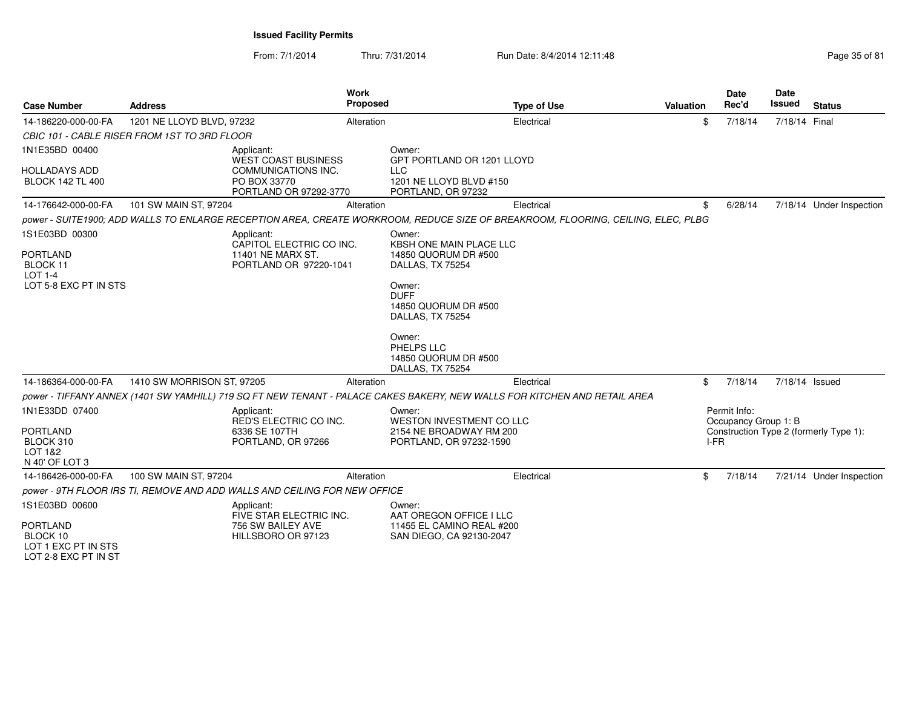From: 7/1/2014

LOT 2-8 EXC PT IN ST

| <b>Case Number</b>                                        | <b>Address</b>             |                                                                           | Work<br>Proposed |                                                                                                                                  | <b>Type of Use</b> | Valuation |        | <b>Date</b><br>Rec'd                 | <b>Date</b><br><b>Issued</b> | <b>Status</b>                          |
|-----------------------------------------------------------|----------------------------|---------------------------------------------------------------------------|------------------|----------------------------------------------------------------------------------------------------------------------------------|--------------------|-----------|--------|--------------------------------------|------------------------------|----------------------------------------|
| 14-186220-000-00-FA                                       | 1201 NE LLOYD BLVD, 97232  |                                                                           | Alteration       |                                                                                                                                  | Electrical         |           | \$     | 7/18/14                              | 7/18/14 Final                |                                        |
| CBIC 101 - CABLE RISER FROM 1ST TO 3RD FLOOR              |                            |                                                                           |                  |                                                                                                                                  |                    |           |        |                                      |                              |                                        |
| 1N1E35BD 00400                                            |                            | Applicant:<br><b>WEST COAST BUSINESS</b>                                  |                  | Owner:<br>GPT PORTLAND OR 1201 LLOYD                                                                                             |                    |           |        |                                      |                              |                                        |
| <b>HOLLADAYS ADD</b><br><b>BLOCK 142 TL 400</b>           |                            | COMMUNICATIONS INC.<br>PO BOX 33770<br>PORTLAND OR 97292-3770             |                  | <b>LLC</b><br>1201 NE LLOYD BLVD #150<br>PORTLAND, OR 97232                                                                      |                    |           |        |                                      |                              |                                        |
| 14-176642-000-00-FA                                       | 101 SW MAIN ST, 97204      |                                                                           | Alteration       |                                                                                                                                  | Electrical         |           | \$     | 6/28/14                              |                              | 7/18/14 Under Inspection               |
|                                                           |                            |                                                                           |                  | power - SUITE1900; ADD WALLS TO ENLARGE RECEPTION AREA, CREATE WORKROOM, REDUCE SIZE OF BREAKROOM, FLOORING, CEILING, ELEC, PLBG |                    |           |        |                                      |                              |                                        |
| 1S1E03BD 00300                                            |                            | Applicant:<br>CAPITOL ELECTRIC CO INC.                                    |                  | Owner:<br><b>KBSH ONE MAIN PLACE LLC</b>                                                                                         |                    |           |        |                                      |                              |                                        |
| <b>PORTLAND</b><br>BLOCK 11<br><b>LOT 1-4</b>             |                            | 11401 NE MARX ST.<br>PORTLAND OR 97220-1041                               |                  | 14850 QUORUM DR #500<br>DALLAS, TX 75254                                                                                         |                    |           |        |                                      |                              |                                        |
| LOT 5-8 EXC PT IN STS                                     |                            |                                                                           |                  | Owner:<br><b>DUFF</b><br>14850 QUORUM DR #500<br>DALLAS, TX 75254                                                                |                    |           |        |                                      |                              |                                        |
|                                                           |                            |                                                                           |                  | Owner:<br>PHELPS LLC<br>14850 QUORUM DR #500<br>DALLAS, TX 75254                                                                 |                    |           |        |                                      |                              |                                        |
| 14-186364-000-00-FA                                       | 1410 SW MORRISON ST, 97205 |                                                                           | Alteration       |                                                                                                                                  | Electrical         |           | \$     | 7/18/14                              | 7/18/14 Issued               |                                        |
|                                                           |                            |                                                                           |                  | power - TIFFANY ANNEX (1401 SW YAMHILL) 719 SQ FT NEW TENANT - PALACE CAKES BAKERY, NEW WALLS FOR KITCHEN AND RETAIL AREA        |                    |           |        |                                      |                              |                                        |
| 1N1E33DD 07400                                            |                            | Applicant:<br>RED'S ELECTRIC CO INC.                                      |                  | Owner:<br><b>WESTON INVESTMENT CO LLC</b>                                                                                        |                    |           |        | Permit Info:<br>Occupancy Group 1: B |                              |                                        |
| <b>PORTLAND</b><br>BLOCK 310<br>LOT 1&2<br>N 40' OF LOT 3 |                            | 6336 SE 107TH<br>PORTLAND, OR 97266                                       |                  | 2154 NE BROADWAY RM 200<br>PORTLAND, OR 97232-1590                                                                               |                    |           | $I-FR$ |                                      |                              | Construction Type 2 (formerly Type 1): |
| 14-186426-000-00-FA                                       | 100 SW MAIN ST, 97204      |                                                                           | Alteration       |                                                                                                                                  | Electrical         |           | \$     | 7/18/14                              |                              | 7/21/14 Under Inspection               |
|                                                           |                            | power - 9TH FLOOR IRS TI, REMOVE AND ADD WALLS AND CEILING FOR NEW OFFICE |                  |                                                                                                                                  |                    |           |        |                                      |                              |                                        |
| 1S1E03BD 00600                                            |                            | Applicant:<br>FIVE STAR ELECTRIC INC.                                     |                  | Owner:<br>AAT OREGON OFFICE I LLC                                                                                                |                    |           |        |                                      |                              |                                        |
| <b>PORTLAND</b><br>BLOCK 10<br>LOT 1 EXC PT IN STS        |                            | 756 SW BAILEY AVE<br>HILLSBORO OR 97123                                   |                  | 11455 EL CAMINO REAL #200<br>SAN DIEGO, CA 92130-2047                                                                            |                    |           |        |                                      |                              |                                        |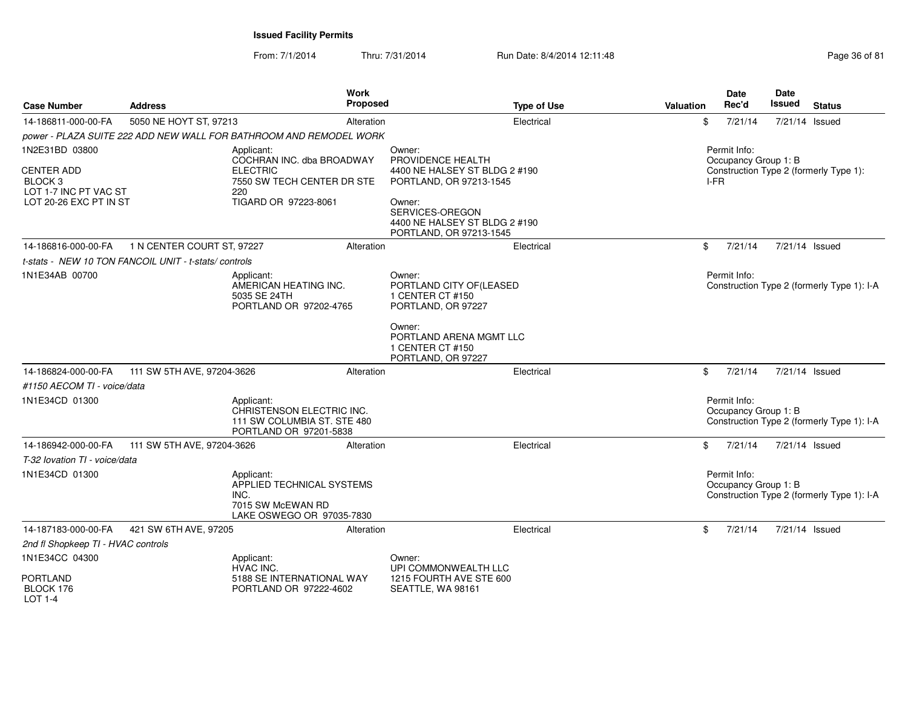From: 7/1/2014Thru: 7/31/2014 Run Date: 8/4/2014 12:11:48 Research 2010 12:00 Rage 36 of 81

| <b>Case Number</b>                                                                                           | <b>Address</b>                                       | Work<br>Proposed                                                                                                        |                                                                                                                                                       | <b>Type of Use</b> | <b>Valuation</b> | Date<br>Rec'd                                | Date<br>Issued | <b>Status</b>                              |
|--------------------------------------------------------------------------------------------------------------|------------------------------------------------------|-------------------------------------------------------------------------------------------------------------------------|-------------------------------------------------------------------------------------------------------------------------------------------------------|--------------------|------------------|----------------------------------------------|----------------|--------------------------------------------|
| 14-186811-000-00-FA                                                                                          | 5050 NE HOYT ST, 97213                               | Alteration                                                                                                              |                                                                                                                                                       | Electrical         | \$               | 7/21/14                                      |                | 7/21/14 Issued                             |
|                                                                                                              |                                                      | power - PLAZA SUITE 222 ADD NEW WALL FOR BATHROOM AND REMODEL WORK                                                      |                                                                                                                                                       |                    |                  |                                              |                |                                            |
| 1N2E31BD 03800<br><b>CENTER ADD</b><br>BLOCK <sub>3</sub><br>LOT 1-7 INC PT VAC ST<br>LOT 20-26 EXC PT IN ST |                                                      | Applicant:<br>COCHRAN INC. dba BROADWAY<br><b>ELECTRIC</b><br>7550 SW TECH CENTER DR STE<br>220<br>TIGARD OR 97223-8061 | Owner:<br>PROVIDENCE HEALTH<br>4400 NE HALSEY ST BLDG 2 #190<br>PORTLAND, OR 97213-1545<br>Owner:<br>SERVICES-OREGON<br>4400 NE HALSEY ST BLDG 2 #190 |                    |                  | Permit Info:<br>Occupancy Group 1: B<br>I-FR |                | Construction Type 2 (formerly Type 1):     |
|                                                                                                              |                                                      |                                                                                                                         | PORTLAND, OR 97213-1545                                                                                                                               |                    |                  |                                              |                |                                            |
| 14-186816-000-00-FA                                                                                          | 1 N CENTER COURT ST, 97227                           | Alteration                                                                                                              |                                                                                                                                                       | Electrical         | \$               | 7/21/14                                      |                | 7/21/14 Issued                             |
|                                                                                                              | t-stats - NEW 10 TON FANCOIL UNIT - t-stats/controls |                                                                                                                         |                                                                                                                                                       |                    |                  |                                              |                |                                            |
| 1N1E34AB 00700                                                                                               |                                                      | Applicant:<br>AMERICAN HEATING INC.<br>5035 SE 24TH<br>PORTLAND OR 97202-4765                                           | Owner:<br>PORTLAND CITY OF(LEASED<br>1 CENTER CT #150<br>PORTLAND, OR 97227                                                                           |                    |                  | Permit Info:                                 |                | Construction Type 2 (formerly Type 1): I-A |
|                                                                                                              |                                                      |                                                                                                                         | Owner:<br>PORTLAND ARENA MGMT LLC<br>1 CENTER CT #150<br>PORTLAND, OR 97227                                                                           |                    |                  |                                              |                |                                            |
| 14-186824-000-00-FA                                                                                          | 111 SW 5TH AVE, 97204-3626                           | Alteration                                                                                                              |                                                                                                                                                       | Electrical         | \$               | 7/21/14                                      |                | 7/21/14 Issued                             |
| #1150 AECOM TI - voice/data                                                                                  |                                                      |                                                                                                                         |                                                                                                                                                       |                    |                  |                                              |                |                                            |
| 1N1E34CD 01300                                                                                               |                                                      | Applicant:<br>CHRISTENSON ELECTRIC INC.<br>111 SW COLUMBIA ST. STE 480<br>PORTLAND OR 97201-5838                        |                                                                                                                                                       |                    |                  | Permit Info:<br>Occupancy Group 1: B         |                | Construction Type 2 (formerly Type 1): I-A |
| 14-186942-000-00-FA                                                                                          | 111 SW 5TH AVE, 97204-3626                           | Alteration                                                                                                              |                                                                                                                                                       | Electrical         | \$               | 7/21/14                                      | 7/21/14 Issued |                                            |
| T-32 lovation TI - voice/data                                                                                |                                                      |                                                                                                                         |                                                                                                                                                       |                    |                  |                                              |                |                                            |
| 1N1E34CD 01300                                                                                               |                                                      | Applicant:<br>APPLIED TECHNICAL SYSTEMS<br>INC.<br>7015 SW McEWAN RD<br>LAKE OSWEGO OR 97035-7830                       |                                                                                                                                                       |                    |                  | Permit Info:<br>Occupancy Group 1: B         |                | Construction Type 2 (formerly Type 1): I-A |
| 14-187183-000-00-FA                                                                                          | 421 SW 6TH AVE, 97205                                | Alteration                                                                                                              |                                                                                                                                                       | Electrical         | \$               | 7/21/14                                      |                | 7/21/14 Issued                             |
| 2nd fl Shopkeep TI - HVAC controls                                                                           |                                                      |                                                                                                                         |                                                                                                                                                       |                    |                  |                                              |                |                                            |
| 1N1E34CC 04300                                                                                               |                                                      | Applicant:<br>HVAC INC.                                                                                                 | Owner:<br>UPI COMMONWEALTH LLC                                                                                                                        |                    |                  |                                              |                |                                            |
| <b>PORTLAND</b><br>BLOCK 176<br>LOT 1-4                                                                      |                                                      | 5188 SE INTERNATIONAL WAY<br>PORTLAND OR 97222-4602                                                                     | 1215 FOURTH AVE STE 600<br>SEATTLE, WA 98161                                                                                                          |                    |                  |                                              |                |                                            |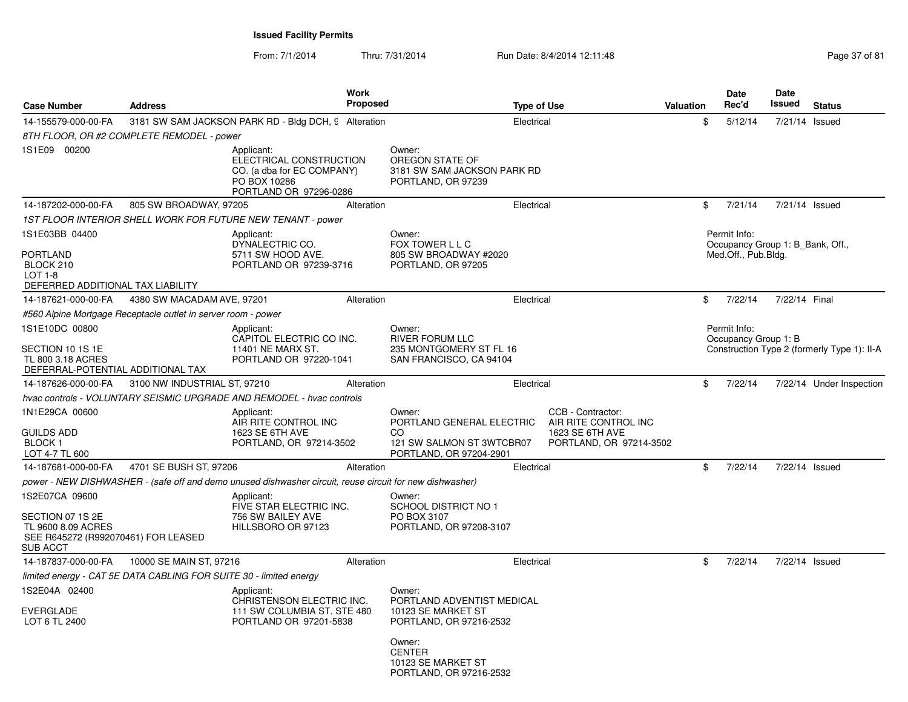From: 7/1/2014Thru: 7/31/2014 Run Date: 8/4/2014 12:11:48 Research 2010 12:00 Rage 37 of 81

| <b>Case Number</b>                                                                                                 | <b>Address</b>                                                     |                                                                                                               | Work<br><b>Proposed</b> |                                                                                                   | <b>Type of Use</b> |                                                                                         | Valuation | Date<br>Rec'd                                                           | Date<br>Issued | <b>Status</b>                               |
|--------------------------------------------------------------------------------------------------------------------|--------------------------------------------------------------------|---------------------------------------------------------------------------------------------------------------|-------------------------|---------------------------------------------------------------------------------------------------|--------------------|-----------------------------------------------------------------------------------------|-----------|-------------------------------------------------------------------------|----------------|---------------------------------------------|
| 14-155579-000-00-FA                                                                                                |                                                                    | 3181 SW SAM JACKSON PARK RD - Bldg DCH, 9 Alteration                                                          |                         |                                                                                                   | Electrical         |                                                                                         |           | \$<br>5/12/14                                                           |                | 7/21/14 Issued                              |
|                                                                                                                    | 8TH FLOOR, OR #2 COMPLETE REMODEL - power                          |                                                                                                               |                         |                                                                                                   |                    |                                                                                         |           |                                                                         |                |                                             |
| 1S1E09 00200                                                                                                       |                                                                    | Applicant:<br>ELECTRICAL CONSTRUCTION<br>CO. (a dba for EC COMPANY)<br>PO BOX 10286<br>PORTLAND OR 97296-0286 |                         | Owner:<br>OREGON STATE OF<br>3181 SW SAM JACKSON PARK RD<br>PORTLAND, OR 97239                    |                    |                                                                                         |           |                                                                         |                |                                             |
| 14-187202-000-00-FA                                                                                                | 805 SW BROADWAY, 97205                                             |                                                                                                               | Alteration              |                                                                                                   | Electrical         |                                                                                         |           | \$<br>7/21/14                                                           |                | 7/21/14 Issued                              |
|                                                                                                                    |                                                                    | 1ST FLOOR INTERIOR SHELL WORK FOR FUTURE NEW TENANT - power                                                   |                         |                                                                                                   |                    |                                                                                         |           |                                                                         |                |                                             |
| 1S1E03BB 04400<br><b>PORTLAND</b><br>BLOCK 210<br>LOT 1-8<br>DEFERRED ADDITIONAL TAX LIABILITY                     |                                                                    | Applicant:<br>DYNALECTRIC CO.<br>5711 SW HOOD AVE.<br>PORTLAND OR 97239-3716                                  |                         | Owner:<br>FOX TOWER L L C<br>805 SW BROADWAY #2020<br>PORTLAND, OR 97205                          |                    |                                                                                         |           | Permit Info:<br>Occupancy Group 1: B Bank, Off.,<br>Med.Off., Pub.Bldg. |                |                                             |
| 14-187621-000-00-FA                                                                                                | 4380 SW MACADAM AVE, 97201                                         |                                                                                                               | Alteration              |                                                                                                   | Electrical         |                                                                                         |           | \$<br>7/22/14                                                           | 7/22/14 Final  |                                             |
|                                                                                                                    | #560 Alpine Mortgage Receptacle outlet in server room - power      |                                                                                                               |                         |                                                                                                   |                    |                                                                                         |           |                                                                         |                |                                             |
| 1S1E10DC 00800                                                                                                     |                                                                    | Applicant:                                                                                                    |                         | Owner:                                                                                            |                    |                                                                                         |           | Permit Info:                                                            |                |                                             |
| SECTION 10 1S 1E<br>TL 800 3.18 ACRES<br>DEFERRAL-POTENTIAL ADDITIONAL TAX                                         |                                                                    | CAPITOL ELECTRIC CO INC.<br>11401 NE MARX ST.<br>PORTLAND OR 97220-1041                                       |                         | <b>RIVER FORUM LLC</b><br>235 MONTGOMERY ST FL 16<br>SAN FRANCISCO, CA 94104                      |                    |                                                                                         |           | Occupancy Group 1: B                                                    |                | Construction Type 2 (formerly Type 1): II-A |
| 14-187626-000-00-FA                                                                                                | 3100 NW INDUSTRIAL ST, 97210                                       |                                                                                                               | Alteration              |                                                                                                   | Electrical         |                                                                                         |           | \$<br>7/22/14                                                           |                | 7/22/14 Under Inspection                    |
|                                                                                                                    |                                                                    | hvac controls - VOLUNTARY SEISMIC UPGRADE AND REMODEL - hvac controls                                         |                         |                                                                                                   |                    |                                                                                         |           |                                                                         |                |                                             |
| 1N1E29CA 00600<br><b>GUILDS ADD</b><br><b>BLOCK1</b><br>LOT 4-7 TL 600                                             |                                                                    | Applicant:<br>AIR RITE CONTROL INC<br>1623 SE 6TH AVE<br>PORTLAND, OR 97214-3502                              |                         | Owner:<br>PORTLAND GENERAL ELECTRIC<br>CO<br>121 SW SALMON ST 3WTCBR07<br>PORTLAND, OR 97204-2901 |                    | CCB - Contractor:<br>AIR RITE CONTROL INC<br>1623 SE 6TH AVE<br>PORTLAND, OR 97214-3502 |           |                                                                         |                |                                             |
| 14-187681-000-00-FA                                                                                                | 4701 SE BUSH ST, 97206                                             |                                                                                                               | Alteration              |                                                                                                   | Electrical         |                                                                                         |           | \$<br>7/22/14                                                           |                | 7/22/14 Issued                              |
|                                                                                                                    |                                                                    | power - NEW DISHWASHER - (safe off and demo unused dishwasher circuit, reuse circuit for new dishwasher)      |                         |                                                                                                   |                    |                                                                                         |           |                                                                         |                |                                             |
| 1S2E07CA 09600<br>SECTION 07 1S 2E<br>TL 9600 8.09 ACRES<br>SEE R645272 (R992070461) FOR LEASED<br><b>SUB ACCT</b> |                                                                    | Applicant:<br>FIVE STAR ELECTRIC INC.<br>756 SW BAILEY AVE<br>HILLSBORO OR 97123                              |                         | Owner:<br>SCHOOL DISTRICT NO 1<br>PO BOX 3107<br>PORTLAND, OR 97208-3107                          |                    |                                                                                         |           |                                                                         |                |                                             |
| 14-187837-000-00-FA                                                                                                | 10000 SE MAIN ST, 97216                                            |                                                                                                               | Alteration              |                                                                                                   | Electrical         |                                                                                         |           | \$<br>7/22/14                                                           |                | 7/22/14 Issued                              |
|                                                                                                                    | limited energy - CAT 5E DATA CABLING FOR SUITE 30 - limited energy |                                                                                                               |                         |                                                                                                   |                    |                                                                                         |           |                                                                         |                |                                             |
| 1S2E04A 02400<br><b>EVERGLADE</b><br>LOT 6 TL 2400                                                                 |                                                                    | Applicant:<br>CHRISTENSON ELECTRIC INC.<br>111 SW COLUMBIA ST. STE 480<br>PORTLAND OR 97201-5838              |                         | Owner:<br>PORTLAND ADVENTIST MEDICAL<br>10123 SE MARKET ST<br>PORTLAND, OR 97216-2532<br>Owner:   |                    |                                                                                         |           |                                                                         |                |                                             |
|                                                                                                                    |                                                                    |                                                                                                               |                         | <b>CENTER</b><br>10123 SE MARKET ST<br>PORTLAND, OR 97216-2532                                    |                    |                                                                                         |           |                                                                         |                |                                             |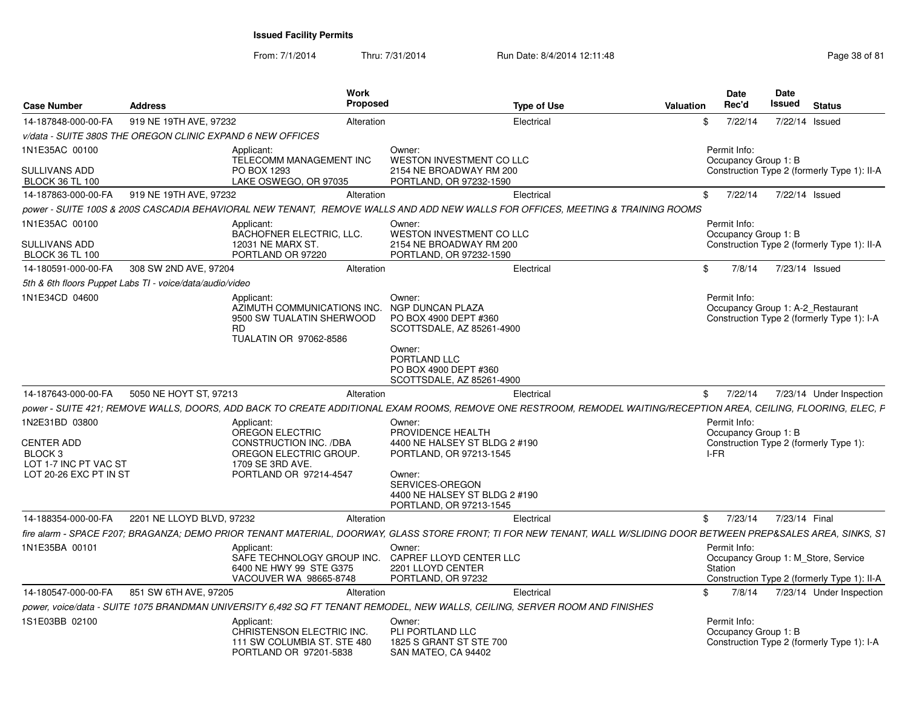From: 7/1/2014Thru: 7/31/2014 Run Date: 8/4/2014 12:11:48 Research 2010 12:00 Rage 38 of 81

| <b>Case Number</b>                                                                                           | <b>Address</b>                                                                                               | <b>Work</b><br><b>Proposed</b>                                               | <b>Type of Use</b>                                                                                                                                                   | <b>Date</b><br>Rec'd<br><b>Valuation</b> |                      | <b>Date</b><br>Issued | <b>Status</b>                                                                      |
|--------------------------------------------------------------------------------------------------------------|--------------------------------------------------------------------------------------------------------------|------------------------------------------------------------------------------|----------------------------------------------------------------------------------------------------------------------------------------------------------------------|------------------------------------------|----------------------|-----------------------|------------------------------------------------------------------------------------|
| 14-187848-000-00-FA                                                                                          | 919 NE 19TH AVE, 97232                                                                                       | Alteration                                                                   | Electrical                                                                                                                                                           | \$                                       | 7/22/14              | 7/22/14 Issued        |                                                                                    |
|                                                                                                              | v/data - SUITE 380S THE OREGON CLINIC EXPAND 6 NEW OFFICES                                                   |                                                                              |                                                                                                                                                                      |                                          |                      |                       |                                                                                    |
| 1N1E35AC 00100<br><b>SULLIVANS ADD</b>                                                                       | Applicant:<br>PO BOX 1293                                                                                    | Owner:<br>TELECOMM MANAGEMENT INC                                            | <b>WESTON INVESTMENT CO LLC</b><br>2154 NE BROADWAY RM 200                                                                                                           | Permit Info:                             | Occupancy Group 1: B |                       | Construction Type 2 (formerly Type 1): II-A                                        |
| <b>BLOCK 36 TL 100</b>                                                                                       | LAKE OSWEGO, OR 97035                                                                                        |                                                                              | PORTLAND, OR 97232-1590                                                                                                                                              |                                          |                      |                       |                                                                                    |
| 14-187863-000-00-FA                                                                                          | 919 NE 19TH AVE, 97232                                                                                       | Alteration                                                                   | Electrical                                                                                                                                                           | $^{\circ}$                               | 7/22/14              | 7/22/14 Issued        |                                                                                    |
|                                                                                                              |                                                                                                              |                                                                              | power - SUITE 100S & 200S CASCADIA BEHAVIORAL NEW TENANT, REMOVE WALLS AND ADD NEW WALLS FOR OFFICES, MEETING & TRAINING ROOMS                                       |                                          |                      |                       |                                                                                    |
| 1N1E35AC 00100<br><b>SULLIVANS ADD</b><br><b>BLOCK 36 TL 100</b>                                             | Applicant:<br>12031 NE MARX ST.<br>PORTLAND OR 97220                                                         | Owner:<br>BACHOFNER ELECTRIC, LLC.                                           | WESTON INVESTMENT CO LLC<br>2154 NE BROADWAY RM 200<br>PORTLAND, OR 97232-1590                                                                                       | Permit Info:                             | Occupancy Group 1: B |                       | Construction Type 2 (formerly Type 1): II-A                                        |
| 14-180591-000-00-FA                                                                                          | 308 SW 2ND AVE, 97204                                                                                        | Alteration                                                                   | Electrical                                                                                                                                                           | \$                                       | 7/8/14               | 7/23/14 Issued        |                                                                                    |
|                                                                                                              | 5th & 6th floors Puppet Labs TI - voice/data/audio/video                                                     |                                                                              |                                                                                                                                                                      |                                          |                      |                       |                                                                                    |
| 1N1E34CD 04600                                                                                               | Applicant:<br><b>RD</b><br>TUALATIN OR 97062-8586                                                            | Owner:<br>AZIMUTH COMMUNICATIONS INC.<br>9500 SW TUALATIN SHERWOOD<br>Owner: | NGP DUNCAN PLAZA<br>PO BOX 4900 DEPT #360<br>SCOTTSDALE, AZ 85261-4900                                                                                               | Permit Info:                             |                      |                       | Occupancy Group 1: A-2 Restaurant<br>Construction Type 2 (formerly Type 1): I-A    |
|                                                                                                              |                                                                                                              |                                                                              | PORTLAND LLC<br>PO BOX 4900 DEPT #360<br>SCOTTSDALE, AZ 85261-4900                                                                                                   |                                          |                      |                       |                                                                                    |
| 14-187643-000-00-FA                                                                                          | 5050 NE HOYT ST, 97213                                                                                       | Alteration                                                                   | Electrical                                                                                                                                                           | $\mathbb{S}$                             | 7/22/14              |                       | 7/23/14 Under Inspection                                                           |
|                                                                                                              |                                                                                                              |                                                                              | power - SUITE 421; REMOVE WALLS, DOORS, ADD BACK TO CREATE ADDITIONAL EXAM ROOMS, REMOVE ONE RESTROOM, REMODEL WAITING/RECEPTION AREA, CEILING, FLOORING, ELEC, F    |                                          |                      |                       |                                                                                    |
| 1N2E31BD 03800<br><b>CENTER ADD</b><br>BLOCK <sub>3</sub><br>LOT 1-7 INC PT VAC ST<br>LOT 20-26 EXC PT IN ST | Applicant:<br>OREGON ELECTRIC<br><b>CONSTRUCTION INC. /DBA</b><br>1709 SE 3RD AVE.<br>PORTLAND OR 97214-4547 | Owner:<br>OREGON ELECTRIC GROUP.<br>Owner:                                   | PROVIDENCE HEALTH<br>4400 NE HALSEY ST BLDG 2 #190<br>PORTLAND, OR 97213-1545<br>SERVICES-OREGON<br>4400 NE HALSEY ST BLDG 2 #190<br>PORTLAND, OR 97213-1545         | Permit Info:<br>I-FR                     | Occupancy Group 1: B |                       | Construction Type 2 (formerly Type 1):                                             |
| 14-188354-000-00-FA                                                                                          | 2201 NE LLOYD BLVD, 97232                                                                                    | Alteration                                                                   | Electrical                                                                                                                                                           | $^{\circ}$                               | 7/23/14              | 7/23/14 Final         |                                                                                    |
|                                                                                                              |                                                                                                              |                                                                              | fire alarm - SPACE F207; BRAGANZA; DEMO PRIOR TENANT MATERIAL, DOORWAY, GLASS STORE FRONT; TI FOR NEW TENANT, WALL W/SLIDING DOOR BETWEEN PREP&SALES AREA, SINKS, S1 |                                          |                      |                       |                                                                                    |
| 1N1E35BA 00101                                                                                               | Applicant:<br>6400 NE HWY 99 STE G375<br>VACOUVER WA 98665-8748                                              | Owner:<br>SAFE TECHNOLOGY GROUP INC.                                         | CAPREF LLOYD CENTER LLC<br>2201 LLOYD CENTER<br>PORTLAND, OR 97232                                                                                                   | Permit Info:<br>Station                  |                      |                       | Occupancy Group 1: M Store, Service<br>Construction Type 2 (formerly Type 1): II-A |
| 14-180547-000-00-FA                                                                                          | 851 SW 6TH AVE, 97205                                                                                        | Alteration                                                                   | Electrical                                                                                                                                                           | \$                                       | 7/8/14               |                       | 7/23/14 Under Inspection                                                           |
|                                                                                                              |                                                                                                              |                                                                              | power, voice/data - SUITE 1075 BRANDMAN UNIVERSITY 6,492 SQ FT TENANT REMODEL, NEW WALLS, CEILING, SERVER ROOM AND FINISHES                                          |                                          |                      |                       |                                                                                    |
| 1S1E03BB 02100                                                                                               | Applicant:<br>PORTLAND OR 97201-5838                                                                         | Owner:<br>CHRISTENSON ELECTRIC INC.<br>111 SW COLUMBIA ST. STE 480           | PLI PORTLAND LLC<br>1825 S GRANT ST STE 700<br>SAN MATEO, CA 94402                                                                                                   | Permit Info:                             | Occupancy Group 1: B |                       | Construction Type 2 (formerly Type 1): I-A                                         |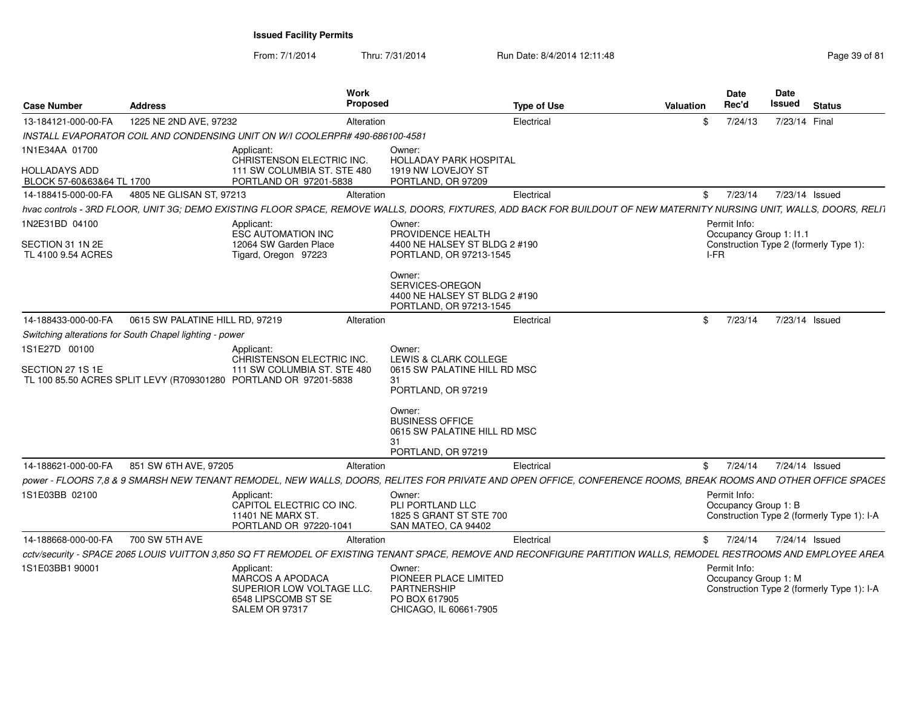| <b>Case Number</b>                                       | <b>Address</b>                                          |                                                                                                                                            | Work<br>Proposed                                                                             | <b>Type of Use</b>                                                                                                                                                     | <b>Valuation</b> | <b>Date</b><br>Rec'd                 | <b>Date</b><br>Issued<br><b>Status</b>                            |
|----------------------------------------------------------|---------------------------------------------------------|--------------------------------------------------------------------------------------------------------------------------------------------|----------------------------------------------------------------------------------------------|------------------------------------------------------------------------------------------------------------------------------------------------------------------------|------------------|--------------------------------------|-------------------------------------------------------------------|
| 13-184121-000-00-FA                                      | 1225 NE 2ND AVE, 97232                                  |                                                                                                                                            | Alteration                                                                                   | Electrical                                                                                                                                                             |                  | 7/24/13                              | 7/23/14 Final                                                     |
|                                                          |                                                         | INSTALL EVAPORATOR COIL AND CONDENSING UNIT ON W/I COOLERPR# 490-686100-4581                                                               |                                                                                              |                                                                                                                                                                        |                  |                                      |                                                                   |
| 1N1E34AA 01700<br><b>HOLLADAYS ADD</b>                   |                                                         | Applicant<br>CHRISTENSON ELECTRIC INC.<br>111 SW COLUMBIA ST. STE 480                                                                      | Owner:<br><b>HOLLADAY PARK HOSPITAL</b><br>1919 NW LOVEJOY ST                                |                                                                                                                                                                        |                  |                                      |                                                                   |
| BLOCK 57-60&63&64 TL 1700                                |                                                         | PORTLAND OR 97201-5838                                                                                                                     | PORTLAND, OR 97209                                                                           |                                                                                                                                                                        |                  |                                      |                                                                   |
| 14-188415-000-00-FA                                      | 4805 NE GLISAN ST, 97213                                |                                                                                                                                            | Alteration                                                                                   | Electrical                                                                                                                                                             |                  |                                      | \$ 7/23/14 7/23/14 Issued                                         |
|                                                          |                                                         |                                                                                                                                            |                                                                                              | hvac controls - 3RD FLOOR, UNIT 3G; DEMO EXISTING FLOOR SPACE, REMOVE WALLS, DOORS, FIXTURES, ADD BACK FOR BUILDOUT OF NEW MATERNITY NURSING UNIT, WALLS, DOORS, RELIT |                  |                                      |                                                                   |
| 1N2E31BD 04100<br>SECTION 31 1N 2E<br>TL 4100 9.54 ACRES |                                                         | Applicant<br><b>ESC AUTOMATION INC</b><br>12064 SW Garden Place<br>Tigard, Oregon 97223                                                    | Owner:<br>PROVIDENCE HEALTH<br>4400 NE HALSEY ST BLDG 2 #190<br>PORTLAND, OR 97213-1545      |                                                                                                                                                                        |                  | Permit Info:<br>I-FR                 | Occupancy Group 1: 11.1<br>Construction Type 2 (formerly Type 1): |
|                                                          |                                                         |                                                                                                                                            | Owner:<br>SERVICES-OREGON<br>4400 NE HALSEY ST BLDG 2 #190<br>PORTLAND, OR 97213-1545        |                                                                                                                                                                        |                  |                                      |                                                                   |
| 14-188433-000-00-FA                                      | 0615 SW PALATINE HILL RD, 97219                         |                                                                                                                                            | Alteration                                                                                   | Electrical                                                                                                                                                             |                  | \$7/23/14                            | 7/23/14 Issued                                                    |
|                                                          | Switching alterations for South Chapel lighting - power |                                                                                                                                            |                                                                                              |                                                                                                                                                                        |                  |                                      |                                                                   |
| 1S1E27D 00100<br>SECTION 27 1S 1E                        |                                                         | Applicant:<br>CHRISTENSON ELECTRIC INC.<br>111 SW COLUMBIA ST. STE 480<br>TL 100 85.50 ACRES SPLIT LEVY (R709301280 PORTLAND OR 97201-5838 | Owner:<br>LEWIS & CLARK COLLEGE<br>0615 SW PALATINE HILL RD MSC<br>31<br>PORTLAND, OR 97219  |                                                                                                                                                                        |                  |                                      |                                                                   |
|                                                          |                                                         |                                                                                                                                            | Owner:<br><b>BUSINESS OFFICE</b><br>0615 SW PALATINE HILL RD MSC<br>31<br>PORTLAND, OR 97219 |                                                                                                                                                                        |                  |                                      |                                                                   |
| 14-188621-000-00-FA                                      | 851 SW 6TH AVE, 97205                                   |                                                                                                                                            | Alteration                                                                                   | Electrical                                                                                                                                                             |                  | \$7/24/14                            | 7/24/14 Issued                                                    |
|                                                          |                                                         |                                                                                                                                            |                                                                                              | power - FLOORS 7.8 & 9 SMARSH NEW TENANT REMODEL. NEW WALLS. DOORS. RELITES FOR PRIVATE AND OPEN OFFICE. CONFERENCE ROOMS. BREAK ROOMS AND OTHER OFFICE SPACES         |                  |                                      |                                                                   |
| 1S1E03BB 02100                                           |                                                         | Applicant:<br>CAPITOL ELECTRIC CO INC<br>11401 NE MARX ST<br>PORTLAND OR 97220-1041                                                        | Owner:<br>PLI PORTLAND LLC<br>1825 S GRANT ST STE 700<br>SAN MATEO, CA 94402                 |                                                                                                                                                                        |                  | Permit Info:<br>Occupancy Group 1: B | Construction Type 2 (formerly Type 1): I-A                        |
| 14-188668-000-00-FA                                      | 700 SW 5TH AVE                                          |                                                                                                                                            | Alteration                                                                                   | Electrical                                                                                                                                                             |                  | \$7/24/14                            | 7/24/14 Issued                                                    |
|                                                          |                                                         |                                                                                                                                            |                                                                                              | cctv/security - SPACE 2065 LOUIS VUITTON 3,850 SQ FT REMODEL OF EXISTING TENANT SPACE, REMOVE AND RECONFIGURE PARTITION WALLS, REMODEL RESTROOMS AND EMPLOYEE AREA     |                  |                                      |                                                                   |
| 1S1E03BB1 90001                                          |                                                         | Applicant:<br>MARCOS A APODACA<br>SUPERIOR LOW VOLTAGE LLC.<br>6548 LIPSCOMB ST SE<br>SALEM OR 97317                                       | Owner:<br>PIONEER PLACE LIMITED<br>PARTNERSHIP<br>PO BOX 617905<br>CHICAGO. IL 60661-7905    |                                                                                                                                                                        |                  | Permit Info:<br>Occupancy Group 1: M | Construction Type 2 (formerly Type 1): I-A                        |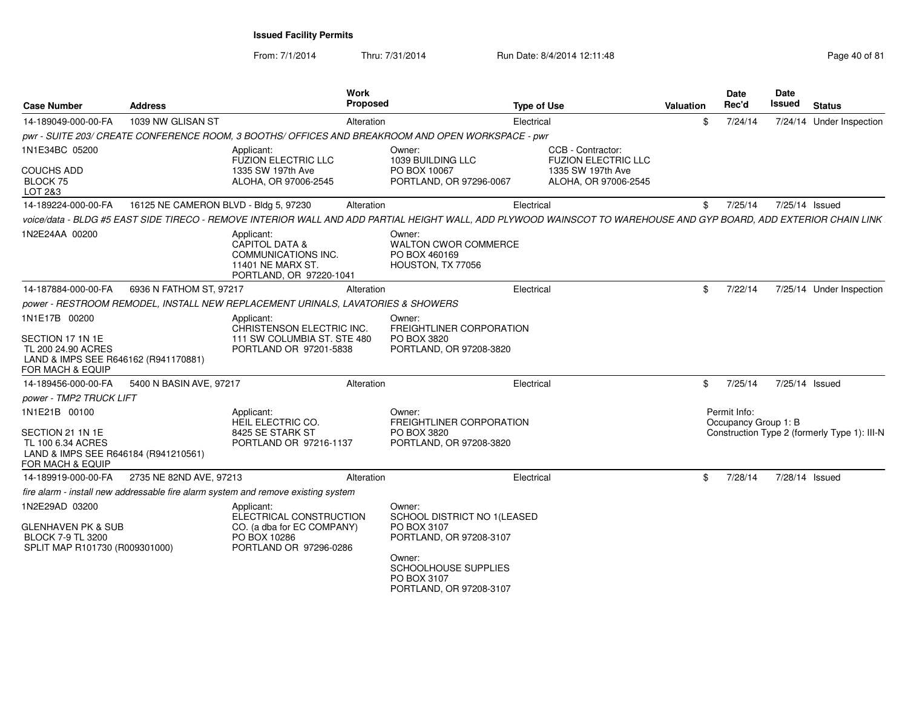| <b>Case Number</b>                                                                                            | <b>Address</b>                        |                                                                                                                | Work<br><b>Proposed</b> |                                                                                                                                                                    | <b>Type of Use</b> |                                                 | Valuation | <b>Date</b><br>Rec'd |         | Date<br><b>Issued</b> | <b>Status</b>                                |
|---------------------------------------------------------------------------------------------------------------|---------------------------------------|----------------------------------------------------------------------------------------------------------------|-------------------------|--------------------------------------------------------------------------------------------------------------------------------------------------------------------|--------------------|-------------------------------------------------|-----------|----------------------|---------|-----------------------|----------------------------------------------|
| 14-189049-000-00-FA                                                                                           | 1039 NW GLISAN ST                     |                                                                                                                | Alteration              |                                                                                                                                                                    | Electrical         |                                                 | \$        |                      | 7/24/14 |                       | 7/24/14 Under Inspection                     |
|                                                                                                               |                                       |                                                                                                                |                         | pwr - SUITE 203/ CREATE CONFERENCE ROOM, 3 BOOTHS/ OFFICES AND BREAKROOM AND OPEN WORKSPACE - pwr                                                                  |                    |                                                 |           |                      |         |                       |                                              |
| 1N1E34BC 05200                                                                                                |                                       | Applicant:<br><b>FUZION ELECTRIC LLC</b>                                                                       |                         | Owner:<br>1039 BUILDING LLC                                                                                                                                        |                    | CCB - Contractor:<br><b>FUZION ELECTRIC LLC</b> |           |                      |         |                       |                                              |
| <b>COUCHS ADD</b><br>BLOCK 75<br>LOT 2&3                                                                      |                                       | 1335 SW 197th Ave<br>ALOHA, OR 97006-2545                                                                      |                         | PO BOX 10067<br>PORTLAND, OR 97296-0067                                                                                                                            |                    | 1335 SW 197th Ave<br>ALOHA, OR 97006-2545       |           |                      |         |                       |                                              |
| 14-189224-000-00-FA                                                                                           | 16125 NE CAMERON BLVD - Bldg 5, 97230 |                                                                                                                | Alteration              |                                                                                                                                                                    | Electrical         |                                                 | \$        |                      | 7/25/14 | 7/25/14 Issued        |                                              |
|                                                                                                               |                                       |                                                                                                                |                         | voice/data - BLDG #5 EAST SIDE TIRECO - REMOVE INTERIOR WALL AND ADD PARTIAL HEIGHT WALL, ADD PLYWOOD WAINSCOT TO WAREHOUSE AND GYP BOARD, ADD EXTERIOR CHAIN LINK |                    |                                                 |           |                      |         |                       |                                              |
| 1N2E24AA 00200                                                                                                |                                       | Applicant:<br><b>CAPITOL DATA &amp;</b><br>COMMUNICATIONS INC.<br>11401 NE MARX ST.<br>PORTLAND, OR 97220-1041 |                         | Owner:<br><b>WALTON CWOR COMMERCE</b><br>PO BOX 460169<br>HOUSTON, TX 77056                                                                                        |                    |                                                 |           |                      |         |                       |                                              |
| 14-187884-000-00-FA                                                                                           | 6936 N FATHOM ST, 97217               |                                                                                                                | Alteration              |                                                                                                                                                                    | Electrical         |                                                 | \$        |                      | 7/22/14 |                       | 7/25/14 Under Inspection                     |
|                                                                                                               |                                       | power - RESTROOM REMODEL, INSTALL NEW REPLACEMENT URINALS, LAVATORIES & SHOWERS                                |                         |                                                                                                                                                                    |                    |                                                 |           |                      |         |                       |                                              |
| 1N1E17B 00200                                                                                                 |                                       | Applicant:<br>CHRISTENSON ELECTRIC INC.                                                                        |                         | Owner:<br><b>FREIGHTLINER CORPORATION</b>                                                                                                                          |                    |                                                 |           |                      |         |                       |                                              |
| SECTION 17 1N 1E<br>TL 200 24.90 ACRES<br>LAND & IMPS SEE R646162 (R941170881)<br>FOR MACH & EQUIP            |                                       | 111 SW COLUMBIA ST. STE 480<br>PORTLAND OR 97201-5838                                                          |                         | <b>PO BOX 3820</b><br>PORTLAND, OR 97208-3820                                                                                                                      |                    |                                                 |           |                      |         |                       |                                              |
| 14-189456-000-00-FA                                                                                           | 5400 N BASIN AVE, 97217               |                                                                                                                | Alteration              |                                                                                                                                                                    | Electrical         |                                                 | \$        |                      | 7/25/14 | 7/25/14 Issued        |                                              |
| power - TMP2 TRUCK LIFT                                                                                       |                                       |                                                                                                                |                         |                                                                                                                                                                    |                    |                                                 |           |                      |         |                       |                                              |
| 1N1E21B 00100                                                                                                 |                                       | Applicant:<br>HEIL ELECTRIC CO.                                                                                |                         | Owner:<br>FREIGHTLINER CORPORATION                                                                                                                                 |                    |                                                 |           | Permit Info:         |         | Occupancy Group 1: B  |                                              |
| SECTION 21 1N 1E<br>TL 100 6.34 ACRES<br>LAND & IMPS SEE R646184 (R941210561)<br>FOR MACH & EQUIP             |                                       | 8425 SE STARK ST<br>PORTLAND OR 97216-1137                                                                     |                         | PO BOX 3820<br>PORTLAND, OR 97208-3820                                                                                                                             |                    |                                                 |           |                      |         |                       | Construction Type 2 (formerly Type 1): III-N |
| 14-189919-000-00-FA                                                                                           | 2735 NE 82ND AVE, 97213               |                                                                                                                | Alteration              |                                                                                                                                                                    | Electrical         |                                                 | \$        |                      | 7/28/14 | 7/28/14 Issued        |                                              |
|                                                                                                               |                                       | fire alarm - install new addressable fire alarm system and remove existing system                              |                         |                                                                                                                                                                    |                    |                                                 |           |                      |         |                       |                                              |
| 1N2E29AD 03200<br><b>GLENHAVEN PK &amp; SUB</b><br><b>BLOCK 7-9 TL 3200</b><br>SPLIT MAP R101730 (R009301000) |                                       | Applicant:<br>ELECTRICAL CONSTRUCTION<br>CO. (a dba for EC COMPANY)<br>PO BOX 10286<br>PORTLAND OR 97296-0286  |                         | Owner:<br>SCHOOL DISTRICT NO 1(LEASED<br>PO BOX 3107<br>PORTLAND, OR 97208-3107                                                                                    |                    |                                                 |           |                      |         |                       |                                              |
|                                                                                                               |                                       |                                                                                                                |                         | Owner:<br>SCHOOLHOUSE SUPPLIES<br>PO BOX 3107<br>PORTLAND, OR 97208-3107                                                                                           |                    |                                                 |           |                      |         |                       |                                              |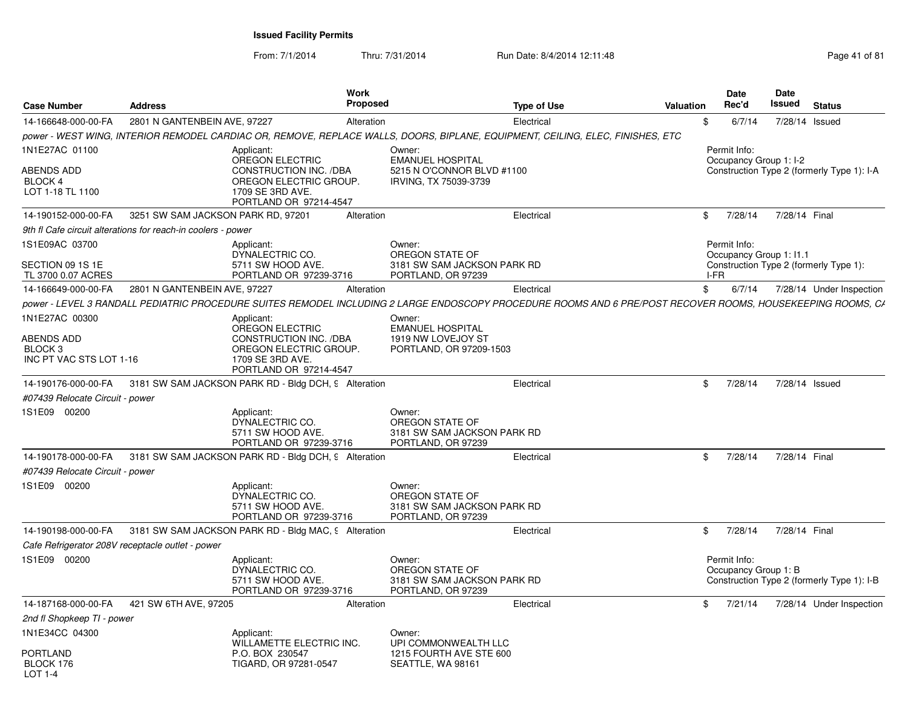From: 7/1/2014

| <b>Case Number</b>                            | Address                                                      | <b>Work</b><br><b>Proposed</b>                                                                                                                              |                                                                                | <b>Type of Use</b> | Valuation | <b>Date</b><br>Rec'd                    | Date<br>Issued | <b>Status</b>                              |
|-----------------------------------------------|--------------------------------------------------------------|-------------------------------------------------------------------------------------------------------------------------------------------------------------|--------------------------------------------------------------------------------|--------------------|-----------|-----------------------------------------|----------------|--------------------------------------------|
| 14-166648-000-00-FA                           | 2801 N GANTENBEIN AVE, 97227                                 | Alteration                                                                                                                                                  |                                                                                | Electrical         |           | 6/7/14<br>\$                            | 7/28/14 Issued |                                            |
|                                               |                                                              | power - WEST WING, INTERIOR REMODEL CARDIAC OR, REMOVE, REPLACE WALLS, DOORS, BIPLANE, EQUIPMENT, CEILING, ELEC, FINISHES, ETC                              |                                                                                |                    |           |                                         |                |                                            |
| 1N1E27AC 01100                                |                                                              | Applicant:<br>OREGON ELECTRIC                                                                                                                               | Owner:<br><b>EMANUEL HOSPITAL</b>                                              |                    |           | Permit Info:<br>Occupancy Group 1: I-2  |                |                                            |
| ABENDS ADD<br>BLOCK 4<br>LOT 1-18 TL 1100     |                                                              | CONSTRUCTION INC. /DBA<br>OREGON ELECTRIC GROUP.<br>1709 SE 3RD AVE.<br>PORTLAND OR 97214-4547                                                              | 5215 N O'CONNOR BLVD #1100<br>IRVING, TX 75039-3739                            |                    |           |                                         |                | Construction Type 2 (formerly Type 1): I-A |
| 14-190152-000-00-FA                           | 3251 SW SAM JACKSON PARK RD, 97201                           | Alteration                                                                                                                                                  |                                                                                | Electrical         |           | \$<br>7/28/14                           | 7/28/14 Final  |                                            |
|                                               | 9th fl Cafe circuit alterations for reach-in coolers - power |                                                                                                                                                             |                                                                                |                    |           |                                         |                |                                            |
| 1S1E09AC 03700                                |                                                              | Applicant:<br>DYNALECTRIC CO.                                                                                                                               | Owner:<br>OREGON STATE OF                                                      |                    |           | Permit Info:<br>Occupancy Group 1: 11.1 |                |                                            |
| SECTION 09 1S 1E<br>TL 3700 0.07 ACRES        |                                                              | 5711 SW HOOD AVE.<br>PORTLAND OR 97239-3716                                                                                                                 | 3181 SW SAM JACKSON PARK RD<br>PORTLAND, OR 97239                              |                    |           | I-FR                                    |                | Construction Type 2 (formerly Type 1):     |
| 14-166649-000-00-FA                           | 2801 N GANTENBEIN AVE, 97227                                 | Alteration                                                                                                                                                  |                                                                                | Electrical         |           | \$<br>6/7/14                            |                | 7/28/14 Under Inspection                   |
|                                               |                                                              | power - LEVEL 3 RANDALL PEDIATRIC PROCEDURE SUITES REMODEL INCLUDING 2 LARGE ENDOSCOPY PROCEDURE ROOMS AND 6 PRE/POST RECOVER ROOMS. HOUSEKEEPING ROOMS, CA |                                                                                |                    |           |                                         |                |                                            |
| 1N1E27AC 00300                                |                                                              | Applicant:<br>OREGON ELECTRIC                                                                                                                               | Owner:<br><b>EMANUEL HOSPITAL</b>                                              |                    |           |                                         |                |                                            |
| ABENDS ADD                                    |                                                              | CONSTRUCTION INC. /DBA                                                                                                                                      | 1919 NW LOVEJOY ST                                                             |                    |           |                                         |                |                                            |
| BLOCK <sub>3</sub><br>INC PT VAC STS LOT 1-16 |                                                              | OREGON ELECTRIC GROUP.<br>1709 SE 3RD AVE.<br>PORTLAND OR 97214-4547                                                                                        | PORTLAND, OR 97209-1503                                                        |                    |           |                                         |                |                                            |
| 14-190176-000-00-FA                           |                                                              | 3181 SW SAM JACKSON PARK RD - Bldg DCH, 9 Alteration                                                                                                        |                                                                                | Electrical         |           | 7/28/14<br>\$                           | 7/28/14 Issued |                                            |
| #07439 Relocate Circuit - power               |                                                              |                                                                                                                                                             |                                                                                |                    |           |                                         |                |                                            |
| 1S1E09 00200                                  |                                                              | Applicant:<br>DYNALECTRIC CO.<br>5711 SW HOOD AVE.<br>PORTLAND OR 97239-3716                                                                                | Owner:<br>OREGON STATE OF<br>3181 SW SAM JACKSON PARK RD<br>PORTLAND, OR 97239 |                    |           |                                         |                |                                            |
| 14-190178-000-00-FA                           |                                                              | 3181 SW SAM JACKSON PARK RD - Bldg DCH, 9 Alteration                                                                                                        |                                                                                | Electrical         |           | \$<br>7/28/14                           | 7/28/14 Final  |                                            |
| #07439 Relocate Circuit - power               |                                                              |                                                                                                                                                             |                                                                                |                    |           |                                         |                |                                            |
| 1S1E09 00200                                  |                                                              | Applicant:<br>DYNALECTRIC CO.<br>5711 SW HOOD AVE.<br>PORTLAND OR 97239-3716                                                                                | Owner:<br>OREGON STATE OF<br>3181 SW SAM JACKSON PARK RD<br>PORTLAND, OR 97239 |                    |           |                                         |                |                                            |
| 14-190198-000-00-FA                           |                                                              | 3181 SW SAM JACKSON PARK RD - Bldg MAC, 9 Alteration                                                                                                        |                                                                                | Electrical         |           | 7/28/14<br>\$                           | 7/28/14 Final  |                                            |
|                                               | Cafe Refrigerator 208V receptacle outlet - power             |                                                                                                                                                             |                                                                                |                    |           |                                         |                |                                            |
| 1S1E09 00200                                  |                                                              | Applicant:<br>DYNALECTRIC CO.<br>5711 SW HOOD AVE.<br>PORTLAND OR 97239-3716                                                                                | Owner:<br>OREGON STATE OF<br>3181 SW SAM JACKSON PARK RD<br>PORTLAND, OR 97239 |                    |           | Permit Info:<br>Occupancy Group 1: B    |                | Construction Type 2 (formerly Type 1): I-B |
| 14-187168-000-00-FA                           | 421 SW 6TH AVE, 97205                                        | Alteration                                                                                                                                                  |                                                                                | Electrical         |           | \$<br>7/21/14                           |                | 7/28/14 Under Inspection                   |
| 2nd fl Shopkeep TI - power                    |                                                              |                                                                                                                                                             |                                                                                |                    |           |                                         |                |                                            |
| 1N1E34CC 04300                                |                                                              | Applicant:<br>WILLAMETTE ELECTRIC INC.                                                                                                                      | Owner:<br>UPI COMMONWEALTH LLC                                                 |                    |           |                                         |                |                                            |
| PORTLAND<br>BLOCK 176<br>LOT 1-4              |                                                              | P.O. BOX 230547<br>TIGARD, OR 97281-0547                                                                                                                    | 1215 FOURTH AVE STE 600<br>SEATTLE, WA 98161                                   |                    |           |                                         |                |                                            |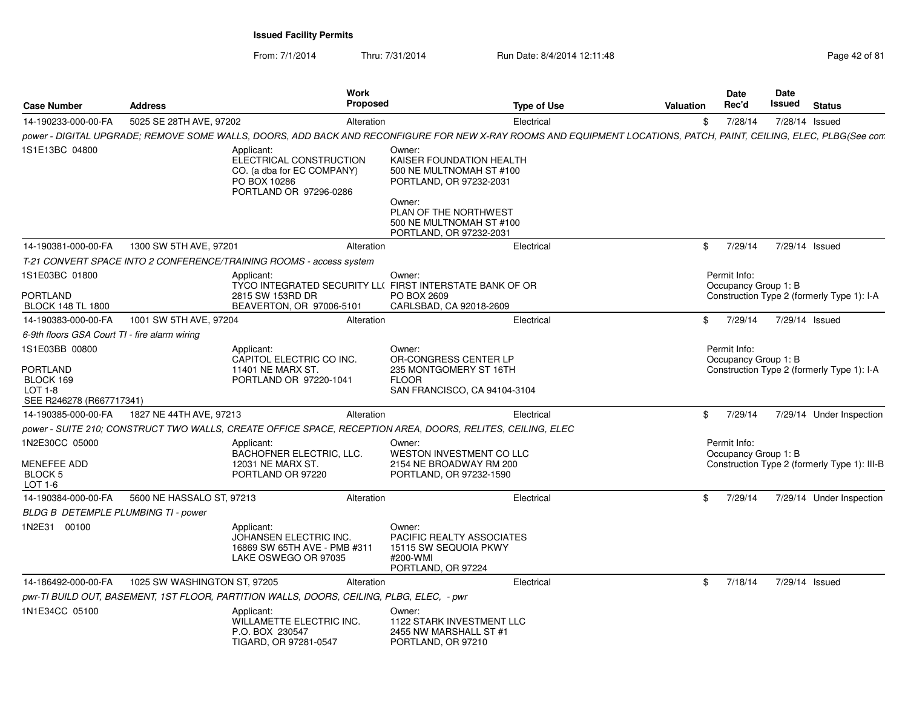From: 7/1/2014Thru: 7/31/2014 Run Date: 8/4/2014 12:11:48 Research 2010 12:00 Page 42 of 81

|                                                                |                              | <b>Work</b>                                                                                                   |                                                                                                                                                                                     |            | <b>Date</b>                          | <b>Date</b> |                                              |
|----------------------------------------------------------------|------------------------------|---------------------------------------------------------------------------------------------------------------|-------------------------------------------------------------------------------------------------------------------------------------------------------------------------------------|------------|--------------------------------------|-------------|----------------------------------------------|
| <b>Case Number</b>                                             | <b>Address</b>               | Proposed                                                                                                      | <b>Type of Use</b>                                                                                                                                                                  | Valuation  | Rec'd                                | Issued      | <b>Status</b>                                |
| 14-190233-000-00-FA                                            | 5025 SE 28TH AVE, 97202      | Alteration                                                                                                    | Electrical                                                                                                                                                                          | \$         | 7/28/14                              |             | 7/28/14 Issued                               |
|                                                                |                              |                                                                                                               | power - DIGITAL UPGRADE; REMOVE SOME WALLS, DOORS, ADD BACK AND RECONFIGURE FOR NEW X-RAY ROOMS AND EQUIPMENT LOCATIONS, PATCH, PAINT, CEILING, ELEC, PLBG(See con                  |            |                                      |             |                                              |
| 1S1E13BC 04800                                                 |                              | Applicant:<br>ELECTRICAL CONSTRUCTION<br>CO. (a dba for EC COMPANY)<br>PO BOX 10286<br>PORTLAND OR 97296-0286 | Owner:<br>KAISER FOUNDATION HEALTH<br>500 NE MULTNOMAH ST #100<br>PORTLAND, OR 97232-2031<br>Owner:<br>PLAN OF THE NORTHWEST<br>500 NE MULTNOMAH ST #100<br>PORTLAND, OR 97232-2031 |            |                                      |             |                                              |
| 14-190381-000-00-FA                                            | 1300 SW 5TH AVE, 97201       | Alteration                                                                                                    | Electrical                                                                                                                                                                          | $^{\circ}$ | 7/29/14                              |             | 7/29/14 Issued                               |
|                                                                |                              | T-21 CONVERT SPACE INTO 2 CONFERENCE/TRAINING ROOMS - access system                                           |                                                                                                                                                                                     |            |                                      |             |                                              |
| 1S1E03BC 01800<br>PORTLAND                                     |                              | Applicant:<br>TYCO INTEGRATED SECURITY LL(FIRST INTERSTATE BANK OF OR<br>2815 SW 153RD DR                     | Owner:<br>PO BOX 2609                                                                                                                                                               |            | Permit Info:<br>Occupancy Group 1: B |             | Construction Type 2 (formerly Type 1): I-A   |
| <b>BLOCK 148 TL 1800</b>                                       |                              | BEAVERTON, OR 97006-5101                                                                                      | CARLSBAD, CA 92018-2609                                                                                                                                                             |            |                                      |             |                                              |
| 14-190383-000-00-FA                                            | 1001 SW 5TH AVE, 97204       | Alteration                                                                                                    | Electrical                                                                                                                                                                          | $^{\circ}$ | 7/29/14                              |             | 7/29/14 Issued                               |
| 6-9th floors GSA Court TI - fire alarm wiring                  |                              |                                                                                                               |                                                                                                                                                                                     |            |                                      |             |                                              |
| 1S1E03BB 00800                                                 |                              | Applicant:<br>CAPITOL ELECTRIC CO INC.                                                                        | Owner:<br>OR-CONGRESS CENTER LP                                                                                                                                                     |            | Permit Info:<br>Occupancy Group 1: B |             |                                              |
| PORTLAND<br>BLOCK 169<br>$LOT 1-8$<br>SEE R246278 (R667717341) |                              | 11401 NE MARX ST.<br>PORTLAND OR 97220-1041                                                                   | 235 MONTGOMERY ST 16TH<br><b>FLOOR</b><br>SAN FRANCISCO, CA 94104-3104                                                                                                              |            |                                      |             | Construction Type 2 (formerly Type 1): I-A   |
| 14-190385-000-00-FA                                            | 1827 NE 44TH AVE, 97213      | Alteration                                                                                                    | Electrical                                                                                                                                                                          | $^{\circ}$ | 7/29/14                              |             | 7/29/14 Under Inspection                     |
|                                                                |                              |                                                                                                               | power - SUITE 210; CONSTRUCT TWO WALLS, CREATE OFFICE SPACE, RECEPTION AREA, DOORS, RELITES, CEILING, ELEC                                                                          |            |                                      |             |                                              |
| 1N2E30CC 05000                                                 |                              | Applicant:                                                                                                    | Owner:                                                                                                                                                                              |            | Permit Info:                         |             |                                              |
| <b>MENEFEE ADD</b><br>BLOCK 5<br>LOT 1-6                       |                              | <b>BACHOFNER ELECTRIC, LLC.</b><br>12031 NE MARX ST.<br>PORTLAND OR 97220                                     | WESTON INVESTMENT CO LLC<br>2154 NE BROADWAY RM 200<br>PORTLAND, OR 97232-1590                                                                                                      |            | Occupancy Group 1: B                 |             | Construction Type 2 (formerly Type 1): III-B |
| 14-190384-000-00-FA                                            | 5600 NE HASSALO ST, 97213    | Alteration                                                                                                    | Electrical                                                                                                                                                                          | \$         | 7/29/14                              |             | 7/29/14 Under Inspection                     |
| BLDG B DETEMPLE PLUMBING TI - power                            |                              |                                                                                                               |                                                                                                                                                                                     |            |                                      |             |                                              |
| 1N2E31 00100                                                   |                              | Applicant:<br>JOHANSEN ELECTRIC INC.<br>16869 SW 65TH AVE - PMB #311<br>LAKE OSWEGO OR 97035                  | Owner:<br>PACIFIC REALTY ASSOCIATES<br>15115 SW SEQUOIA PKWY<br>#200-WMI<br>PORTLAND, OR 97224                                                                                      |            |                                      |             |                                              |
| 14-186492-000-00-FA                                            | 1025 SW WASHINGTON ST, 97205 | Alteration                                                                                                    | Electrical                                                                                                                                                                          | $^{\circ}$ | 7/18/14                              |             | 7/29/14 Issued                               |
|                                                                |                              | pwr-TI BUILD OUT, BASEMENT, 1ST FLOOR, PARTITION WALLS, DOORS, CEILING, PLBG, ELEC, - pwr                     |                                                                                                                                                                                     |            |                                      |             |                                              |
| 1N1E34CC 05100                                                 |                              | Applicant:<br>WILLAMETTE ELECTRIC INC.<br>P.O. BOX 230547<br>TIGARD, OR 97281-0547                            | Owner:<br>1122 STARK INVESTMENT LLC<br>2455 NW MARSHALL ST #1<br>PORTLAND, OR 97210                                                                                                 |            |                                      |             |                                              |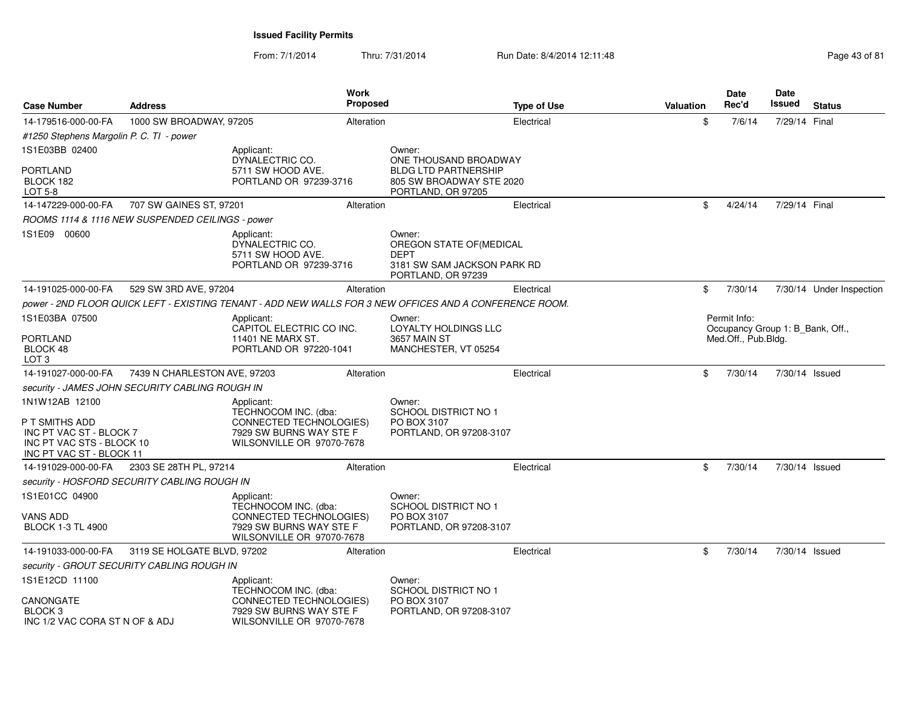From: 7/1/2014Thru: 7/31/2014 Run Date: 8/4/2014 12:11:48 Research 2010 12:00 Page 43 of 81

| <b>Case Number</b>                                                                                 | <b>Address</b>                                   |                                                                                 | Work<br><b>Proposed</b> |                                                                                                         | Type of Use | Valuation | <b>Date</b><br>Rec'd                             | <b>Date</b><br><b>Issued</b> | <b>Status</b>            |
|----------------------------------------------------------------------------------------------------|--------------------------------------------------|---------------------------------------------------------------------------------|-------------------------|---------------------------------------------------------------------------------------------------------|-------------|-----------|--------------------------------------------------|------------------------------|--------------------------|
| 14-179516-000-00-FA                                                                                | 1000 SW BROADWAY, 97205                          |                                                                                 | Alteration              |                                                                                                         | Electrical  | \$        | 7/6/14                                           | 7/29/14 Final                |                          |
| #1250 Stephens Margolin P. C. TI - power                                                           |                                                  |                                                                                 |                         |                                                                                                         |             |           |                                                  |                              |                          |
| 1S1E03BB 02400                                                                                     |                                                  | Applicant:<br>DYNALECTRIC CO.                                                   |                         | Owner:<br>ONE THOUSAND BROADWAY                                                                         |             |           |                                                  |                              |                          |
| PORTLAND<br>BLOCK 182<br>LOT 5-8                                                                   |                                                  | 5711 SW HOOD AVE.<br>PORTLAND OR 97239-3716                                     |                         | <b>BLDG LTD PARTNERSHIP</b><br>805 SW BROADWAY STE 2020<br>PORTLAND, OR 97205                           |             |           |                                                  |                              |                          |
| 14-147229-000-00-FA                                                                                | 707 SW GAINES ST, 97201                          |                                                                                 | Alteration              |                                                                                                         | Electrical  | \$        | 4/24/14                                          | 7/29/14 Final                |                          |
|                                                                                                    | ROOMS 1114 & 1116 NEW SUSPENDED CEILINGS - power |                                                                                 |                         |                                                                                                         |             |           |                                                  |                              |                          |
| 1S1E09 00600                                                                                       |                                                  | Applicant:<br>DYNALECTRIC CO.<br>5711 SW HOOD AVE.<br>PORTLAND OR 97239-3716    |                         | Owner:<br>OREGON STATE OF (MEDICAL<br><b>DEPT</b><br>3181 SW SAM JACKSON PARK RD<br>PORTLAND, OR 97239  |             |           |                                                  |                              |                          |
| 14-191025-000-00-FA                                                                                | 529 SW 3RD AVE, 97204                            |                                                                                 | Alteration              |                                                                                                         | Electrical  | \$        | 7/30/14                                          |                              | 7/30/14 Under Inspection |
|                                                                                                    |                                                  |                                                                                 |                         | power - 2ND FLOOR QUICK LEFT - EXISTING TENANT - ADD NEW WALLS FOR 3 NEW OFFICES AND A CONFERENCE ROOM. |             |           |                                                  |                              |                          |
| 1S1E03BA 07500                                                                                     |                                                  | Applicant:<br>CAPITOL ELECTRIC CO INC.                                          |                         | Owner:<br>LOYALTY HOLDINGS LLC                                                                          |             |           | Permit Info:<br>Occupancy Group 1: B Bank, Off., |                              |                          |
| <b>PORTLAND</b><br>BLOCK 48<br>LOT <sub>3</sub>                                                    |                                                  | 11401 NE MARX ST.<br>PORTLAND OR 97220-1041                                     |                         | 3657 MAIN ST<br>MANCHESTER, VT 05254                                                                    |             |           | Med.Off., Pub.Bldg.                              |                              |                          |
| 14-191027-000-00-FA                                                                                | 7439 N CHARLESTON AVE, 97203                     |                                                                                 | Alteration              |                                                                                                         | Electrical  | \$        | 7/30/14                                          | 7/30/14 Issued               |                          |
|                                                                                                    | security - JAMES JOHN SECURITY CABLING ROUGH IN  |                                                                                 |                         |                                                                                                         |             |           |                                                  |                              |                          |
| 1N1W12AB 12100                                                                                     |                                                  | Applicant:<br>TECHNOCOM INC. (dba:                                              |                         | Owner:<br><b>SCHOOL DISTRICT NO 1</b>                                                                   |             |           |                                                  |                              |                          |
| P T SMITHS ADD<br>INC PT VAC ST - BLOCK 7<br>INC PT VAC STS - BLOCK 10<br>INC PT VAC ST - BLOCK 11 |                                                  | CONNECTED TECHNOLOGIES)<br>7929 SW BURNS WAY STE F<br>WILSONVILLE OR 97070-7678 |                         | PO BOX 3107<br>PORTLAND, OR 97208-3107                                                                  |             |           |                                                  |                              |                          |
| 14-191029-000-00-FA                                                                                | 2303 SE 28TH PL, 97214                           |                                                                                 | Alteration              |                                                                                                         | Electrical  | \$        | 7/30/14                                          | 7/30/14 Issued               |                          |
|                                                                                                    | security - HOSFORD SECURITY CABLING ROUGH IN     |                                                                                 |                         |                                                                                                         |             |           |                                                  |                              |                          |
| 1S1E01CC 04900                                                                                     |                                                  | Applicant:<br>TECHNOCOM INC. (dba:                                              |                         | Owner:<br><b>SCHOOL DISTRICT NO 1</b>                                                                   |             |           |                                                  |                              |                          |
| VANS ADD<br><b>BLOCK 1-3 TL 4900</b>                                                               |                                                  | CONNECTED TECHNOLOGIES)<br>7929 SW BURNS WAY STE F<br>WILSONVILLE OR 97070-7678 |                         | PO BOX 3107<br>PORTLAND, OR 97208-3107                                                                  |             |           |                                                  |                              |                          |
| 14-191033-000-00-FA                                                                                | 3119 SE HOLGATE BLVD, 97202                      |                                                                                 | Alteration              |                                                                                                         | Electrical  | \$        | 7/30/14                                          | 7/30/14 Issued               |                          |
|                                                                                                    | security - GROUT SECURITY CABLING ROUGH IN       |                                                                                 |                         |                                                                                                         |             |           |                                                  |                              |                          |
| 1S1E12CD 11100                                                                                     |                                                  | Applicant:<br>TECHNOCOM INC. (dba:                                              |                         | Owner:<br><b>SCHOOL DISTRICT NO 1</b>                                                                   |             |           |                                                  |                              |                          |
| CANONGATE<br>BLOCK <sub>3</sub><br>INC 1/2 VAC CORA ST N OF & ADJ                                  |                                                  | CONNECTED TECHNOLOGIES)<br>7929 SW BURNS WAY STE F<br>WILSONVILLE OR 97070-7678 |                         | PO BOX 3107<br>PORTLAND, OR 97208-3107                                                                  |             |           |                                                  |                              |                          |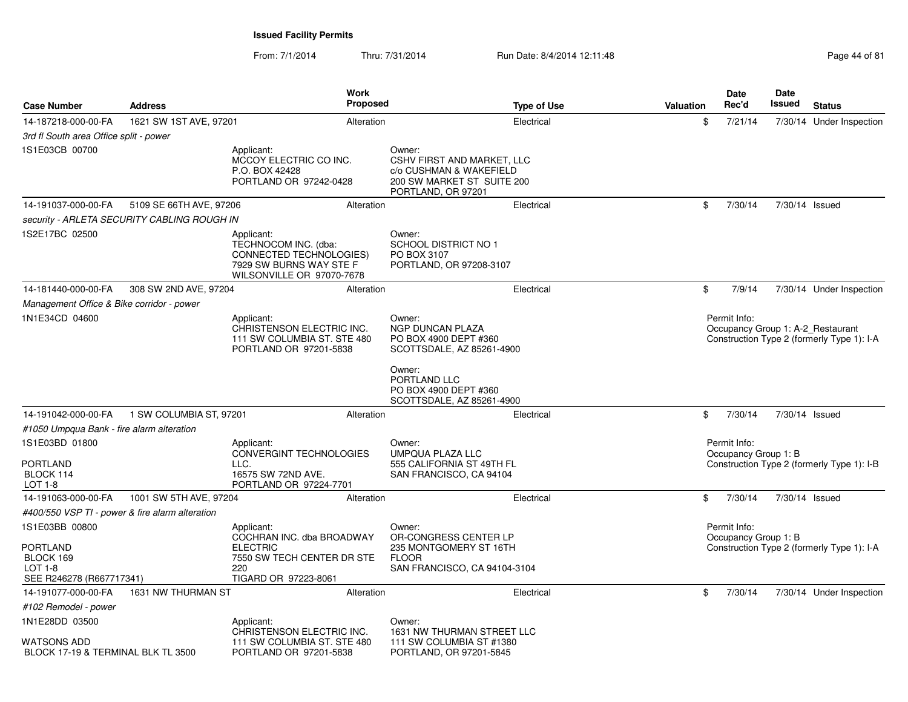| <b>Case Number</b>                                                                      | <b>Address</b>                              | <b>Work</b><br><b>Proposed</b>                                                                                               |                                                                                                                     | <b>Type of Use</b> | Valuation | Date<br>Rec'd                        | <b>Date</b><br>Issued | <b>Status</b>                                                                   |
|-----------------------------------------------------------------------------------------|---------------------------------------------|------------------------------------------------------------------------------------------------------------------------------|---------------------------------------------------------------------------------------------------------------------|--------------------|-----------|--------------------------------------|-----------------------|---------------------------------------------------------------------------------|
| 14-187218-000-00-FA                                                                     | 1621 SW 1ST AVE, 97201                      | Alteration                                                                                                                   |                                                                                                                     | Electrical         | \$        | 7/21/14                              |                       | 7/30/14 Under Inspection                                                        |
| 3rd fl South area Office split - power                                                  |                                             |                                                                                                                              |                                                                                                                     |                    |           |                                      |                       |                                                                                 |
| 1S1E03CB 00700                                                                          |                                             | Applicant:<br>MCCOY ELECTRIC CO INC.<br>P.O. BOX 42428<br>PORTLAND OR 97242-0428                                             | Owner:<br>CSHV FIRST AND MARKET, LLC<br>c/o CUSHMAN & WAKEFIELD<br>200 SW MARKET ST SUITE 200<br>PORTLAND, OR 97201 |                    |           |                                      |                       |                                                                                 |
| 14-191037-000-00-FA                                                                     | 5109 SE 66TH AVE, 97206                     | Alteration                                                                                                                   |                                                                                                                     | Electrical         | \$        | 7/30/14                              | 7/30/14 Issued        |                                                                                 |
|                                                                                         | security - ARLETA SECURITY CABLING ROUGH IN |                                                                                                                              |                                                                                                                     |                    |           |                                      |                       |                                                                                 |
| 1S2E17BC 02500                                                                          |                                             | Applicant:<br>TECHNOCOM INC. (dba:<br><b>CONNECTED TECHNOLOGIES)</b><br>7929 SW BURNS WAY STE F<br>WILSONVILLE OR 97070-7678 | Owner:<br>SCHOOL DISTRICT NO 1<br>PO BOX 3107<br>PORTLAND, OR 97208-3107                                            |                    |           |                                      |                       |                                                                                 |
| 14-181440-000-00-FA                                                                     | 308 SW 2ND AVE, 97204                       | Alteration                                                                                                                   |                                                                                                                     | Electrical         | \$        | 7/9/14                               |                       | 7/30/14 Under Inspection                                                        |
| Management Office & Bike corridor - power                                               |                                             |                                                                                                                              |                                                                                                                     |                    |           |                                      |                       |                                                                                 |
| 1N1E34CD 04600                                                                          |                                             | Applicant:<br>CHRISTENSON ELECTRIC INC.<br>111 SW COLUMBIA ST. STE 480<br>PORTLAND OR 97201-5838                             | Owner:<br><b>NGP DUNCAN PLAZA</b><br>PO BOX 4900 DEPT #360<br>SCOTTSDALE, AZ 85261-4900                             |                    |           | Permit Info:                         |                       | Occupancy Group 1: A-2 Restaurant<br>Construction Type 2 (formerly Type 1): I-A |
|                                                                                         |                                             |                                                                                                                              | Owner:<br>PORTLAND LLC<br>PO BOX 4900 DEPT #360<br>SCOTTSDALE, AZ 85261-4900                                        |                    |           |                                      |                       |                                                                                 |
| 14-191042-000-00-FA                                                                     | 1 SW COLUMBIA ST, 97201                     | Alteration                                                                                                                   |                                                                                                                     | Electrical         | \$        | 7/30/14                              | 7/30/14 Issued        |                                                                                 |
| #1050 Umpqua Bank - fire alarm alteration                                               |                                             |                                                                                                                              |                                                                                                                     |                    |           |                                      |                       |                                                                                 |
| 1S1E03BD 01800<br><b>PORTLAND</b><br>BLOCK 114<br>LOT 1-8                               |                                             | Applicant:<br><b>CONVERGINT TECHNOLOGIES</b><br>LLC.<br>16575 SW 72ND AVE.<br>PORTLAND OR 97224-7701                         | Owner:<br>UMPQUA PLAZA LLC<br>555 CALIFORNIA ST 49TH FL<br>SAN FRANCISCO, CA 94104                                  |                    |           | Permit Info:<br>Occupancy Group 1: B |                       | Construction Type 2 (formerly Type 1): I-B                                      |
| 14-191063-000-00-FA                                                                     | 1001 SW 5TH AVE, 97204                      | Alteration                                                                                                                   |                                                                                                                     | Electrical         | \$        | 7/30/14                              | 7/30/14 Issued        |                                                                                 |
| #400/550 VSP TI - power & fire alarm alteration                                         |                                             |                                                                                                                              |                                                                                                                     |                    |           |                                      |                       |                                                                                 |
| 1S1E03BB 00800<br><b>PORTLAND</b><br>BLOCK 169<br>$LOT 1-8$<br>SEE R246278 (R667717341) |                                             | Applicant:<br>COCHRAN INC. dba BROADWAY<br><b>ELECTRIC</b><br>7550 SW TECH CENTER DR STE<br>220<br>TIGARD OR 97223-8061      | Owner:<br>OR-CONGRESS CENTER LP<br>235 MONTGOMERY ST 16TH<br><b>FLOOR</b><br>SAN FRANCISCO, CA 94104-3104           |                    |           | Permit Info:<br>Occupancy Group 1: B |                       | Construction Type 2 (formerly Type 1): I-A                                      |
| 14-191077-000-00-FA                                                                     | 1631 NW THURMAN ST                          | Alteration                                                                                                                   |                                                                                                                     | Electrical         | \$        | 7/30/14                              |                       | 7/30/14 Under Inspection                                                        |
| #102 Remodel - power                                                                    |                                             |                                                                                                                              |                                                                                                                     |                    |           |                                      |                       |                                                                                 |
| 1N1E28DD 03500<br><b>WATSONS ADD</b><br>BLOCK 17-19 & TERMINAL BLK TL 3500              |                                             | Applicant:<br>CHRISTENSON ELECTRIC INC.<br>111 SW COLUMBIA ST. STE 480<br>PORTLAND OR 97201-5838                             | Owner:<br>1631 NW THURMAN STREET LLC<br>111 SW COLUMBIA ST #1380<br>PORTLAND, OR 97201-5845                         |                    |           |                                      |                       |                                                                                 |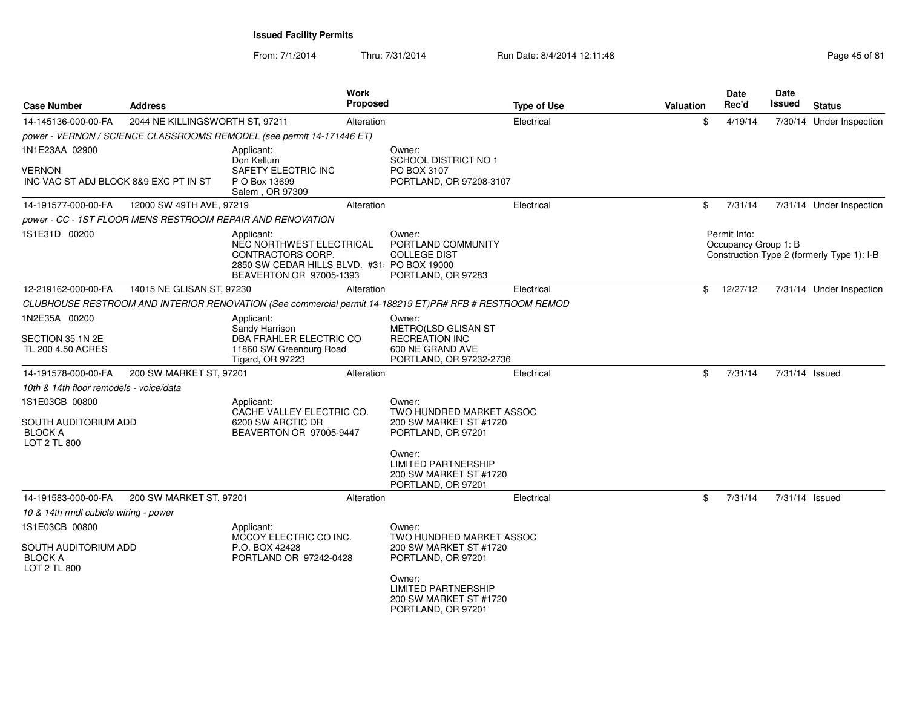From: 7/1/2014Thru: 7/31/2014 Run Date: 8/4/2014 12:11:48 Research 2010 12:00 Rage 45 of 81

| <b>Case Number</b>                                     | <b>Address</b>                  |                                                                                                                                       | <b>Work</b><br><b>Proposed</b> |                                                                                                    | <b>Type of Use</b> | <b>Valuation</b> | <b>Date</b><br>Rec'd                 | Date<br>Issued | <b>Status</b>                              |
|--------------------------------------------------------|---------------------------------|---------------------------------------------------------------------------------------------------------------------------------------|--------------------------------|----------------------------------------------------------------------------------------------------|--------------------|------------------|--------------------------------------|----------------|--------------------------------------------|
| 14-145136-000-00-FA                                    | 2044 NE KILLINGSWORTH ST, 97211 |                                                                                                                                       | Alteration                     |                                                                                                    | Electrical         |                  | \$<br>4/19/14                        |                | 7/30/14 Under Inspection                   |
|                                                        |                                 | power - VERNON / SCIENCE CLASSROOMS REMODEL (see permit 14-171446 ET)                                                                 |                                |                                                                                                    |                    |                  |                                      |                |                                            |
| 1N1E23AA 02900                                         |                                 | Applicant:                                                                                                                            |                                | Owner:                                                                                             |                    |                  |                                      |                |                                            |
| <b>VERNON</b><br>INC VAC ST ADJ BLOCK 8&9 EXC PT IN ST |                                 | Don Kellum<br>SAFETY ELECTRIC INC<br>P O Box 13699<br>Salem, OR 97309                                                                 |                                | <b>SCHOOL DISTRICT NO 1</b><br>PO BOX 3107<br>PORTLAND, OR 97208-3107                              |                    |                  |                                      |                |                                            |
| 14-191577-000-00-FA                                    | 12000 SW 49TH AVE, 97219        |                                                                                                                                       | Alteration                     |                                                                                                    | Electrical         |                  | \$<br>7/31/14                        |                | 7/31/14 Under Inspection                   |
|                                                        |                                 | power - CC - 1ST FLOOR MENS RESTROOM REPAIR AND RENOVATION                                                                            |                                |                                                                                                    |                    |                  |                                      |                |                                            |
| 1S1E31D 00200                                          |                                 | Applicant:<br>NEC NORTHWEST ELECTRICAL<br>CONTRACTORS CORP.<br>2850 SW CEDAR HILLS BLVD. #31! PO BOX 19000<br>BEAVERTON OR 97005-1393 |                                | Owner:<br>PORTLAND COMMUNITY<br><b>COLLEGE DIST</b><br>PORTLAND, OR 97283                          |                    |                  | Permit Info:<br>Occupancy Group 1: B |                | Construction Type 2 (formerly Type 1): I-B |
| 12-219162-000-00-FA                                    | 14015 NE GLISAN ST, 97230       |                                                                                                                                       | Alteration                     |                                                                                                    | Electrical         |                  | \$<br>12/27/12                       |                | 7/31/14 Under Inspection                   |
|                                                        |                                 | CLUBHOUSE RESTROOM AND INTERIOR RENOVATION (See commercial permit 14-188219 ET)PR# RFB # RESTROOM REMOD                               |                                |                                                                                                    |                    |                  |                                      |                |                                            |
| 1N2E35A 00200                                          |                                 | Applicant:                                                                                                                            |                                | Owner:                                                                                             |                    |                  |                                      |                |                                            |
| SECTION 35 1N 2E<br>TL 200 4.50 ACRES                  |                                 | Sandy Harrison<br>DBA FRAHLER ELECTRIC CO<br>11860 SW Greenburg Road<br>Tigard, OR 97223                                              |                                | <b>METRO(LSD GLISAN ST</b><br><b>RECREATION INC</b><br>600 NE GRAND AVE<br>PORTLAND, OR 97232-2736 |                    |                  |                                      |                |                                            |
| 14-191578-000-00-FA                                    | 200 SW MARKET ST, 97201         |                                                                                                                                       | Alteration                     |                                                                                                    | Electrical         |                  | \$<br>7/31/14                        | 7/31/14 Issued |                                            |
| 10th & 14th floor remodels - voice/data                |                                 |                                                                                                                                       |                                |                                                                                                    |                    |                  |                                      |                |                                            |
| 1S1E03CB 00800                                         |                                 | Applicant:                                                                                                                            |                                | Owner:                                                                                             |                    |                  |                                      |                |                                            |
| SOUTH AUDITORIUM ADD<br><b>BLOCK A</b><br>LOT 2 TL 800 |                                 | CACHE VALLEY ELECTRIC CO.<br>6200 SW ARCTIC DR<br>BEAVERTON OR 97005-9447                                                             |                                | TWO HUNDRED MARKET ASSOC<br>200 SW MARKET ST #1720<br>PORTLAND, OR 97201                           |                    |                  |                                      |                |                                            |
|                                                        |                                 |                                                                                                                                       |                                | Owner:<br><b>LIMITED PARTNERSHIP</b><br>200 SW MARKET ST #1720<br>PORTLAND, OR 97201               |                    |                  |                                      |                |                                            |
| 14-191583-000-00-FA                                    | 200 SW MARKET ST, 97201         |                                                                                                                                       | Alteration                     |                                                                                                    | Electrical         |                  | \$<br>7/31/14                        | 7/31/14 Issued |                                            |
| 10 & 14th rmdl cubicle wiring - power                  |                                 |                                                                                                                                       |                                |                                                                                                    |                    |                  |                                      |                |                                            |
| 1S1E03CB 00800                                         |                                 | Applicant:<br>MCCOY ELECTRIC CO INC.                                                                                                  |                                | Owner:<br>TWO HUNDRED MARKET ASSOC                                                                 |                    |                  |                                      |                |                                            |
| SOUTH AUDITORIUM ADD<br><b>BLOCK A</b><br>LOT 2 TL 800 |                                 | P.O. BOX 42428<br>PORTLAND OR 97242-0428                                                                                              |                                | 200 SW MARKET ST #1720<br>PORTLAND, OR 97201                                                       |                    |                  |                                      |                |                                            |
|                                                        |                                 |                                                                                                                                       |                                | Owner:<br><b>LIMITED PARTNERSHIP</b><br>200 SW MARKET ST #1720<br>PORTLAND, OR 97201               |                    |                  |                                      |                |                                            |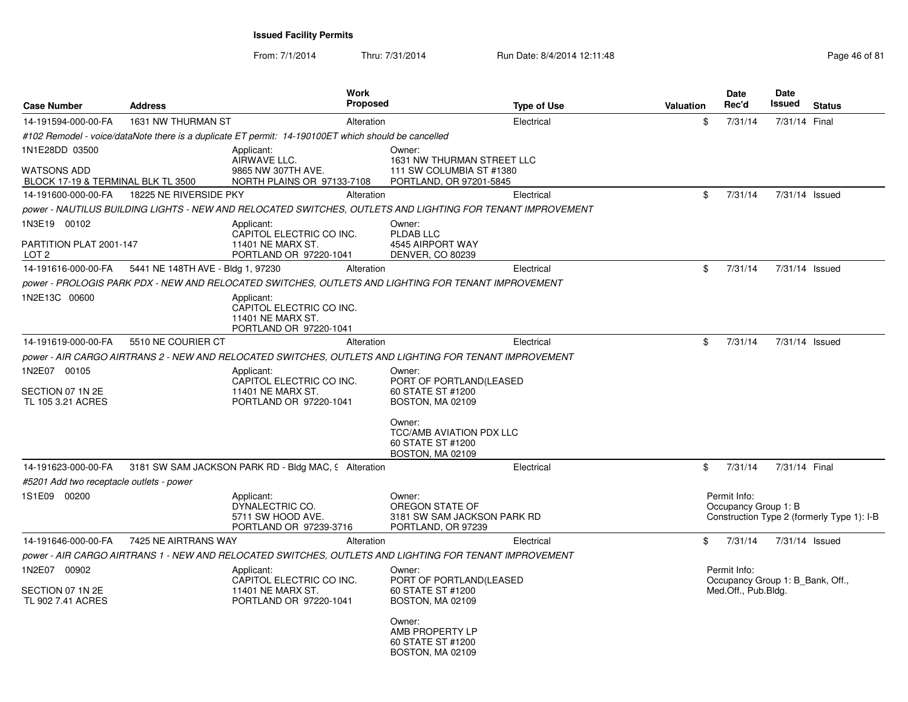| <b>Case Number</b>                                       | <b>Address</b>                    | <b>Work</b><br><b>Proposed</b>                                                                         |                                                                    | <b>Type of Use</b>                                                                                         | <b>Valuation</b> | <b>Date</b><br>Rec'd                             | Date<br>Issued | <b>Status</b>                              |
|----------------------------------------------------------|-----------------------------------|--------------------------------------------------------------------------------------------------------|--------------------------------------------------------------------|------------------------------------------------------------------------------------------------------------|------------------|--------------------------------------------------|----------------|--------------------------------------------|
| 14-191594-000-00-FA                                      | 1631 NW THURMAN ST                | Alteration                                                                                             |                                                                    | Electrical                                                                                                 | \$               | 7/31/14                                          | 7/31/14 Final  |                                            |
|                                                          |                                   | #102 Remodel - voice/dataNote there is a duplicate ET permit: 14-190100ET which should be cancelled    |                                                                    |                                                                                                            |                  |                                                  |                |                                            |
| 1N1E28DD 03500                                           |                                   | Applicant:                                                                                             | Owner:                                                             |                                                                                                            |                  |                                                  |                |                                            |
| <b>WATSONS ADD</b><br>BLOCK 17-19 & TERMINAL BLK TL 3500 |                                   | AIRWAVE LLC.<br>9865 NW 307TH AVE.<br>NORTH PLAINS OR 97133-7108                                       |                                                                    | 1631 NW THURMAN STREET LLC<br>111 SW COLUMBIA ST #1380<br>PORTLAND, OR 97201-5845                          |                  |                                                  |                |                                            |
| 14-191600-000-00-FA                                      | 18225 NE RIVERSIDE PKY            | Alteration                                                                                             |                                                                    | Electrical                                                                                                 | \$               | 7/31/14                                          | 7/31/14 Issued |                                            |
|                                                          |                                   |                                                                                                        |                                                                    | power - NAUTILUS BUILDING LIGHTS - NEW AND RELOCATED SWITCHES. OUTLETS AND LIGHTING FOR TENANT IMPROVEMENT |                  |                                                  |                |                                            |
| 1N3E19 00102                                             |                                   | Applicant:<br>CAPITOL ELECTRIC CO INC.                                                                 | Owner:<br>PLDAB LLC                                                |                                                                                                            |                  |                                                  |                |                                            |
| PARTITION PLAT 2001-147<br>LOT 2                         |                                   | 11401 NE MARX ST.<br>PORTLAND OR 97220-1041                                                            | 4545 AIRPORT WAY<br><b>DENVER, CO 80239</b>                        |                                                                                                            |                  |                                                  |                |                                            |
| 14-191616-000-00-FA                                      | 5441 NE 148TH AVE - Bldg 1, 97230 | Alteration                                                                                             |                                                                    | Electrical                                                                                                 | \$               | 7/31/14                                          | 7/31/14 Issued |                                            |
|                                                          |                                   | power - PROLOGIS PARK PDX - NEW AND RELOCATED SWITCHES, OUTLETS AND LIGHTING FOR TENANT IMPROVEMENT    |                                                                    |                                                                                                            |                  |                                                  |                |                                            |
| 1N2E13C 00600                                            |                                   | Applicant:<br>CAPITOL ELECTRIC CO INC.<br>11401 NE MARX ST.<br>PORTLAND OR 97220-1041                  |                                                                    |                                                                                                            |                  |                                                  |                |                                            |
| 14-191619-000-00-FA                                      | 5510 NE COURIER CT                | Alteration                                                                                             |                                                                    | Electrical                                                                                                 | \$               | 7/31/14                                          | 7/31/14 Issued |                                            |
|                                                          |                                   | power - AIR CARGO AIRTRANS 2 - NEW AND RELOCATED SWITCHES, OUTLETS AND LIGHTING FOR TENANT IMPROVEMENT |                                                                    |                                                                                                            |                  |                                                  |                |                                            |
| 1N2E07 00105                                             |                                   | Applicant:<br>CAPITOL ELECTRIC CO INC.                                                                 | Owner:                                                             | PORT OF PORTLAND(LEASED                                                                                    |                  |                                                  |                |                                            |
| SECTION 07 1N 2E<br>TL 105 3.21 ACRES                    |                                   | 11401 NE MARX ST.<br>PORTLAND OR 97220-1041                                                            | 60 STATE ST #1200<br><b>BOSTON, MA 02109</b>                       |                                                                                                            |                  |                                                  |                |                                            |
|                                                          |                                   |                                                                                                        | Owner:<br>60 STATE ST #1200<br>BOSTON, MA 02109                    | <b>TCC/AMB AVIATION PDX LLC</b>                                                                            |                  |                                                  |                |                                            |
| 14-191623-000-00-FA                                      |                                   | 3181 SW SAM JACKSON PARK RD - Bldg MAC, 9 Alteration                                                   |                                                                    | Electrical                                                                                                 | \$               | 7/31/14                                          | 7/31/14 Final  |                                            |
| #5201 Add two receptacle outlets - power                 |                                   |                                                                                                        |                                                                    |                                                                                                            |                  |                                                  |                |                                            |
| 1S1E09 00200                                             |                                   | Applicant:<br>DYNALECTRIC CO.<br>5711 SW HOOD AVE.<br>PORTLAND OR 97239-3716                           | Owner:<br>OREGON STATE OF<br>PORTLAND, OR 97239                    | 3181 SW SAM JACKSON PARK RD                                                                                |                  | Permit Info:<br>Occupancy Group 1: B             |                | Construction Type 2 (formerly Type 1): I-B |
| 14-191646-000-00-FA                                      | 7425 NE AIRTRANS WAY              | Alteration                                                                                             |                                                                    | Electrical                                                                                                 | \$               | 7/31/14                                          | 7/31/14 Issued |                                            |
|                                                          |                                   | power - AIR CARGO AIRTRANS 1 - NEW AND RELOCATED SWITCHES, OUTLETS AND LIGHTING FOR TENANT IMPROVEMENT |                                                                    |                                                                                                            |                  |                                                  |                |                                            |
| 1N2E07 00902                                             |                                   | Applicant:<br>CAPITOL ELECTRIC CO INC.                                                                 | Owner:                                                             | PORT OF PORTLAND(LEASED                                                                                    |                  | Permit Info:<br>Occupancy Group 1: B Bank, Off., |                |                                            |
| SECTION 07 1N 2E<br>TL 902 7.41 ACRES                    |                                   | 11401 NE MARX ST.<br>PORTLAND OR 97220-1041                                                            | 60 STATE ST #1200<br>BOSTON, MA 02109                              |                                                                                                            |                  | Med.Off., Pub.Bldg.                              |                |                                            |
|                                                          |                                   |                                                                                                        | Owner:<br>AMB PROPERTY LP<br>60 STATE ST #1200<br>BOSTON, MA 02109 |                                                                                                            |                  |                                                  |                |                                            |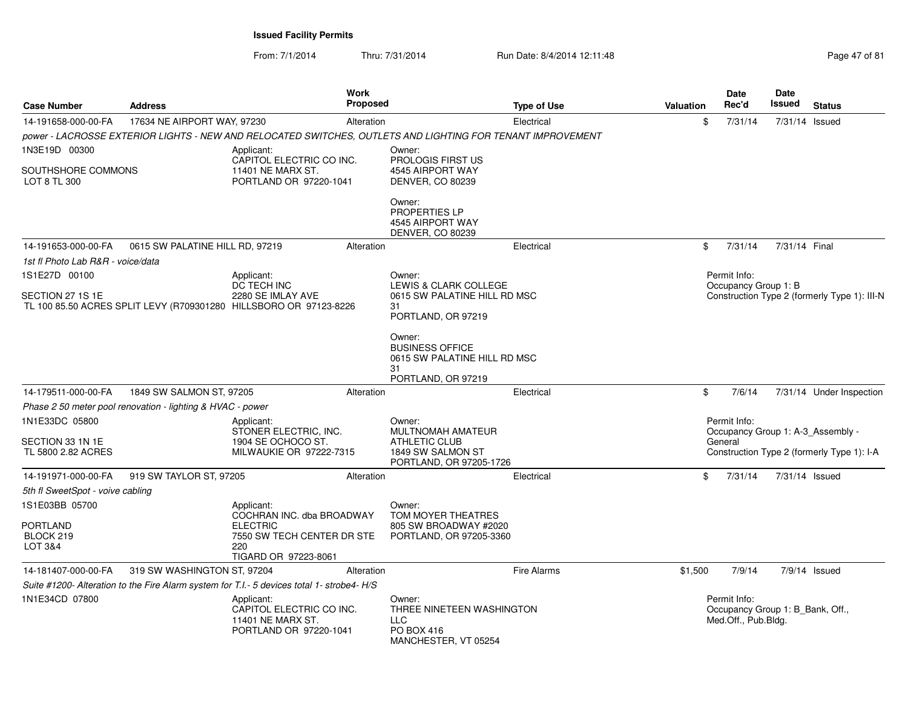| <b>Case Number</b>                      | <b>Address</b>                                             |                                                                                                            | Work<br><b>Proposed</b> |                                                                                              | <b>Type of Use</b> | <b>Valuation</b> | Date<br>Rec'd                                                           | Date<br><b>Issued</b> | <b>Status</b>                                |
|-----------------------------------------|------------------------------------------------------------|------------------------------------------------------------------------------------------------------------|-------------------------|----------------------------------------------------------------------------------------------|--------------------|------------------|-------------------------------------------------------------------------|-----------------------|----------------------------------------------|
| 14-191658-000-00-FA                     | 17634 NE AIRPORT WAY, 97230                                |                                                                                                            | Alteration              |                                                                                              | Electrical         |                  | \$<br>7/31/14                                                           |                       | 7/31/14 Issued                               |
|                                         |                                                            | power - LACROSSE EXTERIOR LIGHTS - NEW AND RELOCATED SWITCHES, OUTLETS AND LIGHTING FOR TENANT IMPROVEMENT |                         |                                                                                              |                    |                  |                                                                         |                       |                                              |
| 1N3E19D 00300                           |                                                            | Applicant:                                                                                                 |                         | Owner:                                                                                       |                    |                  |                                                                         |                       |                                              |
| SOUTHSHORE COMMONS<br>LOT 8 TL 300      |                                                            | CAPITOL ELECTRIC CO INC.<br>11401 NE MARX ST.<br>PORTLAND OR 97220-1041                                    |                         | <b>PROLOGIS FIRST US</b><br>4545 AIRPORT WAY<br><b>DENVER, CO 80239</b>                      |                    |                  |                                                                         |                       |                                              |
|                                         |                                                            |                                                                                                            |                         | Owner:<br>PROPERTIES LP<br>4545 AIRPORT WAY<br><b>DENVER, CO 80239</b>                       |                    |                  |                                                                         |                       |                                              |
| 14-191653-000-00-FA                     | 0615 SW PALATINE HILL RD, 97219                            |                                                                                                            | Alteration              |                                                                                              | Electrical         |                  | \$<br>7/31/14                                                           | 7/31/14 Final         |                                              |
| 1st fl Photo Lab R&R - voice/data       |                                                            |                                                                                                            |                         |                                                                                              |                    |                  |                                                                         |                       |                                              |
| 1S1E27D 00100                           |                                                            | Applicant:                                                                                                 |                         | Owner:                                                                                       |                    |                  | Permit Info:                                                            |                       |                                              |
| SECTION 27 1S 1E                        |                                                            | DC TECH INC<br>2280 SE IMLAY AVE<br>TL 100 85.50 ACRES SPLIT LEVY (R709301280 HILLSBORO OR 97123-8226      |                         | LEWIS & CLARK COLLEGE<br>0615 SW PALATINE HILL RD MSC<br>31<br>PORTLAND, OR 97219            |                    |                  | Occupancy Group 1: B                                                    |                       | Construction Type 2 (formerly Type 1): III-N |
|                                         |                                                            |                                                                                                            |                         | Owner:<br><b>BUSINESS OFFICE</b><br>0615 SW PALATINE HILL RD MSC<br>31<br>PORTLAND, OR 97219 |                    |                  |                                                                         |                       |                                              |
| 14-179511-000-00-FA                     | 1849 SW SALMON ST, 97205                                   |                                                                                                            | Alteration              |                                                                                              | Electrical         |                  | \$<br>7/6/14                                                            |                       | 7/31/14 Under Inspection                     |
|                                         | Phase 2 50 meter pool renovation - lighting & HVAC - power |                                                                                                            |                         |                                                                                              |                    |                  |                                                                         |                       |                                              |
| 1N1E33DC 05800                          |                                                            | Applicant:<br>STONER ELECTRIC, INC.                                                                        |                         | Owner:<br>MULTNOMAH AMATEUR                                                                  |                    |                  | Permit Info:                                                            |                       | Occupancy Group 1: A-3 Assembly -            |
| SECTION 33 1N 1E<br>TL 5800 2.82 ACRES  |                                                            | 1904 SE OCHOCO ST.<br>MILWAUKIE OR 97222-7315                                                              |                         | <b>ATHLETIC CLUB</b><br>1849 SW SALMON ST<br>PORTLAND, OR 97205-1726                         |                    |                  | General                                                                 |                       | Construction Type 2 (formerly Type 1): I-A   |
| 14-191971-000-00-FA                     | 919 SW TAYLOR ST, 97205                                    |                                                                                                            | Alteration              |                                                                                              | Electrical         |                  | \$<br>7/31/14                                                           |                       | 7/31/14 Issued                               |
| 5th fl SweetSpot - voive cabling        |                                                            |                                                                                                            |                         |                                                                                              |                    |                  |                                                                         |                       |                                              |
| 1S1E03BB 05700                          |                                                            | Applicant:<br>COCHRAN INC. dba BROADWAY                                                                    |                         | Owner:<br>TOM MOYER THEATRES                                                                 |                    |                  |                                                                         |                       |                                              |
| <b>PORTLAND</b><br>BLOCK 219<br>LOT 3&4 |                                                            | <b>ELECTRIC</b><br>7550 SW TECH CENTER DR STE<br>220<br>TIGARD OR 97223-8061                               |                         | 805 SW BROADWAY #2020<br>PORTLAND, OR 97205-3360                                             |                    |                  |                                                                         |                       |                                              |
| 14-181407-000-00-FA                     | 319 SW WASHINGTON ST, 97204                                |                                                                                                            | Alteration              |                                                                                              | <b>Fire Alarms</b> | \$1,500          | 7/9/14                                                                  |                       | 7/9/14 Issued                                |
|                                         |                                                            | Suite #1200- Alteration to the Fire Alarm system for T.I.- 5 devices total 1- strobe4-H/S                  |                         |                                                                                              |                    |                  |                                                                         |                       |                                              |
| 1N1E34CD 07800                          |                                                            | Applicant:<br>CAPITOL ELECTRIC CO INC.<br>11401 NE MARX ST.<br>PORTLAND OR 97220-1041                      |                         | Owner:<br>THREE NINETEEN WASHINGTON<br><b>LLC</b><br>PO BOX 416<br>MANCHESTER, VT 05254      |                    |                  | Permit Info:<br>Occupancy Group 1: B_Bank, Off.,<br>Med.Off., Pub.Bldg. |                       |                                              |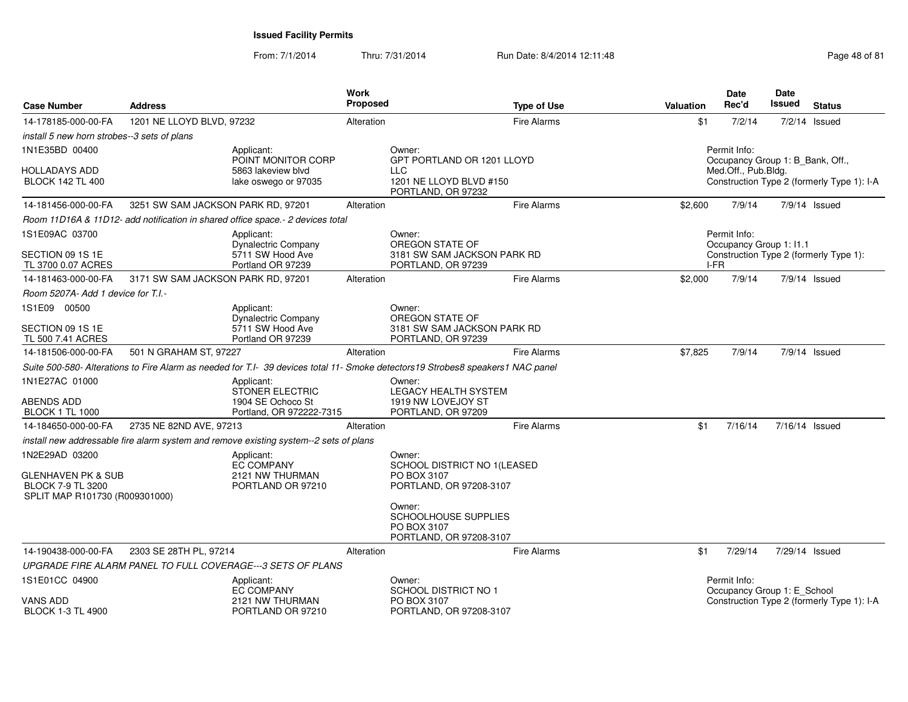| <b>Case Number</b>                                                                                            | <b>Address</b>                     |                                                                                       | Work<br>Proposed |                                                                                                                                 | <b>Type of Use</b> | <b>Valuation</b> | <b>Date</b><br>Rec'd                        | <b>Date</b><br>Issued | <b>Status</b>                              |
|---------------------------------------------------------------------------------------------------------------|------------------------------------|---------------------------------------------------------------------------------------|------------------|---------------------------------------------------------------------------------------------------------------------------------|--------------------|------------------|---------------------------------------------|-----------------------|--------------------------------------------|
| 14-178185-000-00-FA                                                                                           | 1201 NE LLOYD BLVD, 97232          |                                                                                       | Alteration       |                                                                                                                                 | <b>Fire Alarms</b> | \$1              | 7/2/14                                      |                       | $7/2/14$ Issued                            |
| install 5 new horn strobes--3 sets of plans                                                                   |                                    |                                                                                       |                  |                                                                                                                                 |                    |                  |                                             |                       |                                            |
| 1N1E35BD 00400                                                                                                |                                    | Applicant:<br>POINT MONITOR CORP                                                      |                  | Owner:<br>GPT PORTLAND OR 1201 LLOYD                                                                                            |                    |                  | Permit Info:                                |                       | Occupancy Group 1: B_Bank, Off.,           |
| HOLLADAYS ADD                                                                                                 |                                    | 5863 lakeview blyd                                                                    |                  | <b>LLC</b>                                                                                                                      |                    |                  | Med.Off., Pub.Bldg.                         |                       |                                            |
| <b>BLOCK 142 TL 400</b>                                                                                       |                                    | lake oswego or 97035                                                                  |                  | 1201 NE LLOYD BLVD #150<br>PORTLAND, OR 97232                                                                                   |                    |                  |                                             |                       | Construction Type 2 (formerly Type 1): I-A |
| 14-181456-000-00-FA                                                                                           | 3251 SW SAM JACKSON PARK RD, 97201 |                                                                                       | Alteration       |                                                                                                                                 | <b>Fire Alarms</b> | \$2,600          | 7/9/14                                      |                       | $7/9/14$ Issued                            |
|                                                                                                               |                                    | Room 11D16A & 11D12- add notification in shared office space.- 2 devices total        |                  |                                                                                                                                 |                    |                  |                                             |                       |                                            |
| 1S1E09AC 03700                                                                                                |                                    | Applicant:                                                                            |                  | Owner:                                                                                                                          |                    |                  | Permit Info:                                |                       |                                            |
| SECTION 09 1S 1E<br>TL 3700 0.07 ACRES                                                                        |                                    | <b>Dynalectric Company</b><br>5711 SW Hood Ave<br>Portland OR 97239                   |                  | OREGON STATE OF<br>3181 SW SAM JACKSON PARK RD<br>PORTLAND, OR 97239                                                            |                    |                  | Occupancy Group 1: 11.1<br>I-FR             |                       | Construction Type 2 (formerly Type 1):     |
| 14-181463-000-00-FA                                                                                           | 3171 SW SAM JACKSON PARK RD, 97201 |                                                                                       | Alteration       |                                                                                                                                 | <b>Fire Alarms</b> | \$2,000          | 7/9/14                                      |                       | 7/9/14 Issued                              |
| Room 5207A- Add 1 device for T.I.-                                                                            |                                    |                                                                                       |                  |                                                                                                                                 |                    |                  |                                             |                       |                                            |
| 1S1E09 00500                                                                                                  |                                    | Applicant:<br><b>Dynalectric Company</b>                                              |                  | Owner:<br>OREGON STATE OF                                                                                                       |                    |                  |                                             |                       |                                            |
| SECTION 09 1S 1E<br>TL 500 7.41 ACRES                                                                         |                                    | 5711 SW Hood Ave<br>Portland OR 97239                                                 |                  | 3181 SW SAM JACKSON PARK RD<br>PORTLAND, OR 97239                                                                               |                    |                  |                                             |                       |                                            |
| 14-181506-000-00-FA                                                                                           | 501 N GRAHAM ST, 97227             |                                                                                       | Alteration       |                                                                                                                                 | <b>Fire Alarms</b> | \$7,825          | 7/9/14                                      |                       | 7/9/14 Issued                              |
|                                                                                                               |                                    |                                                                                       |                  | Suite 500-580- Alterations to Fire Alarm as needed for T.I- 39 devices total 11- Smoke detectors19 Strobes8 speakers1 NAC panel |                    |                  |                                             |                       |                                            |
| 1N1E27AC 01000                                                                                                |                                    | Applicant:<br><b>STONER ELECTRIC</b>                                                  |                  | Owner:<br>LEGACY HEALTH SYSTEM                                                                                                  |                    |                  |                                             |                       |                                            |
| ABENDS ADD<br><b>BLOCK 1 TL 1000</b>                                                                          |                                    | 1904 SE Ochoco St<br>Portland, OR 972222-7315                                         |                  | 1919 NW LOVEJOY ST<br>PORTLAND, OR 97209                                                                                        |                    |                  |                                             |                       |                                            |
| 14-184650-000-00-FA                                                                                           | 2735 NE 82ND AVE, 97213            |                                                                                       | Alteration       |                                                                                                                                 | <b>Fire Alarms</b> | \$1              | 7/16/14                                     |                       | 7/16/14 Issued                             |
|                                                                                                               |                                    | install new addressable fire alarm system and remove existing system--2 sets of plans |                  |                                                                                                                                 |                    |                  |                                             |                       |                                            |
| 1N2E29AD 03200<br><b>GLENHAVEN PK &amp; SUB</b><br><b>BLOCK 7-9 TL 3200</b><br>SPLIT MAP R101730 (R009301000) |                                    | Applicant:<br><b>EC COMPANY</b><br>2121 NW THURMAN<br>PORTLAND OR 97210               |                  | Owner:<br>SCHOOL DISTRICT NO 1(LEASED<br>PO BOX 3107<br>PORTLAND, OR 97208-3107                                                 |                    |                  |                                             |                       |                                            |
|                                                                                                               |                                    |                                                                                       |                  | Owner:<br>SCHOOLHOUSE SUPPLIES<br>PO BOX 3107<br>PORTLAND, OR 97208-3107                                                        |                    |                  |                                             |                       |                                            |
| 14-190438-000-00-FA                                                                                           | 2303 SE 28TH PL, 97214             |                                                                                       | Alteration       |                                                                                                                                 | <b>Fire Alarms</b> | \$1              | 7/29/14                                     |                       | 7/29/14 Issued                             |
|                                                                                                               |                                    | UPGRADE FIRE ALARM PANEL TO FULL COVERAGE---3 SETS OF PLANS                           |                  |                                                                                                                                 |                    |                  |                                             |                       |                                            |
| 1S1E01CC 04900                                                                                                |                                    | Applicant:<br><b>EC COMPANY</b>                                                       |                  | Owner:<br>SCHOOL DISTRICT NO 1                                                                                                  |                    |                  | Permit Info:<br>Occupancy Group 1: E_School |                       |                                            |
| VANS ADD<br><b>BLOCK 1-3 TL 4900</b>                                                                          |                                    | 2121 NW THURMAN<br>PORTLAND OR 97210                                                  |                  | PO BOX 3107<br>PORTLAND, OR 97208-3107                                                                                          |                    |                  |                                             |                       | Construction Type 2 (formerly Type 1): I-A |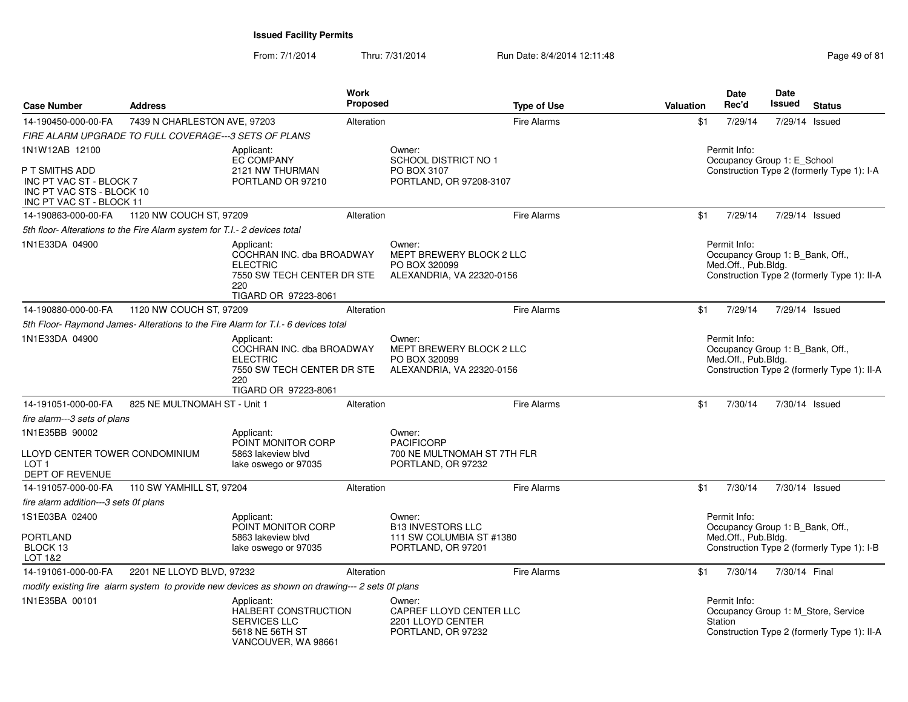From: 7/1/2014

| <b>Case Number</b>                                                                                 | <b>Address</b>                                                            |                                                                                                                         | <b>Work</b><br><b>Proposed</b> |                                                                                  | <b>Type of Use</b> | Valuation | <b>Date</b><br>Rec'd                                                    | Date<br><b>Issued</b> | <b>Status</b>                                                                      |
|----------------------------------------------------------------------------------------------------|---------------------------------------------------------------------------|-------------------------------------------------------------------------------------------------------------------------|--------------------------------|----------------------------------------------------------------------------------|--------------------|-----------|-------------------------------------------------------------------------|-----------------------|------------------------------------------------------------------------------------|
| 14-190450-000-00-FA                                                                                | 7439 N CHARLESTON AVE, 97203                                              |                                                                                                                         | Alteration                     |                                                                                  | <b>Fire Alarms</b> | \$1       | 7/29/14                                                                 |                       | 7/29/14 Issued                                                                     |
|                                                                                                    | FIRE ALARM UPGRADE TO FULL COVERAGE---3 SETS OF PLANS                     |                                                                                                                         |                                |                                                                                  |                    |           |                                                                         |                       |                                                                                    |
| 1N1W12AB 12100                                                                                     |                                                                           | Applicant:<br><b>EC COMPANY</b>                                                                                         |                                | Owner:<br><b>SCHOOL DISTRICT NO 1</b>                                            |                    |           | Permit Info:<br>Occupancy Group 1: E_School                             |                       |                                                                                    |
| P T SMITHS ADD<br>INC PT VAC ST - BLOCK 7<br>INC PT VAC STS - BLOCK 10<br>INC PT VAC ST - BLOCK 11 |                                                                           | 2121 NW THURMAN<br>PORTLAND OR 97210                                                                                    |                                | PO BOX 3107<br>PORTLAND, OR 97208-3107                                           |                    |           |                                                                         |                       | Construction Type 2 (formerly Type 1): I-A                                         |
| 14-190863-000-00-FA                                                                                | 1120 NW COUCH ST, 97209                                                   |                                                                                                                         | Alteration                     |                                                                                  | <b>Fire Alarms</b> | \$1       | 7/29/14                                                                 |                       | 7/29/14 Issued                                                                     |
|                                                                                                    | 5th floor- Alterations to the Fire Alarm system for T.I.- 2 devices total |                                                                                                                         |                                |                                                                                  |                    |           |                                                                         |                       |                                                                                    |
| 1N1E33DA 04900                                                                                     |                                                                           | Applicant:<br>COCHRAN INC. dba BROADWAY<br><b>ELECTRIC</b><br>7550 SW TECH CENTER DR STE<br>220<br>TIGARD OR 97223-8061 |                                | Owner:<br>MEPT BREWERY BLOCK 2 LLC<br>PO BOX 320099<br>ALEXANDRIA, VA 22320-0156 |                    |           | Permit Info:<br>Occupancy Group 1: B_Bank, Off.,<br>Med.Off., Pub.Bldg. |                       | Construction Type 2 (formerly Type 1): II-A                                        |
| 14-190880-000-00-FA                                                                                | 1120 NW COUCH ST, 97209                                                   |                                                                                                                         | Alteration                     |                                                                                  | <b>Fire Alarms</b> | \$1       | 7/29/14                                                                 |                       | 7/29/14 Issued                                                                     |
|                                                                                                    |                                                                           | 5th Floor- Raymond James- Alterations to the Fire Alarm for T.I.- 6 devices total                                       |                                |                                                                                  |                    |           |                                                                         |                       |                                                                                    |
| 1N1E33DA 04900                                                                                     |                                                                           | Applicant:<br>COCHRAN INC. dba BROADWAY<br><b>ELECTRIC</b><br>7550 SW TECH CENTER DR STE<br>220<br>TIGARD OR 97223-8061 |                                | Owner:<br>MEPT BREWERY BLOCK 2 LLC<br>PO BOX 320099<br>ALEXANDRIA, VA 22320-0156 |                    |           | Permit Info:<br>Occupancy Group 1: B_Bank, Off.,<br>Med.Off., Pub.Bldg. |                       | Construction Type 2 (formerly Type 1): II-A                                        |
| 14-191051-000-00-FA                                                                                | 825 NE MULTNOMAH ST - Unit 1                                              |                                                                                                                         | Alteration                     |                                                                                  | <b>Fire Alarms</b> | \$1       | 7/30/14                                                                 |                       | 7/30/14 Issued                                                                     |
| fire alarm---3 sets of plans                                                                       |                                                                           |                                                                                                                         |                                |                                                                                  |                    |           |                                                                         |                       |                                                                                    |
| 1N1E35BB 90002                                                                                     |                                                                           | Applicant:<br>POINT MONITOR CORP                                                                                        |                                | Owner:<br><b>PACIFICORP</b>                                                      |                    |           |                                                                         |                       |                                                                                    |
| LLOYD CENTER TOWER CONDOMINIUM<br>LOT <sub>1</sub><br>DEPT OF REVENUE                              |                                                                           | 5863 lakeview blvd<br>lake oswego or 97035                                                                              |                                | 700 NE MULTNOMAH ST 7TH FLR<br>PORTLAND, OR 97232                                |                    |           |                                                                         |                       |                                                                                    |
| 14-191057-000-00-FA                                                                                | 110 SW YAMHILL ST, 97204                                                  |                                                                                                                         | Alteration                     |                                                                                  | <b>Fire Alarms</b> | \$1       | 7/30/14                                                                 |                       | 7/30/14 Issued                                                                     |
| fire alarm addition---3 sets 0f plans                                                              |                                                                           |                                                                                                                         |                                |                                                                                  |                    |           |                                                                         |                       |                                                                                    |
| 1S1E03BA 02400                                                                                     |                                                                           | Applicant:<br>POINT MONITOR CORP                                                                                        |                                | Owner:<br><b>B13 INVESTORS LLC</b>                                               |                    |           | Permit Info:<br>Occupancy Group 1: B_Bank, Off.,                        |                       |                                                                                    |
| <b>PORTLAND</b><br>BLOCK 13<br>LOT 1&2                                                             |                                                                           | 5863 lakeview blvd<br>lake oswego or 97035                                                                              |                                | 111 SW COLUMBIA ST #1380<br>PORTLAND, OR 97201                                   |                    |           | Med.Off., Pub.Bldg.                                                     |                       | Construction Type 2 (formerly Type 1): I-B                                         |
| 14-191061-000-00-FA                                                                                | 2201 NE LLOYD BLVD, 97232                                                 |                                                                                                                         | Alteration                     |                                                                                  | <b>Fire Alarms</b> | \$1       | 7/30/14                                                                 | 7/30/14 Final         |                                                                                    |
|                                                                                                    |                                                                           | modify existing fire alarm system to provide new devices as shown on drawing--- 2 sets Of plans                         |                                |                                                                                  |                    |           |                                                                         |                       |                                                                                    |
| 1N1E35BA 00101                                                                                     |                                                                           | Applicant:<br>HALBERT CONSTRUCTION<br>SERVICES LLC<br>5618 NE 56TH ST<br>VANCOUVER, WA 98661                            |                                | Owner:<br>CAPREF LLOYD CENTER LLC<br>2201 LLOYD CENTER<br>PORTLAND, OR 97232     |                    |           | Permit Info:<br>Station                                                 |                       | Occupancy Group 1: M Store, Service<br>Construction Type 2 (formerly Type 1): II-A |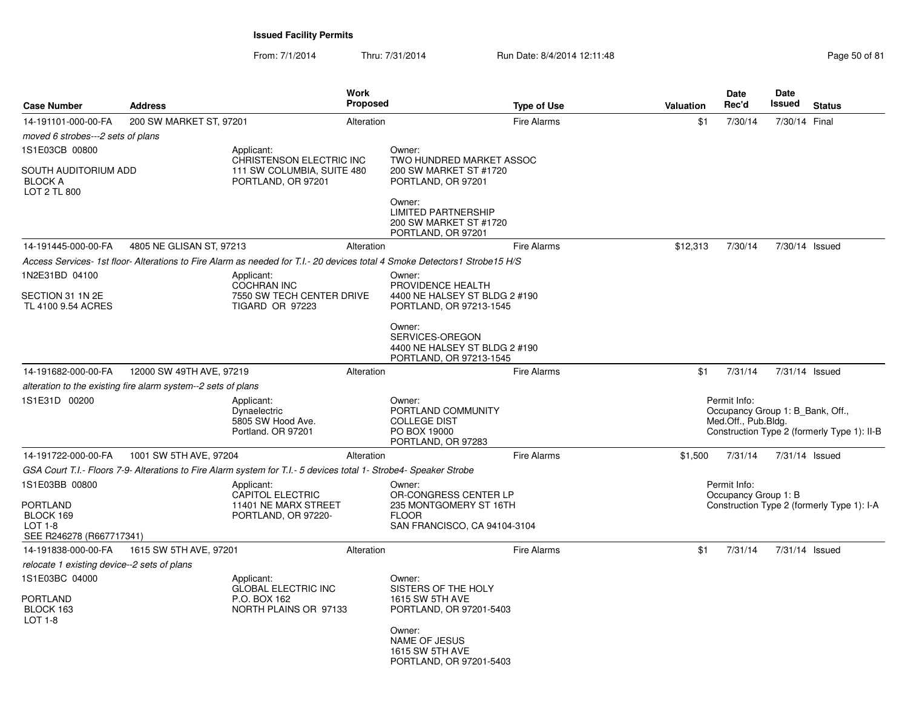From: 7/1/2014

Thru: 7/31/2014 Run Date: 8/4/2014 12:11:48 Research 2010 12:00 Rage 50 of 81

| <b>Case Number</b>                                                                    | <b>Address</b>                                                |                                                                                                                   | <b>Work</b><br><b>Proposed</b> |                                                                                                                            | <b>Type of Use</b> | <b>Valuation</b> | Date<br>Rec'd                                                           | <b>Date</b><br><b>Issued</b> | <b>Status</b>                               |
|---------------------------------------------------------------------------------------|---------------------------------------------------------------|-------------------------------------------------------------------------------------------------------------------|--------------------------------|----------------------------------------------------------------------------------------------------------------------------|--------------------|------------------|-------------------------------------------------------------------------|------------------------------|---------------------------------------------|
| 14-191101-000-00-FA                                                                   | 200 SW MARKET ST, 97201                                       |                                                                                                                   | Alteration                     |                                                                                                                            | <b>Fire Alarms</b> | \$1              | 7/30/14                                                                 | 7/30/14 Final                |                                             |
| moved 6 strobes---2 sets of plans                                                     |                                                               |                                                                                                                   |                                |                                                                                                                            |                    |                  |                                                                         |                              |                                             |
| 1S1E03CB 00800                                                                        |                                                               | Applicant:                                                                                                        |                                | Owner:                                                                                                                     |                    |                  |                                                                         |                              |                                             |
| SOUTH AUDITORIUM ADD<br><b>BLOCK A</b><br>LOT 2 TL 800                                |                                                               | CHRISTENSON ELECTRIC INC<br>111 SW COLUMBIA, SUITE 480<br>PORTLAND, OR 97201                                      |                                | TWO HUNDRED MARKET ASSOC<br>200 SW MARKET ST #1720<br>PORTLAND, OR 97201                                                   |                    |                  |                                                                         |                              |                                             |
|                                                                                       |                                                               |                                                                                                                   |                                | Owner:<br><b>LIMITED PARTNERSHIP</b><br>200 SW MARKET ST #1720<br>PORTLAND, OR 97201                                       |                    |                  |                                                                         |                              |                                             |
| 14-191445-000-00-FA                                                                   | 4805 NE GLISAN ST, 97213                                      |                                                                                                                   | Alteration                     |                                                                                                                            | <b>Fire Alarms</b> | \$12,313         | 7/30/14                                                                 | 7/30/14 Issued               |                                             |
|                                                                                       |                                                               |                                                                                                                   |                                | Access Services- 1st floor- Alterations to Fire Alarm as needed for T.I.- 20 devices total 4 Smoke Detectors1 Strobe15 H/S |                    |                  |                                                                         |                              |                                             |
| 1N2E31BD 04100                                                                        |                                                               | Applicant:<br><b>COCHRAN INC</b>                                                                                  |                                | Owner:<br>PROVIDENCE HEALTH                                                                                                |                    |                  |                                                                         |                              |                                             |
| SECTION 31 1N 2E<br>TL 4100 9.54 ACRES                                                |                                                               | 7550 SW TECH CENTER DRIVE<br>TIGARD OR 97223                                                                      |                                | 4400 NE HALSEY ST BLDG 2 #190<br>PORTLAND, OR 97213-1545                                                                   |                    |                  |                                                                         |                              |                                             |
|                                                                                       |                                                               |                                                                                                                   |                                | Owner:<br>SERVICES-OREGON<br>4400 NE HALSEY ST BLDG 2 #190<br>PORTLAND, OR 97213-1545                                      |                    |                  |                                                                         |                              |                                             |
| 14-191682-000-00-FA                                                                   | 12000 SW 49TH AVE, 97219                                      |                                                                                                                   | Alteration                     |                                                                                                                            | <b>Fire Alarms</b> | \$1              | 7/31/14                                                                 | 7/31/14 Issued               |                                             |
|                                                                                       | alteration to the existing fire alarm system--2 sets of plans |                                                                                                                   |                                |                                                                                                                            |                    |                  |                                                                         |                              |                                             |
| 1S1E31D 00200                                                                         |                                                               | Applicant:<br>Dynaelectric<br>5805 SW Hood Ave.<br>Portland, OR 97201                                             |                                | Owner:<br>PORTLAND COMMUNITY<br><b>COLLEGE DIST</b><br>PO BOX 19000<br>PORTLAND, OR 97283                                  |                    |                  | Permit Info:<br>Occupancy Group 1: B Bank, Off.,<br>Med.Off., Pub.Bldg. |                              | Construction Type 2 (formerly Type 1): II-B |
| 14-191722-000-00-FA                                                                   | 1001 SW 5TH AVE, 97204                                        |                                                                                                                   | Alteration                     |                                                                                                                            | Fire Alarms        | \$1,500          | 7/31/14                                                                 | 7/31/14 Issued               |                                             |
|                                                                                       |                                                               | GSA Court T.I.- Floors 7-9- Alterations to Fire Alarm system for T.I.- 5 devices total 1- Strobe4- Speaker Strobe |                                |                                                                                                                            |                    |                  |                                                                         |                              |                                             |
| 1S1E03BB 00800<br>PORTLAND<br>BLOCK 169<br><b>LOT 1-8</b><br>SEE R246278 (R667717341) |                                                               | Applicant:<br>CAPITOL ELECTRIC<br>11401 NE MARX STREET<br>PORTLAND, OR 97220-                                     |                                | Owner:<br>OR-CONGRESS CENTER LP<br>235 MONTGOMERY ST 16TH<br><b>FLOOR</b><br>SAN FRANCISCO, CA 94104-3104                  |                    |                  | Permit Info:<br>Occupancy Group 1: B                                    |                              | Construction Type 2 (formerly Type 1): I-A  |
| 14-191838-000-00-FA                                                                   | 1615 SW 5TH AVE, 97201                                        |                                                                                                                   | Alteration                     |                                                                                                                            | Fire Alarms        | \$1              | 7/31/14                                                                 | 7/31/14 Issued               |                                             |
| relocate 1 existing device--2 sets of plans                                           |                                                               |                                                                                                                   |                                |                                                                                                                            |                    |                  |                                                                         |                              |                                             |
| 1S1E03BC 04000<br>PORTLAND<br>BLOCK 163<br><b>LOT 1-8</b>                             |                                                               | Applicant:<br><b>GLOBAL ELECTRIC INC</b><br>P.O. BOX 162<br>NORTH PLAINS OR 97133                                 |                                | Owner:<br>SISTERS OF THE HOLY<br>1615 SW 5TH AVE<br>PORTLAND, OR 97201-5403<br>Owner:                                      |                    |                  |                                                                         |                              |                                             |
|                                                                                       |                                                               |                                                                                                                   |                                | <b>NAME OF JESUS</b><br>1615 SW 5TH AVE<br>PORTLAND, OR 97201-5403                                                         |                    |                  |                                                                         |                              |                                             |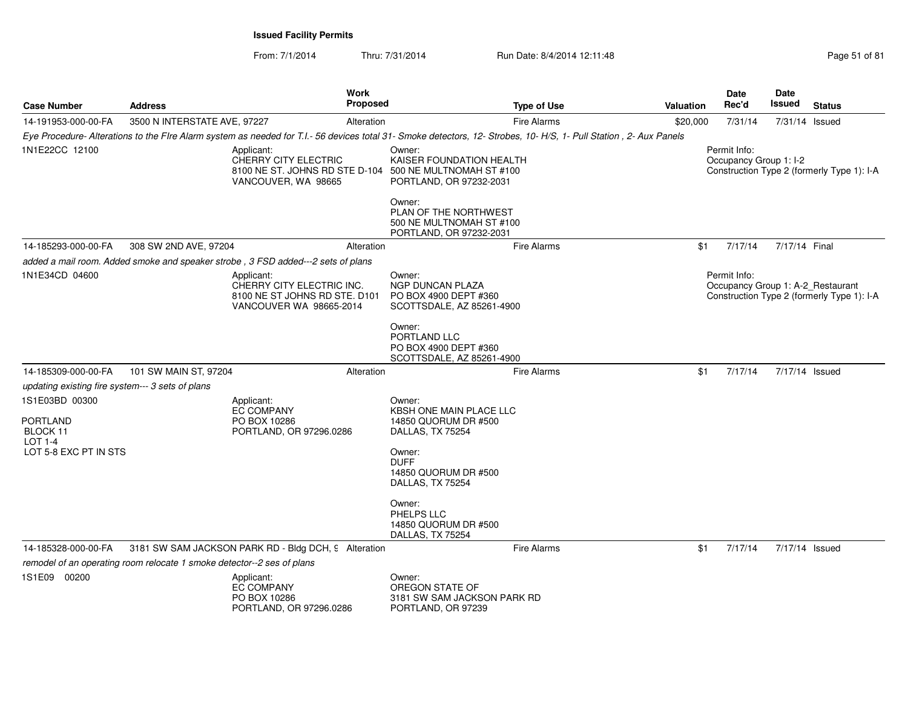From: 7/1/2014Thru: 7/31/2014 Run Date: 8/4/2014 12:11:48 Research 2014 13:11:48

| <b>Case Number</b>                                                                  | <b>Address</b>                                                         | Work<br><b>Proposed</b>                                                                                                                                            |                                                                                                                                                                                                    | <b>Type of Use</b> | <b>Valuation</b> | Date<br>Rec'd                          | <b>Date</b><br>Issued | <b>Status</b>                                                                   |
|-------------------------------------------------------------------------------------|------------------------------------------------------------------------|--------------------------------------------------------------------------------------------------------------------------------------------------------------------|----------------------------------------------------------------------------------------------------------------------------------------------------------------------------------------------------|--------------------|------------------|----------------------------------------|-----------------------|---------------------------------------------------------------------------------|
| 14-191953-000-00-FA                                                                 | 3500 N INTERSTATE AVE, 97227                                           | Alteration                                                                                                                                                         |                                                                                                                                                                                                    | <b>Fire Alarms</b> | \$20,000         | 7/31/14                                | 7/31/14 Issued        |                                                                                 |
|                                                                                     |                                                                        | Eye Procedure- Alterations to the Flre Alarm system as needed for T.I.- 56 devices total 31- Smoke detectors, 12- Strobes, 10- H/S, 1- Pull Station, 2- Aux Panels |                                                                                                                                                                                                    |                    |                  |                                        |                       |                                                                                 |
| 1N1E22CC 12100                                                                      |                                                                        | Applicant:<br>CHERRY CITY ELECTRIC<br>8100 NE ST. JOHNS RD STE D-104<br>VANCOUVER, WA 98665                                                                        | Owner:<br>KAISER FOUNDATION HEALTH<br>500 NE MULTNOMAH ST #100<br>PORTLAND, OR 97232-2031<br>Owner:<br>PLAN OF THE NORTHWEST<br>500 NE MULTNOMAH ST #100<br>PORTLAND, OR 97232-2031                |                    |                  | Permit Info:<br>Occupancy Group 1: I-2 |                       | Construction Type 2 (formerly Type 1): I-A                                      |
| 14-185293-000-00-FA                                                                 | 308 SW 2ND AVE, 97204                                                  | Alteration                                                                                                                                                         |                                                                                                                                                                                                    | <b>Fire Alarms</b> | \$1              | 7/17/14                                | 7/17/14 Final         |                                                                                 |
|                                                                                     |                                                                        | added a mail room. Added smoke and speaker strobe, 3 FSD added---2 sets of plans                                                                                   |                                                                                                                                                                                                    |                    |                  |                                        |                       |                                                                                 |
| 1N1E34CD 04600                                                                      |                                                                        | Applicant:<br>CHERRY CITY ELECTRIC INC.<br>8100 NE ST JOHNS RD STE. D101<br>VANCOUVER WA 98665-2014                                                                | Owner:<br><b>NGP DUNCAN PLAZA</b><br>PO BOX 4900 DEPT #360<br>SCOTTSDALE, AZ 85261-4900<br>Owner:<br>PORTLAND LLC<br>PO BOX 4900 DEPT #360<br>SCOTTSDALE, AZ 85261-4900                            |                    |                  | Permit Info:                           |                       | Occupancy Group 1: A-2_Restaurant<br>Construction Type 2 (formerly Type 1): I-A |
| 14-185309-000-00-FA                                                                 | 101 SW MAIN ST, 97204                                                  | Alteration                                                                                                                                                         |                                                                                                                                                                                                    | <b>Fire Alarms</b> | \$1              | 7/17/14                                | 7/17/14 Issued        |                                                                                 |
| updating existing fire system--- 3 sets of plans                                    |                                                                        |                                                                                                                                                                    |                                                                                                                                                                                                    |                    |                  |                                        |                       |                                                                                 |
| 1S1E03BD 00300<br><b>PORTLAND</b><br>BLOCK 11<br>$LOT 1-4$<br>LOT 5-8 EXC PT IN STS |                                                                        | Applicant:<br><b>EC COMPANY</b><br>PO BOX 10286<br>PORTLAND, OR 97296.0286                                                                                         | Owner:<br>KBSH ONE MAIN PLACE LLC<br>14850 QUORUM DR #500<br>DALLAS, TX 75254<br>Owner:<br><b>DUFF</b><br>14850 QUORUM DR #500<br>DALLAS, TX 75254<br>Owner:<br>PHELPS LLC<br>14850 QUORUM DR #500 |                    |                  |                                        |                       |                                                                                 |
| 14-185328-000-00-FA                                                                 |                                                                        | 3181 SW SAM JACKSON PARK RD - Bldg DCH, 9 Alteration                                                                                                               | DALLAS, TX 75254                                                                                                                                                                                   | <b>Fire Alarms</b> | \$1              | 7/17/14                                | 7/17/14 Issued        |                                                                                 |
|                                                                                     | remodel of an operating room relocate 1 smoke detector--2 ses of plans |                                                                                                                                                                    |                                                                                                                                                                                                    |                    |                  |                                        |                       |                                                                                 |
| 1S1E09 00200                                                                        |                                                                        | Applicant:<br><b>EC COMPANY</b><br>PO BOX 10286<br>PORTLAND, OR 97296.0286                                                                                         | Owner:<br>OREGON STATE OF<br>3181 SW SAM JACKSON PARK RD<br>PORTLAND, OR 97239                                                                                                                     |                    |                  |                                        |                       |                                                                                 |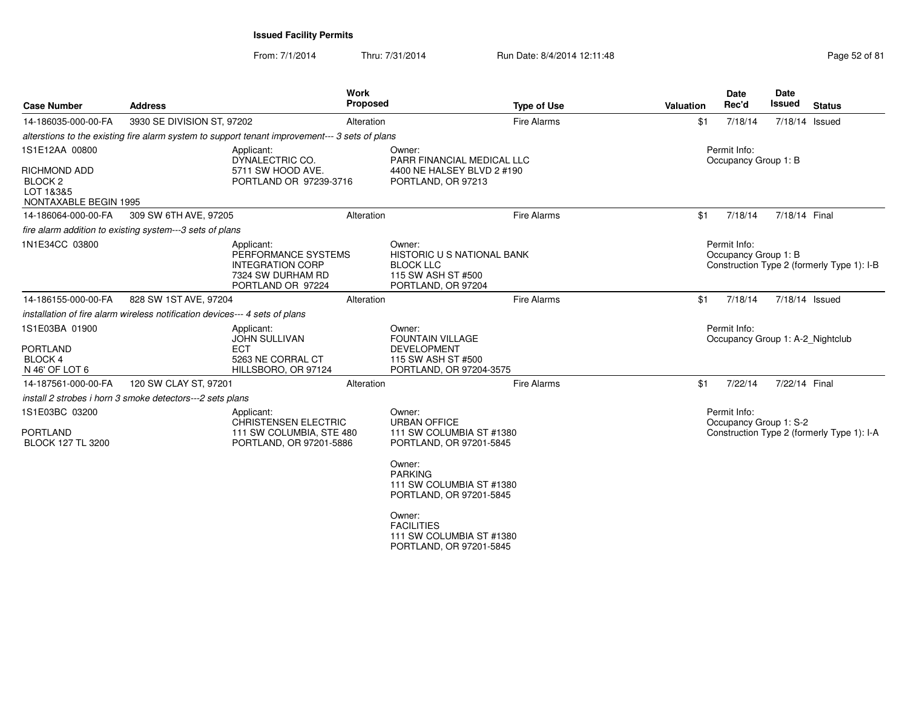From: 7/1/2014Thru: 7/31/2014 Run Date: 8/4/2014 12:11:48 Research 2010 12:00 Rage 52 of 81

| <b>Case Number</b>                                                                                | <b>Address</b>                                                                                 | Work<br><b>Proposed</b>                                                                  |                                                                                                                                                                                                                                    | <b>Type of Use</b>         | <b>Valuation</b> | <b>Date</b><br>Rec'd                             | Date<br><b>Issued</b> | <b>Status</b>                              |
|---------------------------------------------------------------------------------------------------|------------------------------------------------------------------------------------------------|------------------------------------------------------------------------------------------|------------------------------------------------------------------------------------------------------------------------------------------------------------------------------------------------------------------------------------|----------------------------|------------------|--------------------------------------------------|-----------------------|--------------------------------------------|
| 14-186035-000-00-FA                                                                               | 3930 SE DIVISION ST, 97202                                                                     | Alteration                                                                               |                                                                                                                                                                                                                                    | <b>Fire Alarms</b>         | \$1              | 7/18/14                                          | 7/18/14 Issued        |                                            |
|                                                                                                   | alterstions to the existing fire alarm system to support tenant improvement--- 3 sets of plans |                                                                                          |                                                                                                                                                                                                                                    |                            |                  |                                                  |                       |                                            |
| 1S1E12AA 00800<br><b>RICHMOND ADD</b><br>BLOCK <sub>2</sub><br>LOT 1&3&5<br>NONTAXABLE BEGIN 1995 | Applicant:                                                                                     | DYNALECTRIC CO.<br>5711 SW HOOD AVE.<br>PORTLAND OR 97239-3716                           | Owner:<br>4400 NE HALSEY BLVD 2 #190<br>PORTLAND, OR 97213                                                                                                                                                                         | PARR FINANCIAL MEDICAL LLC |                  | Permit Info:<br>Occupancy Group 1: B             |                       |                                            |
| 14-186064-000-00-FA                                                                               | 309 SW 6TH AVE, 97205                                                                          | Alteration                                                                               |                                                                                                                                                                                                                                    | <b>Fire Alarms</b>         | \$1              | 7/18/14                                          | 7/18/14 Final         |                                            |
|                                                                                                   | fire alarm addition to existing system---3 sets of plans                                       |                                                                                          |                                                                                                                                                                                                                                    |                            |                  |                                                  |                       |                                            |
| 1N1E34CC 03800                                                                                    | Applicant:                                                                                     | PERFORMANCE SYSTEMS<br><b>INTEGRATION CORP</b><br>7324 SW DURHAM RD<br>PORTLAND OR 97224 | Owner:<br><b>BLOCK LLC</b><br>115 SW ASH ST #500<br>PORTLAND, OR 97204                                                                                                                                                             | HISTORIC U S NATIONAL BANK |                  | Permit Info:<br>Occupancy Group 1: B             |                       | Construction Type 2 (formerly Type 1): I-B |
| 14-186155-000-00-FA                                                                               | 828 SW 1ST AVE, 97204                                                                          | Alteration                                                                               |                                                                                                                                                                                                                                    | <b>Fire Alarms</b>         | \$1              | 7/18/14                                          |                       | 7/18/14 Issued                             |
|                                                                                                   | installation of fire alarm wireless notification devices--- 4 sets of plans                    |                                                                                          |                                                                                                                                                                                                                                    |                            |                  |                                                  |                       |                                            |
| 1S1E03BA 01900<br><b>PORTLAND</b><br><b>BLOCK4</b><br>N 46' OF LOT 6                              | Applicant:<br>JOHN SULLIVAN<br><b>ECT</b>                                                      | 5263 NE CORRAL CT<br>HILLSBORO, OR 97124                                                 | Owner:<br><b>FOUNTAIN VILLAGE</b><br><b>DEVELOPMENT</b><br>115 SW ASH ST #500<br>PORTLAND, OR 97204-3575                                                                                                                           |                            |                  | Permit Info:<br>Occupancy Group 1: A-2_Nightclub |                       |                                            |
| 14-187561-000-00-FA                                                                               | 120 SW CLAY ST, 97201                                                                          | Alteration                                                                               |                                                                                                                                                                                                                                    | <b>Fire Alarms</b>         | \$1              | 7/22/14                                          | 7/22/14 Final         |                                            |
|                                                                                                   | install 2 strobes i horn 3 smoke detectors---2 sets plans                                      |                                                                                          |                                                                                                                                                                                                                                    |                            |                  |                                                  |                       |                                            |
| 1S1E03BC 03200<br><b>PORTLAND</b><br><b>BLOCK 127 TL 3200</b>                                     | Applicant:                                                                                     | CHRISTENSEN ELECTRIC<br>111 SW COLUMBIA, STE 480<br>PORTLAND, OR 97201-5886              | Owner:<br><b>URBAN OFFICE</b><br>111 SW COLUMBIA ST #1380<br>PORTLAND, OR 97201-5845<br>Owner:<br><b>PARKING</b><br>111 SW COLUMBIA ST #1380<br>PORTLAND, OR 97201-5845<br>Owner:<br><b>FACILITIES</b><br>111 SW COLUMBIA ST #1380 |                            |                  | Permit Info:<br>Occupancy Group 1: S-2           |                       | Construction Type 2 (formerly Type 1): I-A |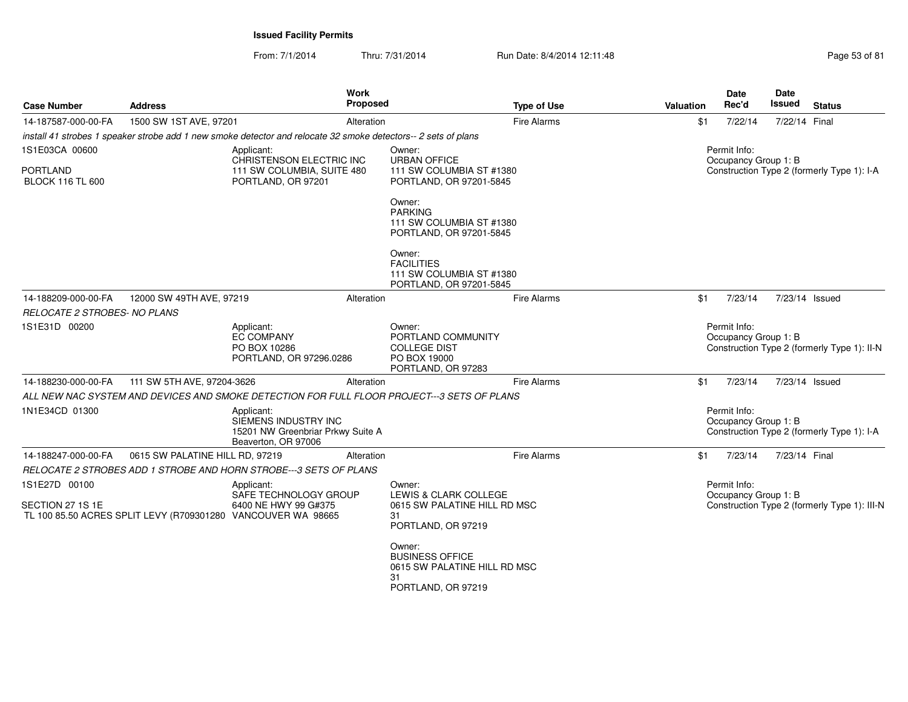From: 7/1/2014Thru: 7/31/2014 Run Date: 8/4/2014 12:11:48 Research 2010 12:00 Rage 53 of 81

| <b>Case Number</b>                  | <b>Address</b>                                                                       | Work<br>Proposed                                                                                               |                                                                                              | <b>Type of Use</b>                                 | <b>Valuation</b> | <b>Date</b><br>Rec'd                 | <b>Date</b><br>Issued | <b>Status</b>                                |
|-------------------------------------|--------------------------------------------------------------------------------------|----------------------------------------------------------------------------------------------------------------|----------------------------------------------------------------------------------------------|----------------------------------------------------|------------------|--------------------------------------|-----------------------|----------------------------------------------|
| 14-187587-000-00-FA                 | 1500 SW 1ST AVE, 97201                                                               | Alteration                                                                                                     |                                                                                              | Fire Alarms                                        | \$1              | 7/22/14                              | 7/22/14 Final         |                                              |
|                                     |                                                                                      | install 41 strobes 1 speaker strobe add 1 new smoke detector and relocate 32 smoke detectors-- 2 sets of plans |                                                                                              |                                                    |                  |                                      |                       |                                              |
| 1S1E03CA 00600                      |                                                                                      | Applicant:                                                                                                     | Owner:                                                                                       |                                                    |                  | Permit Info:                         |                       |                                              |
| PORTLAND<br><b>BLOCK 116 TL 600</b> |                                                                                      | CHRISTENSON ELECTRIC INC<br>111 SW COLUMBIA, SUITE 480<br>PORTLAND, OR 97201                                   | <b>URBAN OFFICE</b><br>111 SW COLUMBIA ST #1380<br>PORTLAND, OR 97201-5845                   |                                                    |                  | Occupancy Group 1: B                 |                       | Construction Type 2 (formerly Type 1): I-A   |
|                                     |                                                                                      |                                                                                                                | Owner:<br><b>PARKING</b><br>111 SW COLUMBIA ST #1380<br>PORTLAND, OR 97201-5845              |                                                    |                  |                                      |                       |                                              |
|                                     |                                                                                      |                                                                                                                | Owner:<br><b>FACILITIES</b><br>111 SW COLUMBIA ST #1380<br>PORTLAND, OR 97201-5845           |                                                    |                  |                                      |                       |                                              |
| 14-188209-000-00-FA                 | 12000 SW 49TH AVE, 97219                                                             | Alteration                                                                                                     |                                                                                              | Fire Alarms                                        | \$1              | 7/23/14                              |                       | 7/23/14 Issued                               |
| RELOCATE 2 STROBES- NO PLANS        |                                                                                      |                                                                                                                |                                                                                              |                                                    |                  |                                      |                       |                                              |
| 1S1E31D 00200                       |                                                                                      | Applicant:<br><b>EC COMPANY</b><br>PO BOX 10286<br>PORTLAND, OR 97296.0286                                     | Owner:<br>PORTLAND COMMUNITY<br><b>COLLEGE DIST</b><br>PO BOX 19000<br>PORTLAND, OR 97283    |                                                    |                  | Permit Info:<br>Occupancy Group 1: B |                       | Construction Type 2 (formerly Type 1): II-N  |
| 14-188230-000-00-FA                 | 111 SW 5TH AVE, 97204-3626                                                           | Alteration                                                                                                     |                                                                                              | Fire Alarms                                        | \$1              | 7/23/14                              |                       | 7/23/14 Issued                               |
|                                     |                                                                                      | ALL NEW NAC SYSTEM AND DEVICES AND SMOKE DETECTION FOR FULL FLOOR PROJECT---3 SETS OF PLANS                    |                                                                                              |                                                    |                  |                                      |                       |                                              |
| 1N1E34CD 01300                      |                                                                                      | Applicant:<br>SIEMENS INDUSTRY INC<br>15201 NW Greenbriar Prkwy Suite A<br>Beaverton, OR 97006                 |                                                                                              |                                                    |                  | Permit Info:<br>Occupancy Group 1: B |                       | Construction Type 2 (formerly Type 1): I-A   |
| 14-188247-000-00-FA                 | 0615 SW PALATINE HILL RD, 97219                                                      | Alteration                                                                                                     |                                                                                              | <b>Fire Alarms</b>                                 | \$1              | 7/23/14                              | 7/23/14 Final         |                                              |
|                                     |                                                                                      | RELOCATE 2 STROBES ADD 1 STROBE AND HORN STROBE--- 3 SETS OF PLANS                                             |                                                                                              |                                                    |                  |                                      |                       |                                              |
| 1S1E27D 00100                       |                                                                                      | Applicant:<br>SAFE TECHNOLOGY GROUP                                                                            | Owner:<br>LEWIS & CLARK COLLEGE                                                              |                                                    |                  | Permit Info:<br>Occupancy Group 1: B |                       |                                              |
| SECTION 27 1S 1E                    | 6400 NE HWY 99 G#375<br>TL 100 85.50 ACRES SPLIT LEVY (R709301280 VANCOUVER WA 98665 |                                                                                                                | 31                                                                                           | 0615 SW PALATINE HILL RD MSC<br>PORTLAND, OR 97219 |                  |                                      |                       | Construction Type 2 (formerly Type 1): III-N |
|                                     |                                                                                      |                                                                                                                | Owner:<br><b>BUSINESS OFFICE</b><br>0615 SW PALATINE HILL RD MSC<br>31<br>PORTLAND, OR 97219 |                                                    |                  |                                      |                       |                                              |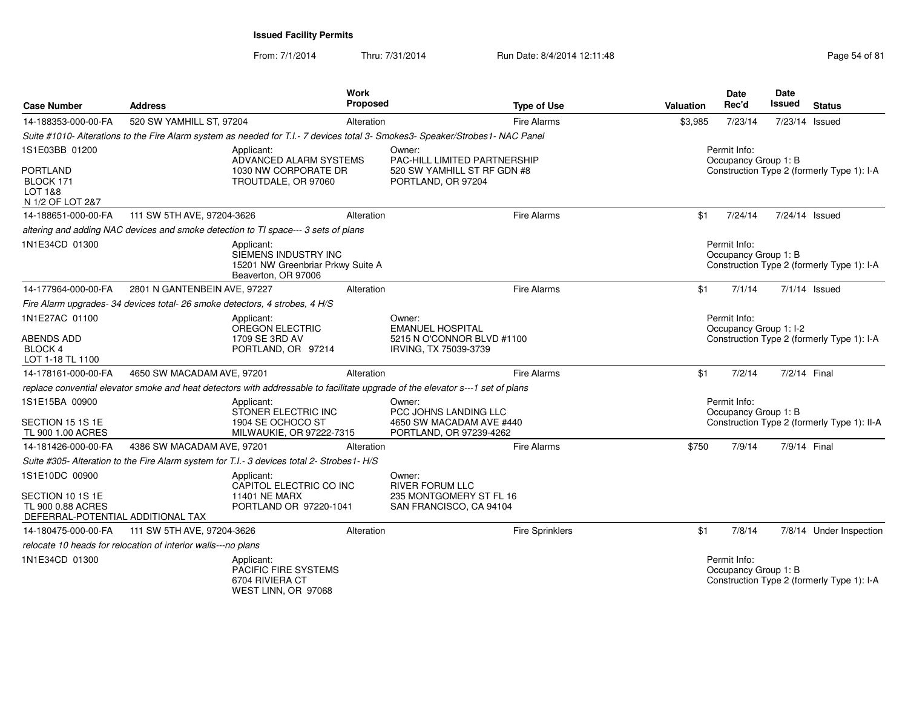From: 7/1/2014

Thru: 7/31/2014 Run Date: 8/4/2014 12:11:48 Research 2010 Rage 54 of 81

| <b>Case Number</b>                                                         | <b>Address</b>                                                              |                                                                                                                                | <b>Work</b><br>Proposed                             |                                                     | <b>Type of Use</b>     | Valuation | <b>Date</b><br>Rec'd                       | Date<br><b>Issued</b> | <b>Status</b>                               |  |
|----------------------------------------------------------------------------|-----------------------------------------------------------------------------|--------------------------------------------------------------------------------------------------------------------------------|-----------------------------------------------------|-----------------------------------------------------|------------------------|-----------|--------------------------------------------|-----------------------|---------------------------------------------|--|
| 14-188353-000-00-FA                                                        | 520 SW YAMHILL ST, 97204                                                    |                                                                                                                                | Alteration                                          |                                                     | <b>Fire Alarms</b>     | \$3,985   | 7/23/14                                    |                       | 7/23/14 Issued                              |  |
|                                                                            |                                                                             | Suite #1010- Alterations to the Fire Alarm system as needed for T.I.- 7 devices total 3- Smokes3- Speaker/Strobes1- NAC Panel  |                                                     |                                                     |                        |           |                                            |                       |                                             |  |
| 1S1E03BB 01200                                                             |                                                                             | Applicant:<br>ADVANCED ALARM SYSTEMS                                                                                           |                                                     | Owner:<br>PAC-HILL LIMITED PARTNERSHIP              |                        |           | Permit Info:<br>Occupancy Group 1: B       |                       |                                             |  |
| <b>PORTLAND</b><br>BLOCK 171<br>LOT 1&8<br>N 1/2 OF LOT 2&7                |                                                                             | 1030 NW CORPORATE DR<br>TROUTDALE, OR 97060                                                                                    |                                                     | 520 SW YAMHILL ST RF GDN #8<br>PORTLAND, OR 97204   |                        |           | Construction Type 2 (formerly Type 1): I-A |                       |                                             |  |
| 14-188651-000-00-FA                                                        | 111 SW 5TH AVE, 97204-3626                                                  |                                                                                                                                | Alteration                                          |                                                     | <b>Fire Alarms</b>     | \$1       | 7/24/14                                    |                       | 7/24/14 Issued                              |  |
|                                                                            |                                                                             | altering and adding NAC devices and smoke detection to TI space--- 3 sets of plans                                             |                                                     |                                                     |                        |           |                                            |                       |                                             |  |
| 1N1E34CD 01300                                                             |                                                                             | Applicant:<br>SIEMENS INDUSTRY INC<br>15201 NW Greenbriar Prkwy Suite A<br>Beaverton, OR 97006                                 |                                                     |                                                     |                        |           | Permit Info:<br>Occupancy Group 1: B       |                       | Construction Type 2 (formerly Type 1): I-A  |  |
| 14-177964-000-00-FA                                                        | 2801 N GANTENBEIN AVE, 97227                                                |                                                                                                                                | Alteration                                          |                                                     | <b>Fire Alarms</b>     | \$1       | 7/1/14                                     |                       | $7/1/14$ Issued                             |  |
|                                                                            | Fire Alarm upgrades- 34 devices total- 26 smoke detectors, 4 strobes, 4 H/S |                                                                                                                                |                                                     |                                                     |                        |           |                                            |                       |                                             |  |
| 1N1E27AC 01100                                                             |                                                                             | Applicant:<br>OREGON ELECTRIC                                                                                                  |                                                     | Owner:<br><b>EMANUEL HOSPITAL</b>                   |                        |           | Permit Info:<br>Occupancy Group 1: I-2     |                       |                                             |  |
| ABENDS ADD<br><b>BLOCK 4</b><br>LOT 1-18 TL 1100                           |                                                                             | 1709 SE 3RD AV<br>PORTLAND, OR 97214                                                                                           | 5215 N O'CONNOR BLVD #1100<br>IRVING, TX 75039-3739 |                                                     |                        |           | Construction Type 2 (formerly Type 1): I-A |                       |                                             |  |
| 14-178161-000-00-FA                                                        | 4650 SW MACADAM AVE, 97201                                                  |                                                                                                                                | Alteration                                          |                                                     | <b>Fire Alarms</b>     | \$1       | 7/2/14                                     | 7/2/14 Final          |                                             |  |
|                                                                            |                                                                             | replace convential elevator smoke and heat detectors with addressable to facilitate upgrade of the elevator s---1 set of plans |                                                     |                                                     |                        |           |                                            |                       |                                             |  |
| 1S1E15BA 00900                                                             |                                                                             | Applicant:<br>STONER ELECTRIC INC                                                                                              |                                                     | Owner:<br>PCC JOHNS LANDING LLC                     |                        |           | Permit Info:<br>Occupancy Group 1: B       |                       |                                             |  |
| SECTION 15 1S 1E<br>TL 900 1.00 ACRES                                      |                                                                             | 1904 SE OCHOCO ST<br>MILWAUKIE, OR 97222-7315                                                                                  |                                                     | 4650 SW MACADAM AVE #440<br>PORTLAND, OR 97239-4262 |                        |           |                                            |                       | Construction Type 2 (formerly Type 1): II-A |  |
| 14-181426-000-00-FA                                                        | 4386 SW MACADAM AVE, 97201                                                  |                                                                                                                                | Alteration                                          |                                                     | <b>Fire Alarms</b>     | \$750     | 7/9/14                                     |                       | 7/9/14 Final                                |  |
|                                                                            |                                                                             | Suite #305- Alteration to the Fire Alarm system for T.I.- 3 devices total 2- Strobes1- H/S                                     |                                                     |                                                     |                        |           |                                            |                       |                                             |  |
| 1S1E10DC 00900                                                             |                                                                             | Applicant:<br>CAPITOL ELECTRIC CO INC                                                                                          |                                                     | Owner:<br><b>RIVER FORUM LLC</b>                    |                        |           |                                            |                       |                                             |  |
| SECTION 10 1S 1E<br>TL 900 0.88 ACRES<br>DEFERRAL-POTENTIAL ADDITIONAL TAX |                                                                             | <b>11401 NE MARX</b><br>PORTLAND OR 97220-1041                                                                                 |                                                     | 235 MONTGOMERY ST FL 16<br>SAN FRANCISCO, CA 94104  |                        |           |                                            |                       |                                             |  |
| 14-180475-000-00-FA                                                        | 111 SW 5TH AVE, 97204-3626                                                  |                                                                                                                                | Alteration                                          |                                                     | <b>Fire Sprinklers</b> | \$1       | 7/8/14                                     |                       | 7/8/14 Under Inspection                     |  |
|                                                                            | relocate 10 heads for relocation of interior walls---no plans               |                                                                                                                                |                                                     |                                                     |                        |           |                                            |                       |                                             |  |
| 1N1E34CD 01300                                                             |                                                                             | Applicant:<br>PACIFIC FIRE SYSTEMS<br>6704 RIVIERA CT<br>WEST LINN, OR 97068                                                   |                                                     |                                                     |                        |           | Permit Info:<br>Occupancy Group 1: B       |                       | Construction Type 2 (formerly Type 1): I-A  |  |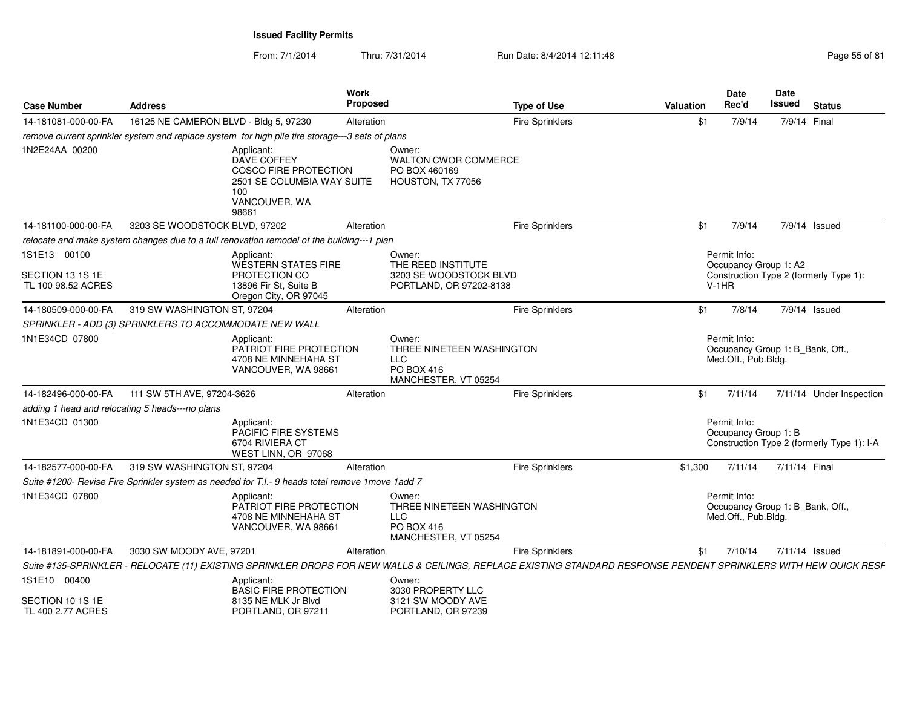From: 7/1/2014Thru: 7/31/2014 Run Date: 8/4/2014 12:11:48 Research 2010 12:00 Rage 55 of 81

| <b>Case Number</b>                                     | <b>Address</b>                                         |                                                                                                                          | Work<br><b>Proposed</b> |                                                                                                                                                                   | <b>Type of Use</b>     | Valuation | Date<br>Rec'd                        | <b>Date</b><br><b>Issued</b>     | <b>Status</b>                              |
|--------------------------------------------------------|--------------------------------------------------------|--------------------------------------------------------------------------------------------------------------------------|-------------------------|-------------------------------------------------------------------------------------------------------------------------------------------------------------------|------------------------|-----------|--------------------------------------|----------------------------------|--------------------------------------------|
| 14-181081-000-00-FA                                    | 16125 NE CAMERON BLVD - Bldg 5, 97230                  |                                                                                                                          | Alteration              |                                                                                                                                                                   | Fire Sprinklers        | \$1       | 7/9/14                               |                                  | 7/9/14 Final                               |
|                                                        |                                                        | remove current sprinkler system and replace system for high pile tire storage---3 sets of plans                          |                         |                                                                                                                                                                   |                        |           |                                      |                                  |                                            |
| 1N2E24AA 00200                                         |                                                        | Applicant:<br>DAVE COFFEY<br><b>COSCO FIRE PROTECTION</b><br>2501 SE COLUMBIA WAY SUITE<br>100<br>VANCOUVER, WA<br>98661 |                         | Owner:<br>WALTON CWOR COMMERCE<br>PO BOX 460169<br>HOUSTON, TX 77056                                                                                              |                        |           |                                      |                                  |                                            |
| 14-181100-000-00-FA                                    | 3203 SE WOODSTOCK BLVD, 97202                          |                                                                                                                          | Alteration              |                                                                                                                                                                   | <b>Fire Sprinklers</b> | \$1       | 7/9/14                               |                                  | 7/9/14 Issued                              |
|                                                        |                                                        | relocate and make system changes due to a full renovation remodel of the building---1 plan                               |                         |                                                                                                                                                                   |                        |           |                                      |                                  |                                            |
| 1S1E13 00100<br>SECTION 13 1S 1E<br>TL 100 98.52 ACRES |                                                        | Applicant:<br>WESTERN STATES FIRE<br>PROTECTION CO<br>13896 Fir St. Suite B<br>Oregon City, OR 97045                     |                         | Owner:<br>THE REED INSTITUTE<br>3203 SE WOODSTOCK BLVD<br>PORTLAND, OR 97202-8138                                                                                 |                        |           | Permit Info:<br>$V-1HR$              | Occupancy Group 1: A2            | Construction Type 2 (formerly Type 1):     |
| 14-180509-000-00-FA                                    | 319 SW WASHINGTON ST, 97204                            |                                                                                                                          | Alteration              |                                                                                                                                                                   | Fire Sprinklers        | \$1       | 7/8/14                               |                                  | 7/9/14 Issued                              |
|                                                        | SPRINKLER - ADD (3) SPRINKLERS TO ACCOMMODATE NEW WALL |                                                                                                                          |                         |                                                                                                                                                                   |                        |           |                                      |                                  |                                            |
| 1N1E34CD 07800                                         |                                                        | Applicant:<br>PATRIOT FIRE PROTECTION<br>4708 NE MINNEHAHA ST<br>VANCOUVER, WA 98661                                     |                         | Owner:<br>THREE NINETEEN WASHINGTON<br><b>LLC</b><br>PO BOX 416<br>MANCHESTER, VT 05254                                                                           |                        |           | Permit Info:<br>Med.Off., Pub.Bldg.  | Occupancy Group 1: B_Bank, Off., |                                            |
| 14-182496-000-00-FA                                    | 111 SW 5TH AVE, 97204-3626                             |                                                                                                                          | Alteration              |                                                                                                                                                                   | <b>Fire Sprinklers</b> | \$1       | 7/11/14                              |                                  | 7/11/14 Under Inspection                   |
| adding 1 head and relocating 5 heads---no plans        |                                                        |                                                                                                                          |                         |                                                                                                                                                                   |                        |           |                                      |                                  |                                            |
| 1N1E34CD 01300                                         |                                                        | Applicant:<br>PACIFIC FIRE SYSTEMS<br>6704 RIVIERA CT<br>WEST LINN, OR 97068                                             |                         |                                                                                                                                                                   |                        |           | Permit Info:<br>Occupancy Group 1: B |                                  | Construction Type 2 (formerly Type 1): I-A |
| 14-182577-000-00-FA                                    | 319 SW WASHINGTON ST, 97204                            |                                                                                                                          | Alteration              |                                                                                                                                                                   | Fire Sprinklers        | \$1,300   | 7/11/14                              | 7/11/14 Final                    |                                            |
|                                                        |                                                        | Suite #1200- Revise Fire Sprinkler system as needed for T.I.- 9 heads total remove 1 move 1 add 7                        |                         |                                                                                                                                                                   |                        |           |                                      |                                  |                                            |
| 1N1E34CD 07800                                         |                                                        | Applicant:<br>PATRIOT FIRE PROTECTION<br>4708 NE MINNEHAHA ST<br>VANCOUVER, WA 98661                                     |                         | Owner:<br>THREE NINETEEN WASHINGTON<br><b>LLC</b><br><b>PO BOX 416</b><br>MANCHESTER, VT 05254                                                                    |                        |           | Permit Info:<br>Med.Off., Pub.Bldg.  | Occupancy Group 1: B_Bank, Off., |                                            |
| 14-181891-000-00-FA                                    | 3030 SW MOODY AVE, 97201                               |                                                                                                                          | Alteration              |                                                                                                                                                                   | <b>Fire Sprinklers</b> | \$1       | 7/10/14                              |                                  | $7/11/14$ Issued                           |
|                                                        |                                                        |                                                                                                                          |                         | Suite #135-SPRINKLER - RELOCATE (11) EXISTING SPRINKLER DROPS FOR NEW WALLS & CEILINGS, REPLACE EXISTING STANDARD RESPONSE PENDENT SPRINKLERS WITH HEW QUICK RESF |                        |           |                                      |                                  |                                            |
| 1S1E10 00400<br>SECTION 10 1S 1E                       |                                                        | Applicant:<br><b>BASIC FIRE PROTECTION</b><br>8135 NE MLK Jr Blvd                                                        |                         | Owner:<br>3030 PROPERTY LLC<br>3121 SW MOODY AVE                                                                                                                  |                        |           |                                      |                                  |                                            |
| TL 400 2.77 ACRES                                      |                                                        | PORTLAND, OR 97211                                                                                                       |                         | PORTLAND, OR 97239                                                                                                                                                |                        |           |                                      |                                  |                                            |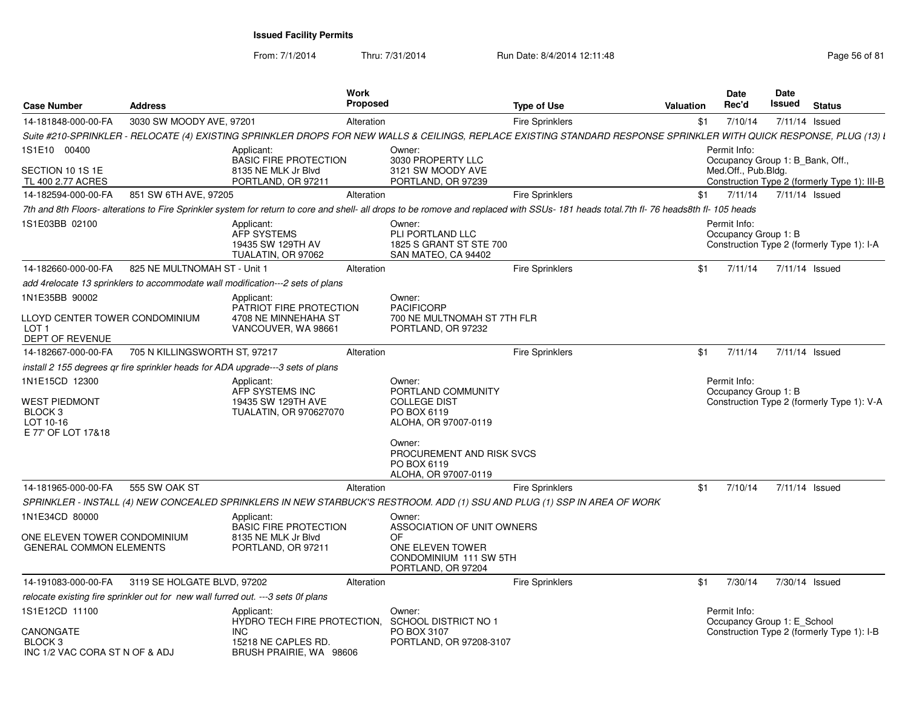From: 7/1/2014Thru: 7/31/2014 Run Date: 8/4/2014 12:11:48 Research 2010 12:00 Rage 56 of 81

| <b>Case Number</b>                                                                  | <b>Address</b>                |                                                                                                                                                                                         | Work<br><b>Proposed</b> |                                                                                                                                        | <b>Type of Use</b>     | <b>Valuation</b> |     | <b>Date</b><br>Rec'd                             | <b>Date</b><br>Issued | <b>Status</b>                                |
|-------------------------------------------------------------------------------------|-------------------------------|-----------------------------------------------------------------------------------------------------------------------------------------------------------------------------------------|-------------------------|----------------------------------------------------------------------------------------------------------------------------------------|------------------------|------------------|-----|--------------------------------------------------|-----------------------|----------------------------------------------|
| 14-181848-000-00-FA                                                                 | 3030 SW MOODY AVE, 97201      |                                                                                                                                                                                         | Alteration              |                                                                                                                                        | <b>Fire Sprinklers</b> |                  | \$1 | 7/10/14                                          | 7/11/14 Issued        |                                              |
|                                                                                     |                               | Suite #210-SPRINKLER - RELOCATE (4) EXISTING SPRINKLER DROPS FOR NEW WALLS & CEILINGS, REPLACE EXISTING STANDARD RESPONSE SPRINKLER WITH QUICK RESPONSE, PLUG (13) L                    |                         |                                                                                                                                        |                        |                  |     |                                                  |                       |                                              |
| 1S1E10 00400                                                                        |                               | Applicant:<br><b>BASIC FIRE PROTECTION</b>                                                                                                                                              |                         | Owner:<br>3030 PROPERTY LLC                                                                                                            |                        |                  |     | Permit Info:<br>Occupancy Group 1: B_Bank, Off., |                       |                                              |
| SECTION 10 1S 1E<br>TL 400 2.77 ACRES                                               |                               | 8135 NE MLK Jr Blvd<br>PORTLAND, OR 97211                                                                                                                                               |                         | 3121 SW MOODY AVE<br>PORTLAND, OR 97239                                                                                                |                        |                  |     | Med.Off., Pub.Bldg.                              |                       | Construction Type 2 (formerly Type 1): III-B |
| 14-182594-000-00-FA                                                                 | 851 SW 6TH AVE, 97205         |                                                                                                                                                                                         | Alteration              |                                                                                                                                        | <b>Fire Sprinklers</b> |                  |     | $$1$ $7/11/14$                                   | 7/11/14 Issued        |                                              |
|                                                                                     |                               | 7th and 8th Floors- alterations to Fire Sprinkler system for return to core and shell- all drops to be romove and replaced with SSUs- 181 heads total.7th fl- 76 heads8th fl- 105 heads |                         |                                                                                                                                        |                        |                  |     |                                                  |                       |                                              |
| 1S1E03BB 02100                                                                      |                               | Applicant:<br><b>AFP SYSTEMS</b><br>19435 SW 129TH AV<br>TUALATIN, OR 97062                                                                                                             |                         | Owner:<br>PLI PORTLAND LLC<br>1825 S GRANT ST STE 700<br>SAN MATEO, CA 94402                                                           |                        |                  |     | Permit Info:<br>Occupancy Group 1: B             |                       | Construction Type 2 (formerly Type 1): I-A   |
| 14-182660-000-00-FA                                                                 | 825 NE MULTNOMAH ST - Unit 1  |                                                                                                                                                                                         | Alteration              |                                                                                                                                        | <b>Fire Sprinklers</b> |                  | \$1 | 7/11/14                                          | 7/11/14 Issued        |                                              |
|                                                                                     |                               | add 4relocate 13 sprinklers to accommodate wall modification---2 sets of plans                                                                                                          |                         |                                                                                                                                        |                        |                  |     |                                                  |                       |                                              |
| 1N1E35BB 90002<br>LLOYD CENTER TOWER CONDOMINIUM<br>LOT 1<br>DEPT OF REVENUE        |                               | Applicant:<br>PATRIOT FIRE PROTECTION<br>4708 NE MINNEHAHA ST<br>VANCOUVER, WA 98661                                                                                                    |                         | Owner:<br><b>PACIFICORP</b><br>700 NE MULTNOMAH ST 7TH FLR<br>PORTLAND, OR 97232                                                       |                        |                  |     |                                                  |                       |                                              |
| 14-182667-000-00-FA                                                                 | 705 N KILLINGSWORTH ST, 97217 |                                                                                                                                                                                         | Alteration              |                                                                                                                                        | <b>Fire Sprinklers</b> |                  | \$1 | 7/11/14                                          | 7/11/14 Issued        |                                              |
|                                                                                     |                               | install 2 155 degrees qr fire sprinkler heads for ADA upgrade---3 sets of plans                                                                                                         |                         |                                                                                                                                        |                        |                  |     |                                                  |                       |                                              |
| 1N1E15CD 12300                                                                      |                               | Applicant:                                                                                                                                                                              |                         | Owner:                                                                                                                                 |                        |                  |     | Permit Info:                                     |                       |                                              |
| <b>WEST PIEDMONT</b><br>BLOCK 3<br>LOT 10-16<br>E 77' OF LOT 17&18                  |                               | AFP SYSTEMS INC<br>19435 SW 129TH AVE<br>TUALATIN, OR 970627070                                                                                                                         |                         | PORTLAND COMMUNITY<br><b>COLLEGE DIST</b><br>PO BOX 6119<br>ALOHA, OR 97007-0119<br>Owner:<br>PROCUREMENT AND RISK SVCS<br>PO BOX 6119 |                        |                  |     | Occupancy Group 1: B                             |                       | Construction Type 2 (formerly Type 1): V-A   |
|                                                                                     |                               |                                                                                                                                                                                         |                         | ALOHA, OR 97007-0119                                                                                                                   |                        |                  |     |                                                  |                       |                                              |
| 14-181965-000-00-FA                                                                 | 555 SW OAK ST                 |                                                                                                                                                                                         | Alteration              |                                                                                                                                        | <b>Fire Sprinklers</b> |                  | \$1 | 7/10/14                                          | 7/11/14 Issued        |                                              |
|                                                                                     |                               | SPRINKLER - INSTALL (4) NEW CONCEALED SPRINKLERS IN NEW STARBUCK'S RESTROOM. ADD (1) SSU AND PLUG (1) SSP IN AREA OF WORK                                                               |                         |                                                                                                                                        |                        |                  |     |                                                  |                       |                                              |
| 1N1E34CD 80000<br>ONE ELEVEN TOWER CONDOMINIUM<br><b>GENERAL COMMON ELEMENTS</b>    |                               | Applicant:<br><b>BASIC FIRE PROTECTION</b><br>8135 NE MLK Jr Blvd<br>PORTLAND, OR 97211                                                                                                 |                         | Owner:<br>ASSOCIATION OF UNIT OWNERS<br>OF<br>ONE ELEVEN TOWER<br>CONDOMINIUM 111 SW 5TH<br>PORTLAND, OR 97204                         |                        |                  |     |                                                  |                       |                                              |
| 14-191083-000-00-FA                                                                 | 3119 SE HOLGATE BLVD, 97202   |                                                                                                                                                                                         | Alteration              |                                                                                                                                        | <b>Fire Sprinklers</b> |                  | \$1 | 7/30/14                                          | 7/30/14 Issued        |                                              |
|                                                                                     |                               | relocate existing fire sprinkler out for new wall furred out. ---3 sets Of plans                                                                                                        |                         |                                                                                                                                        |                        |                  |     |                                                  |                       |                                              |
| 1S1E12CD 11100<br>CANONGATE<br>BLOCK <sub>3</sub><br>INC 1/2 VAC CORA ST N OF & ADJ |                               | Applicant:<br>HYDRO TECH FIRE PROTECTION,<br>INC.<br>15218 NE CAPLES RD.<br>BRUSH PRAIRIE, WA 98606                                                                                     |                         | Owner:<br>SCHOOL DISTRICT NO 1<br>PO BOX 3107<br>PORTLAND, OR 97208-3107                                                               |                        |                  |     | Permit Info:<br>Occupancy Group 1: E_School      |                       | Construction Type 2 (formerly Type 1): I-B   |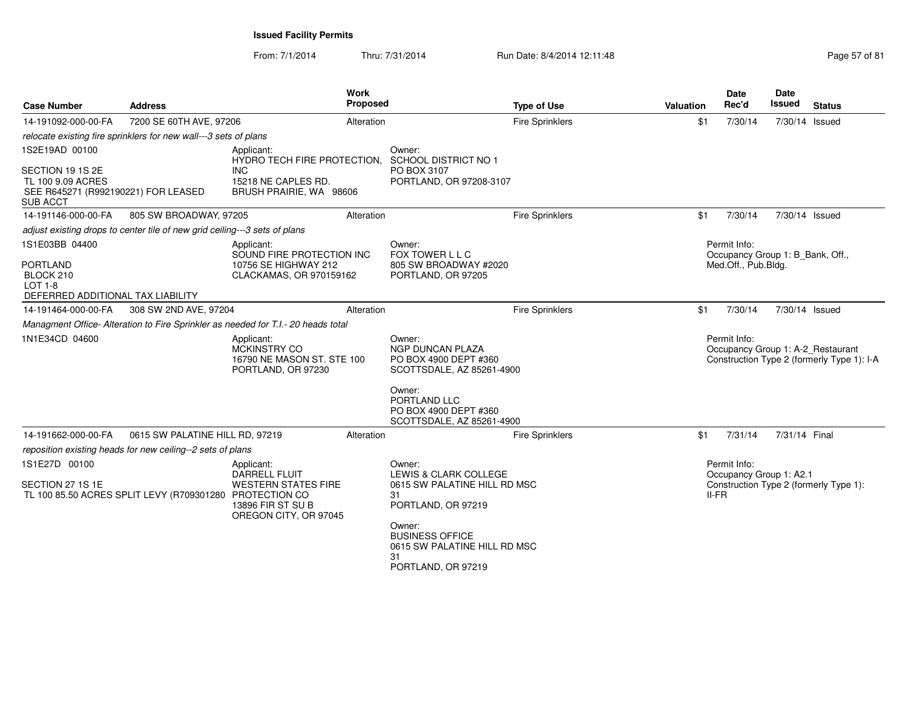From: 7/1/2014Thru: 7/31/2014 Run Date: 8/4/2014 12:11:48 Research 2010 12:00 Page 57 of 81

| <b>Address</b> | <b>Work</b>                                                                                      |                                                                                                                                                                                                                                                                                                                                                                                                                                                                               | <b>Type of Use</b>                                                                                     | <b>Valuation</b>                                                                                                                                                                                                                                                                                               | <b>Date</b><br>Rec'd | Date<br><b>Issued</b>                                              | <b>Status</b>                                                                                                                                                                                                                    |
|----------------|--------------------------------------------------------------------------------------------------|-------------------------------------------------------------------------------------------------------------------------------------------------------------------------------------------------------------------------------------------------------------------------------------------------------------------------------------------------------------------------------------------------------------------------------------------------------------------------------|--------------------------------------------------------------------------------------------------------|----------------------------------------------------------------------------------------------------------------------------------------------------------------------------------------------------------------------------------------------------------------------------------------------------------------|----------------------|--------------------------------------------------------------------|----------------------------------------------------------------------------------------------------------------------------------------------------------------------------------------------------------------------------------|
|                |                                                                                                  |                                                                                                                                                                                                                                                                                                                                                                                                                                                                               | <b>Fire Sprinklers</b>                                                                                 | \$1                                                                                                                                                                                                                                                                                                            | 7/30/14              |                                                                    | 7/30/14 Issued                                                                                                                                                                                                                   |
|                |                                                                                                  |                                                                                                                                                                                                                                                                                                                                                                                                                                                                               |                                                                                                        |                                                                                                                                                                                                                                                                                                                |                      |                                                                    |                                                                                                                                                                                                                                  |
|                | Applicant:<br><b>INC</b><br>15218 NE CAPLES RD.<br>BRUSH PRAIRIE, WA 98606                       | Owner:<br>PO BOX 3107                                                                                                                                                                                                                                                                                                                                                                                                                                                         |                                                                                                        |                                                                                                                                                                                                                                                                                                                |                      |                                                                    |                                                                                                                                                                                                                                  |
|                |                                                                                                  |                                                                                                                                                                                                                                                                                                                                                                                                                                                                               | <b>Fire Sprinklers</b>                                                                                 | \$1                                                                                                                                                                                                                                                                                                            | 7/30/14              |                                                                    | 7/30/14 Issued                                                                                                                                                                                                                   |
|                |                                                                                                  |                                                                                                                                                                                                                                                                                                                                                                                                                                                                               |                                                                                                        |                                                                                                                                                                                                                                                                                                                |                      |                                                                    |                                                                                                                                                                                                                                  |
|                | Applicant:<br>SOUND FIRE PROTECTION INC<br>10756 SE HIGHWAY 212<br>CLACKAMAS, OR 970159162       | Owner:<br>FOX TOWER L L C<br>PORTLAND, OR 97205                                                                                                                                                                                                                                                                                                                                                                                                                               |                                                                                                        |                                                                                                                                                                                                                                                                                                                |                      |                                                                    |                                                                                                                                                                                                                                  |
|                |                                                                                                  |                                                                                                                                                                                                                                                                                                                                                                                                                                                                               | <b>Fire Sprinklers</b>                                                                                 | \$1                                                                                                                                                                                                                                                                                                            | 7/30/14              |                                                                    | 7/30/14 Issued                                                                                                                                                                                                                   |
|                |                                                                                                  |                                                                                                                                                                                                                                                                                                                                                                                                                                                                               |                                                                                                        |                                                                                                                                                                                                                                                                                                                |                      |                                                                    |                                                                                                                                                                                                                                  |
|                | Applicant:<br>MCKINSTRY CO<br>16790 NE MASON ST. STE 100<br>PORTLAND, OR 97230                   | Owner:<br>NGP DUNCAN PLAZA<br>Owner:<br>PORTLAND LLC                                                                                                                                                                                                                                                                                                                                                                                                                          |                                                                                                        |                                                                                                                                                                                                                                                                                                                |                      |                                                                    |                                                                                                                                                                                                                                  |
|                |                                                                                                  |                                                                                                                                                                                                                                                                                                                                                                                                                                                                               |                                                                                                        |                                                                                                                                                                                                                                                                                                                |                      |                                                                    |                                                                                                                                                                                                                                  |
|                |                                                                                                  |                                                                                                                                                                                                                                                                                                                                                                                                                                                                               |                                                                                                        |                                                                                                                                                                                                                                                                                                                |                      |                                                                    |                                                                                                                                                                                                                                  |
|                | Applicant:                                                                                       | Owner:                                                                                                                                                                                                                                                                                                                                                                                                                                                                        |                                                                                                        |                                                                                                                                                                                                                                                                                                                |                      |                                                                    |                                                                                                                                                                                                                                  |
|                | <b>DARRELL FLUIT</b><br><b>WESTERN STATES FIRE</b><br>13896 FIR ST SU B<br>OREGON CITY, OR 97045 | 31<br>PORTLAND, OR 97219<br>Owner:<br><b>BUSINESS OFFICE</b>                                                                                                                                                                                                                                                                                                                                                                                                                  |                                                                                                        |                                                                                                                                                                                                                                                                                                                |                      |                                                                    |                                                                                                                                                                                                                                  |
|                | SEE R645271 (R992190221) FOR LEASED<br>DEFERRED ADDITIONAL TAX LIABILITY                         | 7200 SE 60TH AVE, 97206<br>relocate existing fire sprinklers for new wall---3 sets of plans<br>805 SW BROADWAY, 97205<br>adjust existing drops to center tile of new grid ceiling---3 sets of plans<br>308 SW 2ND AVE, 97204<br>Managment Office- Alteration to Fire Sprinkler as needed for T.I.- 20 heads total<br>0615 SW PALATINE HILL RD, 97219<br>reposition existing heads for new ceiling--2 sets of plans<br>TL 100 85.50 ACRES SPLIT LEVY (R709301280 PROTECTION CO | <b>Proposed</b><br>Alteration<br>HYDRO TECH FIRE PROTECTION.<br>Alteration<br>Alteration<br>Alteration | <b>SCHOOL DISTRICT NO 1</b><br>PORTLAND, OR 97208-3107<br>805 SW BROADWAY #2020<br>PO BOX 4900 DEPT #360<br>SCOTTSDALE, AZ 85261-4900<br>PO BOX 4900 DEPT #360<br>SCOTTSDALE, AZ 85261-4900<br><b>Fire Sprinklers</b><br>LEWIS & CLARK COLLEGE<br>0615 SW PALATINE HILL RD MSC<br>0615 SW PALATINE HILL RD MSC | \$1                  | Permit Info:<br>Permit Info:<br>7/31/14<br>Permit Info:<br>$II-FR$ | Occupancy Group 1: B Bank, Off.,<br>Med.Off., Pub.Bldg.<br>Occupancy Group 1: A-2_Restaurant<br>Construction Type 2 (formerly Type 1): I-A<br>7/31/14 Final<br>Occupancy Group 1: A2.1<br>Construction Type 2 (formerly Type 1): |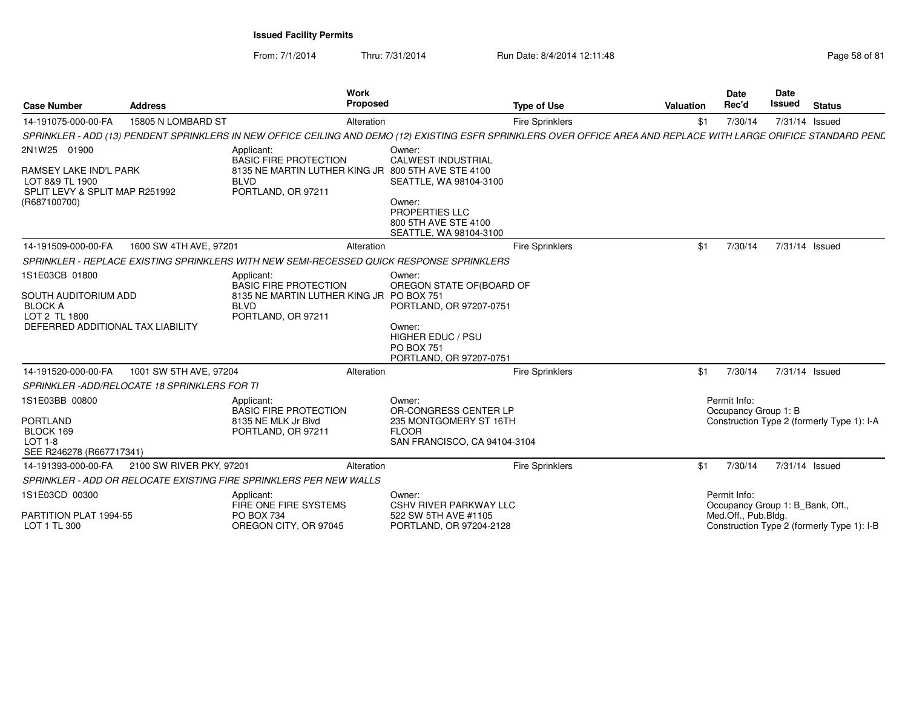From: 7/1/2014Thru: 7/31/2014 Run Date: 8/4/2014 12:11:48

|                                                                                                                |                                             |                                                                                                                                       | Work       |                                                                                                                                                                    |                        |           | <b>Date</b>                                                             | <b>Date</b> |                                            |
|----------------------------------------------------------------------------------------------------------------|---------------------------------------------|---------------------------------------------------------------------------------------------------------------------------------------|------------|--------------------------------------------------------------------------------------------------------------------------------------------------------------------|------------------------|-----------|-------------------------------------------------------------------------|-------------|--------------------------------------------|
| <b>Case Number</b>                                                                                             | <b>Address</b>                              |                                                                                                                                       | Proposed   |                                                                                                                                                                    | <b>Type of Use</b>     | Valuation | Rec'd                                                                   | Issued      | <b>Status</b>                              |
| 14-191075-000-00-FA                                                                                            | 15805 N LOMBARD ST                          |                                                                                                                                       | Alteration |                                                                                                                                                                    | Fire Sprinklers        | \$1       | 7/30/14                                                                 |             | 7/31/14 Issued                             |
|                                                                                                                |                                             |                                                                                                                                       |            | SPRINKLER - ADD (13) PENDENT SPRINKLERS IN NEW OFFICE CEILING AND DEMO (12) EXISTING ESFR SPRINKLERS OVER OFFICE AREA AND REPLACE WITH LARGE ORIFICE STANDARD PENL |                        |           |                                                                         |             |                                            |
| 2N1W25 01900<br>RAMSEY LAKE IND'L PARK<br>LOT 8&9 TL 1900<br>SPLIT LEVY & SPLIT MAP R251992<br>(R687100700)    |                                             | Applicant:<br><b>BASIC FIRE PROTECTION</b><br>8135 NE MARTIN LUTHER KING JR 800 5TH AVE STE 4100<br><b>BLVD</b><br>PORTLAND, OR 97211 |            | Owner:<br><b>CALWEST INDUSTRIAL</b><br>SEATTLE, WA 98104-3100<br>Owner:<br><b>PROPERTIES LLC</b><br>800 5TH AVE STE 4100<br>SEATTLE, WA 98104-3100                 |                        |           |                                                                         |             |                                            |
| 14-191509-000-00-FA                                                                                            | 1600 SW 4TH AVE, 97201                      |                                                                                                                                       | Alteration |                                                                                                                                                                    | <b>Fire Sprinklers</b> | \$1       | 7/30/14                                                                 |             | 7/31/14 Issued                             |
|                                                                                                                |                                             |                                                                                                                                       |            | SPRINKLER - REPLACE EXISTING SPRINKLERS WITH NEW SEMI-RECESSED QUICK RESPONSE SPRINKLERS                                                                           |                        |           |                                                                         |             |                                            |
| 1S1E03CB 01800<br>SOUTH AUDITORIUM ADD<br><b>BLOCK A</b><br>LOT 2 TL 1800<br>DEFERRED ADDITIONAL TAX LIABILITY |                                             | Applicant:<br><b>BASIC FIRE PROTECTION</b><br>8135 NE MARTIN LUTHER KING JR PO BOX 751<br><b>BLVD</b><br>PORTLAND, OR 97211           |            | Owner:<br>OREGON STATE OF(BOARD OF<br>PORTLAND, OR 97207-0751<br>Owner:<br><b>HIGHER EDUC / PSU</b><br><b>PO BOX 751</b><br>PORTLAND, OR 97207-0751                |                        |           |                                                                         |             |                                            |
| 14-191520-000-00-FA                                                                                            | 1001 SW 5TH AVE, 97204                      |                                                                                                                                       | Alteration |                                                                                                                                                                    | <b>Fire Sprinklers</b> | \$1       | 7/30/14                                                                 |             | 7/31/14 Issued                             |
|                                                                                                                | SPRINKLER-ADD/RELOCATE 18 SPRINKLERS FOR TI |                                                                                                                                       |            |                                                                                                                                                                    |                        |           |                                                                         |             |                                            |
| 1S1E03BB 00800<br>PORTLAND<br>BLOCK 169<br>LOT 1-8<br>SEE R246278 (R667717341)                                 |                                             | Applicant:<br><b>BASIC FIRE PROTECTION</b><br>8135 NE MLK Jr Blvd<br>PORTLAND, OR 97211                                               |            | Owner:<br>OR-CONGRESS CENTER LP<br>235 MONTGOMERY ST 16TH<br><b>FLOOR</b><br>SAN FRANCISCO, CA 94104-3104                                                          |                        |           | Permit Info:<br>Occupancy Group 1: B                                    |             | Construction Type 2 (formerly Type 1): I-A |
| 14-191393-000-00-FA                                                                                            | 2100 SW RIVER PKY, 97201                    |                                                                                                                                       | Alteration |                                                                                                                                                                    | <b>Fire Sprinklers</b> | \$1       | 7/30/14                                                                 |             | 7/31/14 Issued                             |
|                                                                                                                |                                             | SPRINKLER - ADD OR RELOCATE EXISTING FIRE SPRINKLERS PER NEW WALLS                                                                    |            |                                                                                                                                                                    |                        |           |                                                                         |             |                                            |
| 1S1E03CD 00300<br>PARTITION PLAT 1994-55<br>LOT 1 TL 300                                                       |                                             | Applicant:<br>FIRE ONE FIRE SYSTEMS<br><b>PO BOX 734</b><br>OREGON CITY, OR 97045                                                     |            | Owner:<br><b>CSHV RIVER PARKWAY LLC</b><br>522 SW 5TH AVE #1105<br>PORTLAND, OR 97204-2128                                                                         |                        |           | Permit Info:<br>Occupancy Group 1: B Bank, Off.,<br>Med.Off., Pub.Bldg. |             | Construction Type 2 (formerly Type 1): I-B |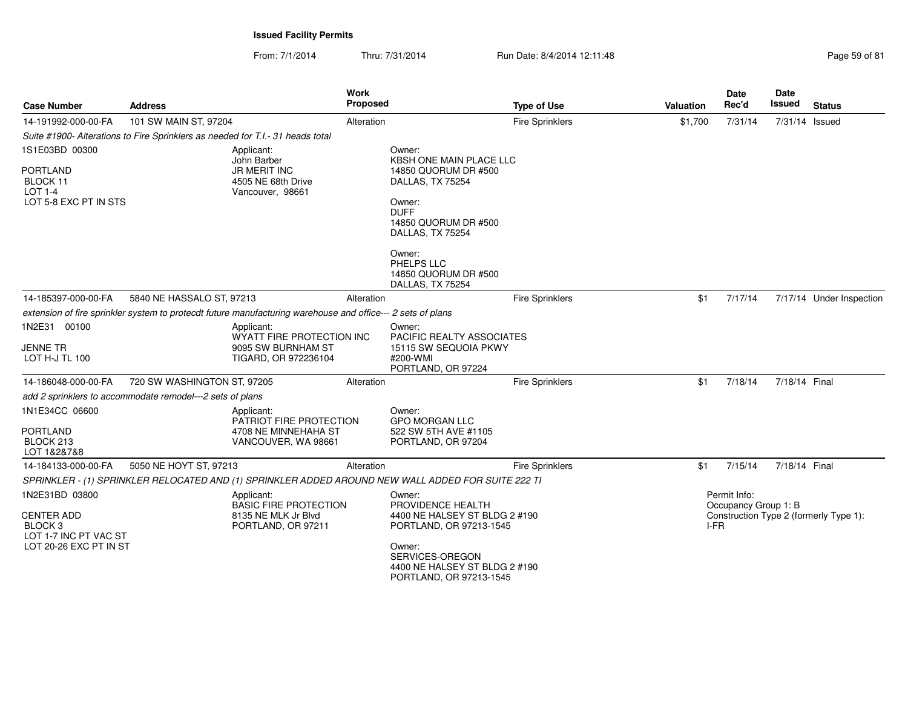| <b>Case Number</b>                                                                                | <b>Address</b>                                            |                                                                                                             | <b>Work</b><br>Proposed |                                                                                                                                                                                  | <b>Type of Use</b>     | <b>Valuation</b> | <b>Date</b><br>Rec'd                 | <b>Date</b><br><b>Issued</b> | <b>Status</b>                          |
|---------------------------------------------------------------------------------------------------|-----------------------------------------------------------|-------------------------------------------------------------------------------------------------------------|-------------------------|----------------------------------------------------------------------------------------------------------------------------------------------------------------------------------|------------------------|------------------|--------------------------------------|------------------------------|----------------------------------------|
| 14-191992-000-00-FA                                                                               | 101 SW MAIN ST, 97204                                     |                                                                                                             | Alteration              |                                                                                                                                                                                  | <b>Fire Sprinklers</b> | \$1,700          | 7/31/14                              | 7/31/14 Issued               |                                        |
|                                                                                                   |                                                           | Suite #1900- Alterations to Fire Sprinklers as needed for T.I.- 31 heads total                              |                         |                                                                                                                                                                                  |                        |                  |                                      |                              |                                        |
| 1S1E03BD 00300<br><b>PORTLAND</b><br>BLOCK 11<br>LOT 1-4<br>LOT 5-8 EXC PT IN STS                 |                                                           | Applicant:<br>John Barber<br><b>JR MERIT INC</b><br>4505 NE 68th Drive<br>Vancouver, 98661                  |                         | Owner:<br>KBSH ONE MAIN PLACE LLC<br>14850 QUORUM DR #500<br>DALLAS, TX 75254<br>Owner:<br><b>DUFF</b><br>14850 QUORUM DR #500<br>DALLAS, TX 75254<br>Owner:<br>PHELPS LLC       |                        |                  |                                      |                              |                                        |
|                                                                                                   |                                                           |                                                                                                             |                         | 14850 QUORUM DR #500<br>DALLAS, TX 75254                                                                                                                                         |                        |                  |                                      |                              |                                        |
| 14-185397-000-00-FA                                                                               | 5840 NE HASSALO ST, 97213                                 |                                                                                                             | Alteration              |                                                                                                                                                                                  | <b>Fire Sprinklers</b> | \$1              | 7/17/14                              |                              | 7/17/14 Under Inspection               |
|                                                                                                   |                                                           | extension of fire sprinkler system to protecdt future manufacturing warehouse and office--- 2 sets of plans |                         |                                                                                                                                                                                  |                        |                  |                                      |                              |                                        |
| 1N2E31 00100<br><b>JENNE TR</b><br>LOT H-J TL 100                                                 |                                                           | Applicant:<br><b>WYATT FIRE PROTECTION INC</b><br>9095 SW BURNHAM ST<br>TIGARD, OR 972236104                |                         | Owner:<br>PACIFIC REALTY ASSOCIATES<br>15115 SW SEQUOIA PKWY<br>#200-WMI<br>PORTLAND, OR 97224                                                                                   |                        |                  |                                      |                              |                                        |
| 14-186048-000-00-FA                                                                               | 720 SW WASHINGTON ST, 97205                               |                                                                                                             | Alteration              |                                                                                                                                                                                  | <b>Fire Sprinklers</b> | \$1              | 7/18/14                              | 7/18/14 Final                |                                        |
|                                                                                                   | add 2 sprinklers to accommodate remodel---2 sets of plans |                                                                                                             |                         |                                                                                                                                                                                  |                        |                  |                                      |                              |                                        |
| 1N1E34CC 06600<br><b>PORTLAND</b><br>BLOCK 213<br>LOT 1&2&7&8                                     |                                                           | Applicant:<br>PATRIOT FIRE PROTECTION<br>4708 NE MINNEHAHA ST<br>VANCOUVER, WA 98661                        |                         | Owner:<br><b>GPO MORGAN LLC</b><br>522 SW 5TH AVE #1105<br>PORTLAND, OR 97204                                                                                                    |                        |                  |                                      |                              |                                        |
| 14-184133-000-00-FA                                                                               | 5050 NE HOYT ST, 97213                                    |                                                                                                             | Alteration              |                                                                                                                                                                                  | <b>Fire Sprinklers</b> | \$1              | 7/15/14                              | 7/18/14 Final                |                                        |
|                                                                                                   |                                                           | SPRINKLER - (1) SPRINKLER RELOCATED AND (1) SPRINKLER ADDED AROUND NEW WALL ADDED FOR SUITE 222 TI          |                         |                                                                                                                                                                                  |                        |                  |                                      |                              |                                        |
| 1N2E31BD 03800<br><b>CENTER ADD</b><br>BLOCK 3<br>LOT 1-7 INC PT VAC ST<br>LOT 20-26 EXC PT IN ST |                                                           | Applicant:<br><b>BASIC FIRE PROTECTION</b><br>8135 NE MLK Jr Blvd<br>PORTLAND, OR 97211                     |                         | Owner:<br>PROVIDENCE HEALTH<br>4400 NE HALSEY ST BLDG 2 #190<br>PORTLAND, OR 97213-1545<br>Owner:<br>SERVICES-OREGON<br>4400 NE HALSEY ST BLDG 2 #190<br>PORTLAND, OR 97213-1545 |                        | I-FR             | Permit Info:<br>Occupancy Group 1: B |                              | Construction Type 2 (formerly Type 1): |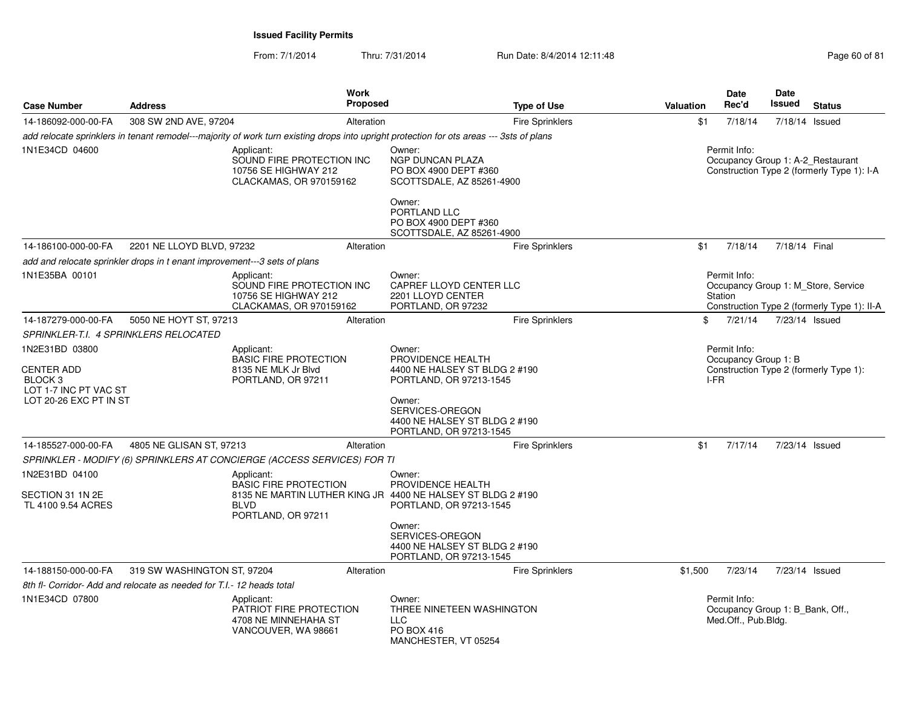From: 7/1/2014Thru: 7/31/2014 Run Date: 8/4/2014 12:11:48 Research 2010 12:00 Rage 60 of 81

| <b>Case Number</b>                                                                                           | <b>Address</b>                                                            | <b>Work</b>                                                                                                                                    | <b>Proposed</b> |                                                                                                                                                                                  | <b>Type of Use</b>     | <b>Valuation</b> |      | Date<br>Rec'd                                                           | <b>Date</b><br>Issued | <b>Status</b>                                                                      |
|--------------------------------------------------------------------------------------------------------------|---------------------------------------------------------------------------|------------------------------------------------------------------------------------------------------------------------------------------------|-----------------|----------------------------------------------------------------------------------------------------------------------------------------------------------------------------------|------------------------|------------------|------|-------------------------------------------------------------------------|-----------------------|------------------------------------------------------------------------------------|
| 14-186092-000-00-FA                                                                                          | 308 SW 2ND AVE, 97204                                                     |                                                                                                                                                | Alteration      |                                                                                                                                                                                  | <b>Fire Sprinklers</b> |                  | \$1  | 7/18/14                                                                 |                       | 7/18/14 Issued                                                                     |
|                                                                                                              |                                                                           | add relocate sprinklers in tenant remodel---majority of work turn existing drops into upright protection for ots areas --- 3sts of plans       |                 |                                                                                                                                                                                  |                        |                  |      |                                                                         |                       |                                                                                    |
| 1N1E34CD 04600                                                                                               |                                                                           | Applicant:<br>SOUND FIRE PROTECTION INC<br>10756 SE HIGHWAY 212<br>CLACKAMAS, OR 970159162                                                     |                 | Owner:<br><b>NGP DUNCAN PLAZA</b><br>PO BOX 4900 DEPT #360<br>SCOTTSDALE, AZ 85261-4900<br>Owner:<br>PORTLAND LLC<br>PO BOX 4900 DEPT #360<br>SCOTTSDALE, AZ 85261-4900          |                        |                  |      | Permit Info:                                                            |                       | Occupancy Group 1: A-2_Restaurant<br>Construction Type 2 (formerly Type 1): I-A    |
| 14-186100-000-00-FA                                                                                          | 2201 NE LLOYD BLVD, 97232                                                 |                                                                                                                                                | Alteration      |                                                                                                                                                                                  | Fire Sprinklers        |                  | \$1  | 7/18/14                                                                 | 7/18/14 Final         |                                                                                    |
|                                                                                                              | add and relocate sprinkler drops in t enant improvement---3 sets of plans |                                                                                                                                                |                 |                                                                                                                                                                                  |                        |                  |      |                                                                         |                       |                                                                                    |
| 1N1E35BA 00101                                                                                               |                                                                           | Applicant:<br>SOUND FIRE PROTECTION INC<br>10756 SE HIGHWAY 212<br>CLACKAMAS, OR 970159162                                                     |                 | Owner:<br>CAPREF LLOYD CENTER LLC<br>2201 LLOYD CENTER<br>PORTLAND, OR 97232                                                                                                     |                        |                  |      | Permit Info:<br>Station                                                 |                       | Occupancy Group 1: M Store, Service<br>Construction Type 2 (formerly Type 1): II-A |
| 14-187279-000-00-FA                                                                                          | 5050 NE HOYT ST, 97213                                                    |                                                                                                                                                | Alteration      |                                                                                                                                                                                  | Fire Sprinklers        |                  | \$   | 7/21/14                                                                 |                       | 7/23/14 Issued                                                                     |
| SPRINKLER-T.I. 4 SPRINKLERS RELOCATED                                                                        |                                                                           |                                                                                                                                                |                 |                                                                                                                                                                                  |                        |                  |      |                                                                         |                       |                                                                                    |
| 1N2E31BD 03800<br><b>CENTER ADD</b><br>BLOCK <sub>3</sub><br>LOT 1-7 INC PT VAC ST<br>LOT 20-26 EXC PT IN ST |                                                                           | Applicant:<br><b>BASIC FIRE PROTECTION</b><br>8135 NE MLK Jr Blyd<br>PORTLAND, OR 97211                                                        |                 | Owner:<br>PROVIDENCE HEALTH<br>4400 NE HALSEY ST BLDG 2 #190<br>PORTLAND, OR 97213-1545<br>Owner:<br>SERVICES-OREGON<br>4400 NE HALSEY ST BLDG 2 #190<br>PORTLAND, OR 97213-1545 |                        |                  | I-FR | Permit Info:<br>Occupancy Group 1: B                                    |                       | Construction Type 2 (formerly Type 1):                                             |
| 14-185527-000-00-FA                                                                                          | 4805 NE GLISAN ST, 97213                                                  |                                                                                                                                                | Alteration      |                                                                                                                                                                                  | <b>Fire Sprinklers</b> |                  | \$1  | 7/17/14                                                                 |                       | 7/23/14 Issued                                                                     |
|                                                                                                              |                                                                           | SPRINKLER - MODIFY (6) SPRINKLERS AT CONCIERGE (ACCESS SERVICES) FOR TI                                                                        |                 |                                                                                                                                                                                  |                        |                  |      |                                                                         |                       |                                                                                    |
| 1N2E31BD 04100<br>SECTION 31 1N 2E<br>TL 4100 9.54 ACRES                                                     |                                                                           | Applicant:<br><b>BASIC FIRE PROTECTION</b><br>8135 NE MARTIN LUTHER KING JR 4400 NE HALSEY ST BLDG 2 #190<br><b>BLVD</b><br>PORTLAND, OR 97211 |                 | Owner:<br>PROVIDENCE HEALTH<br>PORTLAND, OR 97213-1545<br>Owner:<br>SERVICES-OREGON<br>4400 NE HALSEY ST BLDG 2 #190<br>PORTLAND, OR 97213-1545                                  |                        |                  |      |                                                                         |                       |                                                                                    |
| 14-188150-000-00-FA                                                                                          | 319 SW WASHINGTON ST, 97204                                               |                                                                                                                                                | Alteration      |                                                                                                                                                                                  | <b>Fire Sprinklers</b> | \$1,500          |      | 7/23/14                                                                 |                       | 7/23/14 Issued                                                                     |
|                                                                                                              | 8th fl- Corridor- Add and relocate as needed for T.I.- 12 heads total     |                                                                                                                                                |                 |                                                                                                                                                                                  |                        |                  |      |                                                                         |                       |                                                                                    |
| 1N1E34CD 07800                                                                                               |                                                                           | Applicant:<br>PATRIOT FIRE PROTECTION<br>4708 NE MINNEHAHA ST<br>VANCOUVER, WA 98661                                                           |                 | Owner:<br>THREE NINETEEN WASHINGTON<br><b>LLC</b><br>PO BOX 416<br>MANCHESTER, VT 05254                                                                                          |                        |                  |      | Permit Info:<br>Occupancy Group 1: B Bank, Off.,<br>Med.Off., Pub.Bldg. |                       |                                                                                    |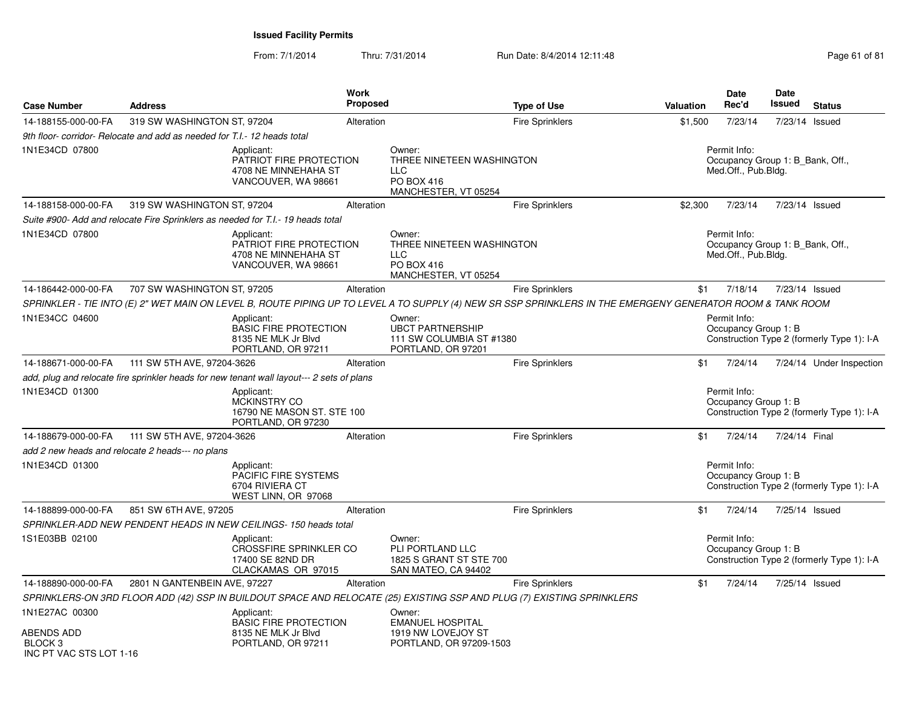From: 7/1/2014Thru: 7/31/2014 Run Date: 8/4/2014 12:11:48 Research 2010 12:00 Page 61 of 81

| <b>Case Number</b>                               | <b>Address</b>                                                         |                                                                                           | <b>Work</b><br><b>Proposed</b> |                                                                                         | <b>Type of Use</b>                                                                                                                                         | <b>Valuation</b> | <b>Date</b><br>Rec'd                                                    | Date<br>Issued | <b>Status</b>                              |
|--------------------------------------------------|------------------------------------------------------------------------|-------------------------------------------------------------------------------------------|--------------------------------|-----------------------------------------------------------------------------------------|------------------------------------------------------------------------------------------------------------------------------------------------------------|------------------|-------------------------------------------------------------------------|----------------|--------------------------------------------|
| 14-188155-000-00-FA                              | 319 SW WASHINGTON ST, 97204                                            |                                                                                           | Alteration                     |                                                                                         | <b>Fire Sprinklers</b>                                                                                                                                     | \$1,500          | 7/23/14                                                                 | 7/23/14 Issued |                                            |
|                                                  | 9th floor-corridor-Relocate and add as needed for T.I.- 12 heads total |                                                                                           |                                |                                                                                         |                                                                                                                                                            |                  |                                                                         |                |                                            |
| 1N1E34CD 07800                                   |                                                                        | Applicant:<br>PATRIOT FIRE PROTECTION<br>4708 NE MINNEHAHA ST<br>VANCOUVER, WA 98661      |                                | Owner:<br>THREE NINETEEN WASHINGTON<br><b>LLC</b><br>PO BOX 416<br>MANCHESTER, VT 05254 |                                                                                                                                                            |                  | Permit Info:<br>Occupancy Group 1: B Bank, Off.,<br>Med.Off., Pub.Bldg. |                |                                            |
| 14-188158-000-00-FA                              | 319 SW WASHINGTON ST, 97204                                            |                                                                                           | Alteration                     |                                                                                         | <b>Fire Sprinklers</b>                                                                                                                                     | \$2,300          | 7/23/14                                                                 | 7/23/14 Issued |                                            |
|                                                  |                                                                        | Suite #900- Add and relocate Fire Sprinklers as needed for T.I.- 19 heads total           |                                |                                                                                         |                                                                                                                                                            |                  |                                                                         |                |                                            |
| 1N1E34CD 07800                                   |                                                                        | Applicant:<br>PATRIOT FIRE PROTECTION<br>4708 NE MINNEHAHA ST<br>VANCOUVER, WA 98661      |                                | Owner:<br>THREE NINETEEN WASHINGTON<br><b>LLC</b><br>PO BOX 416<br>MANCHESTER, VT 05254 |                                                                                                                                                            |                  | Permit Info:<br>Occupancy Group 1: B Bank, Off.,<br>Med.Off., Pub.Bldg. |                |                                            |
| 14-186442-000-00-FA                              | 707 SW WASHINGTON ST, 97205                                            |                                                                                           | Alteration                     |                                                                                         | <b>Fire Sprinklers</b>                                                                                                                                     | \$1              | 7/18/14                                                                 | 7/23/14 Issued |                                            |
|                                                  |                                                                        |                                                                                           |                                |                                                                                         | SPRINKLER - TIE INTO (E) 2" WET MAIN ON LEVEL B, ROUTE PIPING UP TO LEVEL A TO SUPPLY (4) NEW SR SSP SPRINKLERS IN THE EMERGENY GENERATOR ROOM & TANK ROOM |                  |                                                                         |                |                                            |
| 1N1E34CC 04600                                   |                                                                        | Applicant:<br><b>BASIC FIRE PROTECTION</b><br>8135 NE MLK Jr Blvd<br>PORTLAND, OR 97211   |                                | Owner:<br><b>UBCT PARTNERSHIP</b><br>111 SW COLUMBIA ST #1380<br>PORTLAND, OR 97201     |                                                                                                                                                            |                  | Permit Info:<br>Occupancy Group 1: B                                    |                | Construction Type 2 (formerly Type 1): I-A |
| 14-188671-000-00-FA                              | 111 SW 5TH AVE, 97204-3626                                             |                                                                                           | Alteration                     |                                                                                         | <b>Fire Sprinklers</b>                                                                                                                                     | \$1              | 7/24/14                                                                 |                | 7/24/14 Under Inspection                   |
|                                                  |                                                                        | add, plug and relocate fire sprinkler heads for new tenant wall layout--- 2 sets of plans |                                |                                                                                         |                                                                                                                                                            |                  |                                                                         |                |                                            |
| 1N1E34CD 01300                                   |                                                                        | Applicant:<br>MCKINSTRY CO<br>16790 NE MASON ST, STE 100<br>PORTLAND, OR 97230            |                                |                                                                                         |                                                                                                                                                            |                  | Permit Info:<br>Occupancy Group 1: B                                    |                | Construction Type 2 (formerly Type 1): I-A |
| 14-188679-000-00-FA                              | 111 SW 5TH AVE, 97204-3626                                             |                                                                                           | Alteration                     |                                                                                         | Fire Sprinklers                                                                                                                                            | \$1              | 7/24/14                                                                 | 7/24/14 Final  |                                            |
|                                                  | add 2 new heads and relocate 2 heads--- no plans                       |                                                                                           |                                |                                                                                         |                                                                                                                                                            |                  |                                                                         |                |                                            |
| 1N1E34CD 01300                                   |                                                                        | Applicant:<br><b>PACIFIC FIRE SYSTEMS</b><br>6704 RIVIERA CT<br>WEST LINN, OR 97068       |                                |                                                                                         |                                                                                                                                                            |                  | Permit Info:<br>Occupancy Group 1: B                                    |                | Construction Type 2 (formerly Type 1): I-A |
| 14-188899-000-00-FA                              | 851 SW 6TH AVE, 97205                                                  |                                                                                           | Alteration                     |                                                                                         | <b>Fire Sprinklers</b>                                                                                                                                     | \$1              | 7/24/14                                                                 | 7/25/14 Issued |                                            |
|                                                  |                                                                        | SPRINKLER-ADD NEW PENDENT HEADS IN NEW CEILINGS-150 heads total                           |                                |                                                                                         |                                                                                                                                                            |                  |                                                                         |                |                                            |
| 1S1E03BB 02100                                   |                                                                        | Applicant:<br><b>CROSSFIRE SPRINKLER CO</b><br>17400 SE 82ND DR<br>CLACKAMAS OR 97015     |                                | Owner:<br>PLI PORTLAND LLC<br>1825 S GRANT ST STE 700<br>SAN MATEO, CA 94402            |                                                                                                                                                            |                  | Permit Info:<br>Occupancy Group 1: B                                    |                | Construction Type 2 (formerly Type 1): I-A |
| 14-188890-000-00-FA                              | 2801 N GANTENBEIN AVE, 97227                                           |                                                                                           | Alteration                     |                                                                                         | <b>Fire Sprinklers</b>                                                                                                                                     | \$1              | 7/24/14                                                                 | 7/25/14 Issued |                                            |
|                                                  |                                                                        |                                                                                           |                                |                                                                                         | SPRINKLERS-ON 3RD FLOOR ADD (42) SSP IN BUILDOUT SPACE AND RELOCATE (25) EXISTING SSP AND PLUG (7) EXISTING SPRINKLERS                                     |                  |                                                                         |                |                                            |
| 1N1E27AC 00300                                   |                                                                        | Applicant:<br><b>BASIC FIRE PROTECTION</b>                                                |                                | Owner:<br><b>EMANUEL HOSPITAL</b>                                                       |                                                                                                                                                            |                  |                                                                         |                |                                            |
| ABENDS ADD<br>BLOCK 3<br>INC PT VAC STS LOT 1-16 |                                                                        | 8135 NE MLK Jr Blvd<br>PORTLAND, OR 97211                                                 |                                | 1919 NW LOVEJOY ST<br>PORTLAND, OR 97209-1503                                           |                                                                                                                                                            |                  |                                                                         |                |                                            |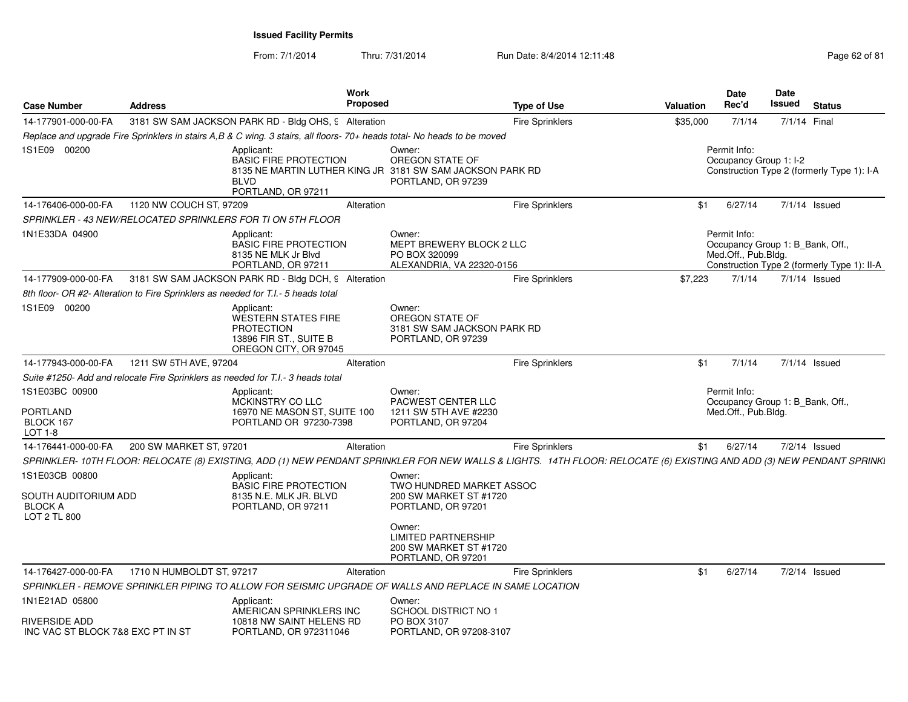From: 7/1/2014Thru: 7/31/2014 Run Date: 8/4/2014 12:11:48 Research 2010 12:00 Rage 62 of 81

| <b>Case Number</b>                                                       | <b>Address</b>            |                                                                                                                  | <b>Work</b><br>Proposed |                                                                                                                                                                      | <b>Type of Use</b>     | Valuation | <b>Date</b><br>Rec'd                                                    | Date<br>Issued  | <b>Status</b>                               |
|--------------------------------------------------------------------------|---------------------------|------------------------------------------------------------------------------------------------------------------|-------------------------|----------------------------------------------------------------------------------------------------------------------------------------------------------------------|------------------------|-----------|-------------------------------------------------------------------------|-----------------|---------------------------------------------|
| 14-177901-000-00-FA                                                      |                           | 3181 SW SAM JACKSON PARK RD - Bldg OHS, 9 Alteration                                                             |                         |                                                                                                                                                                      | Fire Sprinklers        | \$35,000  | 7/1/14                                                                  | 7/1/14 Final    |                                             |
|                                                                          |                           |                                                                                                                  |                         | Replace and upgrade Fire Sprinklers in stairs A,B & C wing. 3 stairs, all floors- 70+ heads total- No heads to be moved                                              |                        |           |                                                                         |                 |                                             |
| 1S1E09 00200                                                             |                           | Applicant:<br><b>BASIC FIRE PROTECTION</b><br><b>BLVD</b><br>PORTLAND, OR 97211                                  |                         | Owner:<br>OREGON STATE OF<br>8135 NE MARTIN LUTHER KING JR 3181 SW SAM JACKSON PARK RD<br>PORTLAND, OR 97239                                                         |                        |           | Permit Info:<br>Occupancy Group 1: I-2                                  |                 | Construction Type 2 (formerly Type 1): I-A  |
| 14-176406-000-00-FA                                                      | 1120 NW COUCH ST, 97209   |                                                                                                                  | Alteration              |                                                                                                                                                                      | Fire Sprinklers        | \$1       | 6/27/14                                                                 | $7/1/14$ Issued |                                             |
|                                                                          |                           | SPRINKLER - 43 NEW/RELOCATED SPRINKLERS FOR TI ON 5TH FLOOR                                                      |                         |                                                                                                                                                                      |                        |           |                                                                         |                 |                                             |
| 1N1E33DA 04900                                                           |                           | Applicant:<br><b>BASIC FIRE PROTECTION</b><br>8135 NE MLK Jr Blyd<br>PORTLAND, OR 97211                          |                         | Owner:<br>MEPT BREWERY BLOCK 2 LLC<br>PO BOX 320099<br>ALEXANDRIA, VA 22320-0156                                                                                     |                        |           | Permit Info:<br>Occupancy Group 1: B_Bank, Off.,<br>Med.Off., Pub.Bldg. |                 | Construction Type 2 (formerly Type 1): II-A |
| 14-177909-000-00-FA                                                      |                           | 3181 SW SAM JACKSON PARK RD - Bldg DCH, 9 Alteration                                                             |                         |                                                                                                                                                                      | <b>Fire Sprinklers</b> | \$7,223   | 7/1/14                                                                  | $7/1/14$ Issued |                                             |
|                                                                          |                           | 8th floor- OR #2- Alteration to Fire Sprinklers as needed for T.I.- 5 heads total                                |                         |                                                                                                                                                                      |                        |           |                                                                         |                 |                                             |
| 1S1E09 00200                                                             |                           | Applicant:<br><b>WESTERN STATES FIRE</b><br><b>PROTECTION</b><br>13896 FIR ST., SUITE B<br>OREGON CITY, OR 97045 |                         | Owner:<br>OREGON STATE OF<br>3181 SW SAM JACKSON PARK RD<br>PORTLAND, OR 97239                                                                                       |                        |           |                                                                         |                 |                                             |
| 14-177943-000-00-FA                                                      | 1211 SW 5TH AVE, 97204    |                                                                                                                  | Alteration              |                                                                                                                                                                      | Fire Sprinklers        | \$1       | 7/1/14                                                                  | $7/1/14$ Issued |                                             |
|                                                                          |                           | Suite #1250- Add and relocate Fire Sprinklers as needed for T.I.- 3 heads total                                  |                         |                                                                                                                                                                      |                        |           |                                                                         |                 |                                             |
| 1S1E03BC 00900<br>PORTLAND<br>BLOCK 167<br>LOT 1-8                       |                           | Applicant:<br>MCKINSTRY CO LLC<br>16970 NE MASON ST, SUITE 100<br>PORTLAND OR 97230-7398                         |                         | Owner:<br>PACWEST CENTER LLC<br>1211 SW 5TH AVE #2230<br>PORTLAND, OR 97204                                                                                          |                        |           | Permit Info:<br>Occupancy Group 1: B_Bank, Off.,<br>Med.Off., Pub.Bldg. |                 |                                             |
| 14-176441-000-00-FA                                                      | 200 SW MARKET ST, 97201   |                                                                                                                  | Alteration              |                                                                                                                                                                      | Fire Sprinklers        | \$1       | 6/27/14                                                                 | 7/2/14 Issued   |                                             |
|                                                                          |                           |                                                                                                                  |                         | SPRINKLER-10TH FLOOR: RELOCATE (8) EXISTING, ADD (1) NEW PENDANT SPRINKLER FOR NEW WALLS & LIGHTS. 14TH FLOOR: RELOCATE (6) EXISTING AND ADD (3) NEW PENDANT SPRINKI |                        |           |                                                                         |                 |                                             |
| 1S1E03CB 00800<br>SOUTH AUDITORIUM ADD<br><b>BLOCK A</b><br>LOT 2 TL 800 |                           | Applicant:<br><b>BASIC FIRE PROTECTION</b><br>8135 N.E. MLK JR. BLVD<br>PORTLAND, OR 97211                       |                         | Owner:<br>TWO HUNDRED MARKET ASSOC<br>200 SW MARKET ST #1720<br>PORTLAND, OR 97201<br>Owner:                                                                         |                        |           |                                                                         |                 |                                             |
|                                                                          |                           |                                                                                                                  |                         | <b>LIMITED PARTNERSHIP</b><br>200 SW MARKET ST #1720<br>PORTLAND, OR 97201                                                                                           |                        |           |                                                                         |                 |                                             |
| 14-176427-000-00-FA                                                      | 1710 N HUMBOLDT ST, 97217 |                                                                                                                  | Alteration              |                                                                                                                                                                      | <b>Fire Sprinklers</b> | \$1       | 6/27/14                                                                 | 7/2/14 Issued   |                                             |
|                                                                          |                           |                                                                                                                  |                         | SPRINKLER - REMOVE SPRINKLER PIPING TO ALLOW FOR SEISMIC UPGRADE OF WALLS AND REPLACE IN SAME LOCATION                                                               |                        |           |                                                                         |                 |                                             |
| 1N1E21AD 05800<br>RIVERSIDE ADD<br>INC VAC ST BLOCK 7&8 EXC PT IN ST     |                           | Applicant:<br>AMERICAN SPRINKLERS INC<br>10818 NW SAINT HELENS RD<br>PORTLAND, OR 972311046                      |                         | Owner:<br>SCHOOL DISTRICT NO 1<br>PO BOX 3107<br>PORTLAND, OR 97208-3107                                                                                             |                        |           |                                                                         |                 |                                             |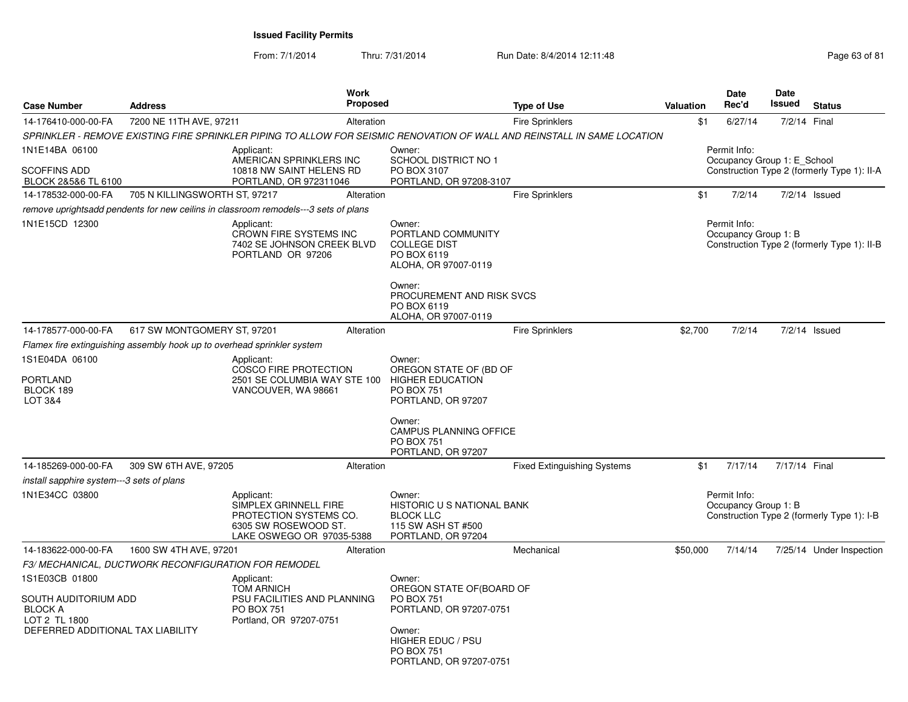From: 7/1/2014

| <b>Case Number</b>                                                                                             | <b>Address</b>                                                          | Work<br>Proposed                                                                                                         |                                                                                                                                                                           | <b>Type of Use</b>                 | <b>Valuation</b> | <b>Date</b><br>Rec'd                        | Date<br>Issued | <b>Status</b>                               |
|----------------------------------------------------------------------------------------------------------------|-------------------------------------------------------------------------|--------------------------------------------------------------------------------------------------------------------------|---------------------------------------------------------------------------------------------------------------------------------------------------------------------------|------------------------------------|------------------|---------------------------------------------|----------------|---------------------------------------------|
| 14-176410-000-00-FA                                                                                            | 7200 NE 11TH AVE, 97211                                                 | Alteration                                                                                                               |                                                                                                                                                                           | <b>Fire Sprinklers</b>             | \$1              | 6/27/14                                     |                | 7/2/14 Final                                |
|                                                                                                                |                                                                         | SPRINKLER - REMOVE EXISTING FIRE SPRINKLER PIPING TO ALLOW FOR SEISMIC RENOVATION OF WALL AND REINSTALL IN SAME LOCATION |                                                                                                                                                                           |                                    |                  |                                             |                |                                             |
| 1N1E14BA 06100<br><b>SCOFFINS ADD</b><br>BLOCK 2&5&6 TL 6100                                                   |                                                                         | Applicant:<br>AMERICAN SPRINKLERS INC<br>10818 NW SAINT HELENS RD<br>PORTLAND, OR 972311046                              | Owner:<br>SCHOOL DISTRICT NO 1<br>PO BOX 3107<br>PORTLAND, OR 97208-3107                                                                                                  |                                    |                  | Permit Info:<br>Occupancy Group 1: E School |                | Construction Type 2 (formerly Type 1): II-A |
| 14-178532-000-00-FA                                                                                            | 705 N KILLINGSWORTH ST, 97217                                           | Alteration                                                                                                               |                                                                                                                                                                           | <b>Fire Sprinklers</b>             | \$1              | 7/2/14                                      |                | $7/2/14$ Issued                             |
|                                                                                                                |                                                                         | remove uprightsadd pendents for new ceilins in classroom remodels---3 sets of plans                                      |                                                                                                                                                                           |                                    |                  |                                             |                |                                             |
| 1N1E15CD 12300                                                                                                 |                                                                         | Applicant:<br>CROWN FIRE SYSTEMS INC<br>7402 SE JOHNSON CREEK BLVD<br>PORTLAND OR 97206                                  | Owner:<br>PORTLAND COMMUNITY<br><b>COLLEGE DIST</b><br>PO BOX 6119<br>ALOHA, OR 97007-0119                                                                                |                                    |                  | Permit Info:<br>Occupancy Group 1: B        |                | Construction Type 2 (formerly Type 1): II-B |
|                                                                                                                |                                                                         |                                                                                                                          | Owner:<br>PROCUREMENT AND RISK SVCS<br>PO BOX 6119<br>ALOHA, OR 97007-0119                                                                                                |                                    |                  |                                             |                |                                             |
| 14-178577-000-00-FA                                                                                            | 617 SW MONTGOMERY ST, 97201                                             | Alteration                                                                                                               |                                                                                                                                                                           | <b>Fire Sprinklers</b>             | \$2,700          | 7/2/14                                      |                | $7/2/14$ Issued                             |
|                                                                                                                | Flamex fire extinguishing assembly hook up to overhead sprinkler system |                                                                                                                          |                                                                                                                                                                           |                                    |                  |                                             |                |                                             |
| 1S1E04DA 06100<br><b>PORTLAND</b><br>BLOCK 189<br>LOT 3&4                                                      |                                                                         | Applicant:<br><b>COSCO FIRE PROTECTION</b><br>2501 SE COLUMBIA WAY STE 100<br>VANCOUVER, WA 98661                        | Owner:<br>OREGON STATE OF (BD OF<br><b>HIGHER EDUCATION</b><br>PO BOX 751<br>PORTLAND, OR 97207                                                                           |                                    |                  |                                             |                |                                             |
|                                                                                                                |                                                                         |                                                                                                                          | Owner:<br>CAMPUS PLANNING OFFICE<br><b>PO BOX 751</b><br>PORTLAND, OR 97207                                                                                               |                                    |                  |                                             |                |                                             |
| 14-185269-000-00-FA                                                                                            | 309 SW 6TH AVE, 97205                                                   | Alteration                                                                                                               |                                                                                                                                                                           | <b>Fixed Extinguishing Systems</b> | \$1              | 7/17/14                                     | 7/17/14 Final  |                                             |
| install sapphire system---3 sets of plans                                                                      |                                                                         |                                                                                                                          |                                                                                                                                                                           |                                    |                  |                                             |                |                                             |
| 1N1E34CC 03800                                                                                                 |                                                                         | Applicant:<br>SIMPLEX GRINNELL FIRE<br>PROTECTION SYSTEMS CO.<br>6305 SW ROSEWOOD ST.<br>LAKE OSWEGO OR 97035-5388       | Owner:<br>HISTORIC U S NATIONAL BANK<br><b>BLOCK LLC</b><br>115 SW ASH ST #500<br>PORTLAND, OR 97204                                                                      |                                    |                  | Permit Info:<br>Occupancy Group 1: B        |                | Construction Type 2 (formerly Type 1): I-B  |
| 14-183622-000-00-FA                                                                                            | 1600 SW 4TH AVE, 97201                                                  | Alteration                                                                                                               |                                                                                                                                                                           | Mechanical                         | \$50,000         | 7/14/14                                     |                | 7/25/14 Under Inspection                    |
|                                                                                                                | F3/ MECHANICAL, DUCTWORK RECONFIGURATION FOR REMODEL                    |                                                                                                                          |                                                                                                                                                                           |                                    |                  |                                             |                |                                             |
| 1S1E03CB 01800<br>SOUTH AUDITORIUM ADD<br><b>BLOCK A</b><br>LOT 2 TL 1800<br>DEFERRED ADDITIONAL TAX LIABILITY |                                                                         | Applicant:<br><b>TOM ARNICH</b><br>PSU FACILITIES AND PLANNING<br><b>PO BOX 751</b><br>Portland, OR 97207-0751           | Owner:<br>OREGON STATE OF (BOARD OF<br><b>PO BOX 751</b><br>PORTLAND, OR 97207-0751<br>Owner:<br><b>HIGHER EDUC / PSU</b><br><b>PO BOX 751</b><br>PORTLAND, OR 97207-0751 |                                    |                  |                                             |                |                                             |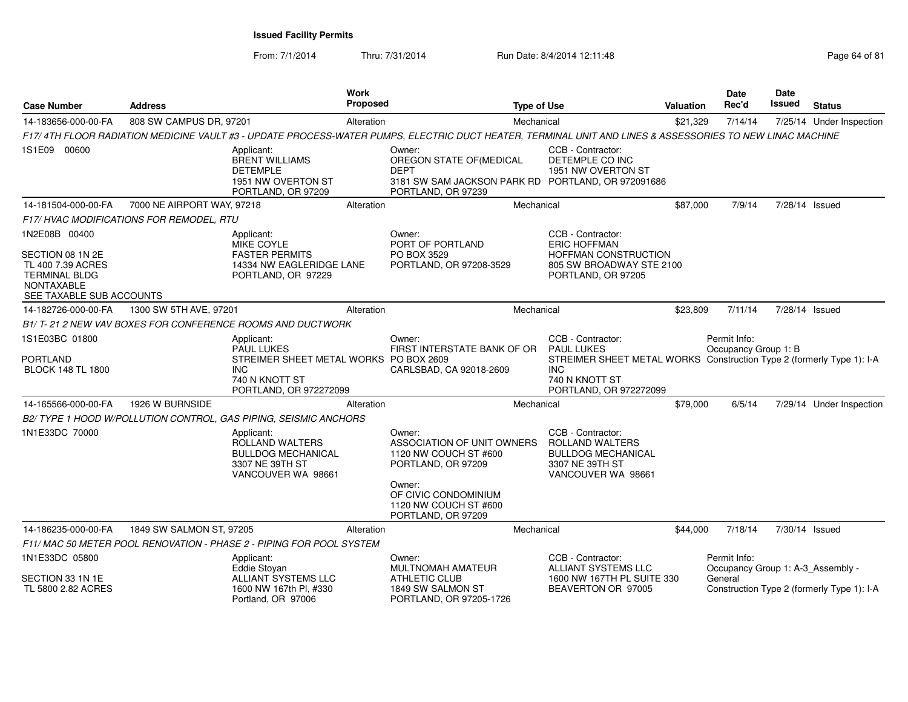From: 7/1/2014

Thru: 7/31/2014 Run Date: 8/4/2014 12:11:48 Research 2010 Rage 64 of 81

| <b>Case Number</b>                                                                                             | <b>Address</b>                           |                                                                                                     | Work<br>Proposed |                                                                                                                                                          | <b>Type of Use</b>                                                                                                     | <b>Valuation</b> | <b>Date</b><br>Rec'd                 |        | <b>Date</b><br><b>Issued</b> | <b>Status</b>                              |
|----------------------------------------------------------------------------------------------------------------|------------------------------------------|-----------------------------------------------------------------------------------------------------|------------------|----------------------------------------------------------------------------------------------------------------------------------------------------------|------------------------------------------------------------------------------------------------------------------------|------------------|--------------------------------------|--------|------------------------------|--------------------------------------------|
| 14-183656-000-00-FA                                                                                            | 808 SW CAMPUS DR, 97201                  |                                                                                                     | Alteration       | Mechanical                                                                                                                                               |                                                                                                                        | \$21,329         | 7/14/14                              |        |                              | 7/25/14 Under Inspection                   |
|                                                                                                                |                                          |                                                                                                     |                  | F17/4TH FLOOR RADIATION MEDICINE VAULT #3 - UPDATE PROCESS-WATER PUMPS, ELECTRIC DUCT HEATER, TERMINAL UNIT AND LINES & ASSESSORIES TO NEW LINAC MACHINE |                                                                                                                        |                  |                                      |        |                              |                                            |
| 1S1E09 00600                                                                                                   |                                          | Applicant:<br><b>BRENT WILLIAMS</b><br><b>DETEMPLE</b><br>1951 NW OVERTON ST<br>PORTLAND, OR 97209  |                  | Owner:<br>OREGON STATE OF(MEDICAL<br><b>DEPT</b><br>3181 SW SAM JACKSON PARK RD PORTLAND, OR 972091686<br>PORTLAND, OR 97239                             | CCB - Contractor:<br>DETEMPLE CO INC<br>1951 NW OVERTON ST                                                             |                  |                                      |        |                              |                                            |
| 14-181504-000-00-FA                                                                                            | 7000 NE AIRPORT WAY, 97218               |                                                                                                     | Alteration       | Mechanical                                                                                                                                               |                                                                                                                        | \$87,000         |                                      | 7/9/14 | 7/28/14 Issued               |                                            |
|                                                                                                                | F17/ HVAC MODIFICATIONS FOR REMODEL, RTU |                                                                                                     |                  |                                                                                                                                                          |                                                                                                                        |                  |                                      |        |                              |                                            |
| 1N2E08B 00400                                                                                                  |                                          | Applicant:<br><b>MIKE COYLE</b>                                                                     |                  | Owner:<br>PORT OF PORTLAND                                                                                                                               | CCB - Contractor:<br><b>ERIC HOFFMAN</b>                                                                               |                  |                                      |        |                              |                                            |
| SECTION 08 1N 2E<br>TL 400 7.39 ACRES<br><b>TERMINAL BLDG</b><br><b>NONTAXABLE</b><br>SEE TAXABLE SUB ACCOUNTS |                                          | <b>FASTER PERMITS</b><br>14334 NW EAGLERIDGE LANE<br>PORTLAND, OR 97229                             |                  | PO BOX 3529<br>PORTLAND, OR 97208-3529                                                                                                                   | HOFFMAN CONSTRUCTION<br>805 SW BROADWAY STE 2100<br>PORTLAND, OR 97205                                                 |                  |                                      |        |                              |                                            |
| 14-182726-000-00-FA                                                                                            | 1300 SW 5TH AVE, 97201                   |                                                                                                     | Alteration       | Mechanical                                                                                                                                               |                                                                                                                        | \$23,809         | 7/11/14                              |        | 7/28/14 Issued               |                                            |
|                                                                                                                |                                          | B1/T-21 2 NEW VAV BOXES FOR CONFERENCE ROOMS AND DUCTWORK                                           |                  |                                                                                                                                                          |                                                                                                                        |                  |                                      |        |                              |                                            |
| 1S1E03BC 01800<br><b>PORTLAND</b><br><b>BLOCK 148 TL 1800</b>                                                  |                                          | Applicant:<br><b>PAUL LUKES</b><br>STREIMER SHEET METAL WORKS PO BOX 2609<br><b>INC</b>             |                  | Owner:<br>FIRST INTERSTATE BANK OF OR<br>CARLSBAD, CA 92018-2609                                                                                         | CCB - Contractor:<br><b>PAUL LUKES</b><br>STREIMER SHEET METAL WORKS Construction Type 2 (formerly Type 1): I-A<br>INC |                  | Permit Info:<br>Occupancy Group 1: B |        |                              |                                            |
|                                                                                                                |                                          | 740 N KNOTT ST<br>PORTLAND, OR 972272099                                                            |                  |                                                                                                                                                          | 740 N KNOTT ST<br>PORTLAND, OR 972272099                                                                               |                  |                                      |        |                              |                                            |
| 14-165566-000-00-FA                                                                                            | 1926 W BURNSIDE                          |                                                                                                     | Alteration       | Mechanical                                                                                                                                               |                                                                                                                        | \$79,000         |                                      | 6/5/14 |                              | 7/29/14 Under Inspection                   |
|                                                                                                                |                                          | B2/ TYPE 1 HOOD W/POLLUTION CONTROL, GAS PIPING, SEISMIC ANCHORS                                    |                  |                                                                                                                                                          |                                                                                                                        |                  |                                      |        |                              |                                            |
| 1N1E33DC 70000                                                                                                 |                                          | Applicant:<br>ROLLAND WALTERS<br><b>BULLDOG MECHANICAL</b><br>3307 NE 39TH ST<br>VANCOUVER WA 98661 |                  | Owner:<br>ASSOCIATION OF UNIT OWNERS<br>1120 NW COUCH ST #600<br>PORTLAND, OR 97209                                                                      | CCB - Contractor:<br>ROLLAND WALTERS<br><b>BULLDOG MECHANICAL</b><br>3307 NE 39TH ST<br>VANCOUVER WA 98661             |                  |                                      |        |                              |                                            |
|                                                                                                                |                                          |                                                                                                     |                  | Owner:<br>OF CIVIC CONDOMINIUM<br>1120 NW COUCH ST #600<br>PORTLAND, OR 97209                                                                            |                                                                                                                        |                  |                                      |        |                              |                                            |
| 14-186235-000-00-FA                                                                                            | 1849 SW SALMON ST, 97205                 |                                                                                                     | Alteration       | Mechanical                                                                                                                                               |                                                                                                                        | \$44,000         | 7/18/14                              |        | 7/30/14 Issued               |                                            |
|                                                                                                                |                                          | F11/ MAC 50 METER POOL RENOVATION - PHASE 2 - PIPING FOR POOL SYSTEM                                |                  |                                                                                                                                                          |                                                                                                                        |                  |                                      |        |                              |                                            |
| 1N1E33DC 05800                                                                                                 |                                          | Applicant:<br>Eddie Stoyan                                                                          |                  | Owner:<br>MULTNOMAH AMATEUR                                                                                                                              | CCB - Contractor:<br>ALLIANT SYSTEMS LLC                                                                               |                  | Permit Info:                         |        |                              | Occupancy Group 1: A-3_Assembly -          |
| SECTION 33 1N 1E<br>TL 5800 2.82 ACRES                                                                         |                                          | ALLIANT SYSTEMS LLC<br>1600 NW 167th Pl. #330<br>Portland, OR 97006                                 |                  | <b>ATHLETIC CLUB</b><br>1849 SW SALMON ST<br>PORTLAND, OR 97205-1726                                                                                     | 1600 NW 167TH PL SUITE 330<br>BEAVERTON OR 97005                                                                       |                  | General                              |        |                              | Construction Type 2 (formerly Type 1): I-A |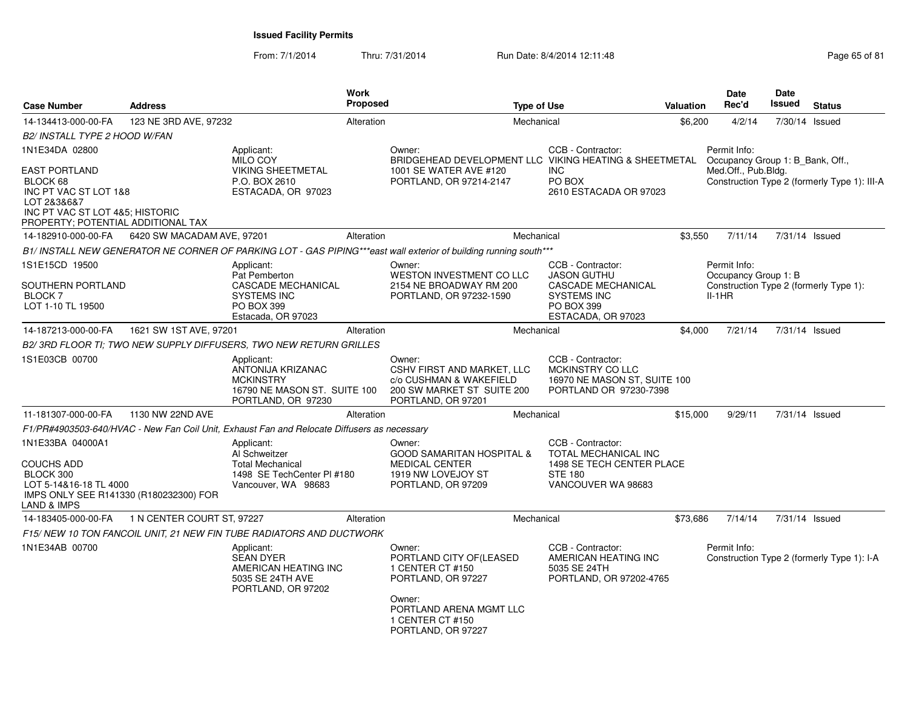From: 7/1/2014

Thru: 7/31/2014 Run Date: 8/4/2014 12:11:48 Research 2010 12:00 Rage 65 of 81

| <b>Case Number</b>                                                                                                                                | <b>Address</b>             |                                                                                                             | <b>Work</b><br><b>Proposed</b> |                                                                                                                     | <b>Type of Use</b>                                                                                                             | <b>Valuation</b> | <b>Date</b><br>Rec'd                             | Date<br><b>Issued</b> | <b>Status</b>                                |
|---------------------------------------------------------------------------------------------------------------------------------------------------|----------------------------|-------------------------------------------------------------------------------------------------------------|--------------------------------|---------------------------------------------------------------------------------------------------------------------|--------------------------------------------------------------------------------------------------------------------------------|------------------|--------------------------------------------------|-----------------------|----------------------------------------------|
| 14-134413-000-00-FA                                                                                                                               | 123 NE 3RD AVE, 97232      |                                                                                                             | Alteration                     |                                                                                                                     | Mechanical                                                                                                                     | \$6,200          | 4/2/14                                           |                       | 7/30/14 Issued                               |
| B2/ INSTALL TYPE 2 HOOD W/FAN                                                                                                                     |                            |                                                                                                             |                                |                                                                                                                     |                                                                                                                                |                  |                                                  |                       |                                              |
| 1N1E34DA 02800                                                                                                                                    |                            | Applicant:<br>MILO COY                                                                                      |                                | Owner:<br>BRIDGEHEAD DEVELOPMENT LLC VIKING HEATING & SHEETMETAL                                                    | CCB - Contractor:                                                                                                              |                  | Permit Info:<br>Occupancy Group 1: B_Bank, Off., |                       |                                              |
| <b>EAST PORTLAND</b><br>BLOCK 68<br>INC PT VAC ST LOT 1&8<br>LOT 2&3&6&7<br>INC PT VAC ST LOT 4&5; HISTORIC<br>PROPERTY; POTENTIAL ADDITIONAL TAX |                            | <b>VIKING SHEETMETAL</b><br>P.O. BOX 2610<br>ESTACADA, OR 97023                                             |                                | 1001 SE WATER AVE #120<br>PORTLAND, OR 97214-2147                                                                   | <b>INC</b><br>PO BOX<br>2610 ESTACADA OR 97023                                                                                 |                  | Med.Off., Pub.Bldg.                              |                       | Construction Type 2 (formerly Type 1): III-A |
| 14-182910-000-00-FA                                                                                                                               | 6420 SW MACADAM AVE, 97201 |                                                                                                             | Alteration                     |                                                                                                                     | Mechanical                                                                                                                     | \$3,550          | 7/11/14                                          |                       | 7/31/14 Issued                               |
|                                                                                                                                                   |                            |                                                                                                             |                                | B1/ INSTALL NEW GENERATOR NE CORNER OF PARKING LOT - GAS PIPING***east wall exterior of building running south***   |                                                                                                                                |                  |                                                  |                       |                                              |
| 1S1E15CD 19500<br>SOUTHERN PORTLAND<br><b>BLOCK7</b><br>LOT 1-10 TL 19500                                                                         |                            | Applicant:<br>Pat Pemberton<br>CASCADE MECHANICAL<br><b>SYSTEMS INC</b><br>PO BOX 399<br>Estacada, OR 97023 |                                | Owner:<br>WESTON INVESTMENT CO LLC<br>2154 NE BROADWAY RM 200<br>PORTLAND, OR 97232-1590                            | CCB - Contractor:<br><b>JASON GUTHU</b><br><b>CASCADE MECHANICAL</b><br><b>SYSTEMS INC</b><br>PO BOX 399<br>ESTACADA, OR 97023 |                  | Permit Info:<br>Occupancy Group 1: B<br>$II-1HR$ |                       | Construction Type 2 (formerly Type 1):       |
| 14-187213-000-00-FA                                                                                                                               | 1621 SW 1ST AVE, 97201     |                                                                                                             | Alteration                     |                                                                                                                     | Mechanical                                                                                                                     | \$4,000          | 7/21/14                                          |                       | 7/31/14 Issued                               |
|                                                                                                                                                   |                            | B2/3RD FLOOR TI; TWO NEW SUPPLY DIFFUSERS, TWO NEW RETURN GRILLES                                           |                                |                                                                                                                     |                                                                                                                                |                  |                                                  |                       |                                              |
| 1S1E03CB 00700                                                                                                                                    |                            | Applicant:<br>ANTONIJA KRIZANAC<br><b>MCKINSTRY</b><br>16790 NE MASON ST. SUITE 100<br>PORTLAND, OR 97230   |                                | Owner:<br>CSHV FIRST AND MARKET. LLC<br>c/o CUSHMAN & WAKEFIELD<br>200 SW MARKET ST SUITE 200<br>PORTLAND, OR 97201 | CCB - Contractor:<br>MCKINSTRY CO LLC<br>16970 NE MASON ST, SUITE 100<br>PORTLAND OR 97230-7398                                |                  |                                                  |                       |                                              |
| 11-181307-000-00-FA                                                                                                                               | 1130 NW 22ND AVE           |                                                                                                             | Alteration                     |                                                                                                                     | Mechanical                                                                                                                     | \$15,000         | 9/29/11                                          |                       | 7/31/14 Issued                               |
|                                                                                                                                                   |                            | F1/PR#4903503-640/HVAC - New Fan Coil Unit, Exhaust Fan and Relocate Diffusers as necessary                 |                                |                                                                                                                     |                                                                                                                                |                  |                                                  |                       |                                              |
| 1N1E33BA 04000A1<br>COUCHS ADD<br>BLOCK 300<br>LOT 5-14&16-18 TL 4000<br>IMPS ONLY SEE R141330 (R180232300) FOR<br>LAND & IMPS                    |                            | Applicant:<br>Al Schweitzer<br><b>Total Mechanical</b><br>1498 SE TechCenter PI #180<br>Vancouver, WA 98683 |                                | Owner:<br><b>GOOD SAMARITAN HOSPITAL &amp;</b><br><b>MEDICAL CENTER</b><br>1919 NW LOVEJOY ST<br>PORTLAND, OR 97209 | CCB - Contractor:<br><b>TOTAL MECHANICAL INC</b><br>1498 SE TECH CENTER PLACE<br><b>STE 180</b><br>VANCOUVER WA 98683          |                  |                                                  |                       |                                              |
| 14-183405-000-00-FA                                                                                                                               | 1 N CENTER COURT ST, 97227 |                                                                                                             | Alteration                     |                                                                                                                     | Mechanical                                                                                                                     | \$73,686         | 7/14/14                                          |                       | 7/31/14 Issued                               |
|                                                                                                                                                   |                            | F15/NEW 10 TON FANCOIL UNIT, 21 NEW FIN TUBE RADIATORS AND DUCTWORK                                         |                                |                                                                                                                     |                                                                                                                                |                  |                                                  |                       |                                              |
| 1N1E34AB 00700                                                                                                                                    |                            | Applicant:<br><b>SEAN DYER</b><br>AMERICAN HEATING INC<br>5035 SE 24TH AVE<br>PORTLAND, OR 97202            |                                | Owner:<br>PORTLAND CITY OF (LEASED<br>1 CENTER CT #150<br>PORTLAND, OR 97227                                        | CCB - Contractor:<br>AMERICAN HEATING INC<br>5035 SE 24TH<br>PORTLAND, OR 97202-4765                                           |                  | Permit Info:                                     |                       | Construction Type 2 (formerly Type 1): I-A   |
|                                                                                                                                                   |                            |                                                                                                             |                                | Owner:<br>PORTLAND ARENA MGMT LLC<br>1 CENTER CT #150<br>PORTLAND, OR 97227                                         |                                                                                                                                |                  |                                                  |                       |                                              |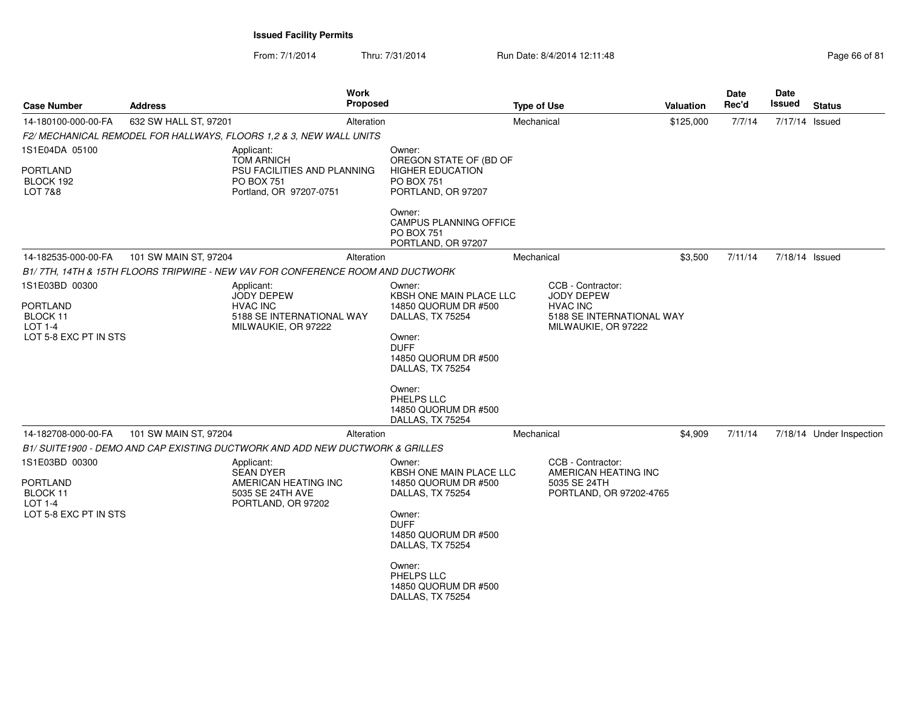| <b>Case Number</b>                                                                | <b>Address</b>        | <b>Work</b><br><b>Proposed</b>                                                                         |                                                                                                                                                                                                                        | <b>Type of Use</b>                                                                                            | Valuation | Date<br>Rec'd | Date<br><b>Issued</b> | <b>Status</b>            |
|-----------------------------------------------------------------------------------|-----------------------|--------------------------------------------------------------------------------------------------------|------------------------------------------------------------------------------------------------------------------------------------------------------------------------------------------------------------------------|---------------------------------------------------------------------------------------------------------------|-----------|---------------|-----------------------|--------------------------|
| 14-180100-000-00-FA                                                               | 632 SW HALL ST, 97201 | Alteration                                                                                             |                                                                                                                                                                                                                        | Mechanical                                                                                                    | \$125,000 | 7/7/14        | 7/17/14 Issued        |                          |
|                                                                                   |                       | F2/ MECHANICAL REMODEL FOR HALLWAYS, FLOORS 1,2 & 3, NEW WALL UNITS                                    |                                                                                                                                                                                                                        |                                                                                                               |           |               |                       |                          |
| 1S1E04DA 05100                                                                    |                       | Applicant:<br><b>TOM ARNICH</b>                                                                        | Owner:<br>OREGON STATE OF (BD OF                                                                                                                                                                                       |                                                                                                               |           |               |                       |                          |
| <b>PORTLAND</b><br>BLOCK 192<br>LOT 7&8                                           |                       | PSU FACILITIES AND PLANNING<br><b>PO BOX 751</b><br>Portland, OR 97207-0751                            | <b>HIGHER EDUCATION</b><br><b>PO BOX 751</b><br>PORTLAND, OR 97207                                                                                                                                                     |                                                                                                               |           |               |                       |                          |
|                                                                                   |                       |                                                                                                        | Owner:<br>CAMPUS PLANNING OFFICE<br><b>PO BOX 751</b><br>PORTLAND, OR 97207                                                                                                                                            |                                                                                                               |           |               |                       |                          |
| 14-182535-000-00-FA                                                               | 101 SW MAIN ST, 97204 | Alteration                                                                                             |                                                                                                                                                                                                                        | Mechanical                                                                                                    | \$3,500   | 7/11/14       | 7/18/14 Issued        |                          |
|                                                                                   |                       | B1/7TH, 14TH & 15TH FLOORS TRIPWIRE - NEW VAV FOR CONFERENCE ROOM AND DUCTWORK                         |                                                                                                                                                                                                                        |                                                                                                               |           |               |                       |                          |
| 1S1E03BD 00300<br>PORTLAND<br>BLOCK 11<br><b>LOT 1-4</b><br>LOT 5-8 EXC PT IN STS |                       | Applicant:<br><b>JODY DEPEW</b><br><b>HVAC INC</b><br>5188 SE INTERNATIONAL WAY<br>MILWAUKIE, OR 97222 | Owner:<br>KBSH ONE MAIN PLACE LLC<br>14850 QUORUM DR #500<br>DALLAS, TX 75254<br>Owner:<br><b>DUFF</b><br>14850 QUORUM DR #500<br>DALLAS, TX 75254<br>Owner:<br>PHELPS LLC<br>14850 QUORUM DR #500                     | CCB - Contractor:<br><b>JODY DEPEW</b><br><b>HVAC INC</b><br>5188 SE INTERNATIONAL WAY<br>MILWAUKIE, OR 97222 |           |               |                       |                          |
| 14-182708-000-00-FA                                                               | 101 SW MAIN ST, 97204 | Alteration                                                                                             | DALLAS, TX 75254                                                                                                                                                                                                       | Mechanical                                                                                                    | \$4,909   | 7/11/14       |                       | 7/18/14 Under Inspection |
|                                                                                   |                       | B1/ SUITE1900 - DEMO AND CAP EXISTING DUCTWORK AND ADD NEW DUCTWORK & GRILLES                          |                                                                                                                                                                                                                        |                                                                                                               |           |               |                       |                          |
| 1S1E03BD 00300<br>PORTLAND<br>BLOCK 11<br>LOT 1-4<br>LOT 5-8 EXC PT IN STS        |                       | Applicant:<br><b>SEAN DYER</b><br>AMERICAN HEATING INC<br>5035 SE 24TH AVE<br>PORTLAND, OR 97202       | Owner:<br>KBSH ONE MAIN PLACE LLC<br>14850 QUORUM DR #500<br>DALLAS, TX 75254<br>Owner:<br><b>DUFF</b><br>14850 QUORUM DR #500<br>DALLAS, TX 75254<br>Owner:<br>PHELPS LLC<br>14850 QUORUM DR #500<br>DALLAS, TX 75254 | CCB - Contractor:<br>AMERICAN HEATING INC<br>5035 SE 24TH<br>PORTLAND, OR 97202-4765                          |           |               |                       |                          |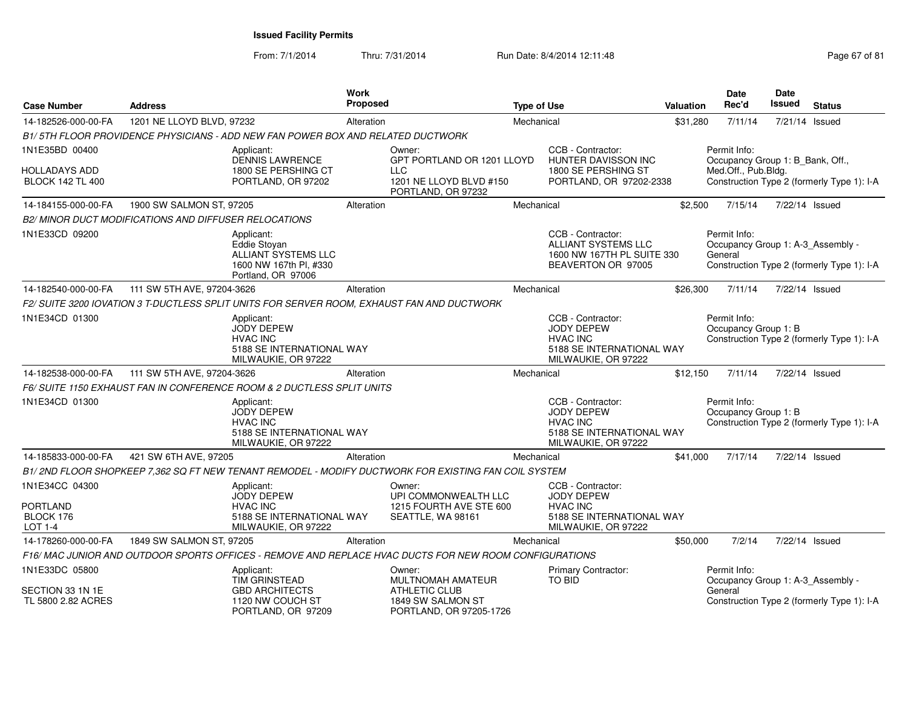From: 7/1/2014

| <b>Case Number</b>                                                | <b>Address</b>                                                                                           | <b>Work</b><br>Proposed | <b>Type of Use</b>                                                                                                | Valuation                                                                                           | <b>Date</b><br>Rec'd                 | Date<br>Issued<br><b>Status</b>                                                 |
|-------------------------------------------------------------------|----------------------------------------------------------------------------------------------------------|-------------------------|-------------------------------------------------------------------------------------------------------------------|-----------------------------------------------------------------------------------------------------|--------------------------------------|---------------------------------------------------------------------------------|
| 14-182526-000-00-FA                                               | 1201 NE LLOYD BLVD, 97232                                                                                | Alteration              | Mechanical                                                                                                        | \$31,280                                                                                            | 7/11/14                              | 7/21/14 Issued                                                                  |
|                                                                   | B1/5TH FLOOR PROVIDENCE PHYSICIANS - ADD NEW FAN POWER BOX AND RELATED DUCTWORK                          |                         |                                                                                                                   |                                                                                                     |                                      |                                                                                 |
| 1N1E35BD 00400<br><b>HOLLADAYS ADD</b><br><b>BLOCK 142 TL 400</b> | Applicant:<br>DENNIS LAWRENCE<br>1800 SE PERSHING CT<br>PORTLAND, OR 97202                               | Owner:<br><b>LLC</b>    | GPT PORTLAND OR 1201 LLOYD<br>1201 NE LLOYD BLVD #150                                                             | CCB - Contractor:<br><b>HUNTER DAVISSON INC</b><br>1800 SE PERSHING ST<br>PORTLAND, OR 97202-2338   | Permit Info:<br>Med.Off., Pub.Bldg.  | Occupancy Group 1: B_Bank, Off.,<br>Construction Type 2 (formerly Type 1): I-A  |
| 14-184155-000-00-FA                                               | 1900 SW SALMON ST, 97205                                                                                 | Alteration              | PORTLAND, OR 97232<br>Mechanical                                                                                  | \$2,500                                                                                             | 7/15/14                              | 7/22/14 Issued                                                                  |
|                                                                   | B2/ MINOR DUCT MODIFICATIONS AND DIFFUSER RELOCATIONS                                                    |                         |                                                                                                                   |                                                                                                     |                                      |                                                                                 |
| 1N1E33CD 09200                                                    | Applicant:<br><b>Eddie Stovan</b><br>ALLIANT SYSTEMS LLC<br>1600 NW 167th PI, #330<br>Portland, OR 97006 |                         |                                                                                                                   | CCB - Contractor:<br><b>ALLIANT SYSTEMS LLC</b><br>1600 NW 167TH PL SUITE 330<br>BEAVERTON OR 97005 | Permit Info:<br>General              | Occupancy Group 1: A-3 Assembly -<br>Construction Type 2 (formerly Type 1): I-A |
| 14-182540-000-00-FA                                               | 111 SW 5TH AVE, 97204-3626                                                                               | Alteration              | Mechanical                                                                                                        | \$26,300                                                                                            | 7/11/14                              | 7/22/14 Issued                                                                  |
|                                                                   | F2/ SUITE 3200 IOVATION 3 T-DUCTLESS SPLIT UNITS FOR SERVER ROOM, EXHAUST FAN AND DUCTWORK               |                         |                                                                                                                   |                                                                                                     |                                      |                                                                                 |
| 1N1E34CD 01300                                                    | Applicant:<br>JODY DEPEW<br><b>HVAC INC</b><br>5188 SE INTERNATIONAL WAY<br>MILWAUKIE, OR 97222          |                         | JODY DEPEW<br><b>HVAC INC</b>                                                                                     | CCB - Contractor:<br>5188 SE INTERNATIONAL WAY<br>MILWAUKIE, OR 97222                               | Permit Info:<br>Occupancy Group 1: B | Construction Type 2 (formerly Type 1): I-A                                      |
| 14-182538-000-00-FA                                               | 111 SW 5TH AVE, 97204-3626                                                                               | Alteration              | Mechanical                                                                                                        | \$12,150                                                                                            | 7/11/14                              | 7/22/14 Issued                                                                  |
|                                                                   | F6/ SUITE 1150 EXHAUST FAN IN CONFERENCE ROOM & 2 DUCTLESS SPLIT UNITS                                   |                         |                                                                                                                   |                                                                                                     |                                      |                                                                                 |
| 1N1E34CD 01300                                                    | Applicant:<br><b>JODY DEPEW</b><br><b>HVAC INC</b><br>5188 SE INTERNATIONAL WAY<br>MILWAUKIE, OR 97222   |                         | <b>JODY DEPEW</b><br><b>HVAC INC</b>                                                                              | CCB - Contractor:<br>5188 SE INTERNATIONAL WAY<br>MILWAUKIE, OR 97222                               | Permit Info:<br>Occupancy Group 1: B | Construction Type 2 (formerly Type 1): I-A                                      |
| 14-185833-000-00-FA                                               | 421 SW 6TH AVE, 97205                                                                                    | Alteration              | Mechanical                                                                                                        | \$41,000                                                                                            | 7/17/14                              | 7/22/14 Issued                                                                  |
|                                                                   | B1/2ND FLOOR SHOPKEEP 7,362 SQ FT NEW TENANT REMODEL - MODIFY DUCTWORK FOR EXISTING FAN COIL SYSTEM      |                         |                                                                                                                   |                                                                                                     |                                      |                                                                                 |
| 1N1E34CC 04300<br><b>PORTLAND</b><br>BLOCK 176<br>LOT 1-4         | Applicant:<br><b>JODY DEPEW</b><br><b>HVAC INC</b><br>5188 SE INTERNATIONAL WAY<br>MILWAUKIE, OR 97222   | Owner:                  | UPI COMMONWEALTH LLC<br><b>JODY DEPEW</b><br>1215 FOURTH AVE STE 600<br><b>HVAC INC</b><br>SEATTLE, WA 98161      | CCB - Contractor:<br>5188 SE INTERNATIONAL WAY<br>MILWAUKIE, OR 97222                               |                                      |                                                                                 |
| 14-178260-000-00-FA                                               | 1849 SW SALMON ST, 97205                                                                                 | Alteration              | Mechanical                                                                                                        | \$50,000                                                                                            | 7/2/14                               | 7/22/14 Issued                                                                  |
|                                                                   | F16/MAC JUNIOR AND OUTDOOR SPORTS OFFICES - REMOVE AND REPLACE HVAC DUCTS FOR NEW ROOM CONFIGURATIONS    |                         |                                                                                                                   |                                                                                                     |                                      |                                                                                 |
| 1N1E33DC 05800<br>SECTION 33 1N 1E<br>TL 5800 2.82 ACRES          | Applicant:<br><b>TIM GRINSTEAD</b><br><b>GBD ARCHITECTS</b><br>1120 NW COUCH ST<br>PORTLAND, OR 97209    | Owner:                  | <b>MULTNOMAH AMATEUR</b><br><b>TO BID</b><br><b>ATHLETIC CLUB</b><br>1849 SW SALMON ST<br>PORTLAND, OR 97205-1726 | Primary Contractor:                                                                                 | Permit Info:<br>General              | Occupancy Group 1: A-3_Assembly -<br>Construction Type 2 (formerly Type 1): I-A |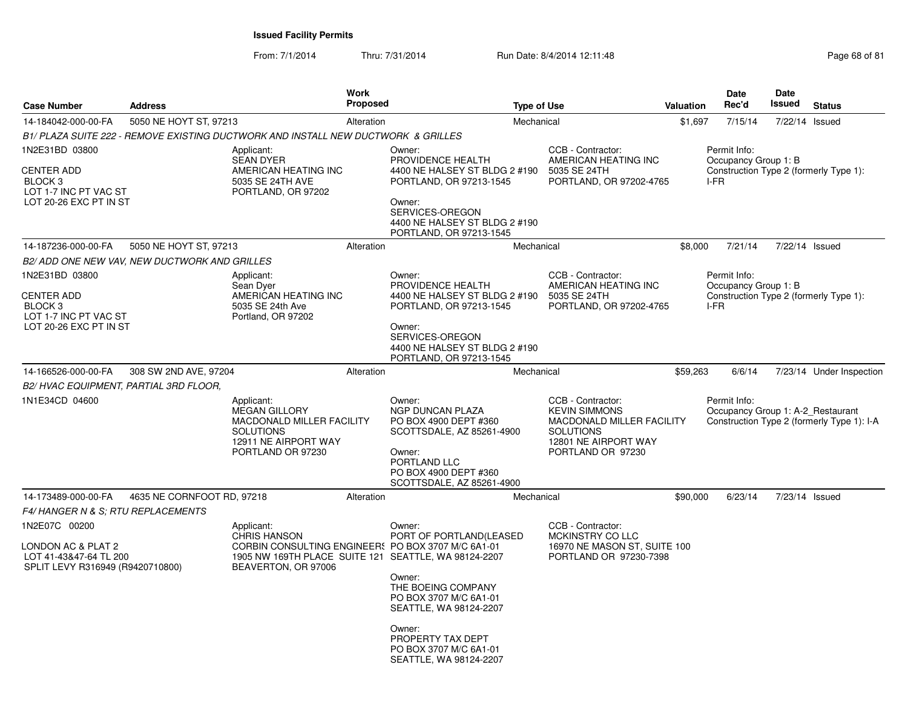| <b>Case Number</b>                                                                                           | <b>Address</b>             |                                                                                                                                                                       | <b>Work</b><br><b>Proposed</b> |                                                                                                                                                                                                          | <b>Type of Use</b>                                                                                                                      | Valuation | Date<br>Rec'd                                | Date<br>Issued<br><b>Status</b>                                                 |  |
|--------------------------------------------------------------------------------------------------------------|----------------------------|-----------------------------------------------------------------------------------------------------------------------------------------------------------------------|--------------------------------|----------------------------------------------------------------------------------------------------------------------------------------------------------------------------------------------------------|-----------------------------------------------------------------------------------------------------------------------------------------|-----------|----------------------------------------------|---------------------------------------------------------------------------------|--|
| 14-184042-000-00-FA                                                                                          | 5050 NE HOYT ST, 97213     |                                                                                                                                                                       | Alteration                     |                                                                                                                                                                                                          | Mechanical                                                                                                                              | \$1,697   | 7/15/14                                      | 7/22/14<br>Issued                                                               |  |
|                                                                                                              |                            | B1/ PLAZA SUITE 222 - REMOVE EXISTING DUCTWORK AND INSTALL NEW DUCTWORK & GRILLES                                                                                     |                                |                                                                                                                                                                                                          |                                                                                                                                         |           |                                              |                                                                                 |  |
| 1N2E31BD 03800<br><b>CENTER ADD</b><br>BLOCK <sub>3</sub><br>LOT 1-7 INC PT VAC ST<br>LOT 20-26 EXC PT IN ST |                            | Applicant:<br><b>SEAN DYER</b><br>AMERICAN HEATING INC<br>5035 SE 24TH AVE<br>PORTLAND, OR 97202                                                                      |                                | Owner:<br>PROVIDENCE HEALTH<br>4400 NE HALSEY ST BLDG 2 #190<br>PORTLAND, OR 97213-1545<br>Owner:<br>SERVICES-OREGON<br>4400 NE HALSEY ST BLDG 2 #190<br>PORTLAND, OR 97213-1545                         | CCB - Contractor:<br>AMERICAN HEATING INC<br>5035 SE 24TH<br>PORTLAND, OR 97202-4765                                                    |           | Permit Info:<br>Occupancy Group 1: B<br>I-FR | Construction Type 2 (formerly Type 1):                                          |  |
| 14-187236-000-00-FA                                                                                          | 5050 NE HOYT ST, 97213     |                                                                                                                                                                       | Alteration                     |                                                                                                                                                                                                          | Mechanical                                                                                                                              | \$8,000   | 7/21/14                                      | 7/22/14 Issued                                                                  |  |
| B2/ ADD ONE NEW VAV, NEW DUCTWORK AND GRILLES                                                                |                            |                                                                                                                                                                       |                                |                                                                                                                                                                                                          |                                                                                                                                         |           |                                              |                                                                                 |  |
| 1N2E31BD 03800<br>CENTER ADD<br>BLOCK <sub>3</sub><br>LOT 1-7 INC PT VAC ST<br>LOT 20-26 EXC PT IN ST        |                            | Applicant:<br>Sean Dyer<br>AMERICAN HEATING INC<br>5035 SE 24th Ave<br>Portland, OR 97202                                                                             |                                | Owner:<br>PROVIDENCE HEALTH<br>4400 NE HALSEY ST BLDG 2 #190<br>PORTLAND, OR 97213-1545<br>Owner:<br>SERVICES-OREGON<br>4400 NE HALSEY ST BLDG 2 #190<br>PORTLAND, OR 97213-1545                         | CCB - Contractor:<br>AMERICAN HEATING INC<br>5035 SE 24TH<br>PORTLAND, OR 97202-4765                                                    |           | Permit Info:<br>Occupancy Group 1: B<br>I-FR | Construction Type 2 (formerly Type 1):                                          |  |
| 14-166526-000-00-FA                                                                                          | 308 SW 2ND AVE, 97204      |                                                                                                                                                                       | Alteration                     |                                                                                                                                                                                                          | Mechanical                                                                                                                              | \$59,263  | 6/6/14                                       | 7/23/14 Under Inspection                                                        |  |
| B2/HVAC EQUIPMENT, PARTIAL 3RD FLOOR,                                                                        |                            |                                                                                                                                                                       |                                |                                                                                                                                                                                                          |                                                                                                                                         |           |                                              |                                                                                 |  |
| 1N1E34CD 04600                                                                                               |                            | Applicant:<br><b>MEGAN GILLORY</b><br>MACDONALD MILLER FACILITY<br><b>SOLUTIONS</b><br>12911 NE AIRPORT WAY<br>PORTLAND OR 97230                                      |                                | Owner:<br><b>NGP DUNCAN PLAZA</b><br>PO BOX 4900 DEPT #360<br>SCOTTSDALE, AZ 85261-4900<br>Owner:<br>PORTLAND LLC<br>PO BOX 4900 DEPT #360<br>SCOTTSDALE, AZ 85261-4900                                  | CCB - Contractor:<br><b>KEVIN SIMMONS</b><br>MACDONALD MILLER FACILITY<br><b>SOLUTIONS</b><br>12801 NE AIRPORT WAY<br>PORTLAND OR 97230 |           | Permit Info:                                 | Occupancy Group 1: A-2 Restaurant<br>Construction Type 2 (formerly Type 1): I-A |  |
| 14-173489-000-00-FA                                                                                          | 4635 NE CORNFOOT RD, 97218 |                                                                                                                                                                       | Alteration                     |                                                                                                                                                                                                          | Mechanical                                                                                                                              | \$90,000  | 6/23/14                                      | 7/23/14 Issued                                                                  |  |
| F4/ HANGER N & S; RTU REPLACEMENTS                                                                           |                            |                                                                                                                                                                       |                                |                                                                                                                                                                                                          |                                                                                                                                         |           |                                              |                                                                                 |  |
| 1N2E07C 00200<br>LONDON AC & PLAT 2<br>LOT 41-43&47-64 TL 200<br>SPLIT LEVY R316949 (R9420710800)            |                            | Applicant:<br><b>CHRIS HANSON</b><br>CORBIN CONSULTING ENGINEER PO BOX 3707 M/C 6A1-01<br>1905 NW 169TH PLACE SUITE 121 SEATTLE, WA 98124-2207<br>BEAVERTON, OR 97006 |                                | Owner:<br>PORT OF PORTLAND(LEASED<br>Owner:<br>THE BOEING COMPANY<br>PO BOX 3707 M/C 6A1-01<br>SEATTLE, WA 98124-2207<br>Owner:<br>PROPERTY TAX DEPT<br>PO BOX 3707 M/C 6A1-01<br>SEATTLE, WA 98124-2207 | CCB - Contractor:<br>MCKINSTRY CO LLC<br>16970 NE MASON ST, SUITE 100<br>PORTLAND OR 97230-7398                                         |           |                                              |                                                                                 |  |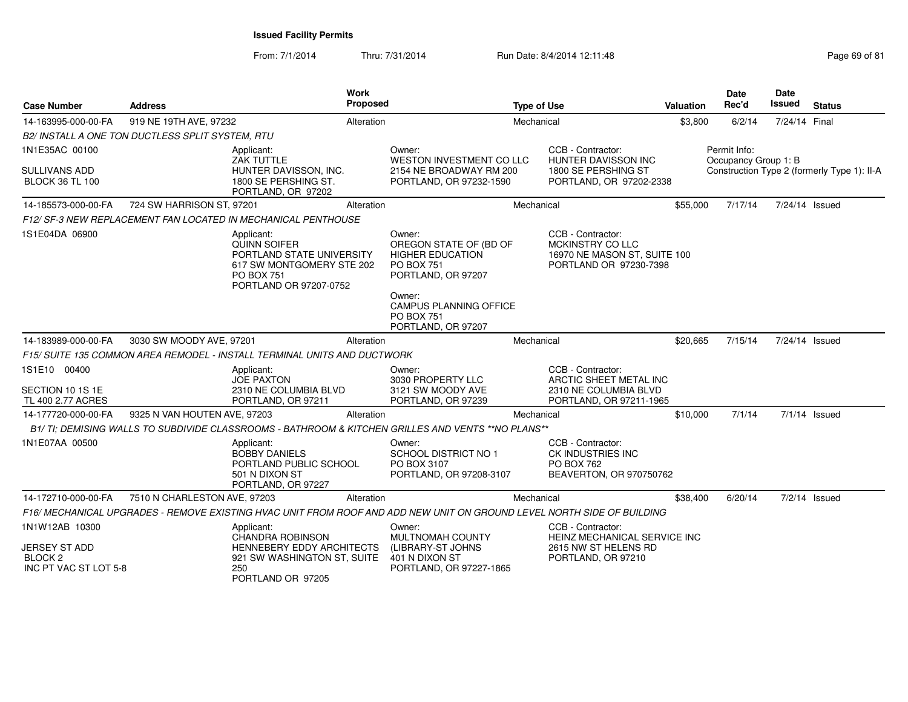From: 7/1/2014

| <b>Case Number</b>                                        | <b>Address</b>                                   | Work<br>Proposed                                                                                                                           |                                                                                                                                                                                              | <b>Type of Use</b> |                                                                                                 | <b>Valuation</b> | Date<br>Rec'd                        | Date<br><b>Issued</b> | <b>Status</b>                               |
|-----------------------------------------------------------|--------------------------------------------------|--------------------------------------------------------------------------------------------------------------------------------------------|----------------------------------------------------------------------------------------------------------------------------------------------------------------------------------------------|--------------------|-------------------------------------------------------------------------------------------------|------------------|--------------------------------------|-----------------------|---------------------------------------------|
| 14-163995-000-00-FA                                       | 919 NE 19TH AVE, 97232                           | Alteration                                                                                                                                 |                                                                                                                                                                                              | Mechanical         |                                                                                                 | \$3,800          | 6/2/14                               | 7/24/14 Final         |                                             |
|                                                           | B2/ INSTALL A ONE TON DUCTLESS SPLIT SYSTEM, RTU |                                                                                                                                            |                                                                                                                                                                                              |                    |                                                                                                 |                  |                                      |                       |                                             |
| 1N1E35AC 00100<br>SULLIVANS ADD<br><b>BLOCK 36 TL 100</b> |                                                  | Applicant:<br><b>ZAK TUTTLE</b><br>HUNTER DAVISSON, INC.<br>1800 SE PERSHING ST.<br>PORTLAND, OR 97202                                     | Owner:<br><b>WESTON INVESTMENT CO LLC</b><br>2154 NE BROADWAY RM 200<br>PORTLAND, OR 97232-1590                                                                                              |                    | CCB - Contractor:<br>HUNTER DAVISSON INC<br>1800 SE PERSHING ST<br>PORTLAND, OR 97202-2338      |                  | Permit Info:<br>Occupancy Group 1: B |                       | Construction Type 2 (formerly Type 1): II-A |
| 14-185573-000-00-FA                                       | 724 SW HARRISON ST, 97201                        | Alteration                                                                                                                                 |                                                                                                                                                                                              | Mechanical         |                                                                                                 | \$55,000         | 7/17/14                              | 7/24/14 Issued        |                                             |
|                                                           |                                                  | F12/ SF-3 NEW REPLACEMENT FAN LOCATED IN MECHANICAL PENTHOUSE                                                                              |                                                                                                                                                                                              |                    |                                                                                                 |                  |                                      |                       |                                             |
| 1S1E04DA 06900                                            |                                                  | Applicant:<br><b>QUINN SOIFER</b><br>PORTLAND STATE UNIVERSITY<br>617 SW MONTGOMERY STE 202<br><b>PO BOX 751</b><br>PORTLAND OR 97207-0752 | Owner:<br>OREGON STATE OF (BD OF<br><b>HIGHER EDUCATION</b><br><b>PO BOX 751</b><br>PORTLAND, OR 97207<br>Owner:<br><b>CAMPUS PLANNING OFFICE</b><br><b>PO BOX 751</b><br>PORTLAND, OR 97207 |                    | CCB - Contractor:<br>MCKINSTRY CO LLC<br>16970 NE MASON ST, SUITE 100<br>PORTLAND OR 97230-7398 |                  |                                      |                       |                                             |
| 14-183989-000-00-FA                                       | 3030 SW MOODY AVE, 97201                         | Alteration                                                                                                                                 |                                                                                                                                                                                              | Mechanical         |                                                                                                 | \$20,665         | 7/15/14                              | 7/24/14 Issued        |                                             |
|                                                           |                                                  | F15/ SUITE 135 COMMON AREA REMODEL - INSTALL TERMINAL UNITS AND DUCTWORK                                                                   |                                                                                                                                                                                              |                    |                                                                                                 |                  |                                      |                       |                                             |
| 1S1E10 00400<br>SECTION 10 1S 1E<br>TL 400 2.77 ACRES     |                                                  | Applicant:<br><b>JOE PAXTON</b><br>2310 NE COLUMBIA BLVD<br>PORTLAND, OR 97211                                                             | Owner:<br>3030 PROPERTY LLC<br>3121 SW MOODY AVE<br>PORTLAND, OR 97239                                                                                                                       |                    | CCB - Contractor:<br>ARCTIC SHEET METAL INC<br>2310 NE COLUMBIA BLVD<br>PORTLAND, OR 97211-1965 |                  |                                      |                       |                                             |
| 14-177720-000-00-FA                                       | 9325 N VAN HOUTEN AVE, 97203                     | Alteration                                                                                                                                 |                                                                                                                                                                                              | Mechanical         |                                                                                                 | \$10,000         | 7/1/14                               |                       | 7/1/14 Issued                               |
|                                                           |                                                  | B1/TI; DEMISING WALLS TO SUBDIVIDE CLASSROOMS - BATHROOM & KITCHEN GRILLES AND VENTS ** NO PLANS**                                         |                                                                                                                                                                                              |                    |                                                                                                 |                  |                                      |                       |                                             |
| 1N1E07AA 00500                                            |                                                  | Applicant:<br><b>BOBBY DANIELS</b><br>PORTLAND PUBLIC SCHOOL<br>501 N DIXON ST<br>PORTLAND, OR 97227                                       | Owner:<br><b>SCHOOL DISTRICT NO 1</b><br>PO BOX 3107<br>PORTLAND, OR 97208-3107                                                                                                              |                    | CCB - Contractor:<br>CK INDUSTRIES INC<br><b>PO BOX 762</b><br>BEAVERTON, OR 970750762          |                  |                                      |                       |                                             |
| 14-172710-000-00-FA                                       | 7510 N CHARLESTON AVE, 97203                     | Alteration                                                                                                                                 |                                                                                                                                                                                              | Mechanical         |                                                                                                 | \$38,400         | 6/20/14                              |                       | 7/2/14 Issued                               |
|                                                           |                                                  | F16/ MECHANICAL UPGRADES - REMOVE EXISTING HVAC UNIT FROM ROOF AND ADD NEW UNIT ON GROUND LEVEL NORTH SIDE OF BUILDING                     |                                                                                                                                                                                              |                    |                                                                                                 |                  |                                      |                       |                                             |
| 1N1W12AB 10300<br><b>JERSEY ST ADD</b>                    |                                                  | Applicant:<br>CHANDRA ROBINSON<br>HENNEBERY EDDY ARCHITECTS                                                                                | Owner:<br>MULTNOMAH COUNTY<br>(LIBRARY-ST JOHNS                                                                                                                                              |                    | CCB - Contractor:<br>HEINZ MECHANICAL SERVICE INC<br>2615 NW ST HELENS RD                       |                  |                                      |                       |                                             |
| BLOCK 2<br>INC PT VAC ST LOT 5-8                          |                                                  | 921 SW WASHINGTON ST, SUITE<br>250<br>PORTLAND OR 97205                                                                                    | 401 N DIXON ST<br>PORTLAND, OR 97227-1865                                                                                                                                                    |                    | PORTLAND, OR 97210                                                                              |                  |                                      |                       |                                             |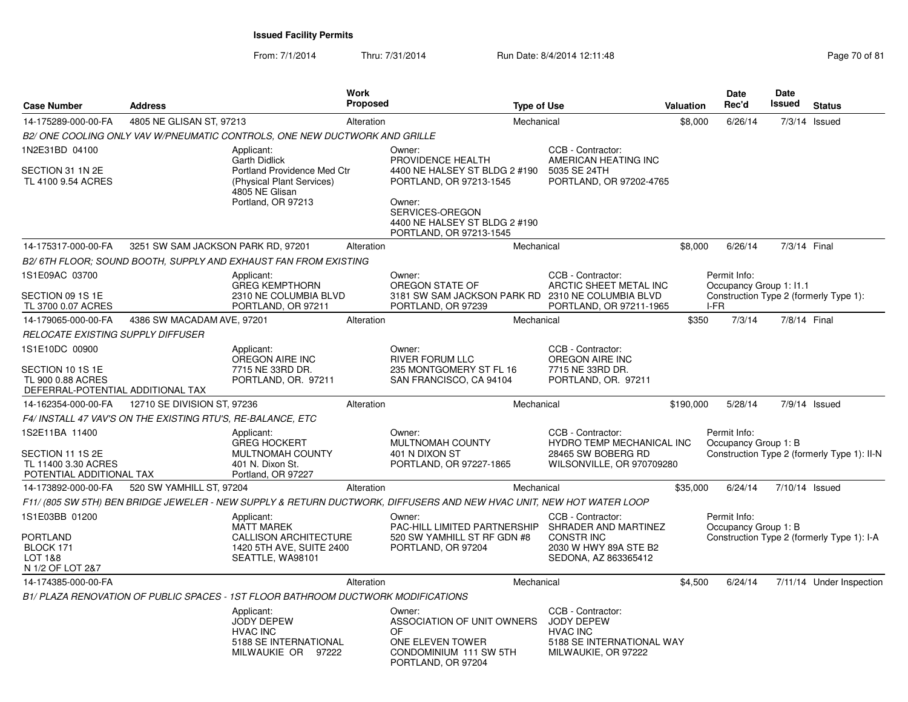From: 7/1/2014Thru: 7/31/2014 Run Date: 8/4/2014 12:11:48 Research 2010 12:11:49

| <b>Case Number</b>                                                                    | <b>Address</b>                     |                                                                                                                  | Work<br>Proposed |                                                                                                                      | <b>Type of Use</b>                                                                                            | <b>Valuation</b> | <b>Date</b><br>Rec'd                                                              | <b>Date</b><br><b>Issued</b> | <b>Status</b>                               |
|---------------------------------------------------------------------------------------|------------------------------------|------------------------------------------------------------------------------------------------------------------|------------------|----------------------------------------------------------------------------------------------------------------------|---------------------------------------------------------------------------------------------------------------|------------------|-----------------------------------------------------------------------------------|------------------------------|---------------------------------------------|
| 14-175289-000-00-FA                                                                   | 4805 NE GLISAN ST, 97213           |                                                                                                                  | Alteration       |                                                                                                                      | Mechanical                                                                                                    | \$8,000          | 6/26/14                                                                           |                              | $7/3/14$ Issued                             |
|                                                                                       |                                    | B2/ ONE COOLING ONLY VAV W/PNEUMATIC CONTROLS, ONE NEW DUCTWORK AND GRILLE                                       |                  |                                                                                                                      |                                                                                                               |                  |                                                                                   |                              |                                             |
| 1N2E31BD 04100<br>SECTION 31 1N 2E<br>TL 4100 9.54 ACRES                              |                                    | Applicant:<br><b>Garth Didlick</b><br>Portland Providence Med Ctr<br>(Physical Plant Services)<br>4805 NE Glisan |                  | Owner:<br>PROVIDENCE HEALTH<br>4400 NE HALSEY ST BLDG 2 #190<br>PORTLAND, OR 97213-1545                              | CCB - Contractor:<br>AMERICAN HEATING INC<br>5035 SE 24TH<br>PORTLAND, OR 97202-4765                          |                  |                                                                                   |                              |                                             |
|                                                                                       |                                    | Portland, OR 97213                                                                                               |                  | Owner:<br>SERVICES-OREGON<br>4400 NE HALSEY ST BLDG 2 #190<br>PORTLAND, OR 97213-1545                                |                                                                                                               |                  |                                                                                   |                              |                                             |
| 14-175317-000-00-FA                                                                   | 3251 SW SAM JACKSON PARK RD, 97201 |                                                                                                                  | Alteration       |                                                                                                                      | Mechanical                                                                                                    | \$8,000          | 6/26/14                                                                           | 7/3/14 Final                 |                                             |
|                                                                                       |                                    | B2/6TH FLOOR; SOUND BOOTH, SUPPLY AND EXHAUST FAN FROM EXISTING                                                  |                  |                                                                                                                      |                                                                                                               |                  |                                                                                   |                              |                                             |
| 1S1E09AC 03700<br>SECTION 09 1S 1E                                                    |                                    | Applicant:<br><b>GREG KEMPTHORN</b><br>2310 NE COLUMBIA BLVD                                                     |                  | Owner:<br>OREGON STATE OF<br>3181 SW SAM JACKSON PARK RD                                                             | CCB - Contractor:<br>ARCTIC SHEET METAL INC<br>2310 NE COLUMBIA BLVD                                          |                  | Permit Info:<br>Occupancy Group 1: I1.1<br>Construction Type 2 (formerly Type 1): |                              |                                             |
| TL 3700 0.07 ACRES                                                                    |                                    | PORTLAND, OR 97211                                                                                               |                  | PORTLAND, OR 97239                                                                                                   | PORTLAND, OR 97211-1965                                                                                       |                  | I-FR                                                                              |                              |                                             |
| 14-179065-000-00-FA                                                                   | 4386 SW MACADAM AVE, 97201         |                                                                                                                  | Alteration       |                                                                                                                      | Mechanical                                                                                                    | \$350            | 7/3/14                                                                            | 7/8/14 Final                 |                                             |
| <b>RELOCATE EXISTING SUPPLY DIFFUSER</b>                                              |                                    |                                                                                                                  |                  |                                                                                                                      |                                                                                                               |                  |                                                                                   |                              |                                             |
| 1S1E10DC 00900                                                                        |                                    | Applicant:<br><b>OREGON AIRE INC</b>                                                                             |                  | Owner:<br><b>RIVER FORUM LLC</b>                                                                                     | CCB - Contractor:<br><b>OREGON AIRE INC</b>                                                                   |                  |                                                                                   |                              |                                             |
| SECTION 10 1S 1E<br>TL 900 0.88 ACRES<br>DEFERRAL-POTENTIAL ADDITIONAL TAX            |                                    | 7715 NE 33RD DR.<br>PORTLAND, OR. 97211                                                                          |                  | 235 MONTGOMERY ST FL 16<br>SAN FRANCISCO, CA 94104                                                                   | 7715 NE 33RD DR.<br>PORTLAND, OR. 97211                                                                       |                  |                                                                                   |                              |                                             |
| 14-162354-000-00-FA                                                                   | 12710 SE DIVISION ST, 97236        |                                                                                                                  | Alteration       |                                                                                                                      | Mechanical                                                                                                    | \$190,000        | 5/28/14                                                                           |                              | $7/9/14$ Issued                             |
| F4/ INSTALL 47 VAV'S ON THE EXISTING RTU'S, RE-BALANCE, ETC                           |                                    |                                                                                                                  |                  |                                                                                                                      |                                                                                                               |                  |                                                                                   |                              |                                             |
| 1S2E11BA 11400<br>SECTION 11 1S 2E<br>TL 11400 3.30 ACRES<br>POTENTIAL ADDITIONAL TAX |                                    | Applicant:<br><b>GREG HOCKERT</b><br>MULTNOMAH COUNTY<br>401 N. Dixon St.<br>Portland, OR 97227                  |                  | Owner:<br>MULTNOMAH COUNTY<br>401 N DIXON ST<br>PORTLAND, OR 97227-1865                                              | CCB - Contractor:<br>HYDRO TEMP MECHANICAL INC<br>28465 SW BOBERG RD<br>WILSONVILLE, OR 970709280             |                  | Permit Info:<br>Occupancy Group 1: B                                              |                              | Construction Type 2 (formerly Type 1): II-N |
| 14-173892-000-00-FA                                                                   | 520 SW YAMHILL ST, 97204           |                                                                                                                  | Alteration       |                                                                                                                      | Mechanical                                                                                                    | \$35,000         | 6/24/14                                                                           | 7/10/14 Issued               |                                             |
|                                                                                       |                                    |                                                                                                                  |                  | F11/ (805 SW 5TH) BEN BRIDGE JEWELER - NEW SUPPLY & RETURN DUCTWORK, DIFFUSERS AND NEW HVAC UNIT, NEW HOT WATER LOOP |                                                                                                               |                  |                                                                                   |                              |                                             |
| 1S1E03BB 01200                                                                        |                                    | Applicant:<br><b>MATT MAREK</b>                                                                                  |                  | Owner:<br>PAC-HILL LIMITED PARTNERSHIP                                                                               | CCB - Contractor:<br>SHRADER AND MARTINEZ                                                                     |                  | Permit Info:<br>Occupancy Group 1: B                                              |                              |                                             |
| <b>PORTLAND</b><br>BLOCK 171<br><b>LOT 1&amp;8</b><br>N 1/2 OF LOT 2&7                |                                    | <b>CALLISON ARCHITECTURE</b><br>1420 5TH AVE, SUITE 2400<br>SEATTLE, WA98101                                     |                  | 520 SW YAMHILL ST RF GDN #8<br>PORTLAND, OR 97204                                                                    | <b>CONSTRING</b><br>2030 W HWY 89A STE B2<br>SEDONA, AZ 863365412                                             |                  |                                                                                   |                              | Construction Type 2 (formerly Type 1): I-A  |
| 14-174385-000-00-FA                                                                   |                                    |                                                                                                                  | Alteration       |                                                                                                                      | Mechanical                                                                                                    | \$4.500          | 6/24/14                                                                           |                              | 7/11/14 Under Inspection                    |
|                                                                                       |                                    | B1/ PLAZA RENOVATION OF PUBLIC SPACES - 1ST FLOOR BATHROOM DUCTWORK MODIFICATIONS                                |                  |                                                                                                                      |                                                                                                               |                  |                                                                                   |                              |                                             |
|                                                                                       |                                    | Applicant:<br><b>JODY DEPEW</b><br><b>HVAC INC</b><br>5188 SE INTERNATIONAL<br>MILWAUKIE OR 97222                |                  | Owner:<br>ASSOCIATION OF UNIT OWNERS<br>OF<br>ONE ELEVEN TOWER<br>CONDOMINIUM 111 SW 5TH<br>PORTLAND, OR 97204       | CCB - Contractor:<br><b>JODY DEPEW</b><br><b>HVAC INC</b><br>5188 SE INTERNATIONAL WAY<br>MILWAUKIE, OR 97222 |                  |                                                                                   |                              |                                             |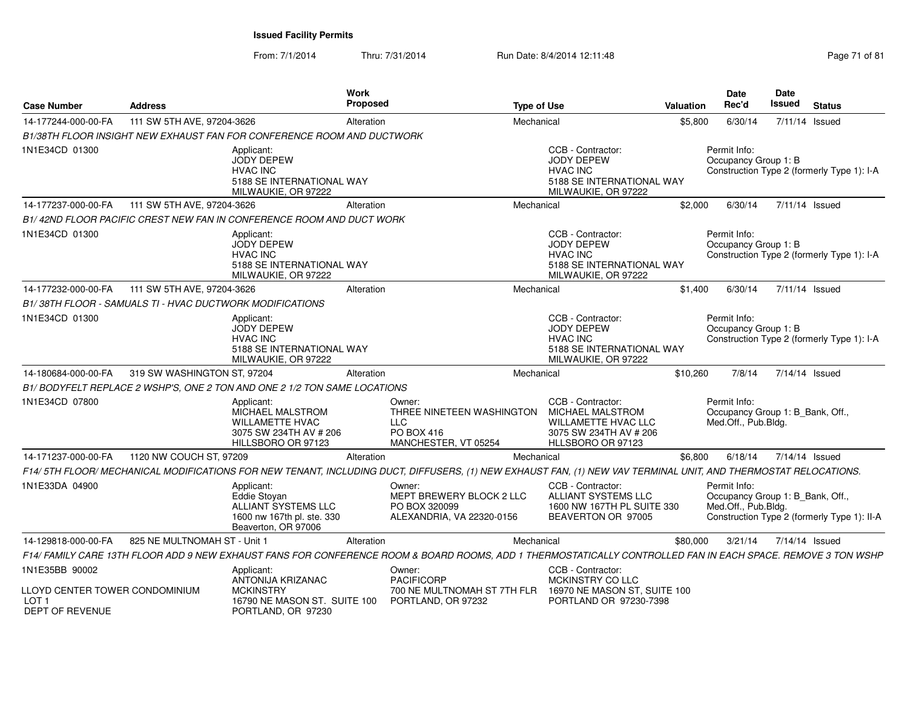From: 7/1/2014Thru: 7/31/2014 Run Date: 8/4/2014 12:11:48 Research 2010 12:11:49

| <b>Case Number</b>                                                   | <b>Address</b>               |                                                                                                                 | Work<br><b>Proposed</b> |                                                                                                                                                               | <b>Type of Use</b> |                                                                                                                           | <b>Valuation</b> | Date<br>Rec'd                                                           | Date<br>Issued | <b>Status</b>                               |
|----------------------------------------------------------------------|------------------------------|-----------------------------------------------------------------------------------------------------------------|-------------------------|---------------------------------------------------------------------------------------------------------------------------------------------------------------|--------------------|---------------------------------------------------------------------------------------------------------------------------|------------------|-------------------------------------------------------------------------|----------------|---------------------------------------------|
| 14-177244-000-00-FA                                                  | 111 SW 5TH AVE, 97204-3626   |                                                                                                                 | Alteration              |                                                                                                                                                               | Mechanical         |                                                                                                                           | \$5,800          | 6/30/14                                                                 |                | 7/11/14 Issued                              |
|                                                                      |                              | B1/38TH FLOOR INSIGHT NEW EXHAUST FAN FOR CONFERENCE ROOM AND DUCTWORK                                          |                         |                                                                                                                                                               |                    |                                                                                                                           |                  |                                                                         |                |                                             |
| 1N1E34CD 01300                                                       |                              | Applicant:<br>JODY DEPEW<br><b>HVAC INC</b><br>5188 SE INTERNATIONAL WAY<br>MILWAUKIE, OR 97222                 |                         |                                                                                                                                                               |                    | CCB - Contractor:<br>JODY DEPEW<br><b>HVAC INC</b><br>5188 SE INTERNATIONAL WAY<br>MILWAUKIE, OR 97222                    |                  | Permit Info:<br>Occupancy Group 1: B                                    |                | Construction Type 2 (formerly Type 1): I-A  |
| 14-177237-000-00-FA                                                  | 111 SW 5TH AVE, 97204-3626   |                                                                                                                 | Alteration              |                                                                                                                                                               | Mechanical         |                                                                                                                           | \$2,000          | 6/30/14                                                                 | 7/11/14 Issued |                                             |
|                                                                      |                              | B1/42ND FLOOR PACIFIC CREST NEW FAN IN CONFERENCE ROOM AND DUCT WORK                                            |                         |                                                                                                                                                               |                    |                                                                                                                           |                  |                                                                         |                |                                             |
| 1N1E34CD 01300                                                       |                              | Applicant:<br><b>JODY DEPEW</b><br><b>HVAC INC</b><br>5188 SE INTERNATIONAL WAY<br>MILWAUKIE, OR 97222          |                         |                                                                                                                                                               |                    | CCB - Contractor:<br>JODY DEPEW<br><b>HVAC INC</b><br>5188 SE INTERNATIONAL WAY<br>MILWAUKIE, OR 97222                    |                  | Permit Info:<br>Occupancy Group 1: B                                    |                | Construction Type 2 (formerly Type 1): I-A  |
| 14-177232-000-00-FA                                                  | 111 SW 5TH AVE, 97204-3626   |                                                                                                                 | Alteration              |                                                                                                                                                               | Mechanical         |                                                                                                                           | \$1,400          | 6/30/14                                                                 | 7/11/14 Issued |                                             |
| B1/38TH FLOOR - SAMUALS TI - HVAC DUCTWORK MODIFICATIONS             |                              |                                                                                                                 |                         |                                                                                                                                                               |                    |                                                                                                                           |                  |                                                                         |                |                                             |
| 1N1E34CD 01300                                                       |                              | Applicant:<br><b>JODY DEPEW</b><br><b>HVAC INC</b><br>5188 SE INTERNATIONAL WAY<br>MILWAUKIE, OR 97222          |                         |                                                                                                                                                               |                    | CCB - Contractor:<br>JODY DEPEW<br><b>HVAC INC</b><br>5188 SE INTERNATIONAL WAY<br>MILWAUKIE, OR 97222                    |                  | Permit Info:<br>Occupancy Group 1: B                                    |                | Construction Type 2 (formerly Type 1): I-A  |
| 14-180684-000-00-FA                                                  | 319 SW WASHINGTON ST, 97204  |                                                                                                                 | Alteration              |                                                                                                                                                               | Mechanical         |                                                                                                                           | \$10,260         | 7/8/14                                                                  | 7/14/14 Issued |                                             |
|                                                                      |                              | B1/ BODYFELT REPLACE 2 WSHP'S, ONE 2 TON AND ONE 2 1/2 TON SAME LOCATIONS                                       |                         |                                                                                                                                                               |                    |                                                                                                                           |                  |                                                                         |                |                                             |
| 1N1E34CD 07800                                                       |                              | Applicant:<br><b>MICHAEL MALSTROM</b><br><b>WILLAMETTE HVAC</b><br>3075 SW 234TH AV # 206<br>HILLSBORO OR 97123 |                         | Owner:<br>THREE NINETEEN WASHINGTON<br><b>LLC</b><br>PO BOX 416<br>MANCHESTER, VT 05254                                                                       |                    | CCB - Contractor:<br><b>MICHAEL MALSTROM</b><br><b>WILLAMETTE HVAC LLC</b><br>3075 SW 234TH AV # 206<br>HLLSBORO OR 97123 |                  | Permit Info:<br>Occupancy Group 1: B_Bank, Off.,<br>Med.Off., Pub.Bldg. |                |                                             |
| 14-171237-000-00-FA                                                  | 1120 NW COUCH ST, 97209      |                                                                                                                 | Alteration              |                                                                                                                                                               | Mechanical         |                                                                                                                           | \$6,800          | 6/18/14                                                                 | 7/14/14 Issued |                                             |
|                                                                      |                              |                                                                                                                 |                         | F14/5TH FLOOR/MECHANICAL MODIFICATIONS FOR NEW TENANT, INCLUDING DUCT, DIFFUSERS, (1) NEW EXHAUST FAN, (1) NEW VAV TERMINAL UNIT, AND THERMOSTAT RELOCATIONS. |                    |                                                                                                                           |                  |                                                                         |                |                                             |
| 1N1E33DA 04900                                                       |                              | Applicant:<br>Eddie Stoyan<br>ALLIANT SYSTEMS LLC<br>1600 nw 167th pl. ste. 330<br>Beaverton, OR 97006          |                         | Owner:<br>MEPT BREWERY BLOCK 2 LLC<br>PO BOX 320099<br>ALEXANDRIA, VA 22320-0156                                                                              |                    | CCB - Contractor:<br><b>ALLIANT SYSTEMS LLC</b><br>1600 NW 167TH PL SUITE 330<br>BEAVERTON OR 97005                       |                  | Permit Info:<br>Occupancy Group 1: B_Bank, Off.,<br>Med.Off., Pub.Bldg. |                | Construction Type 2 (formerly Type 1): II-A |
| 14-129818-000-00-FA                                                  | 825 NE MULTNOMAH ST - Unit 1 |                                                                                                                 | Alteration              |                                                                                                                                                               | Mechanical         |                                                                                                                           | \$80,000         | 3/21/14                                                                 |                | 7/14/14 Issued                              |
|                                                                      |                              |                                                                                                                 |                         | F14/ FAMILY CARE 13TH FLOOR ADD 9 NEW EXHAUST FANS FOR CONFERENCE ROOM & BOARD ROOMS, ADD 1 THERMOSTATICALLY CONTROLLED FAN IN EACH SPACE. REMOVE 3 TON WSHP  |                    |                                                                                                                           |                  |                                                                         |                |                                             |
| 1N1E35BB 90002<br>LLOYD CENTER TOWER CONDOMINIUM<br>LOT <sub>1</sub> |                              | Applicant:<br><b>ANTONIJA KRIZANAC</b><br><b>MCKINSTRY</b><br>16790 NE MASON ST. SUITE 100                      |                         | Owner:<br><b>PACIFICORP</b><br>700 NE MULTNOMAH ST 7TH FLR<br>PORTLAND, OR 97232                                                                              |                    | CCB - Contractor:<br>MCKINSTRY CO LLC<br>16970 NE MASON ST, SUITE 100<br>PORTLAND OR 97230-7398                           |                  |                                                                         |                |                                             |
| <b>DEPT OF REVENUE</b>                                               |                              | PORTLAND, OR 97230                                                                                              |                         |                                                                                                                                                               |                    |                                                                                                                           |                  |                                                                         |                |                                             |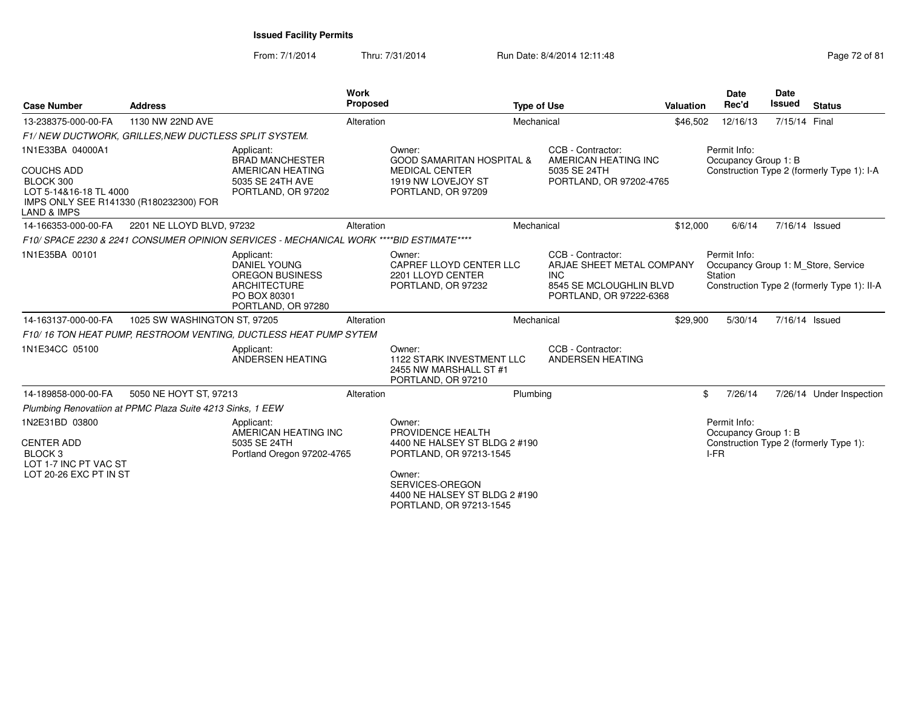From: 7/1/2014Thru: 7/31/2014 Run Date: 8/4/2014 12:11:48 Research 2010 12:00 Page 72 of 81

| <b>Case Number</b>                                                                                                                               | <b>Address</b>               |                                                                                                                          | Work<br><b>Proposed</b> |                                                                                                                                                       | <b>Type of Use</b>                                                                                                 | Valuation | <b>Date</b><br>Rec'd                         | <b>Date</b><br><b>Issued</b> | <b>Status</b>                                                                      |
|--------------------------------------------------------------------------------------------------------------------------------------------------|------------------------------|--------------------------------------------------------------------------------------------------------------------------|-------------------------|-------------------------------------------------------------------------------------------------------------------------------------------------------|--------------------------------------------------------------------------------------------------------------------|-----------|----------------------------------------------|------------------------------|------------------------------------------------------------------------------------|
| 13-238375-000-00-FA                                                                                                                              | 1130 NW 22ND AVE             |                                                                                                                          | Alteration              |                                                                                                                                                       | Mechanical                                                                                                         | \$46,502  | 12/16/13                                     | 7/15/14 Final                |                                                                                    |
| F1/NEW DUCTWORK, GRILLES, NEW DUCTLESS SPLIT SYSTEM.                                                                                             |                              |                                                                                                                          |                         |                                                                                                                                                       |                                                                                                                    |           |                                              |                              |                                                                                    |
| 1N1E33BA 04000A1<br><b>COUCHS ADD</b><br>BLOCK 300<br>LOT 5-14&16-18 TL 4000<br>IMPS ONLY SEE R141330 (R180232300) FOR<br><b>LAND &amp; IMPS</b> |                              | Applicant:<br><b>BRAD MANCHESTER</b><br>AMERICAN HEATING<br>5035 SE 24TH AVE<br>PORTLAND, OR 97202                       |                         | Owner:<br><b>GOOD SAMARITAN HOSPITAL &amp;</b><br><b>MEDICAL CENTER</b><br>1919 NW LOVEJOY ST<br>PORTLAND, OR 97209                                   | CCB - Contractor:<br>AMERICAN HEATING INC<br>5035 SE 24TH<br>PORTLAND, OR 97202-4765                               |           | Permit Info:<br>Occupancy Group 1: B         |                              | Construction Type 2 (formerly Type 1): I-A                                         |
| 14-166353-000-00-FA                                                                                                                              | 2201 NE LLOYD BLVD, 97232    |                                                                                                                          | Alteration              |                                                                                                                                                       | Mechanical                                                                                                         | \$12,000  | 6/6/14                                       |                              | 7/16/14 Issued                                                                     |
|                                                                                                                                                  |                              | F10/ SPACE 2230 & 2241 CONSUMER OPINION SERVICES - MECHANICAL WORK ****BID ESTIMATE****                                  |                         |                                                                                                                                                       |                                                                                                                    |           |                                              |                              |                                                                                    |
| 1N1E35BA 00101                                                                                                                                   |                              | Applicant:<br><b>DANIEL YOUNG</b><br><b>OREGON BUSINESS</b><br><b>ARCHITECTURE</b><br>PO BOX 80301<br>PORTLAND, OR 97280 |                         | Owner:<br>CAPREF LLOYD CENTER LLC<br>2201 LLOYD CENTER<br>PORTLAND, OR 97232                                                                          | CCB - Contractor:<br>ARJAE SHEET METAL COMPANY<br><b>INC</b><br>8545 SE MCLOUGHLIN BLVD<br>PORTLAND, OR 97222-6368 |           | Permit Info:<br>Station                      |                              | Occupancy Group 1: M Store, Service<br>Construction Type 2 (formerly Type 1): II-A |
| 14-163137-000-00-FA                                                                                                                              | 1025 SW WASHINGTON ST, 97205 |                                                                                                                          | Alteration              |                                                                                                                                                       | Mechanical                                                                                                         | \$29.900  | 5/30/14                                      |                              | 7/16/14 Issued                                                                     |
|                                                                                                                                                  |                              | F10/16 TON HEAT PUMP, RESTROOM VENTING, DUCTLESS HEAT PUMP SYTEM                                                         |                         |                                                                                                                                                       |                                                                                                                    |           |                                              |                              |                                                                                    |
| 1N1E34CC 05100                                                                                                                                   |                              | Applicant:<br>ANDERSEN HEATING                                                                                           |                         | Owner:<br>1122 STARK INVESTMENT LLC<br>2455 NW MARSHALL ST #1<br>PORTLAND, OR 97210                                                                   | CCB - Contractor:<br>ANDERSEN HEATING                                                                              |           |                                              |                              |                                                                                    |
| 14-189858-000-00-FA                                                                                                                              | 5050 NE HOYT ST, 97213       |                                                                                                                          | Alteration              |                                                                                                                                                       | Plumbing                                                                                                           |           | \$<br>7/26/14                                |                              | 7/26/14 Under Inspection                                                           |
| Plumbing Renovatiion at PPMC Plaza Suite 4213 Sinks, 1 EEW                                                                                       |                              |                                                                                                                          |                         |                                                                                                                                                       |                                                                                                                    |           |                                              |                              |                                                                                    |
| 1N2E31BD 03800<br><b>CENTER ADD</b><br>BLOCK 3<br>LOT 1-7 INC PT VAC ST<br>LOT 20-26 EXC PT IN ST                                                |                              | Applicant:<br>AMERICAN HEATING INC<br>5035 SE 24TH<br>Portland Oregon 97202-4765                                         |                         | Owner:<br>PROVIDENCE HEALTH<br>4400 NE HALSEY ST BLDG 2 #190<br>PORTLAND, OR 97213-1545<br>Owner:<br>SERVICES-OREGON<br>4400 NE HALSEY ST BLDG 2 #190 |                                                                                                                    |           | Permit Info:<br>Occupancy Group 1: B<br>I-FR |                              | Construction Type 2 (formerly Type 1):                                             |

PORTLAND, OR 97213-1545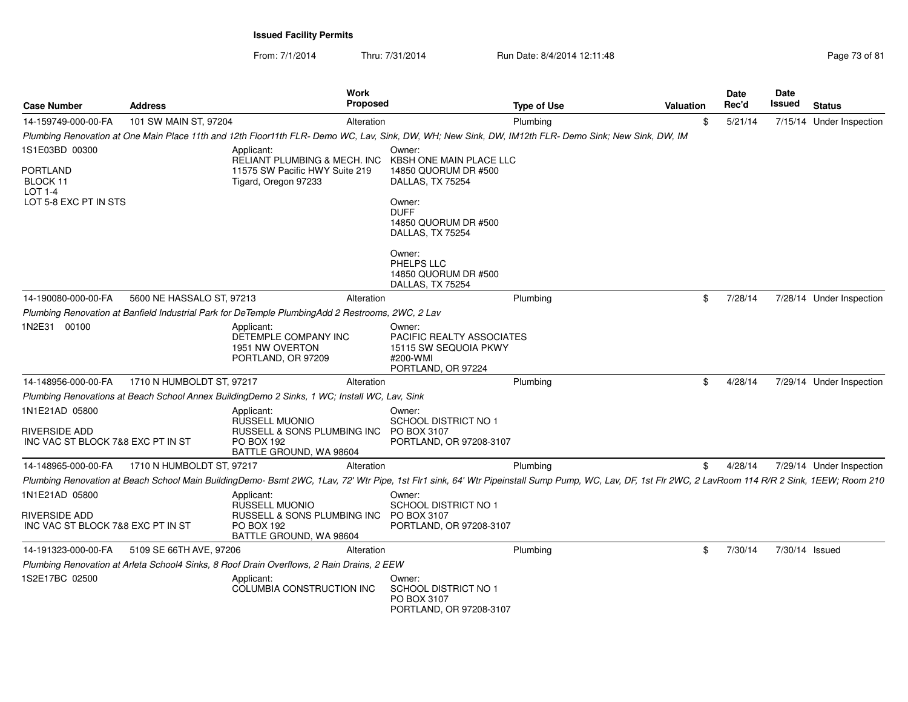From: 7/1/2014

Thru: 7/31/2014 Run Date: 8/4/2014 12:11:48 Research 2010 12:00 Page 73 of 81

| <b>Case Number</b>                                                          | <b>Address</b>            | Work<br><b>Proposed</b>                                                                                                                                                                               |                                                                                                       | <b>Type of Use</b> | Valuation | <b>Date</b><br>Rec'd | Date<br>Issued | <b>Status</b>            |
|-----------------------------------------------------------------------------|---------------------------|-------------------------------------------------------------------------------------------------------------------------------------------------------------------------------------------------------|-------------------------------------------------------------------------------------------------------|--------------------|-----------|----------------------|----------------|--------------------------|
| 14-159749-000-00-FA                                                         | 101 SW MAIN ST, 97204     | Alteration                                                                                                                                                                                            |                                                                                                       | Plumbing           | \$        | 5/21/14              |                | 7/15/14 Under Inspection |
|                                                                             |                           | Plumbing Renovation at One Main Place 11th and 12th Floor11th FLR- Demo WC, Lav, Sink, DW, WH; New Sink, DW, IM12th FLR- Demo Sink; New Sink, DW, IM                                                  |                                                                                                       |                    |           |                      |                |                          |
| 1S1E03BD 00300<br>PORTLAND<br>BLOCK 11<br>$LOT 1-4$                         |                           | Applicant:<br>RELIANT PLUMBING & MECH. INC<br>11575 SW Pacific HWY Suite 219<br>Tigard, Oregon 97233                                                                                                  | Owner:<br>KBSH ONE MAIN PLACE LLC<br>14850 QUORUM DR #500<br>DALLAS, TX 75254                         |                    |           |                      |                |                          |
| LOT 5-8 EXC PT IN STS                                                       |                           |                                                                                                                                                                                                       | Owner:<br><b>DUFF</b><br>14850 QUORUM DR #500<br>DALLAS, TX 75254                                     |                    |           |                      |                |                          |
|                                                                             |                           |                                                                                                                                                                                                       | Owner:<br>PHELPS LLC<br>14850 QUORUM DR #500<br>DALLAS, TX 75254                                      |                    |           |                      |                |                          |
| 14-190080-000-00-FA                                                         | 5600 NE HASSALO ST, 97213 | Alteration                                                                                                                                                                                            |                                                                                                       | Plumbing           | \$        | 7/28/14              |                | 7/28/14 Under Inspection |
|                                                                             |                           | Plumbing Renovation at Banfield Industrial Park for DeTemple PlumbingAdd 2 Restrooms, 2WC, 2 Lav                                                                                                      |                                                                                                       |                    |           |                      |                |                          |
| 1N2E31 00100                                                                |                           | Applicant:<br>DETEMPLE COMPANY INC<br>1951 NW OVERTON<br>PORTLAND, OR 97209                                                                                                                           | Owner:<br><b>PACIFIC REALTY ASSOCIATES</b><br>15115 SW SEQUOIA PKWY<br>#200-WMI<br>PORTLAND, OR 97224 |                    |           |                      |                |                          |
| 14-148956-000-00-FA                                                         | 1710 N HUMBOLDT ST, 97217 | Alteration                                                                                                                                                                                            |                                                                                                       | Plumbing           | \$        | 4/28/14              |                | 7/29/14 Under Inspection |
|                                                                             |                           | Plumbing Renovations at Beach School Annex BuildingDemo 2 Sinks, 1 WC; Install WC, Lav, Sink                                                                                                          |                                                                                                       |                    |           |                      |                |                          |
| 1N1E21AD 05800<br><b>RIVERSIDE ADD</b><br>INC VAC ST BLOCK 7&8 EXC PT IN ST |                           | Applicant:<br><b>RUSSELL MUONIO</b><br>RUSSELL & SONS PLUMBING INC<br><b>PO BOX 192</b><br>BATTLE GROUND, WA 98604                                                                                    | Owner:<br><b>SCHOOL DISTRICT NO 1</b><br>PO BOX 3107<br>PORTLAND, OR 97208-3107                       |                    |           |                      |                |                          |
| 14-148965-000-00-FA                                                         | 1710 N HUMBOLDT ST, 97217 | Alteration                                                                                                                                                                                            |                                                                                                       | Plumbing           | \$        | 4/28/14              |                | 7/29/14 Under Inspection |
|                                                                             |                           | Plumbing Renovation at Beach School Main BuildingDemo- Bsmt 2WC, 1Lav, 72' Wtr Pipe, 1st Flr1 sink, 64' Wtr Pipeinstall Sump Pump, WC, Lav, DF, 1st Flr 2WC, 2 LavRoom 114 R/R 2 Sink, 1EEW; Room 210 |                                                                                                       |                    |           |                      |                |                          |
| 1N1E21AD 05800<br><b>RIVERSIDE ADD</b><br>INC VAC ST BLOCK 7&8 EXC PT IN ST |                           | Applicant:<br><b>RUSSELL MUONIO</b><br>RUSSELL & SONS PLUMBING INC<br>PO BOX 192<br>BATTLE GROUND, WA 98604                                                                                           | Owner:<br>SCHOOL DISTRICT NO 1<br>PO BOX 3107<br>PORTLAND, OR 97208-3107                              |                    |           |                      |                |                          |
| 14-191323-000-00-FA                                                         | 5109 SE 66TH AVE, 97206   | Alteration                                                                                                                                                                                            |                                                                                                       | Plumbing           | \$        | 7/30/14              | 7/30/14 Issued |                          |
|                                                                             |                           | Plumbing Renovation at Arleta School4 Sinks, 8 Roof Drain Overflows, 2 Rain Drains, 2 EEW                                                                                                             |                                                                                                       |                    |           |                      |                |                          |
| 1S2E17BC 02500                                                              |                           | Applicant:<br>COLUMBIA CONSTRUCTION INC                                                                                                                                                               | Owner:<br>SCHOOL DISTRICT NO 1<br>PO BOX 3107<br>PORTLAND, OR 97208-3107                              |                    |           |                      |                |                          |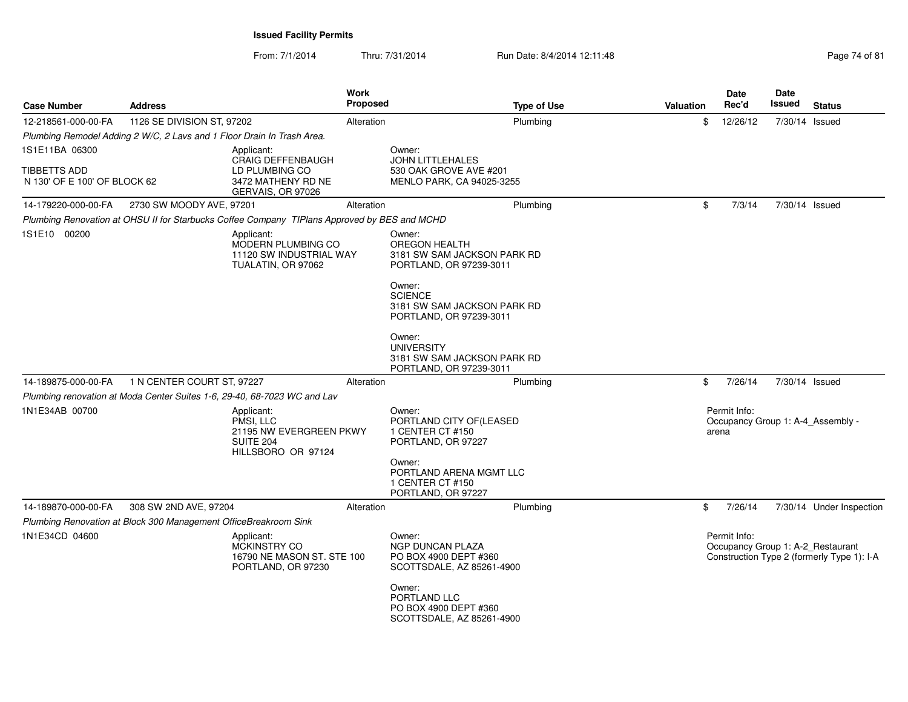From: 7/1/2014Thru: 7/31/2014 Run Date: 8/4/2014 12:11:48 Research 2010 Page 74 of 81

| <b>Case Number</b>                           | <b>Address</b>                                                         |                                                                                              | <b>Work</b><br><b>Proposed</b> | <b>Type of Use</b>                                                                       | Valuation | <b>Date</b><br>Rec'd  | Date<br><b>Issued</b> | <b>Status</b>                                                                   |
|----------------------------------------------|------------------------------------------------------------------------|----------------------------------------------------------------------------------------------|--------------------------------|------------------------------------------------------------------------------------------|-----------|-----------------------|-----------------------|---------------------------------------------------------------------------------|
| 12-218561-000-00-FA                          | 1126 SE DIVISION ST, 97202                                             |                                                                                              | Alteration                     | Plumbing                                                                                 | \$        | 12/26/12              | 7/30/14 Issued        |                                                                                 |
|                                              | Plumbing Remodel Adding 2 W/C, 2 Lavs and 1 Floor Drain In Trash Area. |                                                                                              |                                |                                                                                          |           |                       |                       |                                                                                 |
| 1S1E11BA 06300                               |                                                                        | Applicant:<br><b>CRAIG DEFFENBAUGH</b>                                                       |                                | Owner:<br><b>JOHN LITTLEHALES</b>                                                        |           |                       |                       |                                                                                 |
| TIBBETTS ADD<br>N 130' OF E 100' OF BLOCK 62 |                                                                        | LD PLUMBING CO<br>3472 MATHENY RD NE<br>GERVAIS, OR 97026                                    |                                | 530 OAK GROVE AVE #201<br>MENLO PARK, CA 94025-3255                                      |           |                       |                       |                                                                                 |
| 14-179220-000-00-FA                          | 2730 SW MOODY AVE, 97201                                               |                                                                                              | Alteration                     | Plumbing                                                                                 | \$        | 7/3/14                | 7/30/14 Issued        |                                                                                 |
|                                              |                                                                        | Plumbing Renovation at OHSU II for Starbucks Coffee Company TIPlans Approved by BES and MCHD |                                |                                                                                          |           |                       |                       |                                                                                 |
| 1S1E10 00200                                 |                                                                        | Applicant:<br>MODERN PLUMBING CO<br>11120 SW INDUSTRIAL WAY<br>TUALATIN, OR 97062            |                                | Owner:<br><b>OREGON HEALTH</b><br>3181 SW SAM JACKSON PARK RD<br>PORTLAND, OR 97239-3011 |           |                       |                       |                                                                                 |
|                                              |                                                                        |                                                                                              |                                | Owner:<br><b>SCIENCE</b><br>3181 SW SAM JACKSON PARK RD<br>PORTLAND, OR 97239-3011       |           |                       |                       |                                                                                 |
|                                              |                                                                        |                                                                                              |                                | Owner:<br><b>UNIVERSITY</b><br>3181 SW SAM JACKSON PARK RD<br>PORTLAND, OR 97239-3011    |           |                       |                       |                                                                                 |
| 14-189875-000-00-FA                          | 1 N CENTER COURT ST, 97227                                             |                                                                                              | Alteration                     | Plumbing                                                                                 | \$        | 7/26/14               | 7/30/14 Issued        |                                                                                 |
|                                              |                                                                        | Plumbing renovation at Moda Center Suites 1-6, 29-40, 68-7023 WC and Lav                     |                                |                                                                                          |           |                       |                       |                                                                                 |
| 1N1E34AB 00700                               |                                                                        | Applicant:<br>PMSI, LLC<br>21195 NW EVERGREEN PKWY<br>SUITE 204<br>HILLSBORO OR 97124        |                                | Owner:<br>PORTLAND CITY OF(LEASED<br>1 CENTER CT #150<br>PORTLAND, OR 97227              |           | Permit Info:<br>arena |                       | Occupancy Group 1: A-4_Assembly -                                               |
|                                              |                                                                        |                                                                                              |                                | Owner:<br>PORTLAND ARENA MGMT LLC<br>1 CENTER CT #150<br>PORTLAND, OR 97227              |           |                       |                       |                                                                                 |
| 14-189870-000-00-FA                          | 308 SW 2ND AVE, 97204                                                  |                                                                                              | Alteration                     | Plumbing                                                                                 | \$        | 7/26/14               |                       | 7/30/14 Under Inspection                                                        |
|                                              | Plumbing Renovation at Block 300 Management OfficeBreakroom Sink       |                                                                                              |                                |                                                                                          |           |                       |                       |                                                                                 |
| 1N1E34CD 04600                               |                                                                        | Applicant:<br><b>MCKINSTRY CO</b><br>16790 NE MASON ST. STE 100<br>PORTLAND, OR 97230        |                                | Owner:<br>NGP DUNCAN PLAZA<br>PO BOX 4900 DEPT #360<br>SCOTTSDALE, AZ 85261-4900         |           | Permit Info:          |                       | Occupancy Group 1: A-2_Restaurant<br>Construction Type 2 (formerly Type 1): I-A |
|                                              |                                                                        |                                                                                              |                                | Owner:<br>PORTLAND LLC<br>PO BOX 4900 DEPT #360<br>SCOTTSDALE, AZ 85261-4900             |           |                       |                       |                                                                                 |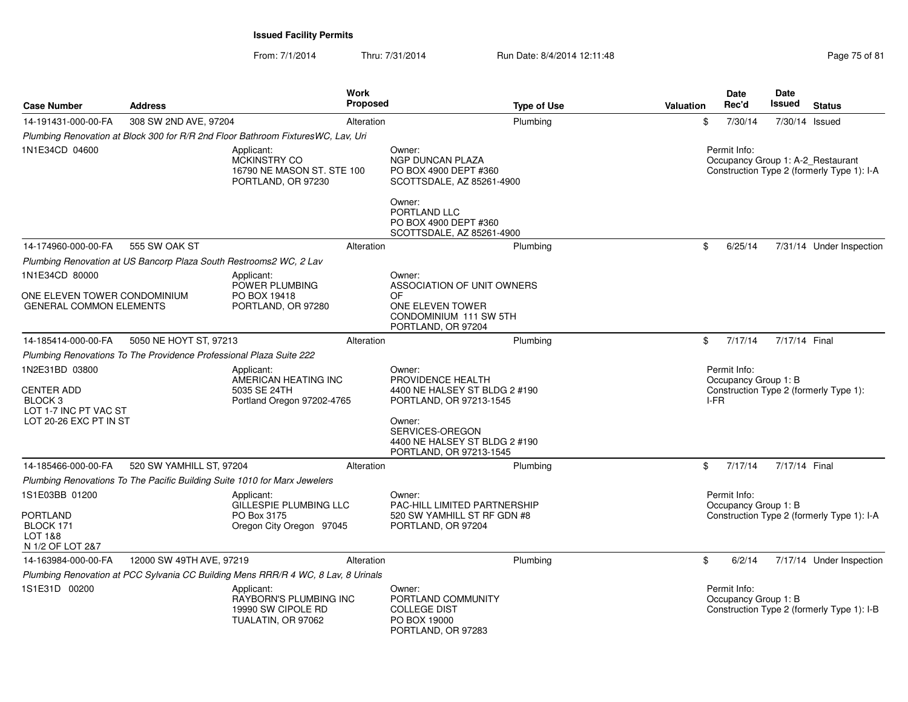From: 7/1/2014Thru: 7/31/2014 **Run Date: 8/4/2014 12:11:48** Page 75 of 81

| <b>Case Number</b>                                                                                           | <b>Address</b>                                                      | <b>Work</b><br><b>Proposed</b>                                                          |                                                                                                                                                                                  | <b>Type of Use</b> | Valuation | <b>Date</b><br>Rec'd                         | Date<br>Issued | <b>Status</b>                                                                   |
|--------------------------------------------------------------------------------------------------------------|---------------------------------------------------------------------|-----------------------------------------------------------------------------------------|----------------------------------------------------------------------------------------------------------------------------------------------------------------------------------|--------------------|-----------|----------------------------------------------|----------------|---------------------------------------------------------------------------------|
| 14-191431-000-00-FA                                                                                          | 308 SW 2ND AVE, 97204                                               | Alteration                                                                              |                                                                                                                                                                                  | Plumbing           | \$        | 7/30/14                                      |                | 7/30/14 Issued                                                                  |
|                                                                                                              |                                                                     | Plumbing Renovation at Block 300 for R/R 2nd Floor Bathroom FixturesWC, Lav, Uri        |                                                                                                                                                                                  |                    |           |                                              |                |                                                                                 |
| 1N1E34CD 04600                                                                                               |                                                                     | Applicant:<br>MCKINSTRY CO<br>16790 NE MASON ST. STE 100<br>PORTLAND, OR 97230          | Owner:<br>NGP DUNCAN PLAZA<br>PO BOX 4900 DEPT #360<br>SCOTTSDALE, AZ 85261-4900<br>Owner:<br>PORTLAND LLC<br>PO BOX 4900 DEPT #360                                              |                    |           | Permit Info:                                 |                | Occupancy Group 1: A-2_Restaurant<br>Construction Type 2 (formerly Type 1): I-A |
|                                                                                                              |                                                                     |                                                                                         | SCOTTSDALE, AZ 85261-4900                                                                                                                                                        |                    |           |                                              |                |                                                                                 |
| 14-174960-000-00-FA                                                                                          | 555 SW OAK ST                                                       | Alteration                                                                              |                                                                                                                                                                                  | Plumbing           | \$        | 6/25/14                                      |                | 7/31/14 Under Inspection                                                        |
|                                                                                                              | Plumbing Renovation at US Bancorp Plaza South Restrooms2 WC, 2 Lav  |                                                                                         |                                                                                                                                                                                  |                    |           |                                              |                |                                                                                 |
| 1N1E34CD 80000<br>ONE ELEVEN TOWER CONDOMINIUM<br><b>GENERAL COMMON ELEMENTS</b>                             |                                                                     | Applicant:<br>POWER PLUMBING<br>PO BOX 19418<br>PORTLAND, OR 97280                      | Owner:<br>ASSOCIATION OF UNIT OWNERS<br>OF<br>ONE ELEVEN TOWER<br>CONDOMINIUM 111 SW 5TH<br>PORTLAND, OR 97204                                                                   |                    |           |                                              |                |                                                                                 |
| 14-185414-000-00-FA                                                                                          | 5050 NE HOYT ST, 97213                                              | Alteration                                                                              |                                                                                                                                                                                  | Plumbing           | \$        | 7/17/14                                      | 7/17/14 Final  |                                                                                 |
|                                                                                                              | Plumbing Renovations To The Providence Professional Plaza Suite 222 |                                                                                         |                                                                                                                                                                                  |                    |           |                                              |                |                                                                                 |
| 1N2E31BD 03800<br><b>CENTER ADD</b><br>BLOCK <sub>3</sub><br>LOT 1-7 INC PT VAC ST<br>LOT 20-26 EXC PT IN ST |                                                                     | Applicant:<br>AMERICAN HEATING INC<br>5035 SE 24TH<br>Portland Oregon 97202-4765        | Owner:<br>PROVIDENCE HEALTH<br>4400 NE HALSEY ST BLDG 2 #190<br>PORTLAND, OR 97213-1545<br>Owner:<br>SERVICES-OREGON<br>4400 NE HALSEY ST BLDG 2 #190<br>PORTLAND, OR 97213-1545 |                    |           | Permit Info:<br>Occupancy Group 1: B<br>I-FR |                | Construction Type 2 (formerly Type 1):                                          |
| 14-185466-000-00-FA                                                                                          | 520 SW YAMHILL ST, 97204                                            | Alteration                                                                              |                                                                                                                                                                                  | Plumbing           | \$        | 7/17/14                                      | 7/17/14 Final  |                                                                                 |
|                                                                                                              |                                                                     | Plumbing Renovations To The Pacific Building Suite 1010 for Marx Jewelers               |                                                                                                                                                                                  |                    |           |                                              |                |                                                                                 |
| 1S1E03BB 01200<br><b>PORTLAND</b><br>BLOCK 171<br>LOT 1&8<br>N 1/2 OF LOT 2&7                                |                                                                     | Applicant:<br>GILLESPIE PLUMBING LLC<br>PO Box 3175<br>Oregon City Oregon 97045         | Owner:<br><b>PAC-HILL LIMITED PARTNERSHIP</b><br>520 SW YAMHILL ST RF GDN #8<br>PORTLAND, OR 97204                                                                               |                    |           | Permit Info:<br>Occupancy Group 1: B         |                | Construction Type 2 (formerly Type 1): I-A                                      |
| 14-163984-000-00-FA                                                                                          | 12000 SW 49TH AVE, 97219                                            | Alteration                                                                              |                                                                                                                                                                                  | Plumbing           | \$        | 6/2/14                                       |                | 7/17/14 Under Inspection                                                        |
|                                                                                                              |                                                                     | Plumbing Renovation at PCC Sylvania CC Building Mens RRR/R 4 WC, 8 Lav, 8 Urinals       |                                                                                                                                                                                  |                    |           |                                              |                |                                                                                 |
| 1S1E31D 00200                                                                                                |                                                                     | Applicant:<br><b>RAYBORN'S PLUMBING INC</b><br>19990 SW CIPOLE RD<br>TUALATIN, OR 97062 | Owner:<br>PORTLAND COMMUNITY<br><b>COLLEGE DIST</b><br>PO BOX 19000<br>PORTLAND, OR 97283                                                                                        |                    |           | Permit Info:<br>Occupancy Group 1: B         |                | Construction Type 2 (formerly Type 1): I-B                                      |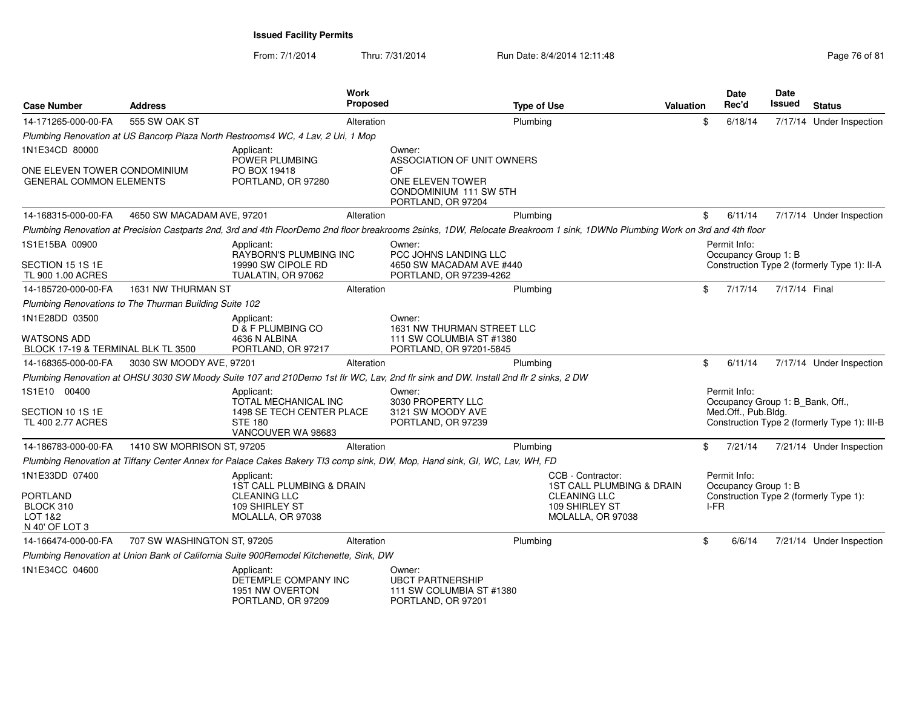From: 7/1/2014Thru: 7/31/2014 Run Date: 8/4/2014 12:11:48 Research 2010 12:00 Rage 76 of 81

| <b>Case Number</b>                                             | <b>Address</b>                                         |                                                                                        | <b>Work</b><br><b>Proposed</b> |                                                                                                                                                                             | <b>Type of Use</b>                                         | <b>Valuation</b> | <b>Date</b><br>Rec'd                             | Date<br>Issued | <b>Status</b>                                |
|----------------------------------------------------------------|--------------------------------------------------------|----------------------------------------------------------------------------------------|--------------------------------|-----------------------------------------------------------------------------------------------------------------------------------------------------------------------------|------------------------------------------------------------|------------------|--------------------------------------------------|----------------|----------------------------------------------|
| 14-171265-000-00-FA                                            | 555 SW OAK ST                                          |                                                                                        | Alteration                     |                                                                                                                                                                             | Plumbing                                                   | \$               | 6/18/14                                          |                | 7/17/14 Under Inspection                     |
|                                                                |                                                        | Plumbing Renovation at US Bancorp Plaza North Restrooms4 WC, 4 Lav, 2 Uri, 1 Mop       |                                |                                                                                                                                                                             |                                                            |                  |                                                  |                |                                              |
| 1N1E34CD 80000                                                 |                                                        | Applicant:<br>POWER PLUMBING                                                           |                                | Owner:<br>ASSOCIATION OF UNIT OWNERS                                                                                                                                        |                                                            |                  |                                                  |                |                                              |
| ONE ELEVEN TOWER CONDOMINIUM<br><b>GENERAL COMMON ELEMENTS</b> |                                                        | PO BOX 19418<br>PORTLAND, OR 97280                                                     |                                | OF<br>ONE ELEVEN TOWER<br>CONDOMINIUM 111 SW 5TH<br>PORTLAND, OR 97204                                                                                                      |                                                            |                  |                                                  |                |                                              |
| 14-168315-000-00-FA                                            | 4650 SW MACADAM AVE, 97201                             |                                                                                        | Alteration                     |                                                                                                                                                                             | Plumbina                                                   | \$               | 6/11/14                                          |                | 7/17/14 Under Inspection                     |
|                                                                |                                                        |                                                                                        |                                | Plumbing Renovation at Precision Castparts 2nd, 3rd and 4th FloorDemo 2nd floor breakrooms 2sinks, 1DW, Relocate Breakroom 1 sink, 1DWNo Plumbing Work on 3rd and 4th floor |                                                            |                  |                                                  |                |                                              |
| 1S1E15BA 00900<br>SECTION 15 1S 1E                             |                                                        | Applicant:<br>RAYBORN'S PLUMBING INC<br>19990 SW CIPOLE RD                             |                                | Owner:<br>PCC JOHNS LANDING LLC<br>4650 SW MACADAM AVE #440                                                                                                                 |                                                            |                  | Permit Info:<br>Occupancy Group 1: B             |                | Construction Type 2 (formerly Type 1): II-A  |
| TL 900 1.00 ACRES                                              |                                                        | TUALATIN, OR 97062                                                                     |                                | PORTLAND, OR 97239-4262                                                                                                                                                     |                                                            |                  |                                                  |                |                                              |
| 14-185720-000-00-FA                                            | 1631 NW THURMAN ST                                     |                                                                                        | Alteration                     |                                                                                                                                                                             | Plumbing                                                   | \$               | 7/17/14                                          | 7/17/14 Final  |                                              |
|                                                                | Plumbing Renovations to The Thurman Building Suite 102 |                                                                                        |                                |                                                                                                                                                                             |                                                            |                  |                                                  |                |                                              |
| 1N1E28DD 03500                                                 |                                                        | Applicant:<br>D & F PLUMBING CO                                                        |                                | Owner:<br>1631 NW THURMAN STREET LLC                                                                                                                                        |                                                            |                  |                                                  |                |                                              |
| <b>WATSONS ADD</b><br>BLOCK 17-19 & TERMINAL BLK TL 3500       |                                                        | 4636 N ALBINA<br>PORTLAND, OR 97217                                                    |                                | 111 SW COLUMBIA ST #1380<br>PORTLAND, OR 97201-5845                                                                                                                         |                                                            |                  |                                                  |                |                                              |
| 14-168365-000-00-FA                                            | 3030 SW MOODY AVE, 97201                               |                                                                                        | Alteration                     |                                                                                                                                                                             | Plumbing                                                   | \$               | 6/11/14                                          |                | 7/17/14 Under Inspection                     |
|                                                                |                                                        |                                                                                        |                                | Plumbing Renovation at OHSU 3030 SW Moody Suite 107 and 210Demo 1st fir WC, Lav, 2nd fir sink and DW. Install 2nd fir 2 sinks, 2 DW                                         |                                                            |                  |                                                  |                |                                              |
| 1S1E10 00400                                                   |                                                        | Applicant:<br>TOTAL MECHANICAL INC                                                     |                                | Owner:<br>3030 PROPERTY LLC                                                                                                                                                 |                                                            |                  | Permit Info:<br>Occupancy Group 1: B Bank, Off., |                |                                              |
| SECTION 10 1S 1E<br>TL 400 2.77 ACRES                          |                                                        | 1498 SE TECH CENTER PLACE<br><b>STE 180</b><br>VANCOUVER WA 98683                      |                                | 3121 SW MOODY AVE<br>PORTLAND, OR 97239                                                                                                                                     |                                                            |                  | Med.Off., Pub.Bldg.                              |                | Construction Type 2 (formerly Type 1): III-B |
| 14-186783-000-00-FA                                            | 1410 SW MORRISON ST, 97205                             |                                                                                        | Alteration                     |                                                                                                                                                                             | Plumbing                                                   | \$               | 7/21/14                                          |                | 7/21/14 Under Inspection                     |
|                                                                |                                                        |                                                                                        |                                | Plumbing Renovation at Tiffany Center Annex for Palace Cakes Bakery TI3 comp sink, DW, Mop, Hand sink, GI, WC, Lav, WH, FD                                                  |                                                            |                  |                                                  |                |                                              |
| 1N1E33DD 07400                                                 |                                                        | Applicant:<br><b>1ST CALL PLUMBING &amp; DRAIN</b>                                     |                                |                                                                                                                                                                             | CCB - Contractor:<br>1ST CALL PLUMBING & DRAIN             |                  | Permit Info:<br>Occupancy Group 1: B             |                |                                              |
| PORTLAND<br>BLOCK 310<br>LOT 1&2<br>N 40' OF LOT 3             |                                                        | <b>CLEANING LLC</b><br>109 SHIRLEY ST<br>MOLALLA, OR 97038                             |                                |                                                                                                                                                                             | <b>CLEANING LLC</b><br>109 SHIRLEY ST<br>MOLALLA, OR 97038 | I-FR             |                                                  |                | Construction Type 2 (formerly Type 1):       |
| 14-166474-000-00-FA                                            | 707 SW WASHINGTON ST, 97205                            |                                                                                        | Alteration                     |                                                                                                                                                                             | Plumbing                                                   | \$               | 6/6/14                                           |                | 7/21/14 Under Inspection                     |
|                                                                |                                                        | Plumbing Renovation at Union Bank of California Suite 900Remodel Kitchenette, Sink, DW |                                |                                                                                                                                                                             |                                                            |                  |                                                  |                |                                              |
| 1N1E34CC 04600                                                 |                                                        | Applicant:<br>DETEMPLE COMPANY INC<br>1951 NW OVERTON<br>PORTLAND, OR 97209            |                                | Owner:<br><b>UBCT PARTNERSHIP</b><br>111 SW COLUMBIA ST #1380<br>PORTLAND, OR 97201                                                                                         |                                                            |                  |                                                  |                |                                              |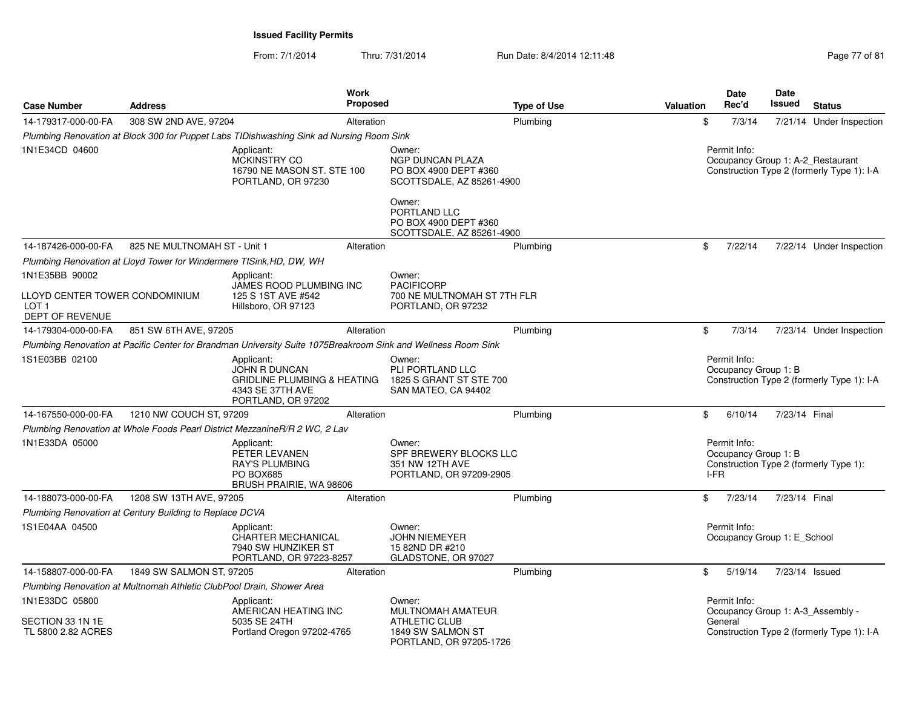From: 7/1/2014Thru: 7/31/2014 Run Date: 8/4/2014 12:11:48 Research 2010 12:00 Page 77 of 81

| <b>Case Number</b>                                                                      | <b>Address</b>                                          | <b>Work</b><br><b>Proposed</b>                                                                                  |                                                                                                               | <b>Type of Use</b>          | Valuation | Date<br>Rec'd                                | <b>Date</b><br>Issued | <b>Status</b>                                                                   |
|-----------------------------------------------------------------------------------------|---------------------------------------------------------|-----------------------------------------------------------------------------------------------------------------|---------------------------------------------------------------------------------------------------------------|-----------------------------|-----------|----------------------------------------------|-----------------------|---------------------------------------------------------------------------------|
| 14-179317-000-00-FA                                                                     | 308 SW 2ND AVE, 97204                                   | Alteration                                                                                                      |                                                                                                               | Plumbing                    | \$        | 7/3/14                                       |                       | 7/21/14 Under Inspection                                                        |
|                                                                                         |                                                         | Plumbing Renovation at Block 300 for Puppet Labs TIDishwashing Sink ad Nursing Room Sink                        |                                                                                                               |                             |           |                                              |                       |                                                                                 |
| 1N1E34CD 04600                                                                          |                                                         | Applicant:<br><b>MCKINSTRY CO</b><br>16790 NE MASON ST. STE 100<br>PORTLAND, OR 97230                           | Owner:<br><b>NGP DUNCAN PLAZA</b><br>PO BOX 4900 DEPT #360<br>Owner:<br>PORTLAND LLC<br>PO BOX 4900 DEPT #360 | SCOTTSDALE, AZ 85261-4900   |           | Permit Info:                                 |                       | Occupancy Group 1: A-2_Restaurant<br>Construction Type 2 (formerly Type 1): I-A |
|                                                                                         |                                                         |                                                                                                                 |                                                                                                               | SCOTTSDALE, AZ 85261-4900   |           |                                              |                       |                                                                                 |
| 14-187426-000-00-FA                                                                     | 825 NE MULTNOMAH ST - Unit 1                            | Alteration                                                                                                      |                                                                                                               | Plumbing                    | \$        | 7/22/14                                      |                       | 7/22/14 Under Inspection                                                        |
|                                                                                         |                                                         | Plumbing Renovation at Lloyd Tower for Windermere TISink, HD, DW, WH                                            |                                                                                                               |                             |           |                                              |                       |                                                                                 |
| 1N1E35BB 90002<br>LLOYD CENTER TOWER CONDOMINIUM<br>LOT <sub>1</sub><br>DEPT OF REVENUE |                                                         | Applicant:<br>JAMES ROOD PLUMBING INC<br>125 S 1ST AVE #542<br>Hillsboro, OR 97123                              | Owner:<br><b>PACIFICORP</b><br>PORTLAND, OR 97232                                                             | 700 NE MULTNOMAH ST 7TH FLR |           |                                              |                       |                                                                                 |
| 14-179304-000-00-FA                                                                     | 851 SW 6TH AVE, 97205                                   | Alteration                                                                                                      |                                                                                                               | Plumbing                    | \$        | 7/3/14                                       |                       | 7/23/14 Under Inspection                                                        |
|                                                                                         |                                                         | Plumbing Renovation at Pacific Center for Brandman University Suite 1075Breakroom Sink and Wellness Room Sink   |                                                                                                               |                             |           |                                              |                       |                                                                                 |
| 1S1E03BB 02100                                                                          |                                                         | Applicant:<br>JOHN R DUNCAN<br><b>GRIDLINE PLUMBING &amp; HEATING</b><br>4343 SE 37TH AVE<br>PORTLAND, OR 97202 | Owner:<br>PLI PORTLAND LLC<br>1825 S GRANT ST STE 700<br>SAN MATEO, CA 94402                                  |                             |           | Permit Info:<br>Occupancy Group 1: B         |                       | Construction Type 2 (formerly Type 1): I-A                                      |
| 14-167550-000-00-FA                                                                     | 1210 NW COUCH ST, 97209                                 | Alteration                                                                                                      |                                                                                                               | Plumbing                    | \$        | 6/10/14                                      | 7/23/14 Final         |                                                                                 |
|                                                                                         |                                                         | Plumbing Renovation at Whole Foods Pearl District MezzanineR/R 2 WC, 2 Lav                                      |                                                                                                               |                             |           |                                              |                       |                                                                                 |
| 1N1E33DA 05000                                                                          |                                                         | Applicant:<br>PETER LEVANEN<br><b>RAY'S PLUMBING</b><br>PO BOX685<br>BRUSH PRAIRIE, WA 98606                    | Owner:<br>351 NW 12TH AVE<br>PORTLAND, OR 97209-2905                                                          | SPF BREWERY BLOCKS LLC      |           | Permit Info:<br>Occupancy Group 1: B<br>I-FR |                       | Construction Type 2 (formerly Type 1):                                          |
| 14-188073-000-00-FA                                                                     | 1208 SW 13TH AVE, 97205                                 | Alteration                                                                                                      |                                                                                                               | Plumbing                    | \$        | 7/23/14                                      | 7/23/14 Final         |                                                                                 |
|                                                                                         | Plumbing Renovation at Century Building to Replace DCVA |                                                                                                                 |                                                                                                               |                             |           |                                              |                       |                                                                                 |
| 1S1E04AA 04500                                                                          |                                                         | Applicant:<br><b>CHARTER MECHANICAL</b><br>7940 SW HUNZIKER ST<br>PORTLAND, OR 97223-8257                       | Owner:<br><b>JOHN NIEMEYER</b><br>15 82ND DR #210<br>GLADSTONE, OR 97027                                      |                             |           | Permit Info:<br>Occupancy Group 1: E School  |                       |                                                                                 |
| 14-158807-000-00-FA                                                                     | 1849 SW SALMON ST, 97205                                | Alteration                                                                                                      |                                                                                                               | Plumbing                    | \$        | 5/19/14                                      |                       | 7/23/14 Issued                                                                  |
|                                                                                         |                                                         | Plumbing Renovation at Multnomah Athletic ClubPool Drain, Shower Area                                           |                                                                                                               |                             |           |                                              |                       |                                                                                 |
| 1N1E33DC 05800<br>SECTION 33 1N 1E<br>TL 5800 2.82 ACRES                                |                                                         | Applicant:<br>AMERICAN HEATING INC<br>5035 SE 24TH                                                              | Owner:<br>MULTNOMAH AMATEUR<br><b>ATHLETIC CLUB</b><br>1849 SW SALMON ST                                      |                             |           | Permit Info:<br>General                      |                       | Occupancy Group 1: A-3 Assembly -                                               |
|                                                                                         |                                                         | Portland Oregon 97202-4765                                                                                      | PORTLAND, OR 97205-1726                                                                                       |                             |           |                                              |                       | Construction Type 2 (formerly Type 1): I-A                                      |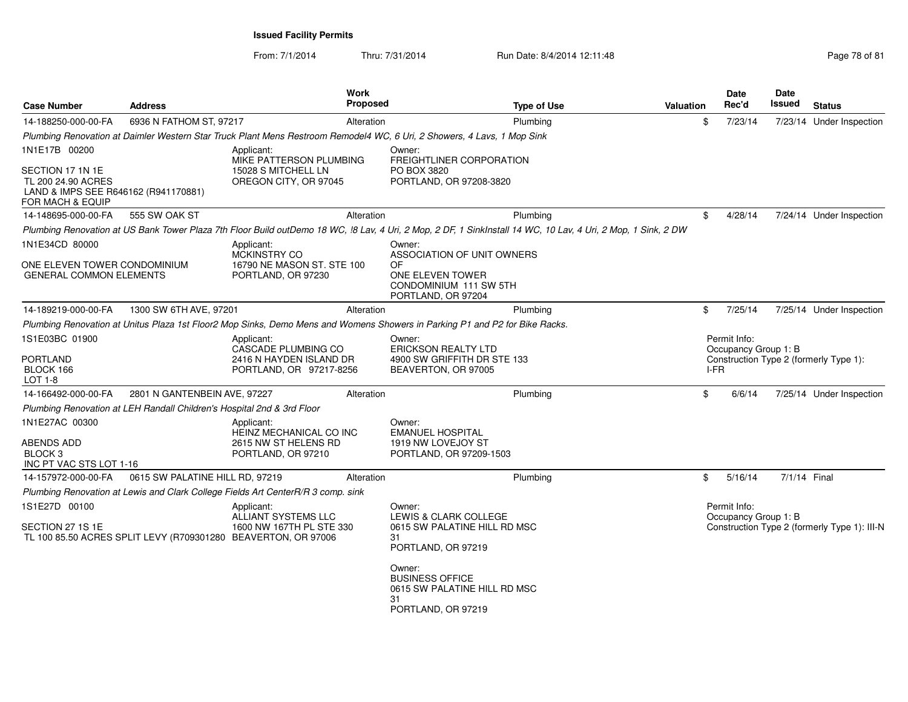From: 7/1/2014Thru: 7/31/2014 Run Date: 8/4/2014 12:11:48 Research 2010 12:00 Rage 78 of 81

| <b>Case Number</b>                                                                                                  | <b>Address</b>                                                         |                                                                                                                                | Work<br><b>Proposed</b> |                                                                                                                             | <b>Type of Use</b>                                                                                                                                            | Valuation |      | Date<br>Rec'd                        | Date<br><b>Issued</b> | <b>Status</b>                                |
|---------------------------------------------------------------------------------------------------------------------|------------------------------------------------------------------------|--------------------------------------------------------------------------------------------------------------------------------|-------------------------|-----------------------------------------------------------------------------------------------------------------------------|---------------------------------------------------------------------------------------------------------------------------------------------------------------|-----------|------|--------------------------------------|-----------------------|----------------------------------------------|
| 14-188250-000-00-FA                                                                                                 | 6936 N FATHOM ST, 97217                                                |                                                                                                                                | Alteration              |                                                                                                                             | Plumbing                                                                                                                                                      |           | \$   | 7/23/14                              |                       | 7/23/14 Under Inspection                     |
|                                                                                                                     |                                                                        |                                                                                                                                |                         | Plumbing Renovation at Daimler Western Star Truck Plant Mens Restroom Remodel4 WC, 6 Uri, 2 Showers, 4 Lavs, 1 Mop Sink     |                                                                                                                                                               |           |      |                                      |                       |                                              |
| 1N1E17B 00200<br>SECTION 17 1N 1E<br>TL 200 24.90 ACRES<br>LAND & IMPS SEE R646162 (R941170881)<br>FOR MACH & EQUIP |                                                                        | Applicant:<br>MIKE PATTERSON PLUMBING<br>15028 S MITCHELL LN<br>OREGON CITY, OR 97045                                          |                         | Owner:<br>FREIGHTLINER CORPORATION<br>PO BOX 3820<br>PORTLAND, OR 97208-3820                                                |                                                                                                                                                               |           |      |                                      |                       |                                              |
| 14-148695-000-00-FA                                                                                                 | 555 SW OAK ST                                                          |                                                                                                                                | Alteration              |                                                                                                                             | Plumbing                                                                                                                                                      |           | \$   | 4/28/14                              |                       | 7/24/14 Under Inspection                     |
|                                                                                                                     |                                                                        |                                                                                                                                |                         |                                                                                                                             | Plumbing Renovation at US Bank Tower Plaza 7th Floor Build outDemo 18 WC, !8 Lav, 4 Uri, 2 Mop, 2 DF, 1 SinkInstall 14 WC, 10 Lav, 4 Uri, 2 Mop, 1 Sink, 2 DW |           |      |                                      |                       |                                              |
| 1N1E34CD 80000<br>ONE ELEVEN TOWER CONDOMINIUM<br><b>GENERAL COMMON ELEMENTS</b>                                    |                                                                        | Applicant:<br><b>MCKINSTRY CO</b><br>16790 NE MASON ST. STE 100<br>PORTLAND, OR 97230                                          |                         | Owner:<br>ASSOCIATION OF UNIT OWNERS<br>OF<br>ONE ELEVEN TOWER<br>CONDOMINIUM 111 SW 5TH<br>PORTLAND, OR 97204              |                                                                                                                                                               |           |      |                                      |                       |                                              |
| 14-189219-000-00-FA                                                                                                 | 1300 SW 6TH AVE, 97201                                                 |                                                                                                                                | Alteration              |                                                                                                                             | Plumbing                                                                                                                                                      |           | \$   | 7/25/14                              |                       | 7/25/14 Under Inspection                     |
|                                                                                                                     |                                                                        |                                                                                                                                |                         | Plumbing Renovation at Unitus Plaza 1st Floor2 Mop Sinks, Demo Mens and Womens Showers in Parking P1 and P2 for Bike Racks. |                                                                                                                                                               |           |      |                                      |                       |                                              |
| 1S1E03BC 01900<br><b>PORTLAND</b><br>BLOCK 166<br>LOT 1-8                                                           |                                                                        | Applicant:<br>CASCADE PLUMBING CO<br>2416 N HAYDEN ISLAND DR<br>PORTLAND, OR 97217-8256                                        |                         | Owner:<br><b>ERICKSON REALTY LTD</b><br>4900 SW GRIFFITH DR STE 133<br>BEAVERTON, OR 97005                                  |                                                                                                                                                               |           | I-FR | Permit Info:<br>Occupancy Group 1: B |                       | Construction Type 2 (formerly Type 1):       |
| 14-166492-000-00-FA                                                                                                 | 2801 N GANTENBEIN AVE, 97227                                           |                                                                                                                                | Alteration              |                                                                                                                             | Plumbing                                                                                                                                                      |           | \$   | 6/6/14                               |                       | 7/25/14 Under Inspection                     |
|                                                                                                                     | Plumbing Renovation at LEH Randall Children's Hospital 2nd & 3rd Floor |                                                                                                                                |                         |                                                                                                                             |                                                                                                                                                               |           |      |                                      |                       |                                              |
| 1N1E27AC 00300<br>ABENDS ADD<br>BLOCK <sub>3</sub><br>INC PT VAC STS LOT 1-16                                       |                                                                        | Applicant:<br>HEINZ MECHANICAL CO INC<br>2615 NW ST HELENS RD<br>PORTLAND, OR 97210                                            |                         | Owner:<br><b>EMANUEL HOSPITAL</b><br>1919 NW LOVEJOY ST<br>PORTLAND, OR 97209-1503                                          |                                                                                                                                                               |           |      |                                      |                       |                                              |
| 14-157972-000-00-FA                                                                                                 | 0615 SW PALATINE HILL RD, 97219                                        |                                                                                                                                | Alteration              |                                                                                                                             | Plumbing                                                                                                                                                      |           | \$   | 5/16/14                              | 7/1/14 Final          |                                              |
|                                                                                                                     |                                                                        | Plumbing Renovation at Lewis and Clark College Fields Art CenterR/R 3 comp. sink                                               |                         |                                                                                                                             |                                                                                                                                                               |           |      |                                      |                       |                                              |
| 1S1E27D 00100<br>SECTION 27 1S 1E                                                                                   |                                                                        | Applicant:<br>ALLIANT SYSTEMS LLC<br>1600 NW 167TH PL STE 330<br>TL 100 85.50 ACRES SPLIT LEVY (R709301280 BEAVERTON, OR 97006 |                         | Owner:<br>LEWIS & CLARK COLLEGE<br>0615 SW PALATINE HILL RD MSC<br>31<br>PORTLAND, OR 97219                                 |                                                                                                                                                               |           |      | Permit Info:<br>Occupancy Group 1: B |                       | Construction Type 2 (formerly Type 1): III-N |
|                                                                                                                     |                                                                        |                                                                                                                                |                         | Owner:<br><b>BUSINESS OFFICE</b><br>0615 SW PALATINE HILL RD MSC<br>31<br>PORTLAND, OR 97219                                |                                                                                                                                                               |           |      |                                      |                       |                                              |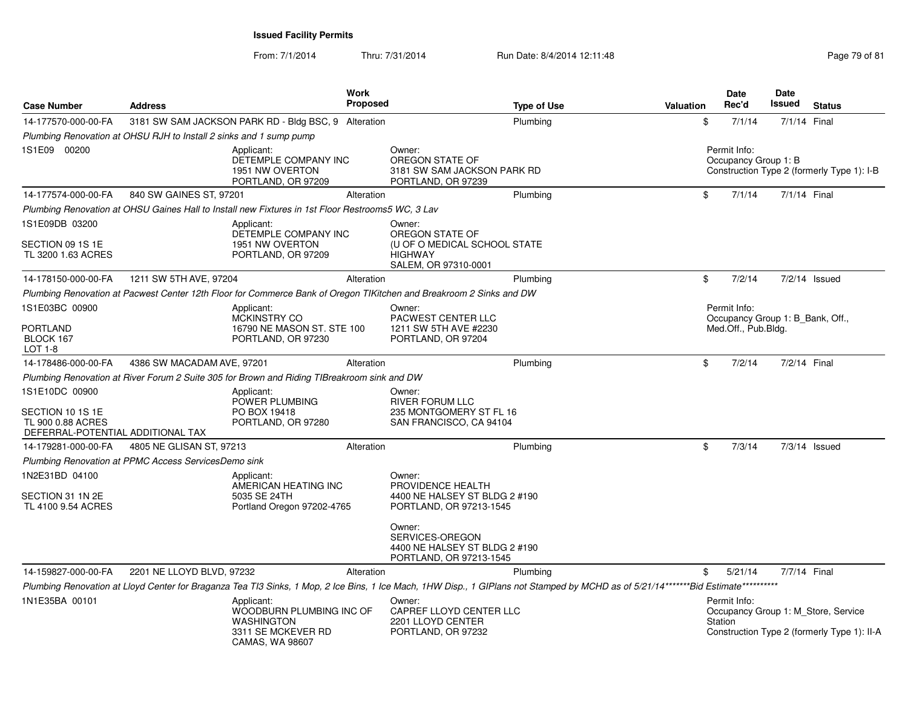From: 7/1/2014Thru: 7/31/2014 Run Date: 8/4/2014 12:11:48 Run Date: 8/4/2014 12:11:48

|                                                                                              |                                                                    |                                                                                                      | <b>Work</b>     |                                                                                                                     |                                                                                                                                                                                     |                  |         | <b>Date</b>                                      | Date          |                                                                                    |
|----------------------------------------------------------------------------------------------|--------------------------------------------------------------------|------------------------------------------------------------------------------------------------------|-----------------|---------------------------------------------------------------------------------------------------------------------|-------------------------------------------------------------------------------------------------------------------------------------------------------------------------------------|------------------|---------|--------------------------------------------------|---------------|------------------------------------------------------------------------------------|
| <b>Case Number</b>                                                                           | <b>Address</b>                                                     |                                                                                                      | <b>Proposed</b> |                                                                                                                     | <b>Type of Use</b>                                                                                                                                                                  | <b>Valuation</b> |         | Rec'd                                            | <b>Issued</b> | <b>Status</b>                                                                      |
| 14-177570-000-00-FA                                                                          |                                                                    | 3181 SW SAM JACKSON PARK RD - Bldg BSC, 9 Alteration                                                 |                 |                                                                                                                     | Plumbina                                                                                                                                                                            |                  | \$      | 7/1/14                                           | 7/1/14 Final  |                                                                                    |
|                                                                                              | Plumbing Renovation at OHSU RJH to Install 2 sinks and 1 sump pump |                                                                                                      |                 |                                                                                                                     |                                                                                                                                                                                     |                  |         |                                                  |               |                                                                                    |
| 1S1E09 00200                                                                                 |                                                                    | Applicant:<br>DETEMPLE COMPANY INC<br>1951 NW OVERTON<br>PORTLAND, OR 97209                          |                 | Owner:<br>OREGON STATE OF<br>3181 SW SAM JACKSON PARK RD<br>PORTLAND, OR 97239                                      |                                                                                                                                                                                     |                  |         | Permit Info:<br>Occupancy Group 1: B             |               | Construction Type 2 (formerly Type 1): I-B                                         |
| 14-177574-000-00-FA                                                                          | 840 SW GAINES ST, 97201                                            |                                                                                                      | Alteration      |                                                                                                                     | Plumbing                                                                                                                                                                            |                  | \$      | 7/1/14                                           | 7/1/14 Final  |                                                                                    |
|                                                                                              |                                                                    | Plumbing Renovation at OHSU Gaines Hall to Install new Fixtures in 1st Floor Restrooms5 WC, 3 Lav    |                 |                                                                                                                     |                                                                                                                                                                                     |                  |         |                                                  |               |                                                                                    |
| 1S1E09DB 03200                                                                               |                                                                    | Applicant:<br>DETEMPLE COMPANY INC                                                                   |                 | Owner:<br>OREGON STATE OF                                                                                           |                                                                                                                                                                                     |                  |         |                                                  |               |                                                                                    |
| SECTION 09 1S 1E<br>TL 3200 1.63 ACRES                                                       |                                                                    | 1951 NW OVERTON<br>PORTLAND, OR 97209                                                                |                 | (U OF O MEDICAL SCHOOL STATE<br><b>HIGHWAY</b><br>SALEM, OR 97310-0001                                              |                                                                                                                                                                                     |                  |         |                                                  |               |                                                                                    |
| 14-178150-000-00-FA                                                                          | 1211 SW 5TH AVE, 97204                                             |                                                                                                      | Alteration      |                                                                                                                     | Plumbing                                                                                                                                                                            |                  | \$      | 7/2/14                                           |               | 7/2/14 Issued                                                                      |
|                                                                                              |                                                                    |                                                                                                      |                 | Plumbing Renovation at Pacwest Center 12th Floor for Commerce Bank of Oregon TIKitchen and Breakroom 2 Sinks and DW |                                                                                                                                                                                     |                  |         |                                                  |               |                                                                                    |
| 1S1E03BC 00900                                                                               |                                                                    | Applicant:<br><b>MCKINSTRY CO</b>                                                                    |                 | Owner:<br>PACWEST CENTER LLC                                                                                        |                                                                                                                                                                                     |                  |         | Permit Info:<br>Occupancy Group 1: B Bank, Off., |               |                                                                                    |
| <b>PORTLAND</b><br>BLOCK 167<br>LOT 1-8                                                      |                                                                    | 16790 NE MASON ST, STE 100<br>PORTLAND, OR 97230                                                     |                 | 1211 SW 5TH AVE #2230<br>PORTLAND, OR 97204                                                                         |                                                                                                                                                                                     |                  |         | Med.Off., Pub.Bldg.                              |               |                                                                                    |
| 14-178486-000-00-FA                                                                          | 4386 SW MACADAM AVE, 97201                                         |                                                                                                      | Alteration      |                                                                                                                     | Plumbing                                                                                                                                                                            |                  | \$      | 7/2/14                                           | 7/2/14 Final  |                                                                                    |
|                                                                                              |                                                                    | Plumbing Renovation at River Forum 2 Suite 305 for Brown and Riding TIBreakroom sink and DW          |                 |                                                                                                                     |                                                                                                                                                                                     |                  |         |                                                  |               |                                                                                    |
| 1S1E10DC 00900<br>SECTION 10 1S 1E<br>TL 900 0.88 ACRES<br>DEFERRAL-POTENTIAL ADDITIONAL TAX |                                                                    | Applicant:<br>POWER PLUMBING<br>PO BOX 19418<br>PORTLAND, OR 97280                                   |                 | Owner:<br>RIVER FORUM LLC<br>235 MONTGOMERY ST FL 16<br>SAN FRANCISCO, CA 94104                                     |                                                                                                                                                                                     |                  |         |                                                  |               |                                                                                    |
| 14-179281-000-00-FA                                                                          | 4805 NE GLISAN ST, 97213                                           |                                                                                                      | Alteration      |                                                                                                                     | Plumbing                                                                                                                                                                            |                  | \$      | 7/3/14                                           |               | 7/3/14 Issued                                                                      |
|                                                                                              | Plumbing Renovation at PPMC Access ServicesDemo sink               |                                                                                                      |                 |                                                                                                                     |                                                                                                                                                                                     |                  |         |                                                  |               |                                                                                    |
| 1N2E31BD 04100<br>SECTION 31 1N 2E<br>TL 4100 9.54 ACRES                                     |                                                                    | Applicant:<br>AMERICAN HEATING INC<br>5035 SE 24TH<br>Portland Oregon 97202-4765                     |                 | Owner:<br>PROVIDENCE HEALTH<br>4400 NE HALSEY ST BLDG 2 #190<br>PORTLAND, OR 97213-1545                             |                                                                                                                                                                                     |                  |         |                                                  |               |                                                                                    |
|                                                                                              |                                                                    |                                                                                                      |                 | Owner:<br>SERVICES-OREGON<br>4400 NE HALSEY ST BLDG 2 #190<br>PORTLAND, OR 97213-1545                               |                                                                                                                                                                                     |                  |         |                                                  |               |                                                                                    |
| 14-159827-000-00-FA                                                                          | 2201 NE LLOYD BLVD, 97232                                          |                                                                                                      | Alteration      |                                                                                                                     | Plumbing                                                                                                                                                                            |                  | \$      | 5/21/14                                          | 7/7/14 Final  |                                                                                    |
|                                                                                              |                                                                    |                                                                                                      |                 |                                                                                                                     | Plumbing Renovation at Lloyd Center for Braganza Tea TI3 Sinks, 1 Mop, 2 Ice Bins, 1 Ice Mach, 1HW Disp., 1 GIPlans not Stamped by MCHD as of 5/21/14*******Bid Estimate*********** |                  |         |                                                  |               |                                                                                    |
| 1N1E35BA 00101                                                                               |                                                                    | Applicant:<br>WOODBURN PLUMBING INC OF<br><b>WASHINGTON</b><br>3311 SE MCKEVER RD<br>CAMAS, WA 98607 |                 | Owner:<br>CAPREF LLOYD CENTER LLC<br>2201 LLOYD CENTER<br>PORTLAND, OR 97232                                        |                                                                                                                                                                                     |                  | Station | Permit Info:                                     |               | Occupancy Group 1: M Store, Service<br>Construction Type 2 (formerly Type 1): II-A |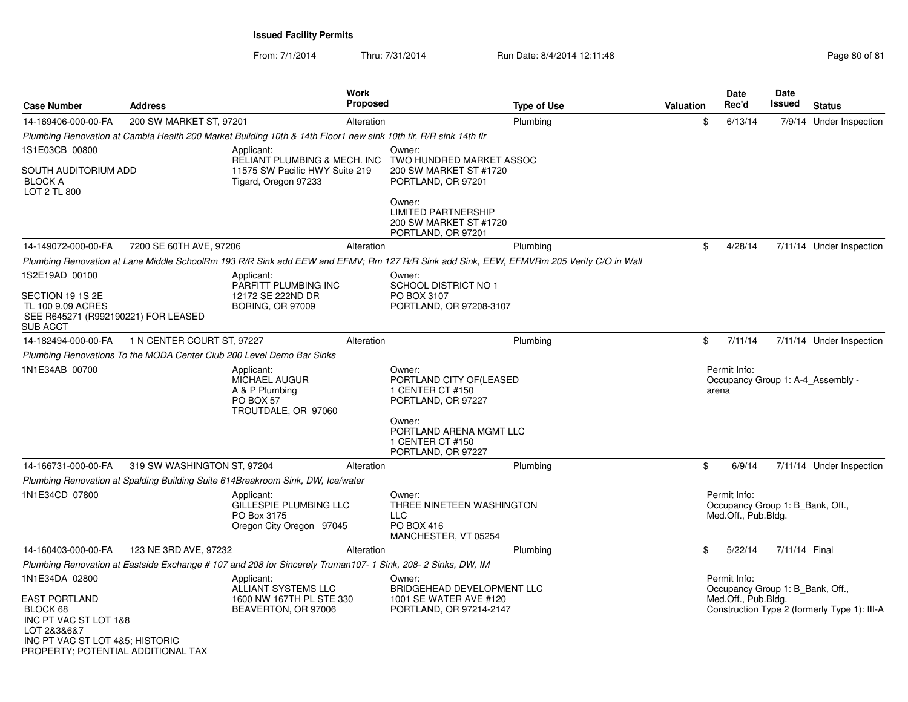From: 7/1/2014Thru: 7/31/2014 Run Date: 8/4/2014 12:11:48 Run Date: 8/4/2014 12:11:48

| <b>Case Number</b>                                                                                                                                | <b>Address</b>              |                                                                                                                  | Work<br><b>Proposed</b> | <b>Type of Use</b>                                                                                                                      | Valuation | Date<br>Rec'd                                                           | Date<br>Issued | <b>Status</b>                                |
|---------------------------------------------------------------------------------------------------------------------------------------------------|-----------------------------|------------------------------------------------------------------------------------------------------------------|-------------------------|-----------------------------------------------------------------------------------------------------------------------------------------|-----------|-------------------------------------------------------------------------|----------------|----------------------------------------------|
| 14-169406-000-00-FA                                                                                                                               | 200 SW MARKET ST, 97201     |                                                                                                                  | Alteration              | Plumbing                                                                                                                                | \$        | 6/13/14                                                                 |                | 7/9/14 Under Inspection                      |
|                                                                                                                                                   |                             | Plumbing Renovation at Cambia Health 200 Market Building 10th & 14th Floor1 new sink 10th flr, R/R sink 14th flr |                         |                                                                                                                                         |           |                                                                         |                |                                              |
| 1S1E03CB 00800<br>SOUTH AUDITORIUM ADD<br><b>BLOCK A</b>                                                                                          |                             | Applicant:<br><b>RELIANT PLUMBING &amp; MECH. INC</b><br>11575 SW Pacific HWY Suite 219<br>Tigard, Oregon 97233  |                         | Owner:<br>TWO HUNDRED MARKET ASSOC<br>200 SW MARKET ST #1720<br>PORTLAND, OR 97201                                                      |           |                                                                         |                |                                              |
| LOT 2 TL 800                                                                                                                                      |                             |                                                                                                                  |                         | Owner:<br><b>LIMITED PARTNERSHIP</b><br>200 SW MARKET ST #1720<br>PORTLAND, OR 97201                                                    |           |                                                                         |                |                                              |
| 14-149072-000-00-FA                                                                                                                               | 7200 SE 60TH AVE, 97206     |                                                                                                                  | Alteration              | Plumbing                                                                                                                                | \$        | 4/28/14                                                                 |                | 7/11/14 Under Inspection                     |
|                                                                                                                                                   |                             |                                                                                                                  |                         | Plumbing Renovation at Lane Middle SchoolRm 193 R/R Sink add EEW and EFMV; Rm 127 R/R Sink add Sink, EEW, EFMVRm 205 Verify C/O in Wall |           |                                                                         |                |                                              |
| 1S2E19AD 00100                                                                                                                                    |                             | Applicant:<br>PARFITT PLUMBING INC                                                                               |                         | Owner:<br><b>SCHOOL DISTRICT NO 1</b>                                                                                                   |           |                                                                         |                |                                              |
| SECTION 19 1S 2E<br>TL 100 9.09 ACRES<br>SEE R645271 (R992190221) FOR LEASED<br>SUB ACCT                                                          |                             | 12172 SE 222ND DR<br><b>BORING, OR 97009</b>                                                                     |                         | PO BOX 3107<br>PORTLAND, OR 97208-3107                                                                                                  |           |                                                                         |                |                                              |
| 14-182494-000-00-FA                                                                                                                               | 1 N CENTER COURT ST, 97227  |                                                                                                                  | Alteration              | Plumbing                                                                                                                                | \$        | 7/11/14                                                                 |                | 7/11/14 Under Inspection                     |
|                                                                                                                                                   |                             | Plumbing Renovations To the MODA Center Club 200 Level Demo Bar Sinks                                            |                         |                                                                                                                                         |           |                                                                         |                |                                              |
| 1N1E34AB 00700                                                                                                                                    |                             | Applicant:<br>MICHAEL AUGUR<br>A & P Plumbing<br>PO BOX 57<br>TROUTDALE, OR 97060                                |                         | Owner:<br>PORTLAND CITY OF(LEASED<br>1 CENTER CT #150<br>PORTLAND, OR 97227<br>Owner:<br>PORTLAND ARENA MGMT LLC<br>1 CENTER CT #150    |           | Permit Info:<br>arena                                                   |                | Occupancy Group 1: A-4 Assembly -            |
|                                                                                                                                                   |                             |                                                                                                                  |                         | PORTLAND, OR 97227                                                                                                                      |           |                                                                         |                |                                              |
| 14-166731-000-00-FA                                                                                                                               | 319 SW WASHINGTON ST, 97204 |                                                                                                                  | Alteration              | Plumbing                                                                                                                                | \$        | 6/9/14                                                                  |                | 7/11/14 Under Inspection                     |
|                                                                                                                                                   |                             | Plumbing Renovation at Spalding Building Suite 614Breakroom Sink, DW, Ice/water                                  |                         |                                                                                                                                         |           |                                                                         |                |                                              |
| 1N1E34CD 07800                                                                                                                                    |                             | Applicant:<br>GILLESPIE PLUMBING LLC<br>PO Box 3175<br>Oregon City Oregon 97045                                  |                         | Owner:<br>THREE NINETEEN WASHINGTON<br><b>LLC</b><br><b>PO BOX 416</b><br>MANCHESTER, VT 05254                                          |           | Permit Info:<br>Occupancy Group 1: B_Bank, Off.,<br>Med.Off., Pub.Bldg. |                |                                              |
| 14-160403-000-00-FA                                                                                                                               | 123 NE 3RD AVE, 97232       |                                                                                                                  | Alteration              | Plumbing                                                                                                                                | \$        | 5/22/14                                                                 | 7/11/14 Final  |                                              |
|                                                                                                                                                   |                             | Plumbing Renovation at Eastside Exchange # 107 and 208 for Sincerely Truman107- 1 Sink, 208- 2 Sinks, DW, IM     |                         |                                                                                                                                         |           |                                                                         |                |                                              |
| 1N1E34DA 02800                                                                                                                                    |                             | Applicant:<br>ALLIANT SYSTEMS LLC                                                                                |                         | Owner:<br>BRIDGEHEAD DEVELOPMENT LLC                                                                                                    |           | Permit Info:<br>Occupancy Group 1: B Bank, Off.,                        |                |                                              |
| <b>EAST PORTLAND</b><br>BLOCK 68<br>INC PT VAC ST LOT 1&8<br>LOT 2&3&6&7<br>INC PT VAC ST LOT 4&5; HISTORIC<br>PROPERTY; POTENTIAL ADDITIONAL TAX |                             | 1600 NW 167TH PL STE 330<br>BEAVERTON, OR 97006                                                                  |                         | 1001 SE WATER AVE #120<br>PORTLAND, OR 97214-2147                                                                                       |           | Med.Off., Pub.Bldg.                                                     |                | Construction Type 2 (formerly Type 1): III-A |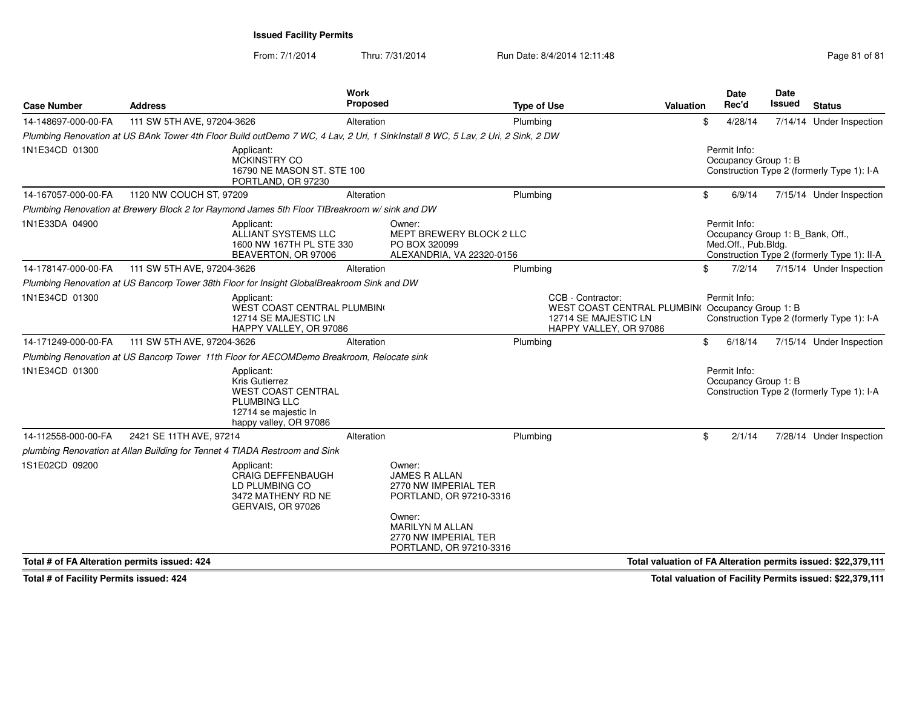From: 7/1/2014Thru: 7/31/2014 Run Date: 8/4/2014 12:11:48 Run Date: 8/4/2014 12:11:48

| <b>Case Number</b>                           | <b>Address</b>             |                                                                                                                                           | <b>Work</b><br><b>Proposed</b> |                                                                                                                                 | <b>Type of Use</b> | Valuation                                                                                                              | <b>Date</b><br>Rec'd                                                    | Date<br><b>Issued</b> | <b>Status</b>                                                 |
|----------------------------------------------|----------------------------|-------------------------------------------------------------------------------------------------------------------------------------------|--------------------------------|---------------------------------------------------------------------------------------------------------------------------------|--------------------|------------------------------------------------------------------------------------------------------------------------|-------------------------------------------------------------------------|-----------------------|---------------------------------------------------------------|
| 14-148697-000-00-FA                          | 111 SW 5TH AVE, 97204-3626 |                                                                                                                                           | Alteration                     |                                                                                                                                 | Plumbing           |                                                                                                                        | \$<br>4/28/14                                                           |                       | 7/14/14 Under Inspection                                      |
|                                              |                            |                                                                                                                                           |                                | Plumbing Renovation at US BAnk Tower 4th Floor Build outDemo 7 WC, 4 Lav, 2 Uri, 1 SinkInstall 8 WC, 5 Lav, 2 Uri, 2 Sink, 2 DW |                    |                                                                                                                        |                                                                         |                       |                                                               |
| 1N1E34CD 01300                               |                            | Applicant:<br>MCKINSTRY CO<br>16790 NE MASON ST, STE 100<br>PORTLAND, OR 97230                                                            |                                |                                                                                                                                 |                    |                                                                                                                        | Permit Info:<br>Occupancy Group 1: B                                    |                       | Construction Type 2 (formerly Type 1): I-A                    |
| 14-167057-000-00-FA                          | 1120 NW COUCH ST, 97209    |                                                                                                                                           | Alteration                     |                                                                                                                                 | Plumbing           |                                                                                                                        | \$<br>6/9/14                                                            |                       | 7/15/14 Under Inspection                                      |
|                                              |                            | Plumbing Renovation at Brewery Block 2 for Raymond James 5th Floor TIBreakroom w/sink and DW                                              |                                |                                                                                                                                 |                    |                                                                                                                        |                                                                         |                       |                                                               |
| 1N1E33DA 04900                               |                            | Applicant:<br>ALLIANT SYSTEMS LLC<br>1600 NW 167TH PL STE 330<br>BEAVERTON, OR 97006                                                      |                                | Owner:<br>MEPT BREWERY BLOCK 2 LLC<br>PO BOX 320099<br>ALEXANDRIA, VA 22320-0156                                                |                    |                                                                                                                        | Permit Info:<br>Occupancy Group 1: B_Bank, Off.,<br>Med.Off., Pub.Bldg. |                       | Construction Type 2 (formerly Type 1): II-A                   |
| 14-178147-000-00-FA                          | 111 SW 5TH AVE, 97204-3626 |                                                                                                                                           | Alteration                     |                                                                                                                                 | Plumbing           |                                                                                                                        | \$<br>7/2/14                                                            |                       | 7/15/14 Under Inspection                                      |
|                                              |                            | Plumbing Renovation at US Bancorp Tower 38th Floor for Insight GlobalBreakroom Sink and DW                                                |                                |                                                                                                                                 |                    |                                                                                                                        |                                                                         |                       |                                                               |
| 1N1E34CD 01300                               |                            | Applicant:<br><b>WEST COAST CENTRAL PLUMBING</b><br>12714 SE MAJESTIC LN<br>HAPPY VALLEY, OR 97086                                        |                                |                                                                                                                                 |                    | CCB - Contractor:<br>WEST COAST CENTRAL PLUMBIN(Occupancy Group 1: B<br>12714 SE MAJESTIC LN<br>HAPPY VALLEY, OR 97086 | Permit Info:                                                            |                       | Construction Type 2 (formerly Type 1): I-A                    |
| 14-171249-000-00-FA                          | 111 SW 5TH AVE, 97204-3626 |                                                                                                                                           | Alteration                     |                                                                                                                                 | Plumbing           |                                                                                                                        | \$<br>6/18/14                                                           |                       | 7/15/14 Under Inspection                                      |
|                                              |                            | Plumbing Renovation at US Bancorp Tower 11th Floor for AECOMDemo Breakroom, Relocate sink                                                 |                                |                                                                                                                                 |                    |                                                                                                                        |                                                                         |                       |                                                               |
| 1N1E34CD 01300                               |                            | Applicant:<br><b>Kris Gutierrez</b><br><b>WEST COAST CENTRAL</b><br><b>PLUMBING LLC</b><br>12714 se majestic In<br>happy valley, OR 97086 |                                |                                                                                                                                 |                    |                                                                                                                        | Permit Info:<br>Occupancy Group 1: B                                    |                       | Construction Type 2 (formerly Type 1): I-A                    |
| 14-112558-000-00-FA                          | 2421 SE 11TH AVE, 97214    |                                                                                                                                           | Alteration                     |                                                                                                                                 | Plumbing           |                                                                                                                        | \$<br>2/1/14                                                            |                       | 7/28/14 Under Inspection                                      |
|                                              |                            | plumbing Renovation at Allan Building for Tennet 4 TIADA Restroom and Sink                                                                |                                |                                                                                                                                 |                    |                                                                                                                        |                                                                         |                       |                                                               |
| 1S1E02CD 09200                               |                            | Applicant:<br><b>CRAIG DEFFENBAUGH</b><br>LD PLUMBING CO<br>3472 MATHENY RD NE<br>GERVAIS, OR 97026                                       |                                | Owner:<br><b>JAMES R ALLAN</b><br>2770 NW IMPERIAL TER<br>PORTLAND, OR 97210-3316<br>Owner:<br>MARILYN M ALLAN                  |                    |                                                                                                                        |                                                                         |                       |                                                               |
|                                              |                            |                                                                                                                                           |                                | 2770 NW IMPERIAL TER<br>PORTLAND, OR 97210-3316                                                                                 |                    |                                                                                                                        |                                                                         |                       |                                                               |
| Total # of FA Alteration permits issued: 424 |                            |                                                                                                                                           |                                |                                                                                                                                 |                    |                                                                                                                        |                                                                         |                       | Total valuation of FA Alteration permits issued: \$22,379,111 |

**Total # of Facility Permits issued: 424**

**Total valuation of Facility Permits issued: \$22,379,111**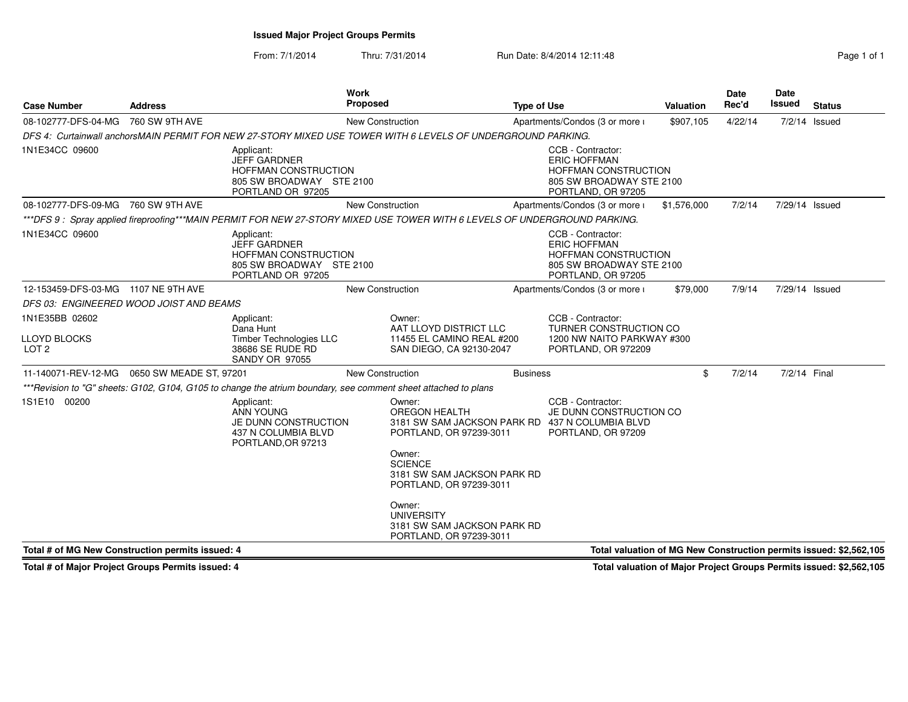**Issued Major Project Groups Permits**

## From: 7/1/2014Thru: 7/31/2014 Run Date: 8/4/2014 12:11:48 Run Date: 8/4/2014 12:11:48

| <b>Case Number</b>                               | <b>Address</b> | <b>Work</b>                                                                                                                | Proposed                                                                                  | <b>Type of Use</b>                                                                                                                                                         |                                                                                                                           | <b>Valuation</b> | Date<br>Rec'd | <b>Date</b><br><b>Issued</b> | <b>Status</b>                                                      |
|--------------------------------------------------|----------------|----------------------------------------------------------------------------------------------------------------------------|-------------------------------------------------------------------------------------------|----------------------------------------------------------------------------------------------------------------------------------------------------------------------------|---------------------------------------------------------------------------------------------------------------------------|------------------|---------------|------------------------------|--------------------------------------------------------------------|
| 08-102777-DFS-04-MG                              | 760 SW 9TH AVE |                                                                                                                            | New Construction                                                                          |                                                                                                                                                                            | Apartments/Condos (3 or more i                                                                                            | \$907,105        | 4/22/14       |                              | $7/2/14$ Issued                                                    |
|                                                  |                | DFS 4: Curtainwall anchorsMAIN PERMIT FOR NEW 27-STORY MIXED USE TOWER WITH 6 LEVELS OF UNDERGROUND PARKING.               |                                                                                           |                                                                                                                                                                            |                                                                                                                           |                  |               |                              |                                                                    |
| 1N1E34CC 09600                                   |                | Applicant:<br><b>JEFF GARDNER</b><br>HOFFMAN CONSTRUCTION<br>805 SW BROADWAY STE 2100<br>PORTLAND OR 97205                 |                                                                                           |                                                                                                                                                                            | CCB - Contractor:<br><b>ERIC HOFFMAN</b><br>HOFFMAN CONSTRUCTION<br>805 SW BROADWAY STE 2100<br>PORTLAND, OR 97205        |                  |               |                              |                                                                    |
| 08-102777-DFS-09-MG                              | 760 SW 9TH AVE |                                                                                                                            | New Construction                                                                          |                                                                                                                                                                            | Apartments/Condos (3 or more i                                                                                            | \$1,576,000      | 7/2/14        | 7/29/14 Issued               |                                                                    |
|                                                  |                | ***DFS 9 : Spray applied fireproofing***MAIN PERMIT FOR NEW 27-STORY MIXED USE TOWER WITH 6 LEVELS OF UNDERGROUND PARKING. |                                                                                           |                                                                                                                                                                            |                                                                                                                           |                  |               |                              |                                                                    |
| 1N1E34CC 09600                                   |                | Applicant:<br><b>JEFF GARDNER</b><br><b>HOFFMAN CONSTRUCTION</b><br>805 SW BROADWAY STE 2100<br>PORTLAND OR 97205          |                                                                                           |                                                                                                                                                                            | CCB - Contractor:<br><b>ERIC HOFFMAN</b><br><b>HOFFMAN CONSTRUCTION</b><br>805 SW BROADWAY STE 2100<br>PORTLAND, OR 97205 |                  |               |                              |                                                                    |
| 12-153459-DFS-03-MG 1107 NE 9TH AVE              |                |                                                                                                                            | <b>New Construction</b>                                                                   |                                                                                                                                                                            | Apartments/Condos (3 or more i                                                                                            | \$79,000         | 7/9/14        | 7/29/14 Issued               |                                                                    |
| DFS 03: ENGINEERED WOOD JOIST AND BEAMS          |                |                                                                                                                            |                                                                                           |                                                                                                                                                                            |                                                                                                                           |                  |               |                              |                                                                    |
| 1N1E35BB 02602<br>LLOYD BLOCKS<br>LOT 2          |                | Applicant:<br>Dana Hunt<br>Timber Technologies LLC<br>38686 SE RUDE RD<br><b>SANDY OR 97055</b>                            | Owner:                                                                                    | AAT LLOYD DISTRICT LLC<br>11455 EL CAMINO REAL #200<br>SAN DIEGO, CA 92130-2047                                                                                            | CCB - Contractor:<br>TURNER CONSTRUCTION CO<br>1200 NW NAITO PARKWAY #300<br>PORTLAND, OR 972209                          |                  |               |                              |                                                                    |
| 11-140071-REV-12-MG  0650 SW MEADE ST, 97201     |                |                                                                                                                            | <b>New Construction</b>                                                                   | <b>Business</b>                                                                                                                                                            |                                                                                                                           | \$               | 7/2/14        | 7/2/14 Final                 |                                                                    |
|                                                  |                | ***Revision to "G" sheets: G102, G104, G105 to change the atrium boundary, see comment sheet attached to plans             |                                                                                           |                                                                                                                                                                            |                                                                                                                           |                  |               |                              |                                                                    |
| 1S1E10 00200                                     |                | Applicant:<br>ANN YOUNG<br>JE DUNN CONSTRUCTION<br>437 N COLUMBIA BLVD<br>PORTLAND, OR 97213                               | Owner:<br><b>OREGON HEALTH</b><br>Owner:<br><b>SCIENCE</b><br>Owner:<br><b>UNIVERSITY</b> | 3181 SW SAM JACKSON PARK RD<br>PORTLAND, OR 97239-3011<br>3181 SW SAM JACKSON PARK RD<br>PORTLAND, OR 97239-3011<br>3181 SW SAM JACKSON PARK RD<br>PORTLAND, OR 97239-3011 | CCB - Contractor:<br>JE DUNN CONSTRUCTION CO<br>437 N COLUMBIA BLVD<br>PORTLAND, OR 97209                                 |                  |               |                              |                                                                    |
| Total # of MG New Construction permits issued: 4 |                |                                                                                                                            |                                                                                           |                                                                                                                                                                            |                                                                                                                           |                  |               |                              | Total valuation of MG New Construction permits issued: \$2,562,105 |

**Total # of Major Project Groups Permits issued: 4**

**Total valuation of Major Project Groups Permits issued: \$2,562,105**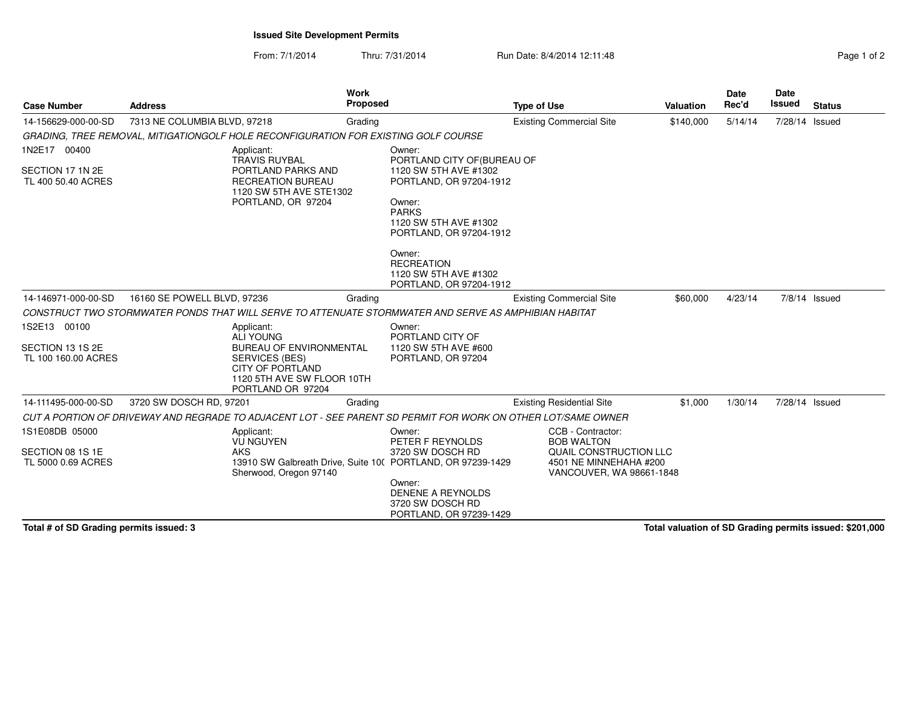**Issued Site Development Permits**

From: 7/1/2014Thru: 7/31/2014 Run Date: 8/4/2014 12:11:48

| Page 1 of 2 |  |  |
|-------------|--|--|

| <b>Case Number</b>                                       | <b>Address</b>                                                                                                | Work<br><b>Proposed</b>                                                                                                                                   |                                                                                                                                                                                                        | <b>Type of Use</b>                                                                         | <b>Valuation</b> | <b>Date</b><br>Rec'd | Date<br><b>Issued</b> | <b>Status</b> |
|----------------------------------------------------------|---------------------------------------------------------------------------------------------------------------|-----------------------------------------------------------------------------------------------------------------------------------------------------------|--------------------------------------------------------------------------------------------------------------------------------------------------------------------------------------------------------|--------------------------------------------------------------------------------------------|------------------|----------------------|-----------------------|---------------|
| 14-156629-000-00-SD                                      | 7313 NE COLUMBIA BLVD, 97218                                                                                  | Grading                                                                                                                                                   |                                                                                                                                                                                                        | <b>Existing Commercial Site</b>                                                            | \$140,000        | 5/14/14              | 7/28/14 Issued        |               |
|                                                          | GRADING, TREE REMOVAL, MITIGATIONGOLF HOLE RECONFIGURATION FOR EXISTING GOLF COURSE                           |                                                                                                                                                           |                                                                                                                                                                                                        |                                                                                            |                  |                      |                       |               |
| 1N2E17 00400<br>SECTION 17 1N 2E<br>TL 400 50.40 ACRES   | Applicant:                                                                                                    | <b>TRAVIS RUYBAL</b><br>PORTLAND PARKS AND<br>RECREATION BUREAU<br>1120 SW 5TH AVE STE1302<br>PORTLAND, OR 97204                                          | Owner:<br>PORTLAND CITY OF (BUREAU OF<br>1120 SW 5TH AVE #1302<br>PORTLAND, OR 97204-1912<br>Owner:<br><b>PARKS</b><br>1120 SW 5TH AVE #1302<br>PORTLAND, OR 97204-1912<br>Owner:<br><b>RECREATION</b> |                                                                                            |                  |                      |                       |               |
|                                                          |                                                                                                               |                                                                                                                                                           | 1120 SW 5TH AVE #1302<br>PORTLAND, OR 97204-1912                                                                                                                                                       |                                                                                            |                  |                      |                       |               |
| 14-146971-000-00-SD                                      | 16160 SE POWELL BLVD, 97236                                                                                   | Grading                                                                                                                                                   |                                                                                                                                                                                                        | <b>Existing Commercial Site</b>                                                            | \$60,000         | 4/23/14              |                       | 7/8/14 Issued |
|                                                          | CONSTRUCT TWO STORMWATER PONDS THAT WILL SERVE TO ATTENUATE STORMWATER AND SERVE AS AMPHIBIAN HABITAT         |                                                                                                                                                           |                                                                                                                                                                                                        |                                                                                            |                  |                      |                       |               |
| 1S2E13 00100<br>SECTION 13 1S 2E<br>TL 100 160.00 ACRES  | Applicant:                                                                                                    | <b>ALI YOUNG</b><br><b>BUREAU OF ENVIRONMENTAL</b><br><b>SERVICES (BES)</b><br><b>CITY OF PORTLAND</b><br>1120 5TH AVE SW FLOOR 10TH<br>PORTLAND OR 97204 | Owner:<br>PORTLAND CITY OF<br>1120 SW 5TH AVE #600<br>PORTLAND, OR 97204                                                                                                                               |                                                                                            |                  |                      |                       |               |
| 14-111495-000-00-SD                                      | 3720 SW DOSCH RD, 97201                                                                                       | Grading                                                                                                                                                   |                                                                                                                                                                                                        | <b>Existing Residential Site</b>                                                           | \$1,000          | 1/30/14              | 7/28/14 Issued        |               |
|                                                          | CUT A PORTION OF DRIVEWAY AND REGRADE TO ADJACENT LOT - SEE PARENT SD PERMIT FOR WORK ON OTHER LOT/SAME OWNER |                                                                                                                                                           |                                                                                                                                                                                                        |                                                                                            |                  |                      |                       |               |
| 1S1E08DB 05000<br>SECTION 08 1S 1E<br>TL 5000 0.69 ACRES | Applicant:<br><b>AKS</b>                                                                                      | <b>VU NGUYEN</b><br>13910 SW Galbreath Drive, Suite 10( PORTLAND, OR 97239-1429                                                                           | Owner:<br>PETER F REYNOLDS<br>3720 SW DOSCH RD                                                                                                                                                         | CCB - Contractor:<br><b>BOB WALTON</b><br>QUAIL CONSTRUCTION LLC<br>4501 NE MINNEHAHA #200 |                  |                      |                       |               |
|                                                          |                                                                                                               | Sherwood, Oregon 97140                                                                                                                                    | Owner:<br>DENENE A REYNOLDS<br>3720 SW DOSCH RD<br>PORTLAND, OR 97239-1429                                                                                                                             | VANCOUVER, WA 98661-1848                                                                   |                  |                      |                       |               |

**Total # of SD Grading permits issued: 3**

**Total valuation of SD Grading permits issued: \$201,000**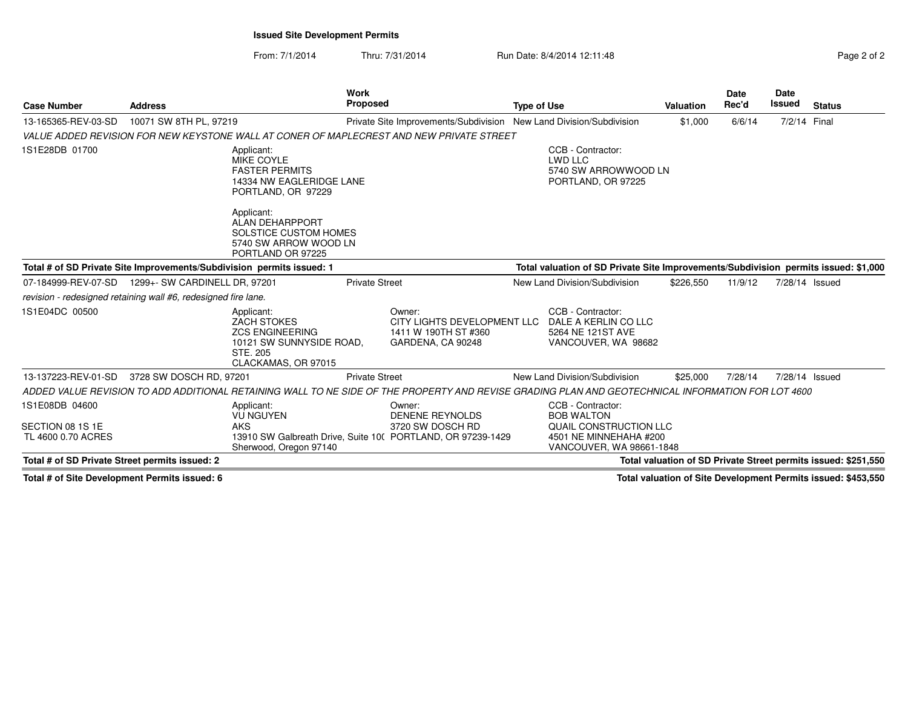## **Issued Site Development Permits**

From: 7/1/2014Thru: 7/31/2014 Run Date: 8/4/2014 12:11:48 Research 2012 Rage 2 of 2

| <b>Case Number</b>                                             | <b>Address</b>                |                                                                                                                                                                                                                           | Work<br><b>Proposed</b> |                                                                                                                                                    | <b>Type of Use</b> |                                                                                                                        | <b>Valuation</b> | <b>Date</b><br>Rec'd | Date<br><b>Issued</b> | <b>Status</b>                                                  |
|----------------------------------------------------------------|-------------------------------|---------------------------------------------------------------------------------------------------------------------------------------------------------------------------------------------------------------------------|-------------------------|----------------------------------------------------------------------------------------------------------------------------------------------------|--------------------|------------------------------------------------------------------------------------------------------------------------|------------------|----------------------|-----------------------|----------------------------------------------------------------|
| 13-165365-REV-03-SD                                            | 10071 SW 8TH PL, 97219        |                                                                                                                                                                                                                           |                         | Private Site Improvements/Subdivision                                                                                                              |                    | New Land Division/Subdivision                                                                                          | \$1,000          | 6/6/14               | 7/2/14 Final          |                                                                |
|                                                                |                               |                                                                                                                                                                                                                           |                         | VALUE ADDED REVISION FOR NEW KEYSTONE WALL AT CONER OF MAPLECREST AND NEW PRIVATE STREET                                                           |                    |                                                                                                                        |                  |                      |                       |                                                                |
| 1S1E28DB 01700                                                 |                               | Applicant:<br><b>MIKE COYLE</b><br><b>FASTER PERMITS</b><br>14334 NW EAGLERIDGE LANE<br>PORTLAND, OR 97229<br>Applicant:<br><b>ALAN DEHARPPORT</b><br>SOLSTICE CUSTOM HOMES<br>5740 SW ARROW WOOD LN<br>PORTLAND OR 97225 |                         |                                                                                                                                                    |                    | CCB - Contractor:<br>LWD LLC<br>5740 SW ARROWWOOD LN<br>PORTLAND, OR 97225                                             |                  |                      |                       |                                                                |
|                                                                |                               | Total # of SD Private Site Improvements/Subdivision permits issued: 1                                                                                                                                                     |                         |                                                                                                                                                    |                    | Total valuation of SD Private Site Improvements/Subdivision permits issued: \$1,000                                    |                  |                      |                       |                                                                |
| 07-184999-REV-07-SD                                            | 1299+- SW CARDINELL DR, 97201 |                                                                                                                                                                                                                           | <b>Private Street</b>   |                                                                                                                                                    |                    | New Land Division/Subdivision                                                                                          | \$226,550        | 11/9/12              | 7/28/14 Issued        |                                                                |
| revision - redesigned retaining wall #6, redesigned fire lane. |                               |                                                                                                                                                                                                                           |                         |                                                                                                                                                    |                    |                                                                                                                        |                  |                      |                       |                                                                |
| 1S1E04DC 00500                                                 |                               | Applicant:<br><b>ZACH STOKES</b><br><b>ZCS ENGINEERING</b><br>10121 SW SUNNYSIDE ROAD,<br>STE, 205<br>CLACKAMAS, OR 97015                                                                                                 |                         | Owner:<br>CITY LIGHTS DEVELOPMENT LLC<br>1411 W 190TH ST #360<br>GARDENA, CA 90248                                                                 |                    | CCB - Contractor:<br>DALE A KERLIN CO LLC<br>5264 NE 121ST AVE<br>VANCOUVER, WA 98682                                  |                  |                      |                       |                                                                |
| 13-137223-REV-01-SD                                            | 3728 SW DOSCH RD, 97201       |                                                                                                                                                                                                                           | <b>Private Street</b>   |                                                                                                                                                    |                    | New Land Division/Subdivision                                                                                          | \$25,000         | 7/28/14              | 7/28/14 Issued        |                                                                |
|                                                                |                               |                                                                                                                                                                                                                           |                         | ADDED VALUE REVISION TO ADD ADDITIONAL RETAINING WALL TO NE SIDE OF THE PROPERTY AND REVISE GRADING PLAN AND GEOTECHNICAL INFORMATION FOR LOT 4600 |                    |                                                                                                                        |                  |                      |                       |                                                                |
| 1S1E08DB 04600<br>SECTION 08 1S 1E<br>TL 4600 0.70 ACRES       |                               | Applicant:<br><b>VU NGUYEN</b><br><b>AKS</b><br>Sherwood, Oregon 97140                                                                                                                                                    |                         | Owner:<br><b>DENENE REYNOLDS</b><br>3720 SW DOSCH RD<br>13910 SW Galbreath Drive, Suite 10( PORTLAND, OR 97239-1429                                |                    | CCB - Contractor:<br><b>BOB WALTON</b><br>QUAIL CONSTRUCTION LLC<br>4501 NE MINNEHAHA #200<br>VANCOUVER, WA 98661-1848 |                  |                      |                       |                                                                |
| Total # of SD Private Street permits issued: 2                 |                               |                                                                                                                                                                                                                           |                         |                                                                                                                                                    |                    |                                                                                                                        |                  |                      |                       | Total valuation of SD Private Street permits issued: \$251,550 |

**Total # of Site Development Permits issued: 6**

**Total valuation of Site Development Permits issued: \$453,550**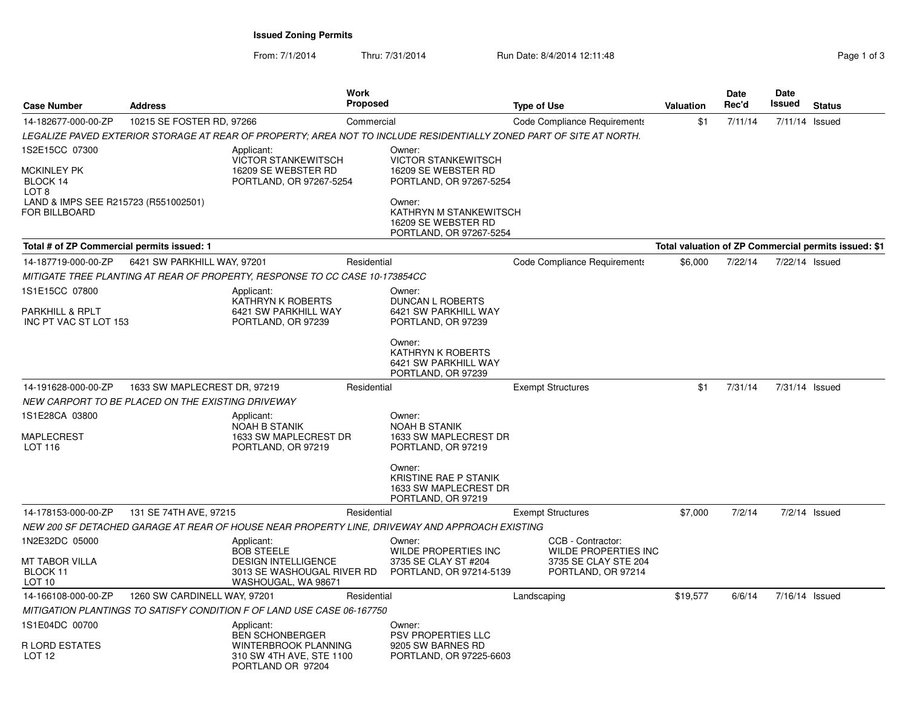**Issued Zoning Permits**

From: 7/1/2014Thru: 7/31/2014 Run Date: 8/4/2014 12:11:48 Rege 1 of 3

| <b>Case Number</b><br><b>Address</b>                       |                              | Work<br><b>Proposed</b>                                                                                            | <b>Type of Use</b> |                                                                                                                     |                          | Valuation                                                                               | Date<br>Rec'd | Date<br>Issued | <b>Status</b>  |                                                      |
|------------------------------------------------------------|------------------------------|--------------------------------------------------------------------------------------------------------------------|--------------------|---------------------------------------------------------------------------------------------------------------------|--------------------------|-----------------------------------------------------------------------------------------|---------------|----------------|----------------|------------------------------------------------------|
| 14-182677-000-00-ZP                                        | 10215 SE FOSTER RD, 97266    |                                                                                                                    | Commercial         |                                                                                                                     |                          | Code Compliance Requirements                                                            | \$1           | 7/11/14        | 7/11/14 Issued |                                                      |
|                                                            |                              |                                                                                                                    |                    | LEGALIZE PAVED EXTERIOR STORAGE AT REAR OF PROPERTY: AREA NOT TO INCLUDE RESIDENTIALLY ZONED PART OF SITE AT NORTH. |                          |                                                                                         |               |                |                |                                                      |
| 1S2E15CC 07300<br>MCKINLEY PK<br>BLOCK 14<br>LOT 8         |                              | Applicant:<br><b>VICTOR STANKEWITSCH</b><br>16209 SE WEBSTER RD<br>PORTLAND, OR 97267-5254                         |                    | Owner:<br><b>VICTOR STANKEWITSCH</b><br>16209 SE WEBSTER RD<br>PORTLAND, OR 97267-5254                              |                          |                                                                                         |               |                |                |                                                      |
| LAND & IMPS SEE R215723 (R551002501)<br>FOR BILLBOARD      |                              |                                                                                                                    |                    | Owner:<br>KATHRYN M STANKEWITSCH<br>16209 SE WEBSTER RD<br>PORTLAND, OR 97267-5254                                  |                          |                                                                                         |               |                |                |                                                      |
| Total # of ZP Commercial permits issued: 1                 |                              |                                                                                                                    |                    |                                                                                                                     |                          |                                                                                         |               |                |                | Total valuation of ZP Commercial permits issued: \$1 |
| 14-187719-000-00-ZP                                        | 6421 SW PARKHILL WAY, 97201  |                                                                                                                    | Residential        |                                                                                                                     |                          | <b>Code Compliance Requirements</b>                                                     | \$6,000       | 7/22/14        | 7/22/14 Issued |                                                      |
|                                                            |                              | MITIGATE TREE PLANTING AT REAR OF PROPERTY, RESPONSE TO CC CASE 10-173854CC                                        |                    |                                                                                                                     |                          |                                                                                         |               |                |                |                                                      |
| 1S1E15CC 07800<br>PARKHILL & RPLT<br>INC PT VAC ST LOT 153 |                              | Applicant:<br><b>KATHRYN K ROBERTS</b><br>6421 SW PARKHILL WAY<br>PORTLAND, OR 97239                               |                    | Owner:<br>DUNCAN L ROBERTS<br>6421 SW PARKHILL WAY<br>PORTLAND, OR 97239                                            |                          |                                                                                         |               |                |                |                                                      |
|                                                            |                              |                                                                                                                    |                    | Owner:<br><b>KATHRYN K ROBERTS</b><br>6421 SW PARKHILL WAY<br>PORTLAND, OR 97239                                    |                          |                                                                                         |               |                |                |                                                      |
| 14-191628-000-00-ZP                                        | 1633 SW MAPLECREST DR, 97219 |                                                                                                                    | Residential        |                                                                                                                     | <b>Exempt Structures</b> |                                                                                         | \$1           | 7/31/14        | 7/31/14 Issued |                                                      |
| NEW CARPORT TO BE PLACED ON THE EXISTING DRIVEWAY          |                              |                                                                                                                    |                    |                                                                                                                     |                          |                                                                                         |               |                |                |                                                      |
| 1S1E28CA 03800<br>MAPLECREST<br>LOT 116                    |                              | Applicant:<br><b>NOAH B STANIK</b><br>1633 SW MAPLECREST DR<br>PORTLAND, OR 97219                                  |                    | Owner:<br><b>NOAH B STANIK</b><br>1633 SW MAPLECREST DR<br>PORTLAND, OR 97219                                       |                          |                                                                                         |               |                |                |                                                      |
|                                                            |                              |                                                                                                                    |                    | Owner:<br>KRISTINE RAE P STANIK<br>1633 SW MAPLECREST DR<br>PORTLAND, OR 97219                                      |                          |                                                                                         |               |                |                |                                                      |
| 14-178153-000-00-ZP                                        | 131 SE 74TH AVE, 97215       |                                                                                                                    | Residential        |                                                                                                                     | <b>Exempt Structures</b> |                                                                                         | \$7,000       | 7/2/14         |                | $7/2/14$ Issued                                      |
|                                                            |                              |                                                                                                                    |                    | NEW 200 SF DETACHED GARAGE AT REAR OF HOUSE NEAR PROPERTY LINE, DRIVEWAY AND APPROACH EXISTING                      |                          |                                                                                         |               |                |                |                                                      |
| 1N2E32DC 05000<br>MT TABOR VILLA<br>BLOCK 11<br>LOT 10     |                              | Applicant:<br><b>BOB STEELE</b><br><b>DESIGN INTELLIGENCE</b><br>3013 SE WASHOUGAL RIVER RD<br>WASHOUGAL, WA 98671 |                    | Owner:<br><b>WILDE PROPERTIES INC</b><br>3735 SE CLAY ST #204<br>PORTLAND, OR 97214-5139                            |                          | CCB - Contractor:<br>WILDE PROPERTIES INC<br>3735 SE CLAY STE 204<br>PORTLAND, OR 97214 |               |                |                |                                                      |
| 14-166108-000-00-ZP                                        | 1260 SW CARDINELL WAY, 97201 |                                                                                                                    | Residential        |                                                                                                                     | Landscaping              |                                                                                         | \$19,577      | 6/6/14         | 7/16/14 Issued |                                                      |
|                                                            |                              | MITIGATION PLANTINGS TO SATISFY CONDITION F OF LAND USE CASE 06-167750                                             |                    |                                                                                                                     |                          |                                                                                         |               |                |                |                                                      |
| 1S1E04DC 00700<br>R LORD ESTATES<br>LOT 12                 |                              | Applicant:<br><b>BEN SCHONBERGER</b><br>WINTERBROOK PLANNING<br>310 SW 4TH AVE, STE 1100<br>PORTLAND OR 97204      |                    | Owner:<br><b>PSV PROPERTIES LLC</b><br>9205 SW BARNES RD<br>PORTLAND, OR 97225-6603                                 |                          |                                                                                         |               |                |                |                                                      |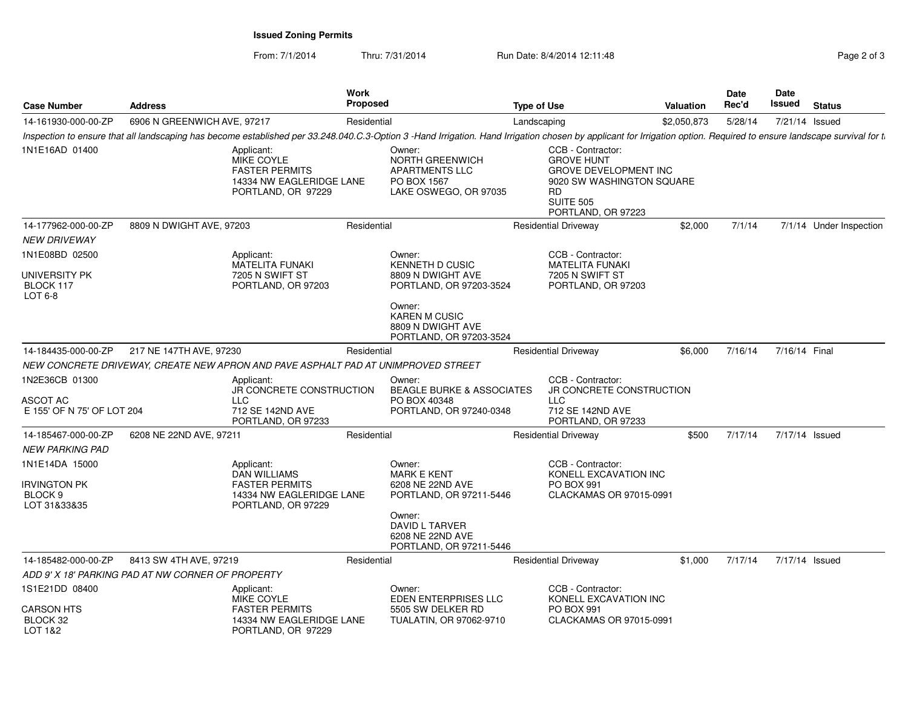**Issued Zoning Permits**

From: 7/1/2014

Thru: 7/31/2014 Run Date: 8/4/2014 12:11:48

| Page 2 of 3 |  |
|-------------|--|
|-------------|--|

| <b>Case Number</b>                       | <b>Address</b>                                    |                                                                                                     | Work<br><b>Proposed</b> |                                                                                                                                                                                                                        | <b>Type of Use</b> |                                                                                                                                                     | <b>Valuation</b> | Date<br>Rec'd | Date<br>Issued | <b>Status</b>           |
|------------------------------------------|---------------------------------------------------|-----------------------------------------------------------------------------------------------------|-------------------------|------------------------------------------------------------------------------------------------------------------------------------------------------------------------------------------------------------------------|--------------------|-----------------------------------------------------------------------------------------------------------------------------------------------------|------------------|---------------|----------------|-------------------------|
| 14-161930-000-00-ZP                      | 6906 N GREENWICH AVE, 97217                       |                                                                                                     | Residential             |                                                                                                                                                                                                                        | Landscaping        |                                                                                                                                                     | \$2,050,873      | 5/28/14       | 7/21/14 Issued |                         |
|                                          |                                                   |                                                                                                     |                         | Inspection to ensure that all landscaping has become established per 33.248.040.C.3-Option 3 -Hand Irrigation. Hand Irrigation chosen by applicant for Irrigation option. Required to ensure landscape survival for t. |                    |                                                                                                                                                     |                  |               |                |                         |
| 1N1E16AD 01400                           |                                                   | Applicant:<br>MIKE COYLE<br><b>FASTER PERMITS</b><br>14334 NW EAGLERIDGE LANE<br>PORTLAND, OR 97229 |                         | Owner:<br><b>NORTH GREENWICH</b><br><b>APARTMENTS LLC</b><br>PO BOX 1567<br>LAKE OSWEGO, OR 97035                                                                                                                      |                    | CCB - Contractor:<br><b>GROVE HUNT</b><br><b>GROVE DEVELOPMENT INC</b><br>9020 SW WASHINGTON SQUARE<br>RD<br><b>SUITE 505</b><br>PORTLAND, OR 97223 |                  |               |                |                         |
| 14-177962-000-00-ZP                      | 8809 N DWIGHT AVE, 97203                          |                                                                                                     | Residential             |                                                                                                                                                                                                                        |                    | <b>Residential Driveway</b>                                                                                                                         | \$2,000          | 7/1/14        |                | 7/1/14 Under Inspection |
| <b>NEW DRIVEWAY</b>                      |                                                   |                                                                                                     |                         |                                                                                                                                                                                                                        |                    |                                                                                                                                                     |                  |               |                |                         |
| 1N1E08BD 02500                           |                                                   | Applicant:                                                                                          |                         | Owner:                                                                                                                                                                                                                 |                    | CCB - Contractor:                                                                                                                                   |                  |               |                |                         |
| UNIVERSITY PK<br>BLOCK 117<br>LOT 6-8    |                                                   | <b>MATELITA FUNAKI</b><br>7205 N SWIFT ST<br>PORTLAND, OR 97203                                     |                         | KENNETH D CUSIC<br>8809 N DWIGHT AVE<br>PORTLAND, OR 97203-3524                                                                                                                                                        |                    | <b>MATELITA FUNAKI</b><br>7205 N SWIFT ST<br>PORTLAND, OR 97203                                                                                     |                  |               |                |                         |
|                                          |                                                   |                                                                                                     |                         | Owner:<br><b>KAREN M CUSIC</b><br>8809 N DWIGHT AVE<br>PORTLAND, OR 97203-3524                                                                                                                                         |                    |                                                                                                                                                     |                  |               |                |                         |
| 14-184435-000-00-ZP                      | 217 NE 147TH AVE, 97230                           |                                                                                                     | Residential             |                                                                                                                                                                                                                        |                    | <b>Residential Driveway</b>                                                                                                                         | \$6,000          | 7/16/14       | 7/16/14 Final  |                         |
|                                          |                                                   | NEW CONCRETE DRIVEWAY, CREATE NEW APRON AND PAVE ASPHALT PAD AT UNIMPROVED STREET                   |                         |                                                                                                                                                                                                                        |                    |                                                                                                                                                     |                  |               |                |                         |
| 1N2E36CB 01300                           |                                                   | Applicant:<br>JR CONCRETE CONSTRUCTION                                                              |                         | Owner:<br>BEAGLE BURKE & ASSOCIATES                                                                                                                                                                                    |                    | CCB - Contractor:<br>JR CONCRETE CONSTRUCTION                                                                                                       |                  |               |                |                         |
| ASCOT AC<br>E 155' OF N 75' OF LOT 204   |                                                   | <b>LLC</b><br>712 SE 142ND AVE<br>PORTLAND, OR 97233                                                |                         | PO BOX 40348<br>PORTLAND, OR 97240-0348                                                                                                                                                                                |                    | LLC<br>712 SE 142ND AVE<br>PORTLAND, OR 97233                                                                                                       |                  |               |                |                         |
| 14-185467-000-00-ZP                      | 6208 NE 22ND AVE, 97211                           |                                                                                                     | Residential             |                                                                                                                                                                                                                        |                    | <b>Residential Driveway</b>                                                                                                                         | \$500            | 7/17/14       | 7/17/14 Issued |                         |
| <b>NEW PARKING PAD</b>                   |                                                   |                                                                                                     |                         |                                                                                                                                                                                                                        |                    |                                                                                                                                                     |                  |               |                |                         |
| 1N1E14DA 15000                           |                                                   | Applicant:<br><b>DAN WILLIAMS</b>                                                                   |                         | Owner:<br><b>MARK E KENT</b>                                                                                                                                                                                           |                    | CCB - Contractor:<br>KONELL EXCAVATION INC                                                                                                          |                  |               |                |                         |
| Irvington PK<br>BLOCK 9<br>LOT 31&33&35  |                                                   | <b>FASTER PERMITS</b><br>14334 NW EAGLERIDGE LANE<br>PORTLAND, OR 97229                             |                         | 6208 NE 22ND AVE<br>PORTLAND, OR 97211-5446                                                                                                                                                                            |                    | PO BOX 991<br>CLACKAMAS OR 97015-0991                                                                                                               |                  |               |                |                         |
|                                          |                                                   |                                                                                                     |                         | Owner:<br>DAVID L TARVER<br>6208 NE 22ND AVE<br>PORTLAND, OR 97211-5446                                                                                                                                                |                    |                                                                                                                                                     |                  |               |                |                         |
| 14-185482-000-00-ZP                      | 8413 SW 4TH AVE, 97219                            |                                                                                                     | Residential             |                                                                                                                                                                                                                        |                    | <b>Residential Driveway</b>                                                                                                                         | \$1,000          | 7/17/14       | 7/17/14 Issued |                         |
|                                          | ADD 9' X 18' PARKING PAD AT NW CORNER OF PROPERTY |                                                                                                     |                         |                                                                                                                                                                                                                        |                    |                                                                                                                                                     |                  |               |                |                         |
| 1S1E21DD 08400                           |                                                   | Applicant:<br><b>MIKE COYLE</b>                                                                     |                         | Owner:<br>EDEN ENTERPRISES LLC                                                                                                                                                                                         |                    | CCB - Contractor:<br>KONELL EXCAVATION INC                                                                                                          |                  |               |                |                         |
| <b>CARSON HTS</b><br>BLOCK 32<br>LOT 1&2 |                                                   | <b>FASTER PERMITS</b><br>14334 NW EAGLERIDGE LANE<br>PORTLAND, OR 97229                             |                         | 5505 SW DELKER RD<br>TUALATIN, OR 97062-9710                                                                                                                                                                           |                    | <b>PO BOX 991</b><br>CLACKAMAS OR 97015-0991                                                                                                        |                  |               |                |                         |